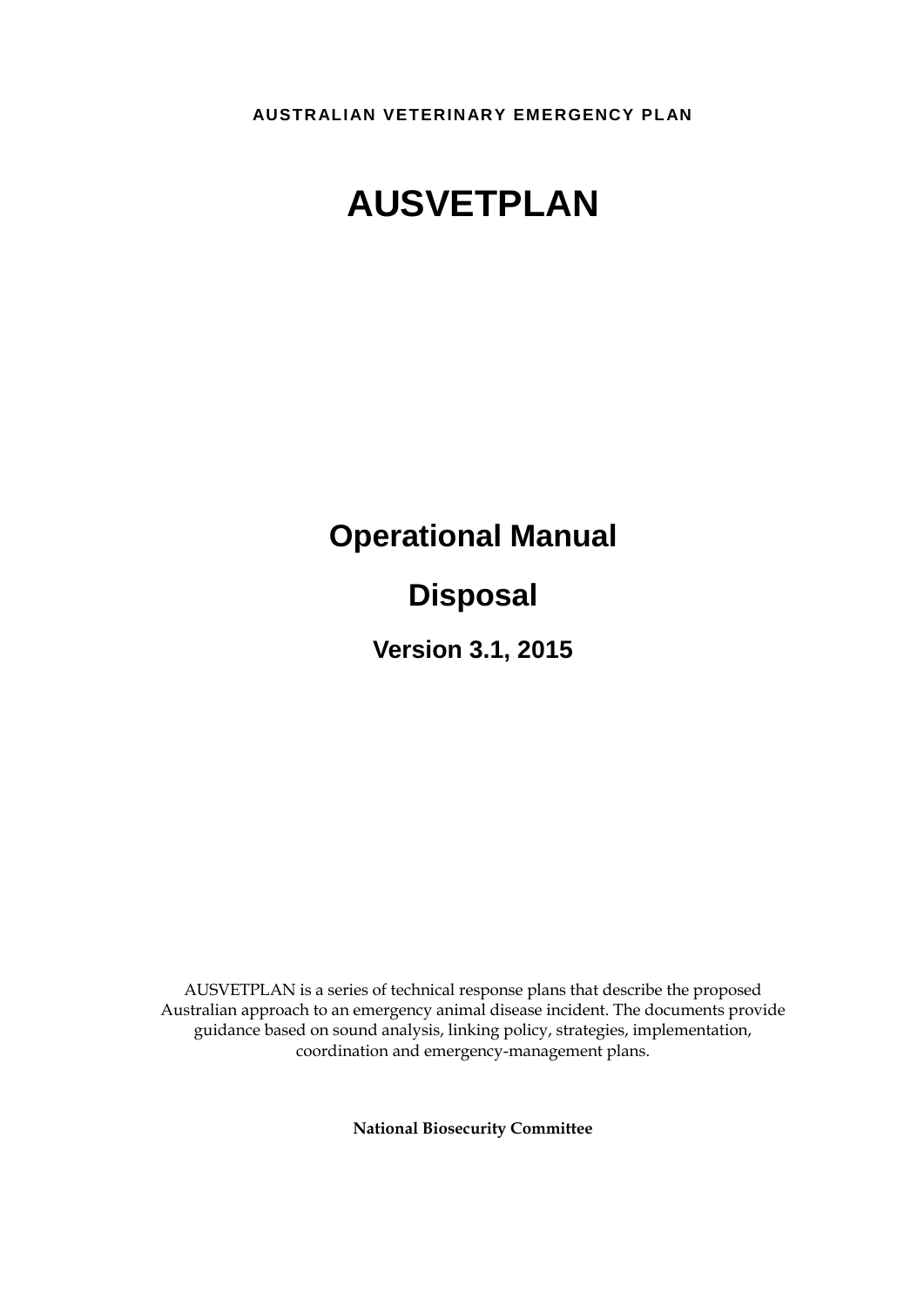**AUSTRALIAN VETERINARY EMERGENCY PLAN**

# **AUSVETPLAN**

**Operational Manual**

## **Disposal**

**Version 3.1, 2015**

AUSVETPLAN is a series of technical response plans that describe the proposed Australian approach to an emergency animal disease incident. The documents provide guidance based on sound analysis, linking policy, strategies, implementation, coordination and emergency-management plans.

**National Biosecurity Committee**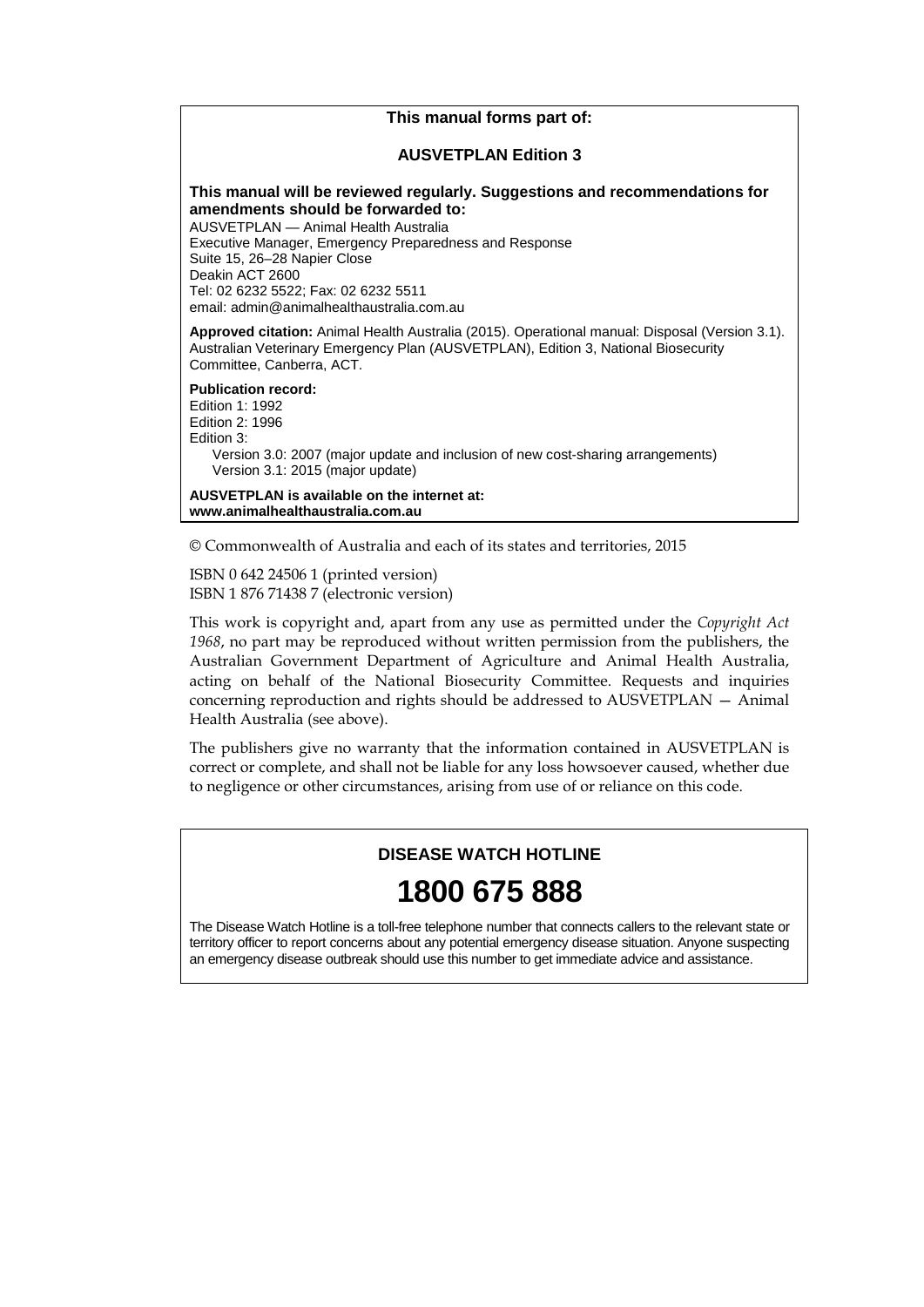### **This manual forms part of:**

#### **AUSVETPLAN Edition 3**

#### **This manual will be reviewed regularly. Suggestions and recommendations for amendments should be forwarded to:**

AUSVETPLAN — Animal Health Australia Executive Manager, Emergency Preparedness and Response Suite 15, 26–28 Napier Close Deakin ACT 2600 Tel: 02 6232 5522; Fax: 02 6232 5511 email: admin@animalhealthaustralia.com.au

**Approved citation:** Animal Health Australia (2015). Operational manual: Disposal (Version 3.1). Australian Veterinary Emergency Plan (AUSVETPLAN), Edition 3, National Biosecurity Committee, Canberra, ACT.

**Publication record:**

Edition 1: 1992 Edition 2: 1996 Edition 3: Version 3.0: 2007 (major update and inclusion of new cost-sharing arrangements) Version 3.1: 2015 (major update)

**AUSVETPLAN is available on the internet at: www.animalhealthaustralia.com.au**

© Commonwealth of Australia and each of its states and territories, 2015

ISBN 0 642 24506 1 (printed version) ISBN 1 876 71438 7 (electronic version)

This work is copyright and, apart from any use as permitted under the *Copyright Act 1968*, no part may be reproduced without written permission from the publishers, the Australian Government Department of Agriculture and Animal Health Australia, acting on behalf of the National Biosecurity Committee. Requests and inquiries concerning reproduction and rights should be addressed to AUSVETPLAN — Animal Health Australia (see above).

The publishers give no warranty that the information contained in AUSVETPLAN is correct or complete, and shall not be liable for any loss howsoever caused, whether due to negligence or other circumstances, arising from use of or reliance on this code.

#### **DISEASE WATCH HOTLINE**

## **1800 675 888**

The Disease Watch Hotline is a toll-free telephone number that connects callers to the relevant state or territory officer to report concerns about any potential emergency disease situation. Anyone suspecting an emergency disease outbreak should use this number to get immediate advice and assistance.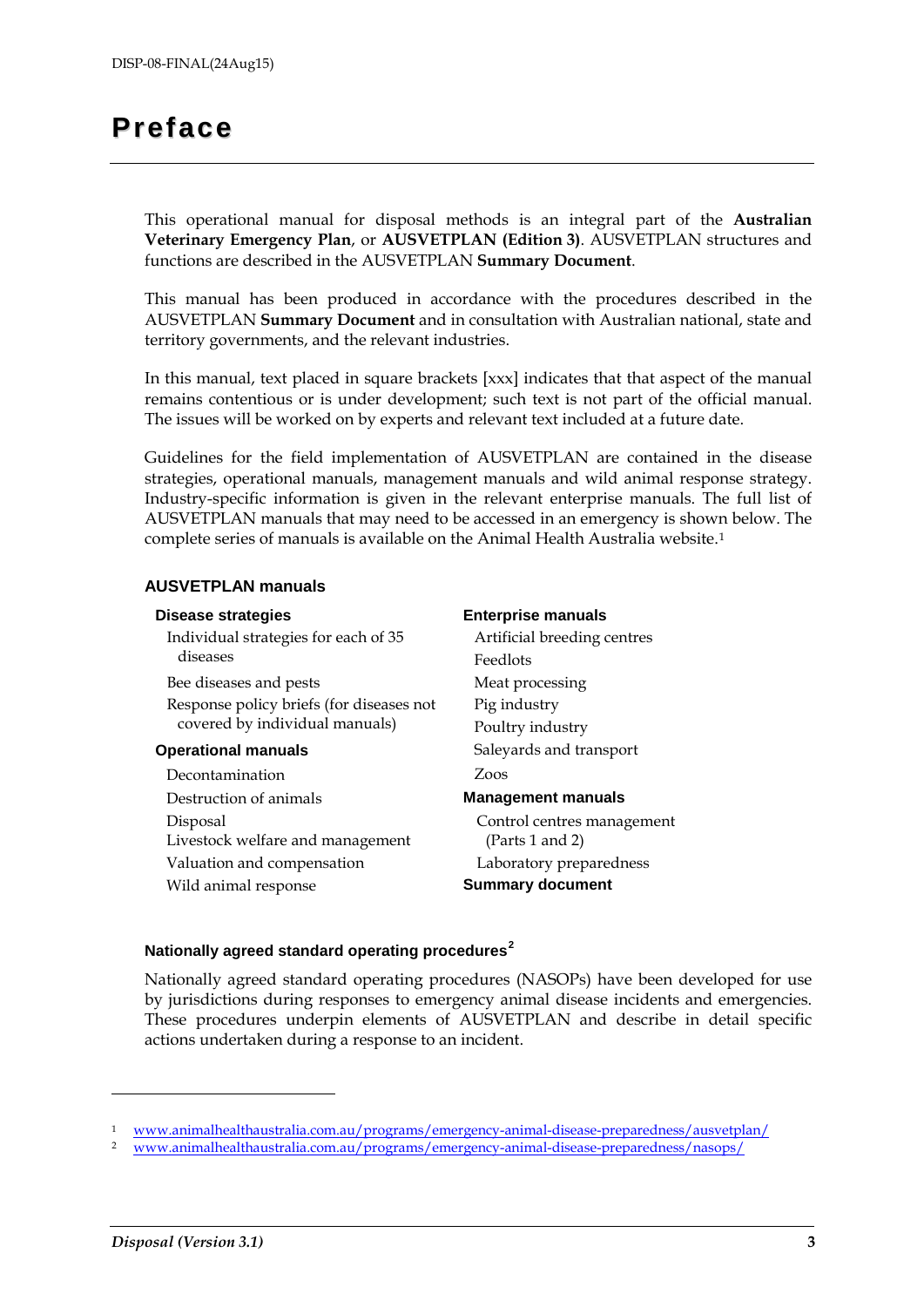## <span id="page-2-2"></span>**Preface**

This operational manual for disposal methods is an integral part of the **Australian Veterinary Emergency Plan**, or **AUSVETPLAN (Edition 3)**. AUSVETPLAN structures and functions are described in the AUSVETPLAN **Summary Document**.

This manual has been produced in accordance with the procedures described in the AUSVETPLAN **Summary Document** and in consultation with Australian national, state and territory governments, and the relevant industries.

In this manual, text placed in square brackets [xxx] indicates that that aspect of the manual remains contentious or is under development; such text is not part of the official manual. The issues will be worked on by experts and relevant text included at a future date.

Guidelines for the field implementation of AUSVETPLAN are contained in the disease strategies, operational manuals, management manuals and wild animal response strategy. Industry-specific information is given in the relevant enterprise manuals. The full list of AUSVETPLAN manuals that may need to be accessed in an emergency is shown below. The complete series of manuals is available on the Animal Health Australia website.[1](#page-2-0)

#### **AUSVETPLAN manuals**

| <b>Disease strategies</b>                | <b>Enterprise manuals</b>   |
|------------------------------------------|-----------------------------|
| Individual strategies for each of 35     | Artificial breeding centres |
| diseases                                 | Feedlots                    |
| Bee diseases and pests                   | Meat processing             |
| Response policy briefs (for diseases not | Pig industry                |
| covered by individual manuals)           | Poultry industry            |
| <b>Operational manuals</b>               | Saleyards and transport     |
| Decontamination                          | Zoos                        |
| Destruction of animals                   | <b>Management manuals</b>   |
| Disposal                                 | Control centres management  |
| Livestock welfare and management         | (Parts 1 and 2)             |
| Valuation and compensation               | Laboratory preparedness     |
| Wild animal response                     | <b>Summary document</b>     |

### **Nationally agreed standard operating procedures[2](#page-2-1)**

Nationally agreed standard operating procedures (NASOPs) have been developed for use by jurisdictions during responses to emergency animal disease incidents and emergencies. These procedures underpin elements of AUSVETPLAN and describe in detail specific actions undertaken during a response to an incident.

-

<span id="page-2-1"></span><span id="page-2-0"></span><sup>1</sup> [www.animalhealthaustralia.com.au/programs/emergency-animal-disease-preparedness/ausvetplan/](http://www.animalhealthaustralia.com.au/programs/emergency-animal-disease-preparedness/ausvetplan/)

<sup>2</sup> [www.animalhealthaustralia.com.au/programs/emergency-animal-disease-preparedness/nasops/](http://www.animalhealthaustralia.com.au/programs/emergency-animal-disease-preparedness/nasops/)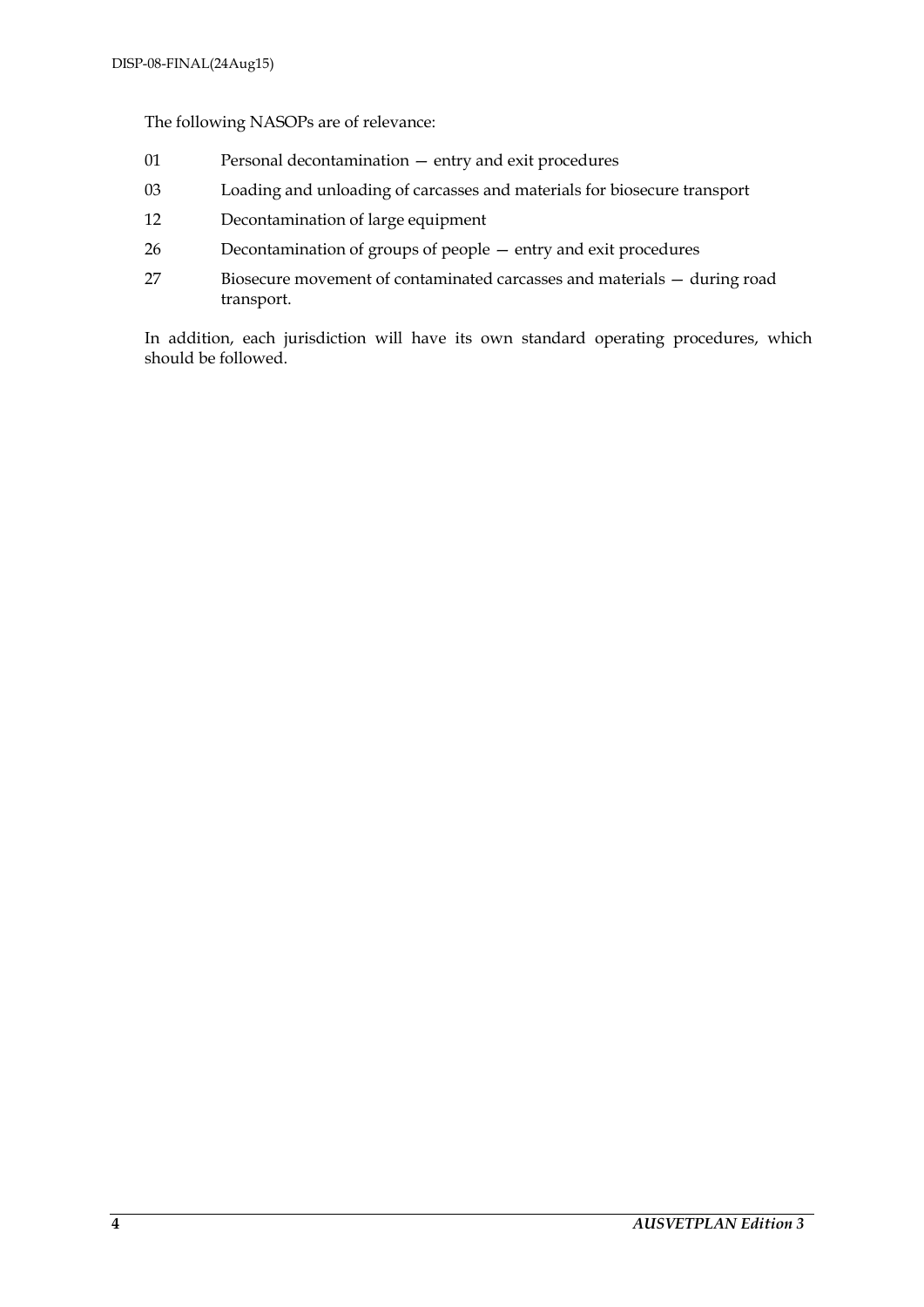The following NASOPs are of relevance:

- 01 Personal decontamination entry and exit procedures
- 03 Loading and unloading of carcasses and materials for biosecure transport
- 12 Decontamination of large equipment
- 26 Decontamination of groups of people entry and exit procedures
- 27 Biosecure movement of contaminated carcasses and materials during road transport.

In addition, each jurisdiction will have its own standard operating procedures, which should be followed.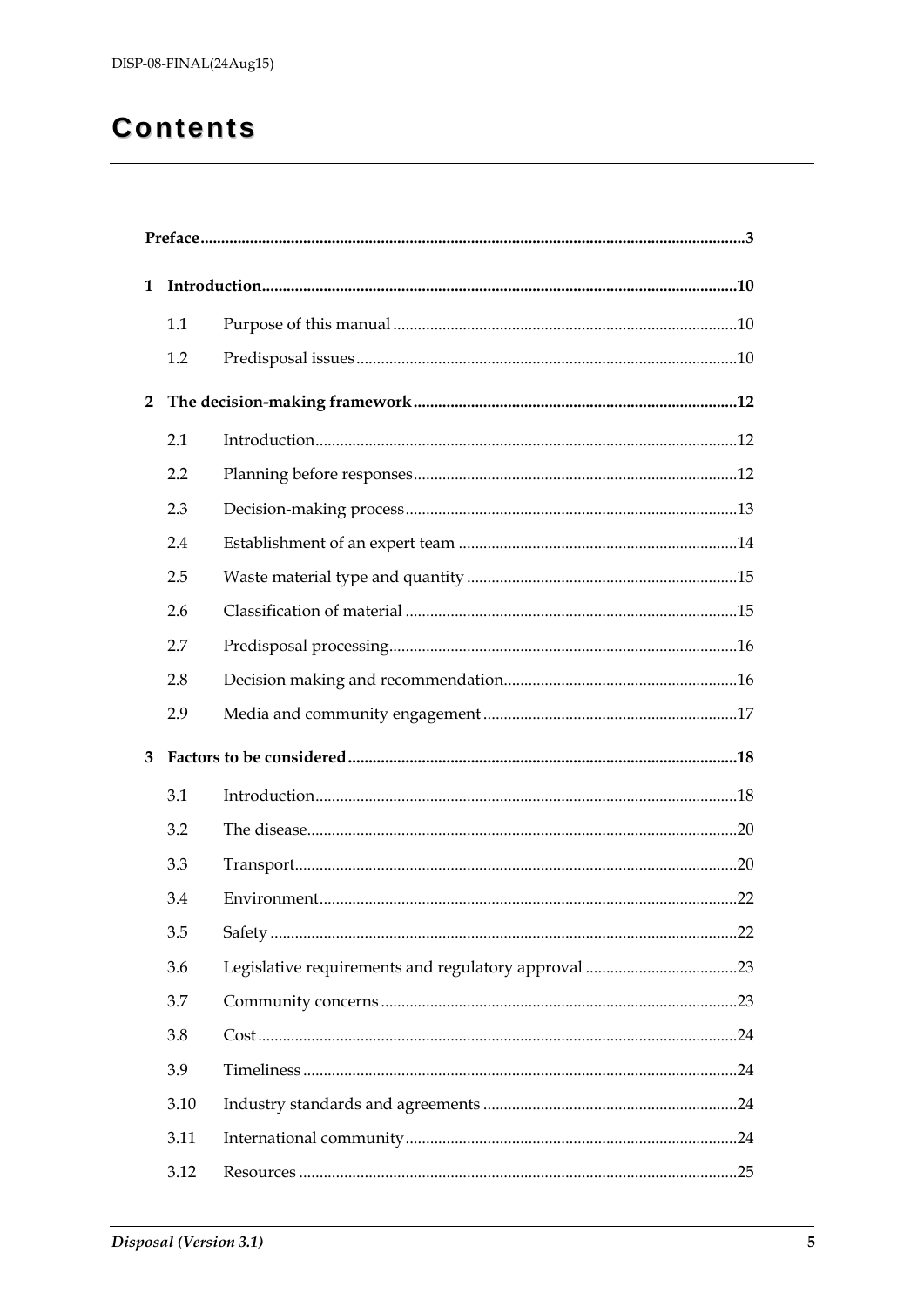## **Contents**

| $\mathbf{1}$ |      |  |  |  |
|--------------|------|--|--|--|
|              | 1.1  |  |  |  |
|              | 1.2  |  |  |  |
| $\mathbf{2}$ |      |  |  |  |
|              | 2.1  |  |  |  |
|              | 2.2  |  |  |  |
|              | 2.3  |  |  |  |
|              | 2.4  |  |  |  |
|              | 2.5  |  |  |  |
|              | 2.6  |  |  |  |
|              | 2.7  |  |  |  |
|              | 2.8  |  |  |  |
|              | 2.9  |  |  |  |
| 3            |      |  |  |  |
|              | 3.1  |  |  |  |
|              | 3.2  |  |  |  |
|              | 3.3  |  |  |  |
|              | 3.4  |  |  |  |
|              | 3.5  |  |  |  |
|              | 3.6  |  |  |  |
|              | 3.7  |  |  |  |
|              | 3.8  |  |  |  |
|              | 3.9  |  |  |  |
|              | 3.10 |  |  |  |
|              | 3.11 |  |  |  |
|              | 3.12 |  |  |  |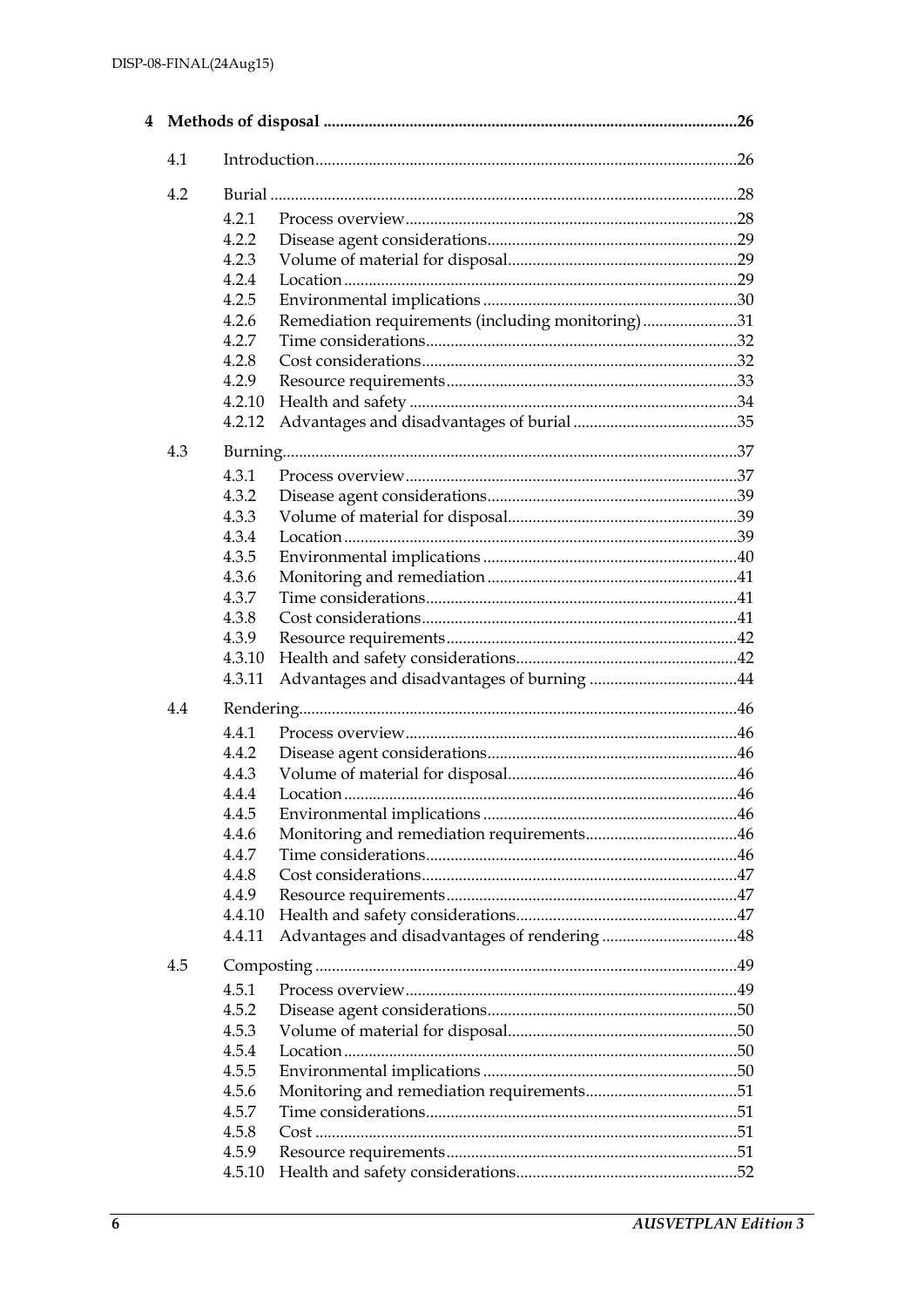| 4 |     |        |                                                   | .26 |
|---|-----|--------|---------------------------------------------------|-----|
|   | 4.1 |        |                                                   |     |
|   | 4.2 |        |                                                   |     |
|   |     | 4.2.1  |                                                   |     |
|   |     | 4.2.2  |                                                   |     |
|   |     | 4.2.3  |                                                   |     |
|   |     | 4.2.4  |                                                   |     |
|   |     | 4.2.5  |                                                   |     |
|   |     | 4.2.6  | Remediation requirements (including monitoring)31 |     |
|   |     | 4.2.7  |                                                   |     |
|   |     | 4.2.8  |                                                   |     |
|   |     | 4.2.9  |                                                   |     |
|   |     | 4.2.10 |                                                   |     |
|   |     | 4.2.12 |                                                   |     |
|   | 4.3 |        |                                                   |     |
|   |     | 4.3.1  |                                                   |     |
|   |     | 4.3.2  |                                                   |     |
|   |     | 4.3.3  |                                                   |     |
|   |     | 4.3.4  |                                                   |     |
|   |     | 4.3.5  |                                                   |     |
|   |     | 4.3.6  |                                                   |     |
|   |     | 4.3.7  |                                                   |     |
|   |     | 4.3.8  |                                                   |     |
|   |     | 4.3.9  |                                                   |     |
|   |     | 4.3.10 |                                                   |     |
|   |     | 4.3.11 |                                                   |     |
|   | 4.4 |        |                                                   |     |
|   |     | 4.4.1  |                                                   |     |
|   |     | 4.4.2  |                                                   |     |
|   |     | 4.4.3  |                                                   |     |
|   |     | 4.4.4  |                                                   |     |
|   |     | 4.4.5  |                                                   |     |
|   |     | 4.4.6  |                                                   |     |
|   |     | 4.4.7  |                                                   |     |
|   |     | 4.4.8  |                                                   |     |
|   |     | 4.4.9  |                                                   |     |
|   |     | 4.4.10 |                                                   |     |
|   |     | 4.4.11 |                                                   |     |
|   | 4.5 |        |                                                   |     |
|   |     | 4.5.1  |                                                   |     |
|   |     | 4.5.2  |                                                   |     |
|   |     | 4.5.3  |                                                   |     |
|   |     | 4.5.4  |                                                   |     |
|   |     | 4.5.5  |                                                   |     |
|   |     | 4.5.6  |                                                   |     |
|   |     | 4.5.7  |                                                   |     |
|   |     | 4.5.8  |                                                   |     |
|   |     | 4.5.9  |                                                   |     |
|   |     | 4.5.10 |                                                   |     |
|   |     |        |                                                   |     |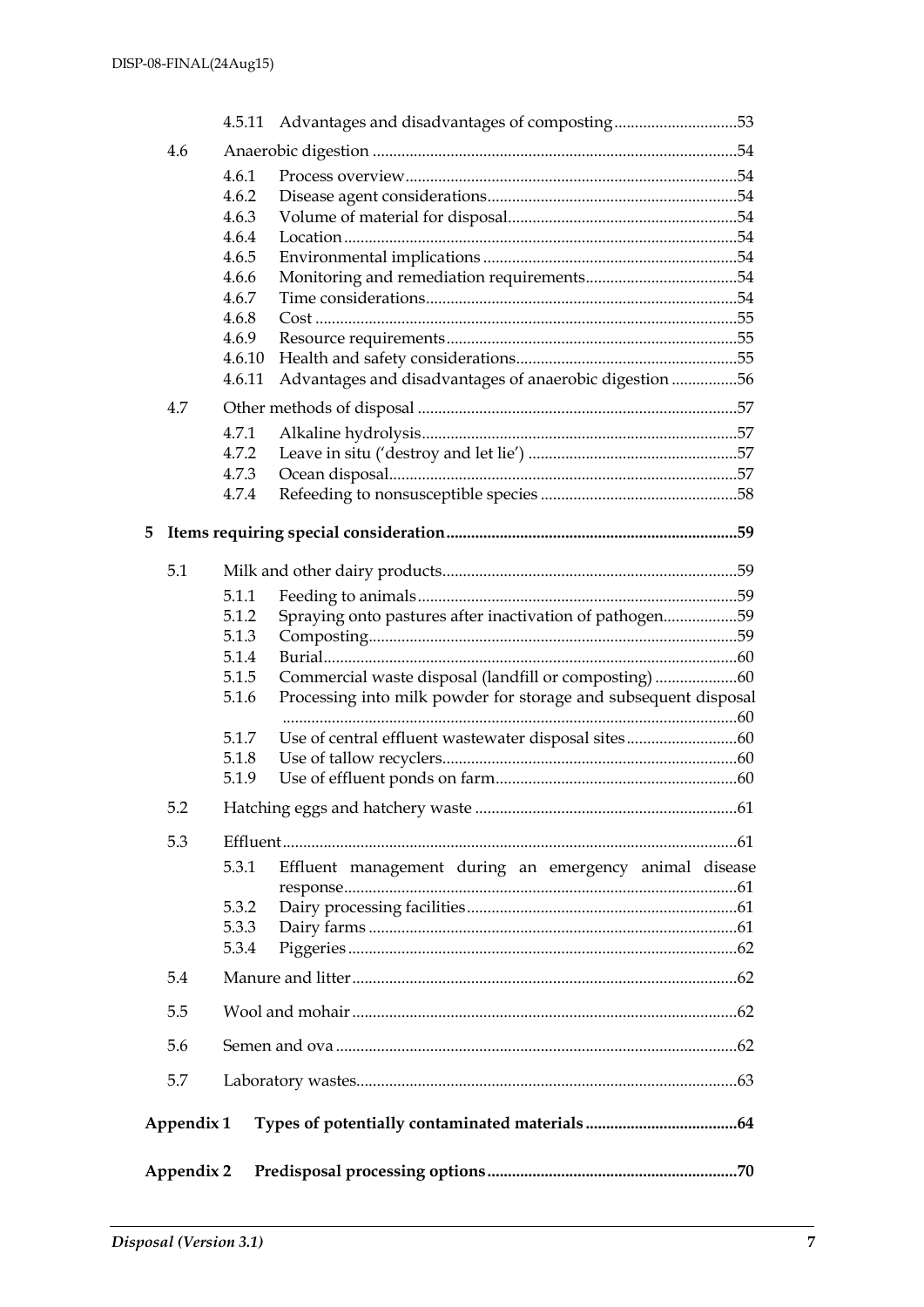|   |            |                | 4.5.11 Advantages and disadvantages of composting53             |  |
|---|------------|----------------|-----------------------------------------------------------------|--|
|   | 4.6        |                |                                                                 |  |
|   |            | 4.6.1          |                                                                 |  |
|   |            | 4.6.2          |                                                                 |  |
|   |            | 4.6.3          |                                                                 |  |
|   |            | 4.6.4          |                                                                 |  |
|   |            | 4.6.5          |                                                                 |  |
|   |            | 4.6.6<br>4.6.7 |                                                                 |  |
|   |            | 4.6.8          |                                                                 |  |
|   |            | 4.6.9          |                                                                 |  |
|   |            | 4.6.10         |                                                                 |  |
|   |            | 4.6.11         | Advantages and disadvantages of anaerobic digestion 56          |  |
|   | 4.7        |                |                                                                 |  |
|   |            | 4.7.1          |                                                                 |  |
|   |            | 4.7.2          |                                                                 |  |
|   |            | 4.7.3          |                                                                 |  |
|   |            | 4.7.4          |                                                                 |  |
| 5 |            |                |                                                                 |  |
|   | 5.1        |                |                                                                 |  |
|   |            | 5.1.1          |                                                                 |  |
|   |            | 5.1.2          | Spraying onto pastures after inactivation of pathogen59         |  |
|   |            | 5.1.3          |                                                                 |  |
|   |            | 5.1.4          |                                                                 |  |
|   |            | 5.1.5          |                                                                 |  |
|   |            | 5.1.6          | Processing into milk powder for storage and subsequent disposal |  |
|   |            | 5.1.7          |                                                                 |  |
|   |            | 5.1.8          |                                                                 |  |
|   |            | 5.1.9          |                                                                 |  |
|   | 5.2        |                |                                                                 |  |
|   |            |                |                                                                 |  |
|   | 5.3        |                |                                                                 |  |
|   |            | 5.3.1          | Effluent management during an emergency animal disease          |  |
|   |            | 5.3.2          |                                                                 |  |
|   |            | 5.3.3          |                                                                 |  |
|   |            | 5.3.4          |                                                                 |  |
|   | 5.4        |                |                                                                 |  |
|   | 5.5        |                |                                                                 |  |
|   | 5.6        |                |                                                                 |  |
|   | 5.7        |                |                                                                 |  |
|   | Appendix 1 |                |                                                                 |  |
|   | Appendix 2 |                |                                                                 |  |
|   |            |                |                                                                 |  |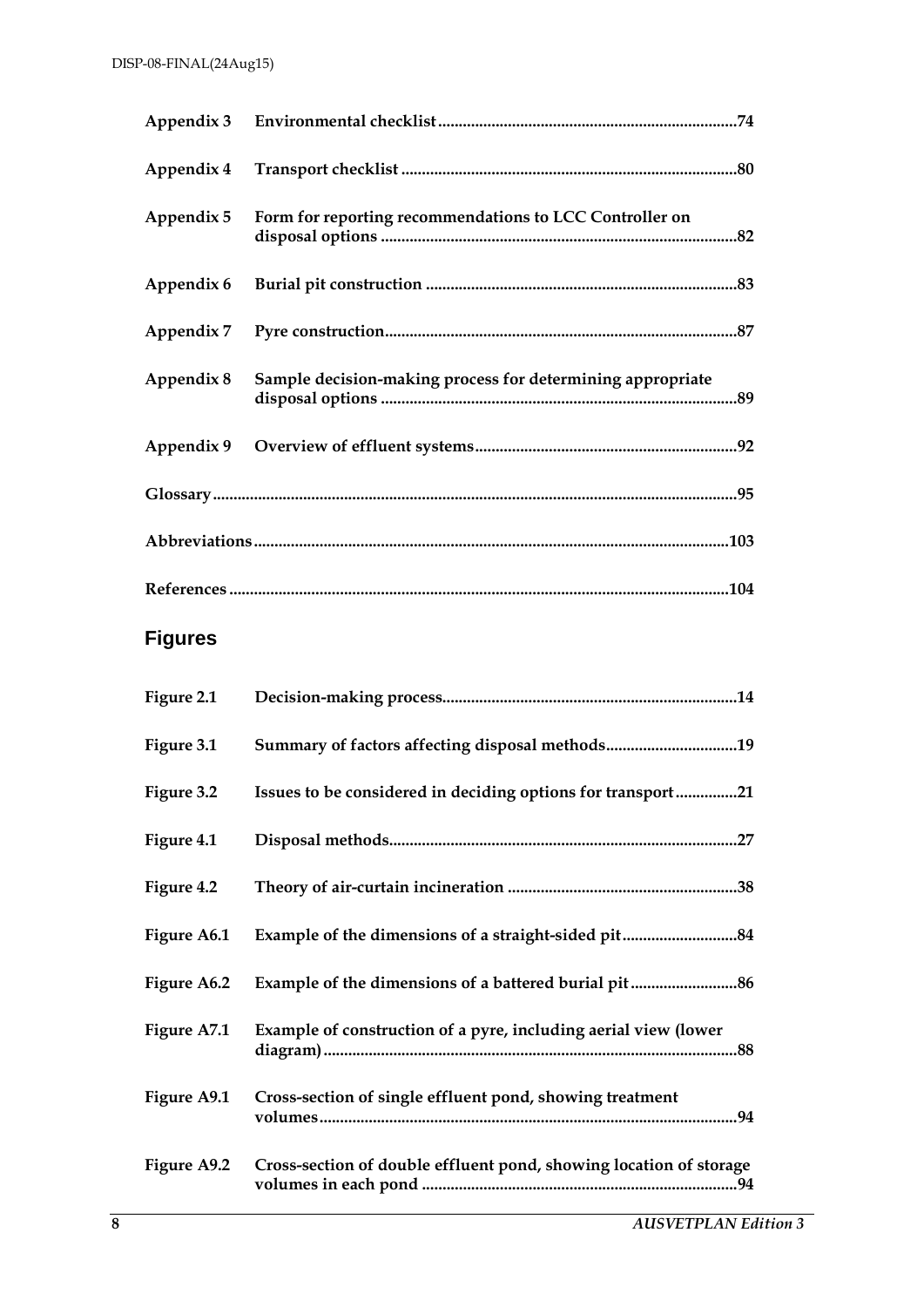|            | Appendix 5 Form for reporting recommendations to LCC Controller on |  |
|------------|--------------------------------------------------------------------|--|
|            |                                                                    |  |
|            |                                                                    |  |
| Appendix 8 | Sample decision-making process for determining appropriate         |  |
|            |                                                                    |  |
|            |                                                                    |  |
|            |                                                                    |  |
|            |                                                                    |  |

## **Figures**

| Figure 2.1  |                                                                    |
|-------------|--------------------------------------------------------------------|
| Figure 3.1  | Summary of factors affecting disposal methods19                    |
| Figure 3.2  | Issues to be considered in deciding options for transport21        |
| Figure 4.1  |                                                                    |
| Figure 4.2  |                                                                    |
| Figure A6.1 |                                                                    |
| Figure A6.2 |                                                                    |
| Figure A7.1 | Example of construction of a pyre, including aerial view (lower    |
| Figure A9.1 | Cross-section of single effluent pond, showing treatment           |
| Figure A9.2 | Cross-section of double effluent pond, showing location of storage |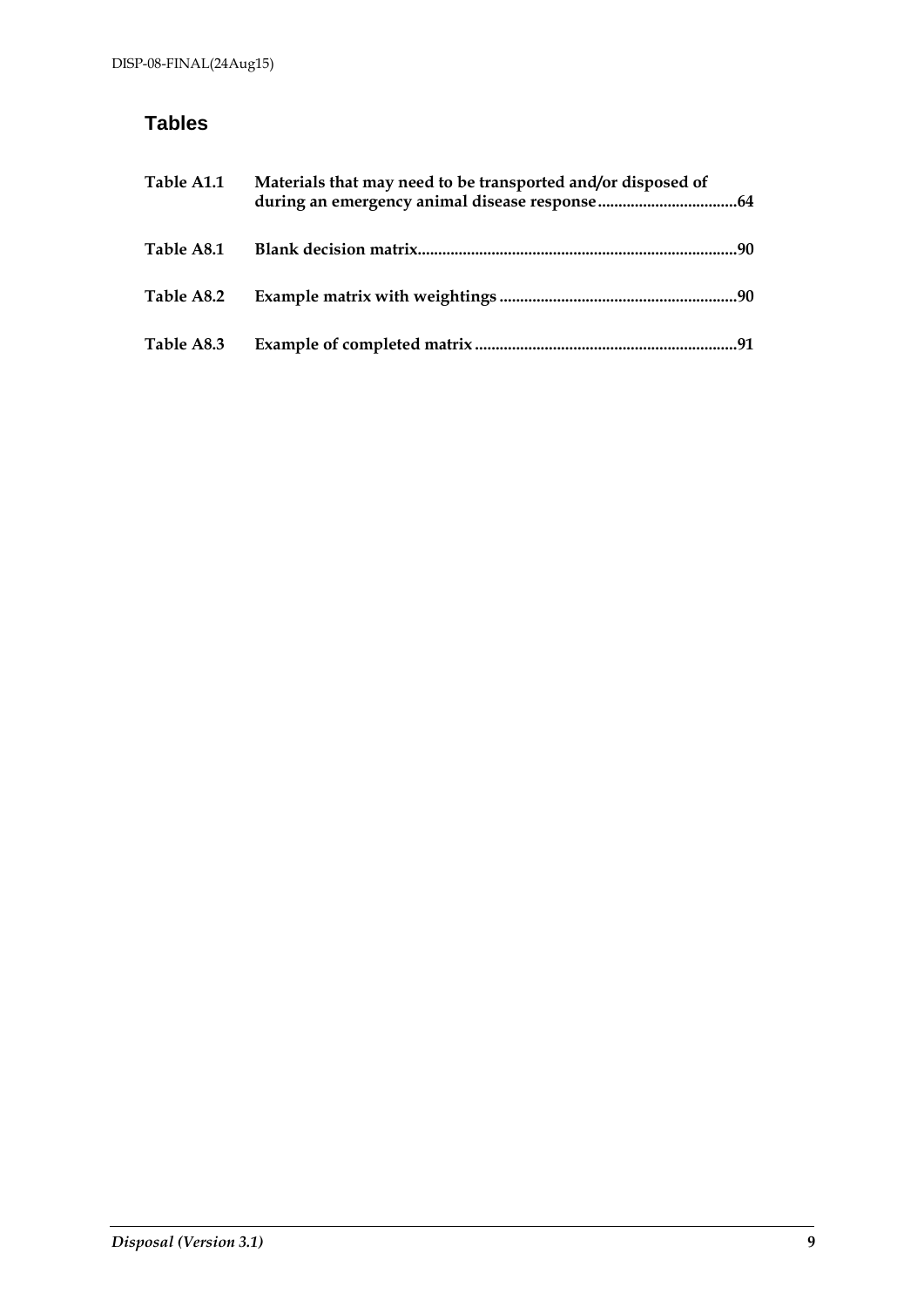## **Tables**

| Table A1.1 | Materials that may need to be transported and/or disposed of |     |
|------------|--------------------------------------------------------------|-----|
| Table A8.1 |                                                              |     |
| Table A8.2 |                                                              |     |
| Table A8.3 |                                                              | .91 |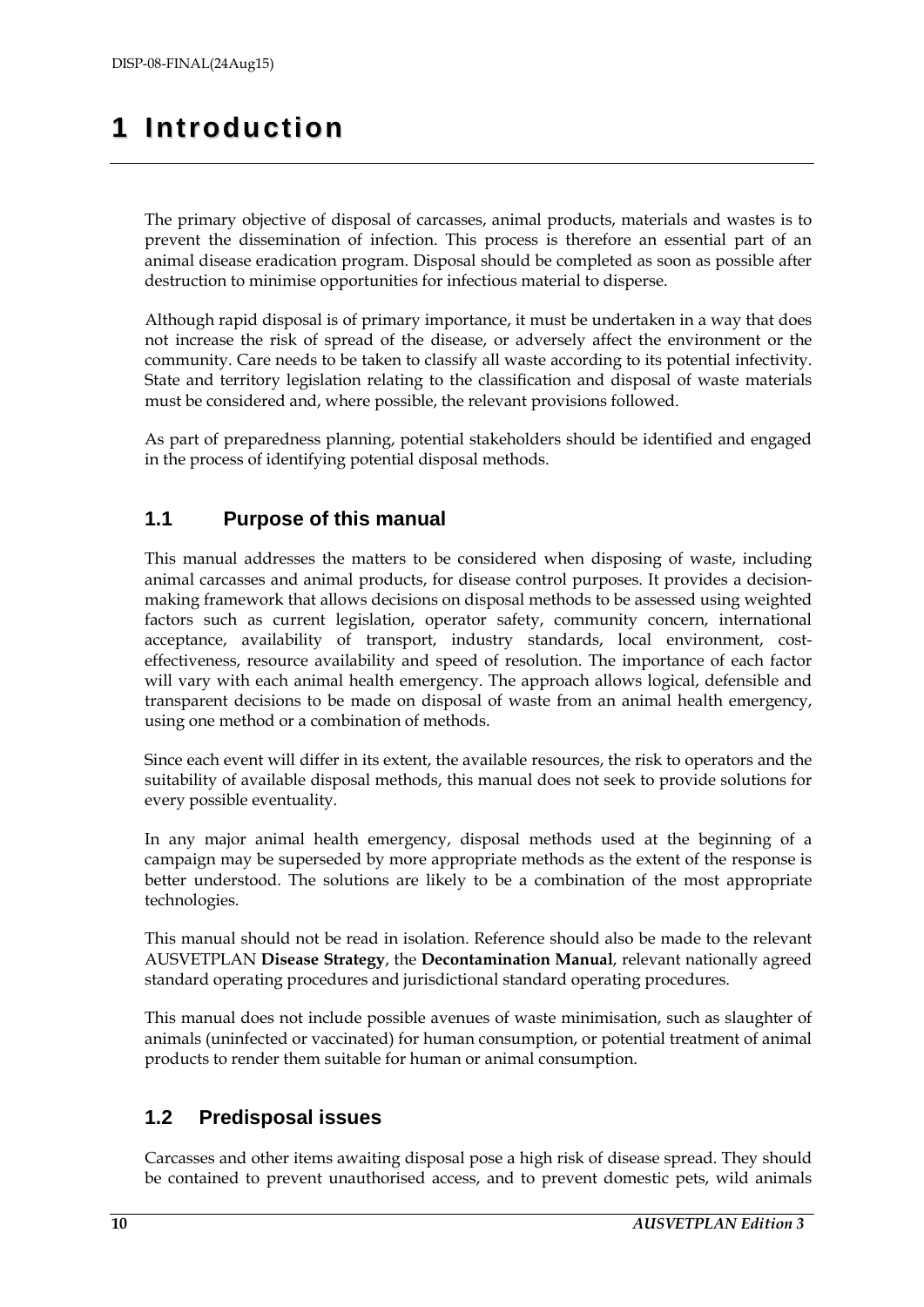## <span id="page-9-0"></span>**1 Introduction**

The primary objective of disposal of carcasses, animal products, materials and wastes is to prevent the dissemination of infection. This process is therefore an essential part of an animal disease eradication program. Disposal should be completed as soon as possible after destruction to minimise opportunities for infectious material to disperse.

Although rapid disposal is of primary importance, it must be undertaken in a way that does not increase the risk of spread of the disease, or adversely affect the environment or the community. Care needs to be taken to classify all waste according to its potential infectivity. State and territory legislation relating to the classification and disposal of waste materials must be considered and, where possible, the relevant provisions followed.

As part of preparedness planning, potential stakeholders should be identified and engaged in the process of identifying potential disposal methods.

## <span id="page-9-1"></span>**1.1 Purpose of this manual**

This manual addresses the matters to be considered when disposing of waste, including animal carcasses and animal products, for disease control purposes. It provides a decisionmaking framework that allows decisions on disposal methods to be assessed using weighted factors such as current legislation, operator safety, community concern, international acceptance, availability of transport, industry standards, local environment, costeffectiveness, resource availability and speed of resolution. The importance of each factor will vary with each animal health emergency. The approach allows logical, defensible and transparent decisions to be made on disposal of waste from an animal health emergency, using one method or a combination of methods.

Since each event will differ in its extent, the available resources, the risk to operators and the suitability of available disposal methods, this manual does not seek to provide solutions for every possible eventuality.

In any major animal health emergency, disposal methods used at the beginning of a campaign may be superseded by more appropriate methods as the extent of the response is better understood. The solutions are likely to be a combination of the most appropriate technologies.

This manual should not be read in isolation. Reference should also be made to the relevant AUSVETPLAN **Disease Strategy**, the **Decontamination Manual**, relevant nationally agreed standard operating procedures and jurisdictional standard operating procedures.

This manual does not include possible avenues of waste minimisation, such as slaughter of animals (uninfected or vaccinated) for human consumption, or potential treatment of animal products to render them suitable for human or animal consumption.

## <span id="page-9-2"></span>**1.2 Predisposal issues**

Carcasses and other items awaiting disposal pose a high risk of disease spread. They should be contained to prevent unauthorised access, and to prevent domestic pets, wild animals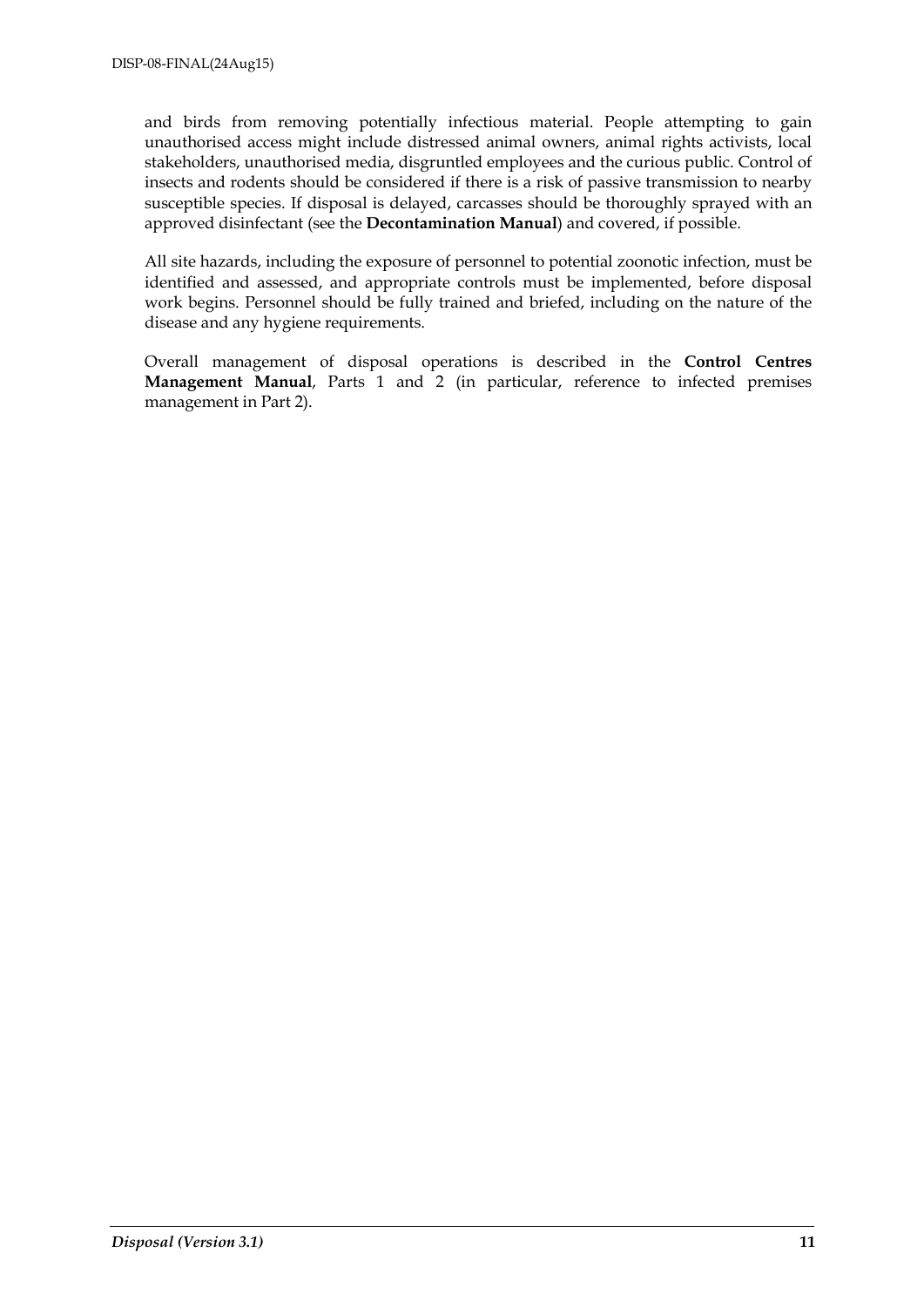and birds from removing potentially infectious material. People attempting to gain unauthorised access might include distressed animal owners, animal rights activists, local stakeholders, unauthorised media, disgruntled employees and the curious public. Control of insects and rodents should be considered if there is a risk of passive transmission to nearby susceptible species. If disposal is delayed, carcasses should be thoroughly sprayed with an approved disinfectant (see the **Decontamination Manual**) and covered, if possible.

All site hazards, including the exposure of personnel to potential zoonotic infection, must be identified and assessed, and appropriate controls must be implemented, before disposal work begins. Personnel should be fully trained and briefed, including on the nature of the disease and any hygiene requirements.

Overall management of disposal operations is described in the **Control Centres Management Manual**, Parts 1 and 2 (in particular, reference to infected premises management in Part 2).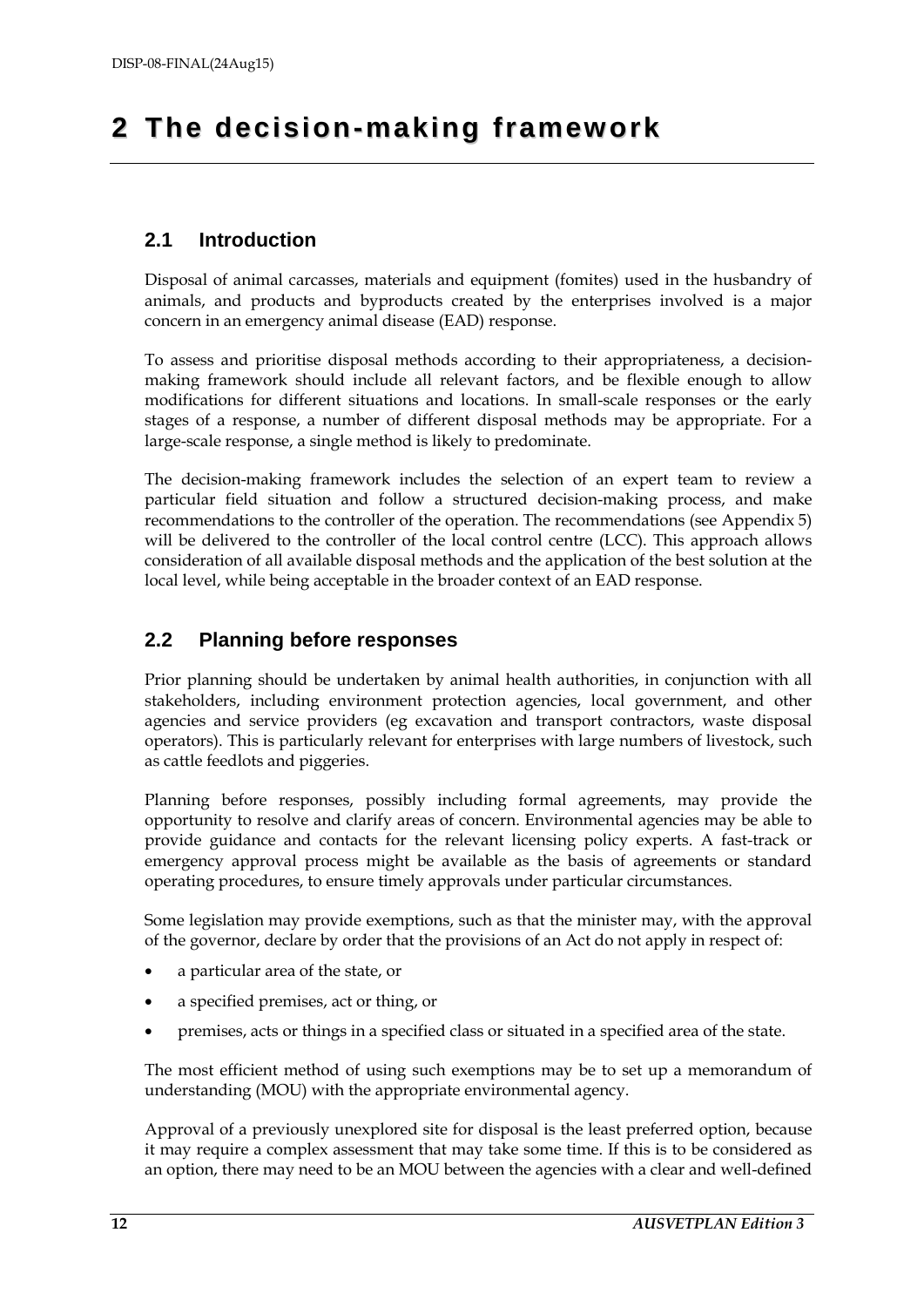## <span id="page-11-0"></span>**2 The decision- making fra mework**

## <span id="page-11-1"></span>**2.1 Introduction**

Disposal of animal carcasses, materials and equipment (fomites) used in the husbandry of animals, and products and byproducts created by the enterprises involved is a major concern in an emergency animal disease (EAD) response.

To assess and prioritise disposal methods according to their appropriateness, a decisionmaking framework should include all relevant factors, and be flexible enough to allow modifications for different situations and locations. In small-scale responses or the early stages of a response, a number of different disposal methods may be appropriate. For a large-scale response, a single method is likely to predominate.

The decision-making framework includes the selection of an expert team to review a particular field situation and follow a structured decision-making process, and make recommendations to the controller of the operation. The recommendations (see Appendix 5) will be delivered to the controller of the local control centre (LCC). This approach allows consideration of all available disposal methods and the application of the best solution at the local level, while being acceptable in the broader context of an EAD response.

## <span id="page-11-2"></span>**2.2 Planning before responses**

Prior planning should be undertaken by animal health authorities, in conjunction with all stakeholders, including environment protection agencies, local government, and other agencies and service providers (eg excavation and transport contractors, waste disposal operators). This is particularly relevant for enterprises with large numbers of livestock, such as cattle feedlots and piggeries.

Planning before responses, possibly including formal agreements, may provide the opportunity to resolve and clarify areas of concern. Environmental agencies may be able to provide guidance and contacts for the relevant licensing policy experts. A fast-track or emergency approval process might be available as the basis of agreements or standard operating procedures, to ensure timely approvals under particular circumstances.

Some legislation may provide exemptions, such as that the minister may, with the approval of the governor, declare by order that the provisions of an Act do not apply in respect of:

- a particular area of the state, or
- a specified premises, act or thing, or
- premises, acts or things in a specified class or situated in a specified area of the state.

The most efficient method of using such exemptions may be to set up a memorandum of understanding (MOU) with the appropriate environmental agency.

Approval of a previously unexplored site for disposal is the least preferred option, because it may require a complex assessment that may take some time. If this is to be considered as an option, there may need to be an MOU between the agencies with a clear and well-defined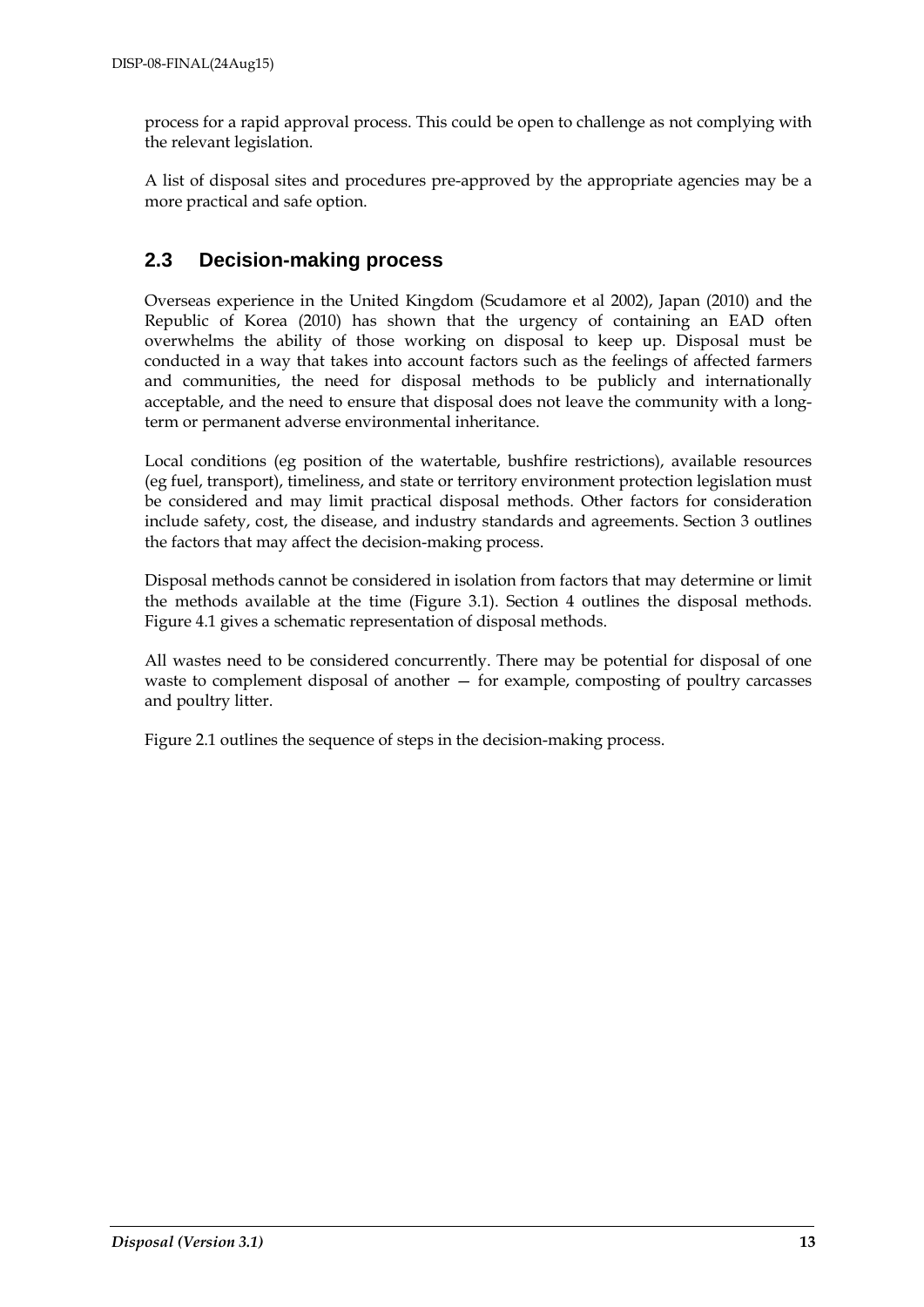process for a rapid approval process. This could be open to challenge as not complying with the relevant legislation.

A list of disposal sites and procedures pre-approved by the appropriate agencies may be a more practical and safe option.

## <span id="page-12-0"></span>**2.3 Decision-making process**

Overseas experience in the United Kingdom (Scudamore et al 2002), Japan (2010) and the Republic of Korea (2010) has shown that the urgency of containing an EAD often overwhelms the ability of those working on disposal to keep up. Disposal must be conducted in a way that takes into account factors such as the feelings of affected farmers and communities, the need for disposal methods to be publicly and internationally acceptable, and the need to ensure that disposal does not leave the community with a longterm or permanent adverse environmental inheritance.

Local conditions (eg position of the watertable, bushfire restrictions), available resources (eg fuel, transport), timeliness, and state or territory environment protection legislation must be considered and may limit practical disposal methods. Other factors for consideration include safety, cost, the disease, and industry standards and agreements. Section 3 outlines the factors that may affect the decision-making process.

Disposal methods cannot be considered in isolation from factors that may determine or limit the methods available at the time (Figure 3.1). Section 4 outlines the disposal methods. Figure 4.1 gives a schematic representation of disposal methods.

All wastes need to be considered concurrently. There may be potential for disposal of one waste to complement disposal of another — for example, composting of poultry carcasses and poultry litter.

Figure 2.1 outlines the sequence of steps in the decision-making process.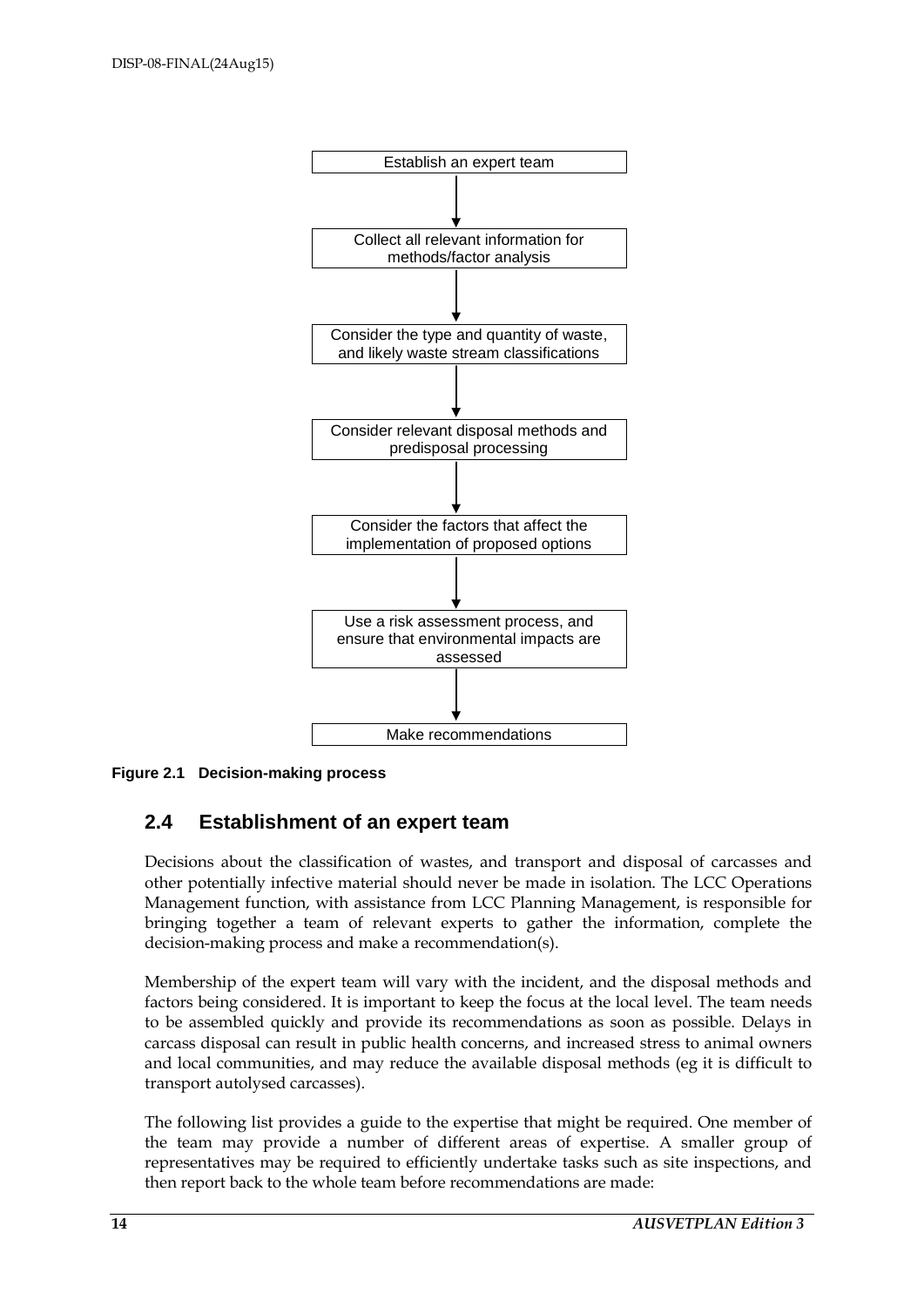

<span id="page-13-1"></span><span id="page-13-0"></span>**Figure 2.1 Decision-making process**

## **2.4 Establishment of an expert team**

Decisions about the classification of wastes, and transport and disposal of carcasses and other potentially infective material should never be made in isolation. The LCC Operations Management function, with assistance from LCC Planning Management, is responsible for bringing together a team of relevant experts to gather the information, complete the decision-making process and make a recommendation(s).

Membership of the expert team will vary with the incident, and the disposal methods and factors being considered. It is important to keep the focus at the local level. The team needs to be assembled quickly and provide its recommendations as soon as possible. Delays in carcass disposal can result in public health concerns, and increased stress to animal owners and local communities, and may reduce the available disposal methods (eg it is difficult to transport autolysed carcasses).

The following list provides a guide to the expertise that might be required. One member of the team may provide a number of different areas of expertise. A smaller group of representatives may be required to efficiently undertake tasks such as site inspections, and then report back to the whole team before recommendations are made: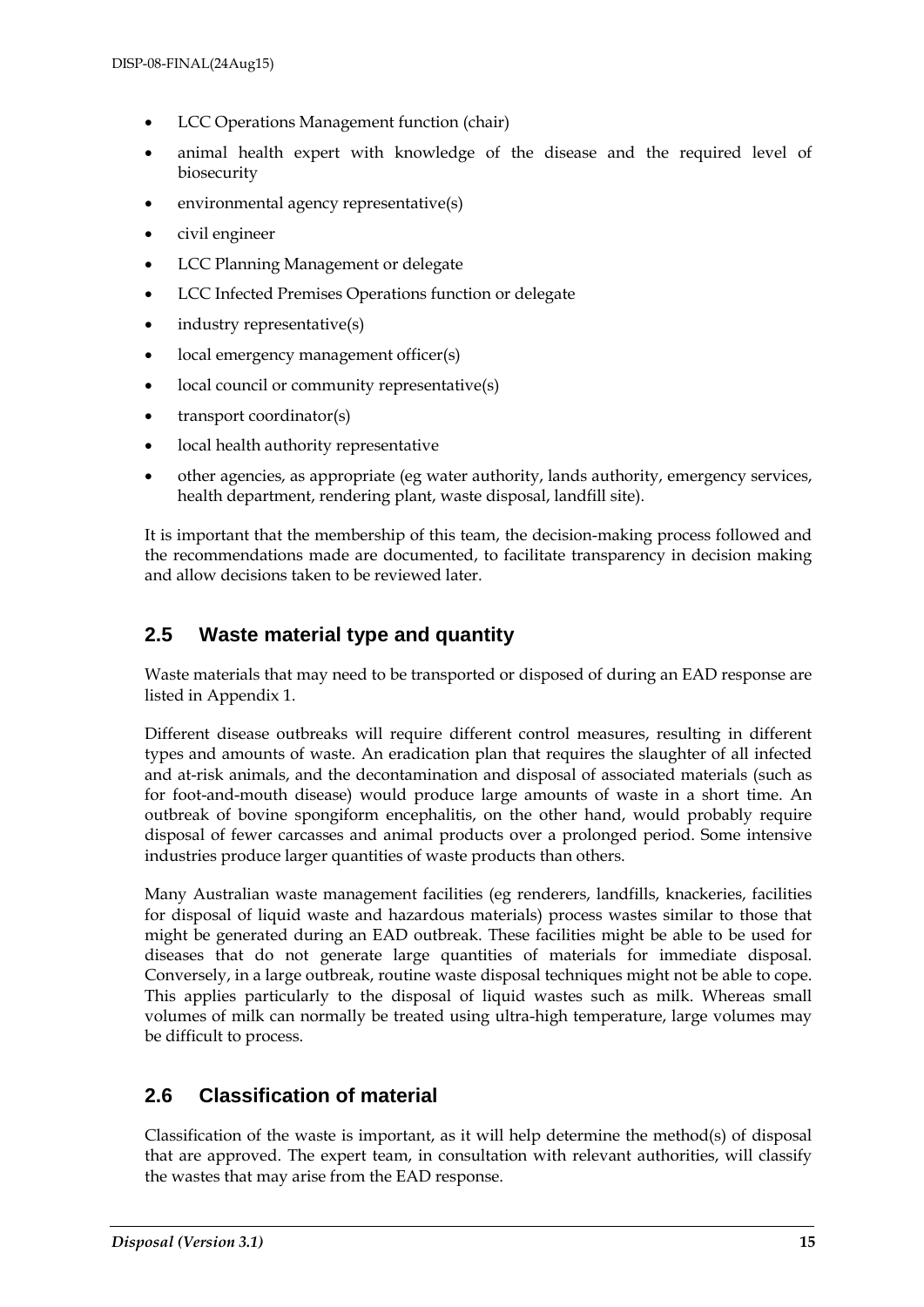- LCC Operations Management function (chair)
- animal health expert with knowledge of the disease and the required level of biosecurity
- environmental agency representative(s)
- civil engineer
- LCC Planning Management or delegate
- LCC Infected Premises Operations function or delegate
- industry representative(s)
- local emergency management officer(s)
- local council or community representative(s)
- transport coordinator(s)
- local health authority representative
- other agencies, as appropriate (eg water authority, lands authority, emergency services, health department, rendering plant, waste disposal, landfill site).

It is important that the membership of this team, the decision-making process followed and the recommendations made are documented, to facilitate transparency in decision making and allow decisions taken to be reviewed later.

## <span id="page-14-0"></span>**2.5 Waste material type and quantity**

Waste materials that may need to be transported or disposed of during an EAD response are listed in Appendix 1.

Different disease outbreaks will require different control measures, resulting in different types and amounts of waste. An eradication plan that requires the slaughter of all infected and at-risk animals, and the decontamination and disposal of associated materials (such as for foot-and-mouth disease) would produce large amounts of waste in a short time. An outbreak of bovine spongiform encephalitis, on the other hand, would probably require disposal of fewer carcasses and animal products over a prolonged period. Some intensive industries produce larger quantities of waste products than others.

Many Australian waste management facilities (eg renderers, landfills, knackeries, facilities for disposal of liquid waste and hazardous materials) process wastes similar to those that might be generated during an EAD outbreak. These facilities might be able to be used for diseases that do not generate large quantities of materials for immediate disposal. Conversely, in a large outbreak, routine waste disposal techniques might not be able to cope. This applies particularly to the disposal of liquid wastes such as milk. Whereas small volumes of milk can normally be treated using ultra-high temperature, large volumes may be difficult to process.

## <span id="page-14-1"></span>**2.6 Classification of material**

Classification of the waste is important, as it will help determine the method(s) of disposal that are approved. The expert team, in consultation with relevant authorities, will classify the wastes that may arise from the EAD response.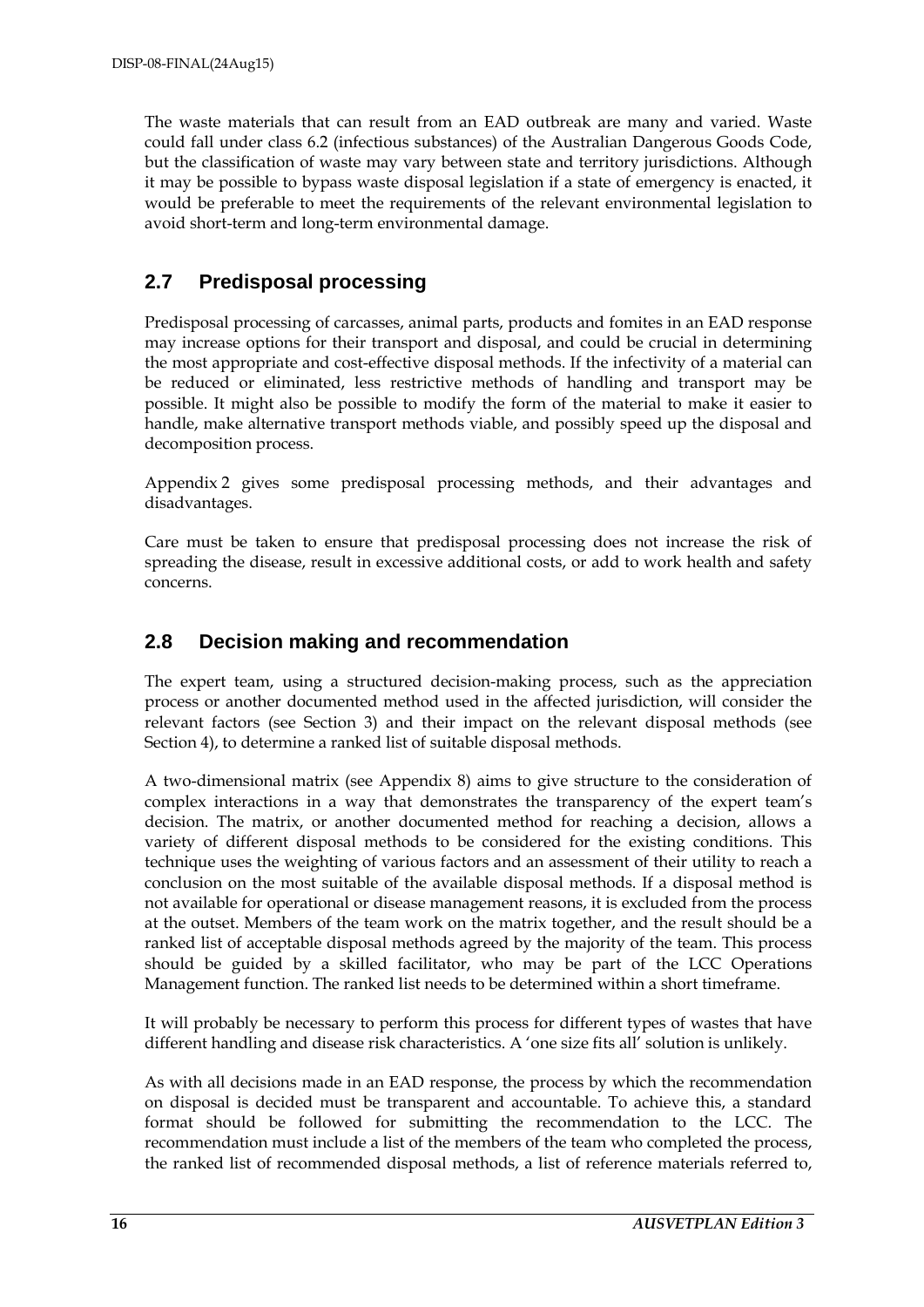The waste materials that can result from an EAD outbreak are many and varied. Waste could fall under class 6.2 (infectious substances) of the Australian Dangerous Goods Code, but the classification of waste may vary between state and territory jurisdictions. Although it may be possible to bypass waste disposal legislation if a state of emergency is enacted, it would be preferable to meet the requirements of the relevant environmental legislation to avoid short-term and long-term environmental damage.

## <span id="page-15-0"></span>**2.7 Predisposal processing**

Predisposal processing of carcasses, animal parts, products and fomites in an EAD response may increase options for their transport and disposal, and could be crucial in determining the most appropriate and cost-effective disposal methods. If the infectivity of a material can be reduced or eliminated, less restrictive methods of handling and transport may be possible. It might also be possible to modify the form of the material to make it easier to handle, make alternative transport methods viable, and possibly speed up the disposal and decomposition process.

Appendix 2 gives some predisposal processing methods, and their advantages and disadvantages.

Care must be taken to ensure that predisposal processing does not increase the risk of spreading the disease, result in excessive additional costs, or add to work health and safety concerns.

## <span id="page-15-1"></span>**2.8 Decision making and recommendation**

The expert team, using a structured decision-making process, such as the appreciation process or another documented method used in the affected jurisdiction, will consider the relevant factors (see Section 3) and their impact on the relevant disposal methods (see Section 4), to determine a ranked list of suitable disposal methods.

A two-dimensional matrix (see Appendix 8) aims to give structure to the consideration of complex interactions in a way that demonstrates the transparency of the expert team's decision. The matrix, or another documented method for reaching a decision, allows a variety of different disposal methods to be considered for the existing conditions. This technique uses the weighting of various factors and an assessment of their utility to reach a conclusion on the most suitable of the available disposal methods. If a disposal method is not available for operational or disease management reasons, it is excluded from the process at the outset. Members of the team work on the matrix together, and the result should be a ranked list of acceptable disposal methods agreed by the majority of the team. This process should be guided by a skilled facilitator, who may be part of the LCC Operations Management function. The ranked list needs to be determined within a short timeframe.

It will probably be necessary to perform this process for different types of wastes that have different handling and disease risk characteristics. A 'one size fits all' solution is unlikely.

As with all decisions made in an EAD response, the process by which the recommendation on disposal is decided must be transparent and accountable. To achieve this, a standard format should be followed for submitting the recommendation to the LCC. The recommendation must include a list of the members of the team who completed the process, the ranked list of recommended disposal methods, a list of reference materials referred to,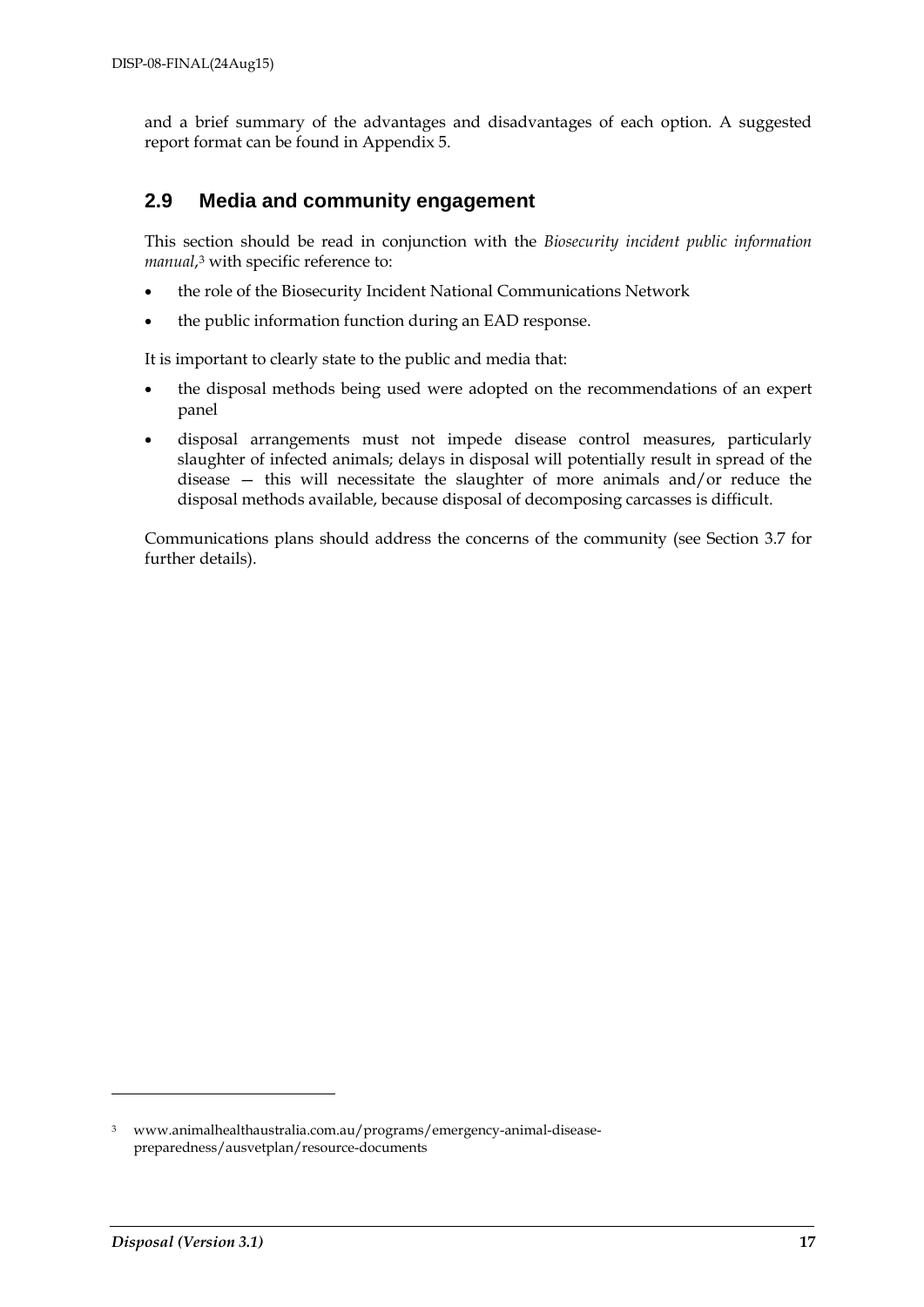and a brief summary of the advantages and disadvantages of each option. A suggested report format can be found in Appendix 5.

## <span id="page-16-0"></span>**2.9 Media and community engagement**

This section should be read in conjunction with the *Biosecurity incident public information manual*,[3](#page-16-1) with specific reference to:

- the role of the Biosecurity Incident National Communications Network
- the public information function during an EAD response.

It is important to clearly state to the public and media that:

- the disposal methods being used were adopted on the recommendations of an expert panel
- disposal arrangements must not impede disease control measures, particularly slaughter of infected animals; delays in disposal will potentially result in spread of the disease — this will necessitate the slaughter of more animals and/or reduce the disposal methods available, because disposal of decomposing carcasses is difficult.

Communications plans should address the concerns of the community (see Section 3.7 for further details).

-

<span id="page-16-1"></span><sup>3</sup> www.animalhealthaustralia.com.au/programs/emergency-animal-diseasepreparedness/ausvetplan/resource-documents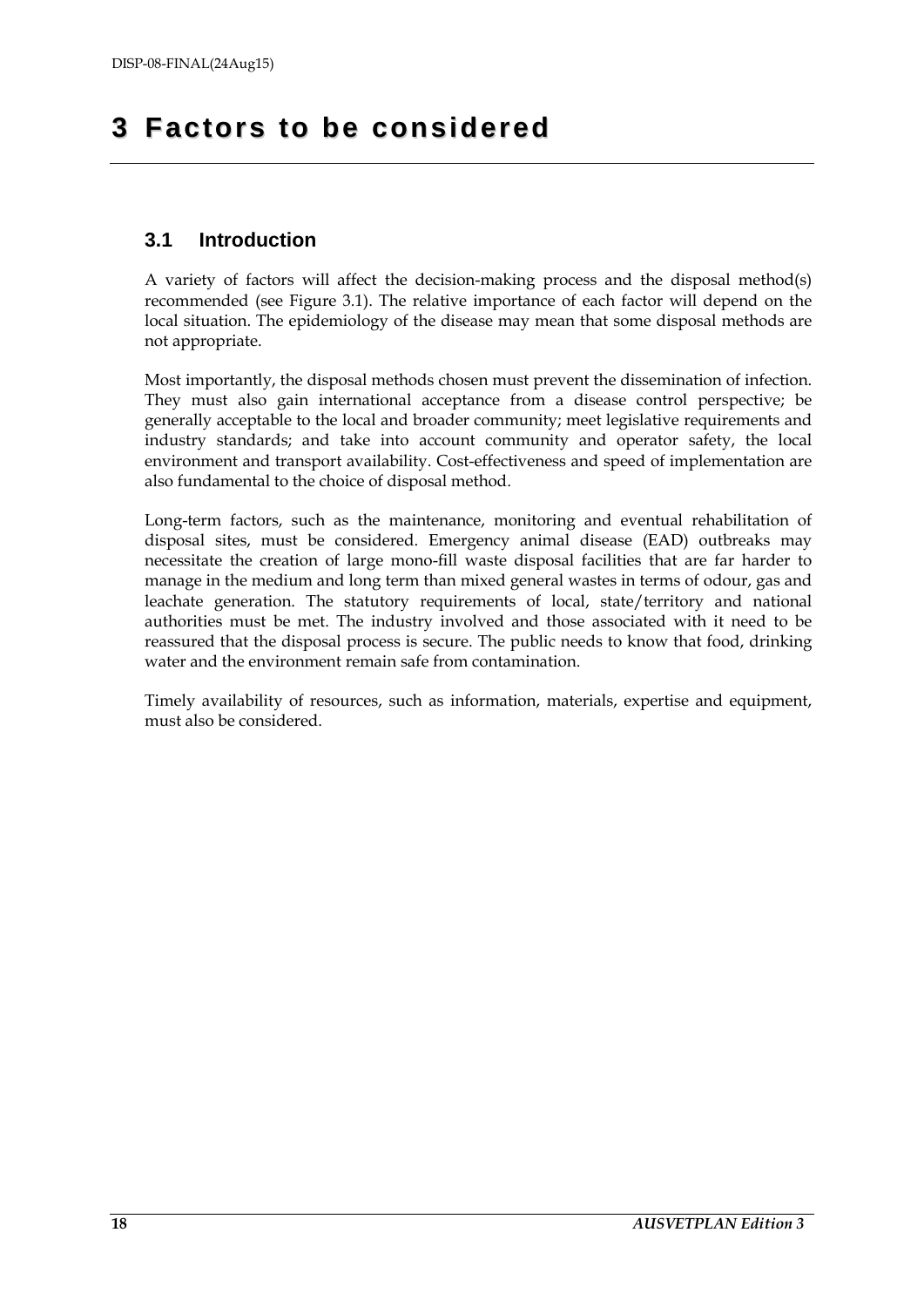## <span id="page-17-0"></span>**3 Factors to be considered**

## <span id="page-17-1"></span>**3.1 Introduction**

A variety of factors will affect the decision-making process and the disposal method(s) recommended (see Figure 3.1). The relative importance of each factor will depend on the local situation. The epidemiology of the disease may mean that some disposal methods are not appropriate.

Most importantly, the disposal methods chosen must prevent the dissemination of infection. They must also gain international acceptance from a disease control perspective; be generally acceptable to the local and broader community; meet legislative requirements and industry standards; and take into account community and operator safety, the local environment and transport availability. Cost-effectiveness and speed of implementation are also fundamental to the choice of disposal method.

Long-term factors, such as the maintenance, monitoring and eventual rehabilitation of disposal sites, must be considered. Emergency animal disease (EAD) outbreaks may necessitate the creation of large mono-fill waste disposal facilities that are far harder to manage in the medium and long term than mixed general wastes in terms of odour, gas and leachate generation. The statutory requirements of local, state/territory and national authorities must be met. The industry involved and those associated with it need to be reassured that the disposal process is secure. The public needs to know that food, drinking water and the environment remain safe from contamination.

Timely availability of resources, such as information, materials, expertise and equipment, must also be considered.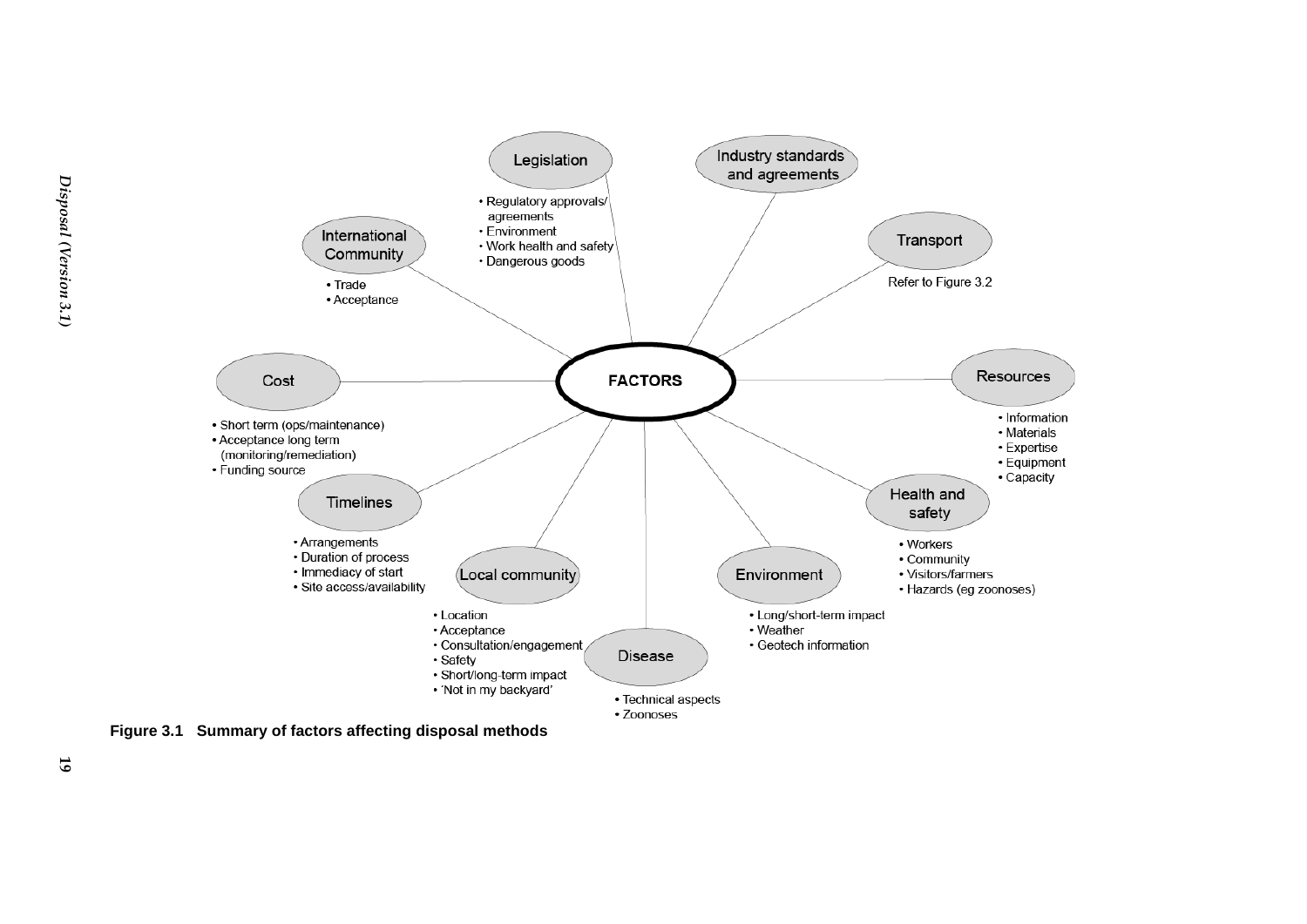

<span id="page-18-0"></span>**Figure 3.1 Summary of factors affecting disposal methods**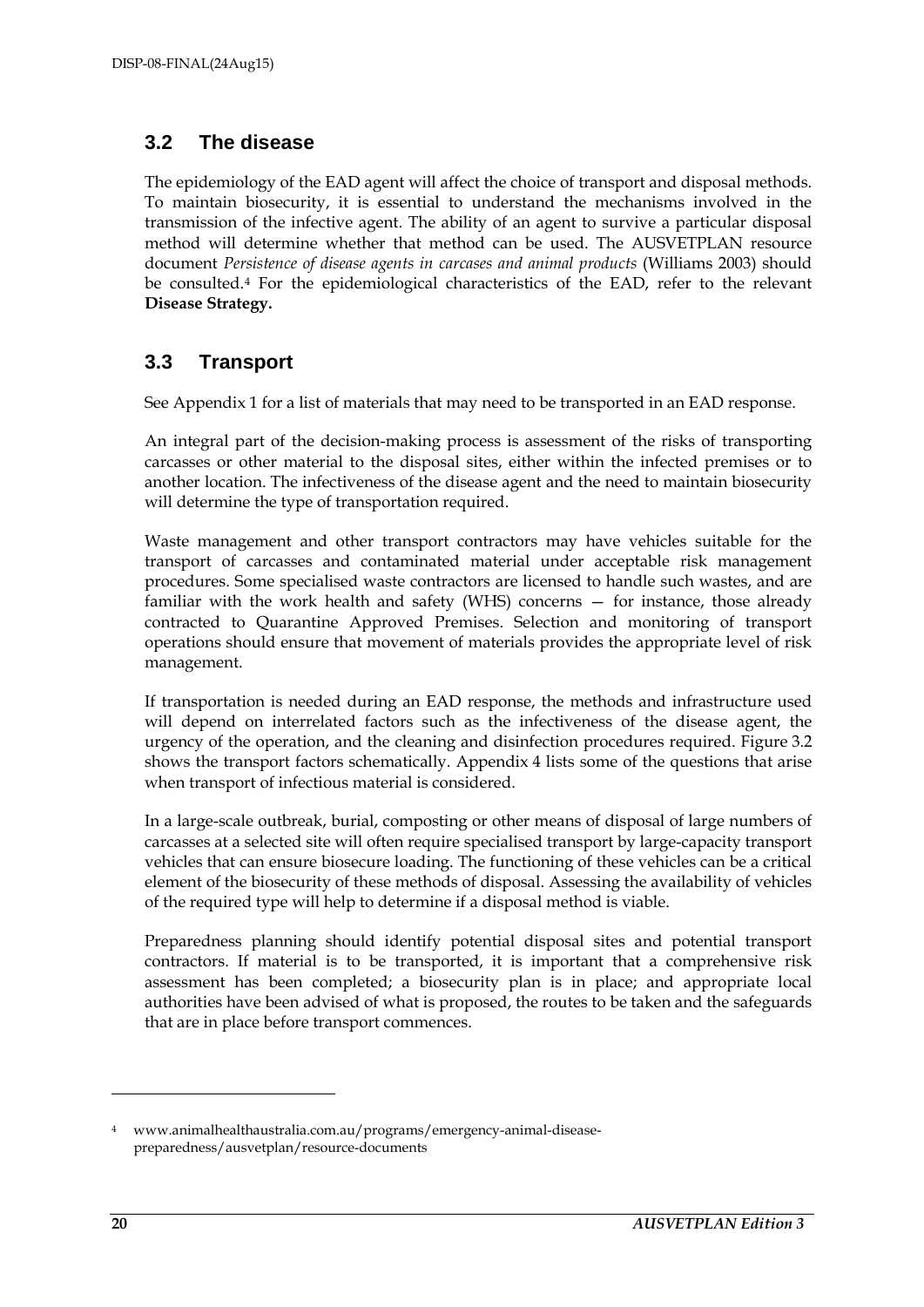## <span id="page-19-0"></span>**3.2 The disease**

The epidemiology of the EAD agent will affect the choice of transport and disposal methods. To maintain biosecurity, it is essential to understand the mechanisms involved in the transmission of the infective agent. The ability of an agent to survive a particular disposal method will determine whether that method can be used. The AUSVETPLAN resource document *Persistence of disease agents in carcases and animal products* (Williams 2003) should be consulted.[4](#page-19-2) For the epidemiological characteristics of the EAD, refer to the relevant **Disease Strategy.**

## <span id="page-19-1"></span>**3.3 Transport**

See Appendix 1 for a list of materials that may need to be transported in an EAD response.

An integral part of the decision-making process is assessment of the risks of transporting carcasses or other material to the disposal sites, either within the infected premises or to another location. The infectiveness of the disease agent and the need to maintain biosecurity will determine the type of transportation required.

Waste management and other transport contractors may have vehicles suitable for the transport of carcasses and contaminated material under acceptable risk management procedures. Some specialised waste contractors are licensed to handle such wastes, and are familiar with the work health and safety (WHS) concerns — for instance, those already contracted to Quarantine Approved Premises. Selection and monitoring of transport operations should ensure that movement of materials provides the appropriate level of risk management.

If transportation is needed during an EAD response, the methods and infrastructure used will depend on interrelated factors such as the infectiveness of the disease agent, the urgency of the operation, and the cleaning and disinfection procedures required. Figure 3.2 shows the transport factors schematically. Appendix 4 lists some of the questions that arise when transport of infectious material is considered.

In a large-scale outbreak, burial, composting or other means of disposal of large numbers of carcasses at a selected site will often require specialised transport by large-capacity transport vehicles that can ensure biosecure loading. The functioning of these vehicles can be a critical element of the biosecurity of these methods of disposal. Assessing the availability of vehicles of the required type will help to determine if a disposal method is viable.

Preparedness planning should identify potential disposal sites and potential transport contractors. If material is to be transported, it is important that a comprehensive risk assessment has been completed; a biosecurity plan is in place; and appropriate local authorities have been advised of what is proposed, the routes to be taken and the safeguards that are in place before transport commences.

-

<span id="page-19-2"></span><sup>4</sup> www.animalhealthaustralia.com.au/programs/emergency-animal-diseasepreparedness/ausvetplan/resource-documents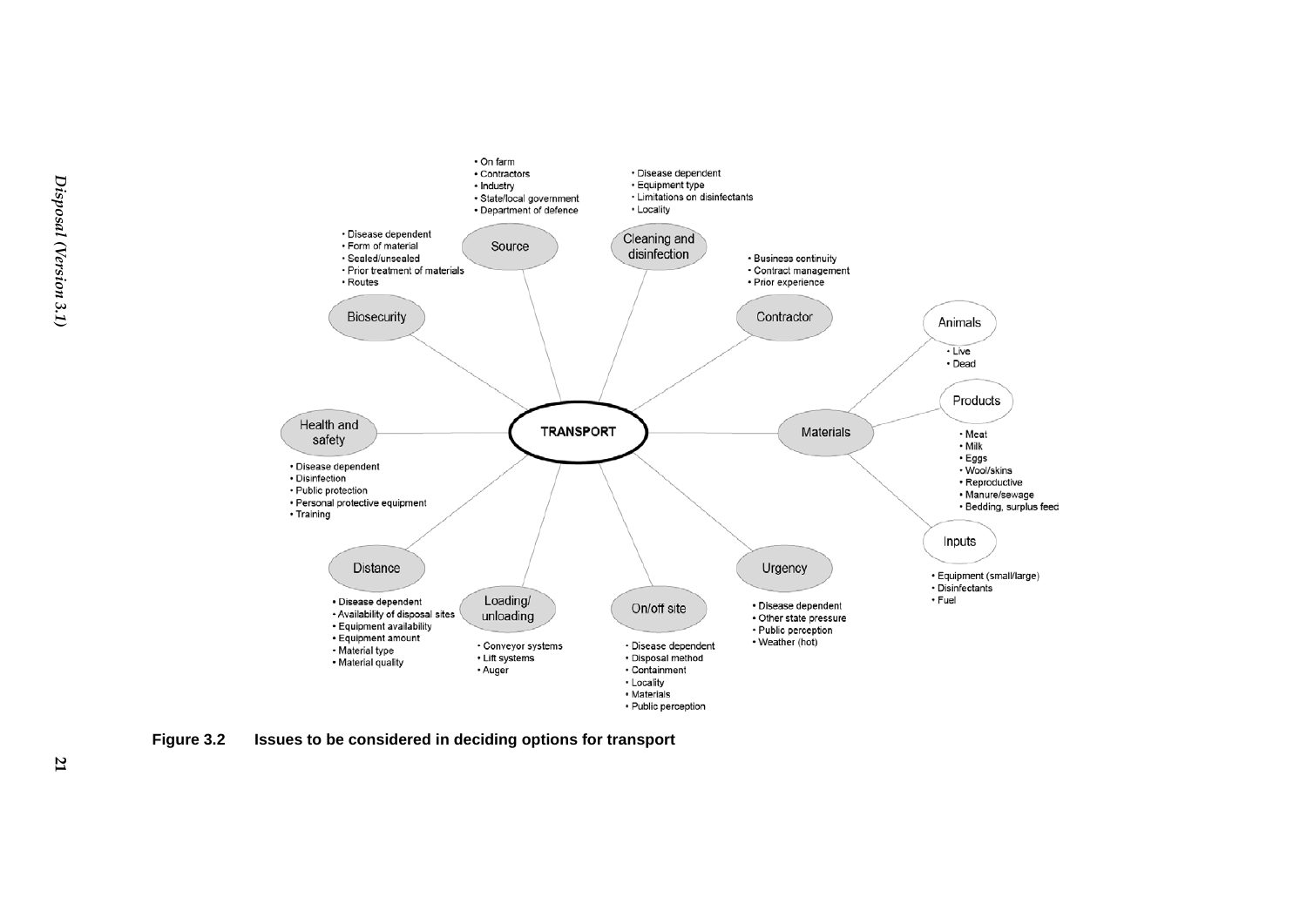

<span id="page-20-0"></span>**Figure 3.2 Issues to be considered in deciding options for transport**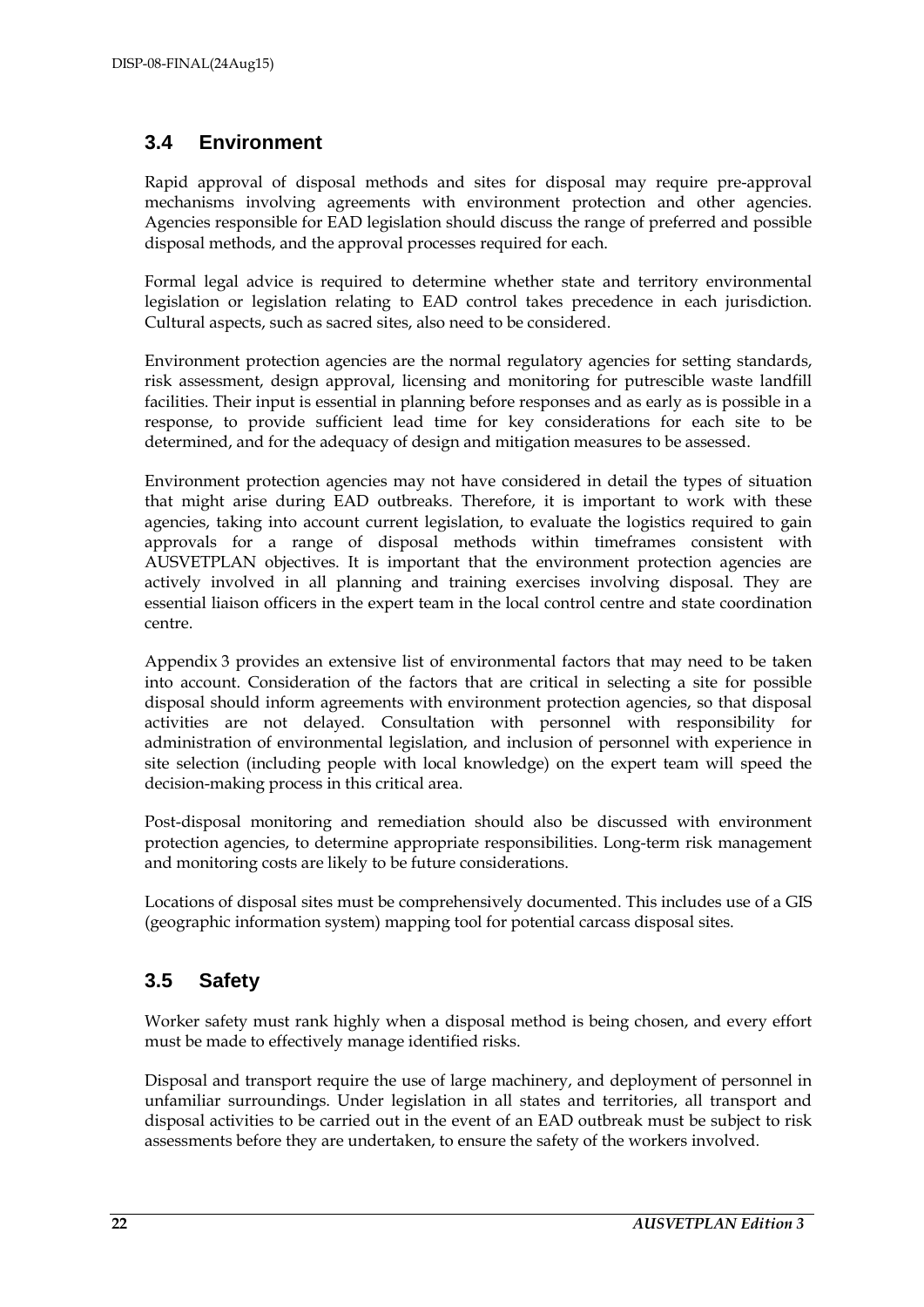## <span id="page-21-0"></span>**3.4 Environment**

Rapid approval of disposal methods and sites for disposal may require pre-approval mechanisms involving agreements with environment protection and other agencies. Agencies responsible for EAD legislation should discuss the range of preferred and possible disposal methods, and the approval processes required for each.

Formal legal advice is required to determine whether state and territory environmental legislation or legislation relating to EAD control takes precedence in each jurisdiction. Cultural aspects, such as sacred sites, also need to be considered.

Environment protection agencies are the normal regulatory agencies for setting standards, risk assessment, design approval, licensing and monitoring for putrescible waste landfill facilities. Their input is essential in planning before responses and as early as is possible in a response, to provide sufficient lead time for key considerations for each site to be determined, and for the adequacy of design and mitigation measures to be assessed.

Environment protection agencies may not have considered in detail the types of situation that might arise during EAD outbreaks. Therefore, it is important to work with these agencies, taking into account current legislation, to evaluate the logistics required to gain approvals for a range of disposal methods within timeframes consistent with AUSVETPLAN objectives. It is important that the environment protection agencies are actively involved in all planning and training exercises involving disposal. They are essential liaison officers in the expert team in the local control centre and state coordination centre.

Appendix 3 provides an extensive list of environmental factors that may need to be taken into account. Consideration of the factors that are critical in selecting a site for possible disposal should inform agreements with environment protection agencies, so that disposal activities are not delayed. Consultation with personnel with responsibility for administration of environmental legislation, and inclusion of personnel with experience in site selection (including people with local knowledge) on the expert team will speed the decision-making process in this critical area.

Post-disposal monitoring and remediation should also be discussed with environment protection agencies, to determine appropriate responsibilities. Long-term risk management and monitoring costs are likely to be future considerations.

Locations of disposal sites must be comprehensively documented. This includes use of a GIS (geographic information system) mapping tool for potential carcass disposal sites.

## <span id="page-21-1"></span>**3.5 Safety**

Worker safety must rank highly when a disposal method is being chosen, and every effort must be made to effectively manage identified risks.

Disposal and transport require the use of large machinery, and deployment of personnel in unfamiliar surroundings. Under legislation in all states and territories, all transport and disposal activities to be carried out in the event of an EAD outbreak must be subject to risk assessments before they are undertaken, to ensure the safety of the workers involved.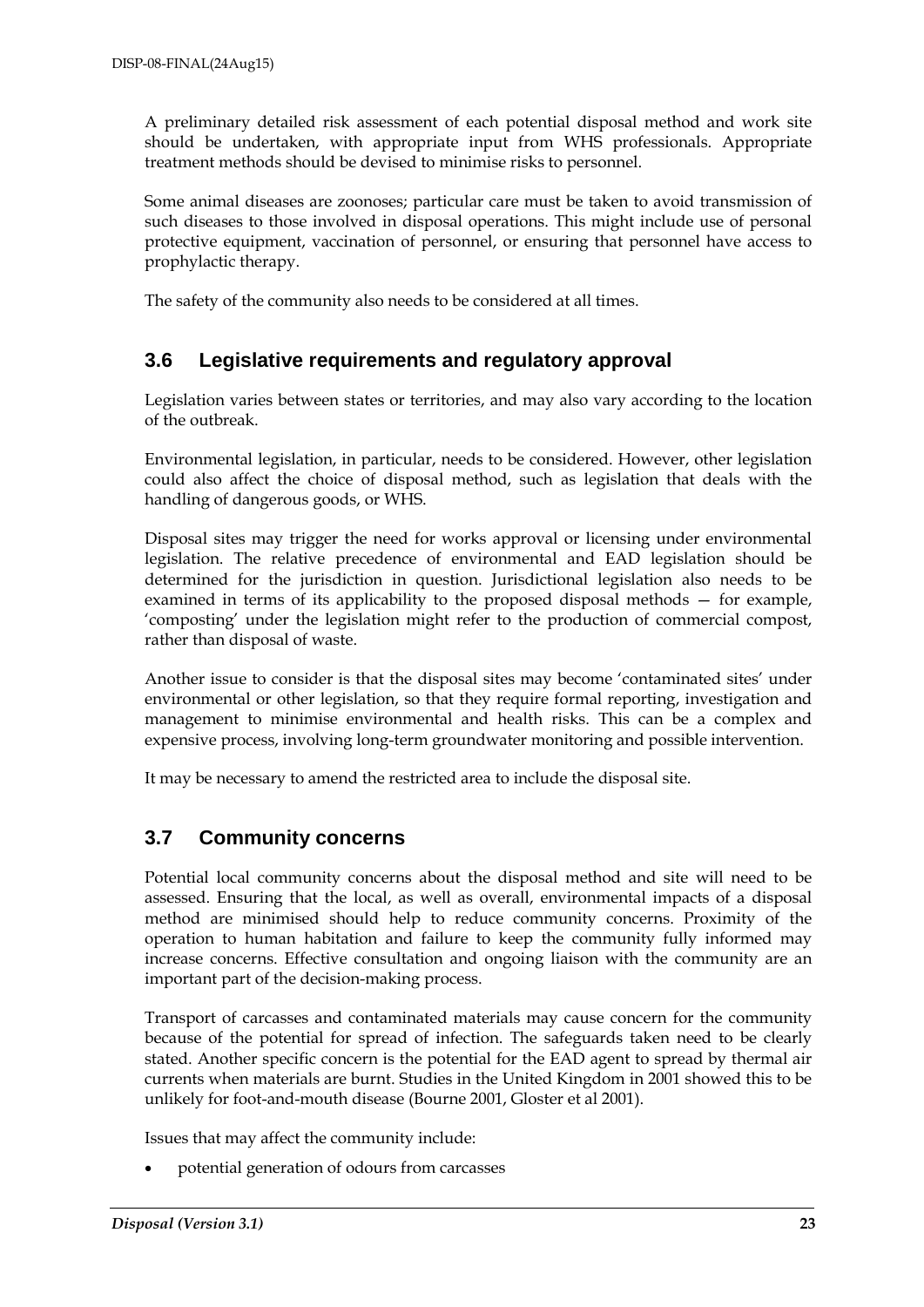A preliminary detailed risk assessment of each potential disposal method and work site should be undertaken, with appropriate input from WHS professionals. Appropriate treatment methods should be devised to minimise risks to personnel.

Some animal diseases are zoonoses; particular care must be taken to avoid transmission of such diseases to those involved in disposal operations. This might include use of personal protective equipment, vaccination of personnel, or ensuring that personnel have access to prophylactic therapy.

The safety of the community also needs to be considered at all times.

## <span id="page-22-0"></span>**3.6 Legislative requirements and regulatory approval**

Legislation varies between states or territories, and may also vary according to the location of the outbreak.

Environmental legislation, in particular, needs to be considered. However, other legislation could also affect the choice of disposal method, such as legislation that deals with the handling of dangerous goods, or WHS.

Disposal sites may trigger the need for works approval or licensing under environmental legislation. The relative precedence of environmental and EAD legislation should be determined for the jurisdiction in question. Jurisdictional legislation also needs to be examined in terms of its applicability to the proposed disposal methods — for example, 'composting' under the legislation might refer to the production of commercial compost, rather than disposal of waste.

Another issue to consider is that the disposal sites may become 'contaminated sites' under environmental or other legislation, so that they require formal reporting, investigation and management to minimise environmental and health risks. This can be a complex and expensive process, involving long-term groundwater monitoring and possible intervention.

It may be necessary to amend the restricted area to include the disposal site.

## <span id="page-22-1"></span>**3.7 Community concerns**

Potential local community concerns about the disposal method and site will need to be assessed. Ensuring that the local, as well as overall, environmental impacts of a disposal method are minimised should help to reduce community concerns. Proximity of the operation to human habitation and failure to keep the community fully informed may increase concerns. Effective consultation and ongoing liaison with the community are an important part of the decision-making process.

Transport of carcasses and contaminated materials may cause concern for the community because of the potential for spread of infection. The safeguards taken need to be clearly stated. Another specific concern is the potential for the EAD agent to spread by thermal air currents when materials are burnt. Studies in the United Kingdom in 2001 showed this to be unlikely for foot-and-mouth disease (Bourne 2001, Gloster et al 2001).

Issues that may affect the community include:

• potential generation of odours from carcasses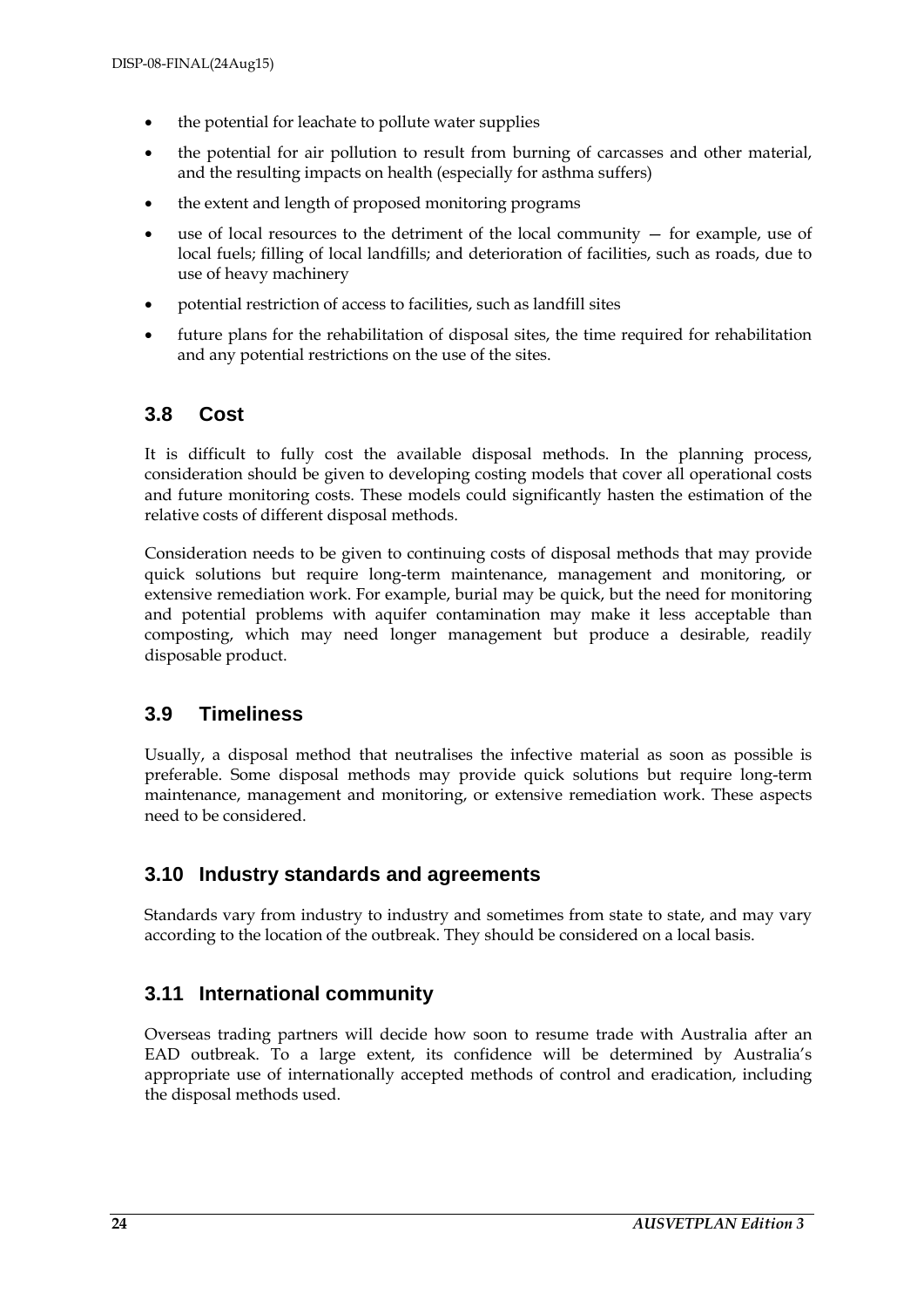- the potential for leachate to pollute water supplies
- the potential for air pollution to result from burning of carcasses and other material, and the resulting impacts on health (especially for asthma suffers)
- the extent and length of proposed monitoring programs
- use of local resources to the detriment of the local community  $-$  for example, use of local fuels; filling of local landfills; and deterioration of facilities, such as roads, due to use of heavy machinery
- potential restriction of access to facilities, such as landfill sites
- future plans for the rehabilitation of disposal sites, the time required for rehabilitation and any potential restrictions on the use of the sites.

## <span id="page-23-0"></span>**3.8 Cost**

It is difficult to fully cost the available disposal methods. In the planning process, consideration should be given to developing costing models that cover all operational costs and future monitoring costs. These models could significantly hasten the estimation of the relative costs of different disposal methods.

Consideration needs to be given to continuing costs of disposal methods that may provide quick solutions but require long-term maintenance, management and monitoring, or extensive remediation work. For example, burial may be quick, but the need for monitoring and potential problems with aquifer contamination may make it less acceptable than composting, which may need longer management but produce a desirable, readily disposable product.

## <span id="page-23-1"></span>**3.9 Timeliness**

Usually, a disposal method that neutralises the infective material as soon as possible is preferable. Some disposal methods may provide quick solutions but require long-term maintenance, management and monitoring, or extensive remediation work. These aspects need to be considered.

## <span id="page-23-2"></span>**3.10 Industry standards and agreements**

Standards vary from industry to industry and sometimes from state to state, and may vary according to the location of the outbreak. They should be considered on a local basis.

## <span id="page-23-3"></span>**3.11 International community**

Overseas trading partners will decide how soon to resume trade with Australia after an EAD outbreak. To a large extent, its confidence will be determined by Australia's appropriate use of internationally accepted methods of control and eradication, including the disposal methods used.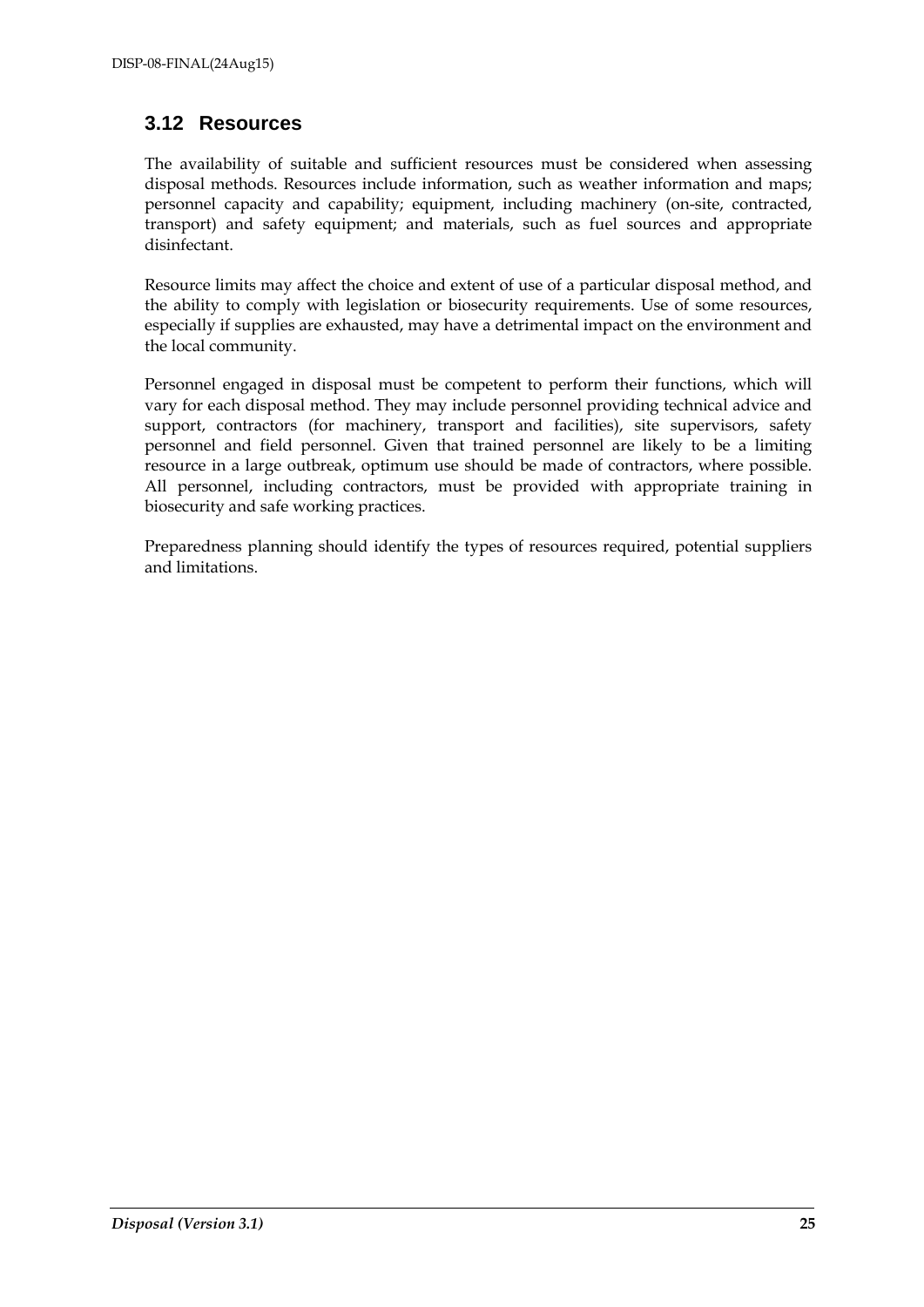## <span id="page-24-0"></span>**3.12 Resources**

The availability of suitable and sufficient resources must be considered when assessing disposal methods. Resources include information, such as weather information and maps; personnel capacity and capability; equipment, including machinery (on-site, contracted, transport) and safety equipment; and materials, such as fuel sources and appropriate disinfectant.

Resource limits may affect the choice and extent of use of a particular disposal method, and the ability to comply with legislation or biosecurity requirements. Use of some resources, especially if supplies are exhausted, may have a detrimental impact on the environment and the local community.

Personnel engaged in disposal must be competent to perform their functions, which will vary for each disposal method. They may include personnel providing technical advice and support, contractors (for machinery, transport and facilities), site supervisors, safety personnel and field personnel. Given that trained personnel are likely to be a limiting resource in a large outbreak, optimum use should be made of contractors, where possible. All personnel, including contractors, must be provided with appropriate training in biosecurity and safe working practices.

Preparedness planning should identify the types of resources required, potential suppliers and limitations.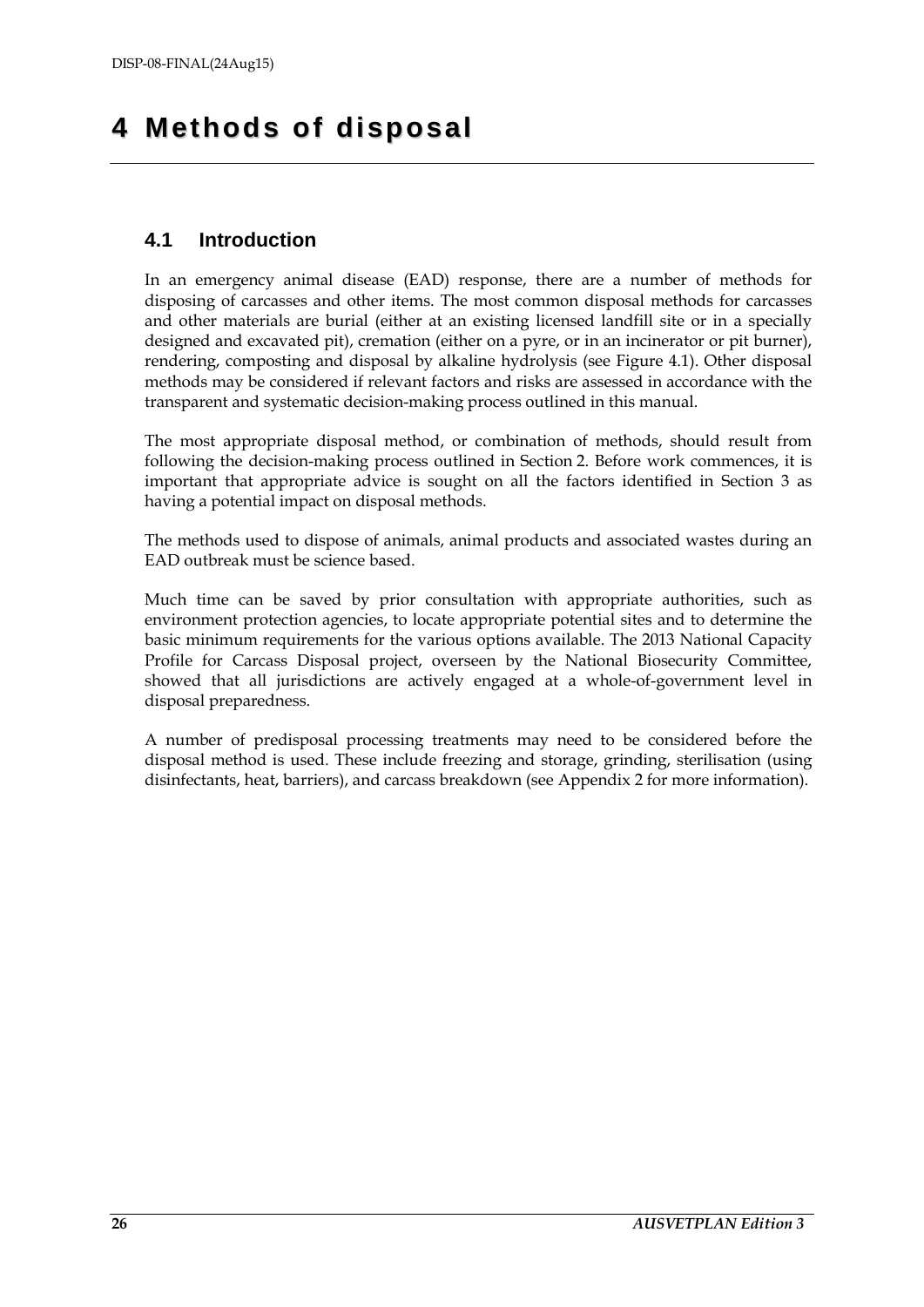## <span id="page-25-0"></span>**4 Methods of disposal**

## <span id="page-25-1"></span>**4.1 Introduction**

In an emergency animal disease (EAD) response, there are a number of methods for disposing of carcasses and other items. The most common disposal methods for carcasses and other materials are burial (either at an existing licensed landfill site or in a specially designed and excavated pit), cremation (either on a pyre, or in an incinerator or pit burner), rendering, composting and disposal by alkaline hydrolysis (see Figure 4.1). Other disposal methods may be considered if relevant factors and risks are assessed in accordance with the transparent and systematic decision-making process outlined in this manual.

The most appropriate disposal method, or combination of methods, should result from following the decision-making process outlined in Section 2. Before work commences, it is important that appropriate advice is sought on all the factors identified in Section 3 as having a potential impact on disposal methods.

The methods used to dispose of animals, animal products and associated wastes during an EAD outbreak must be science based.

Much time can be saved by prior consultation with appropriate authorities, such as environment protection agencies, to locate appropriate potential sites and to determine the basic minimum requirements for the various options available. The 2013 National Capacity Profile for Carcass Disposal project, overseen by the National Biosecurity Committee, showed that all jurisdictions are actively engaged at a whole-of-government level in disposal preparedness.

A number of predisposal processing treatments may need to be considered before the disposal method is used. These include freezing and storage, grinding, sterilisation (using disinfectants, heat, barriers), and carcass breakdown (see Appendix 2 for more information).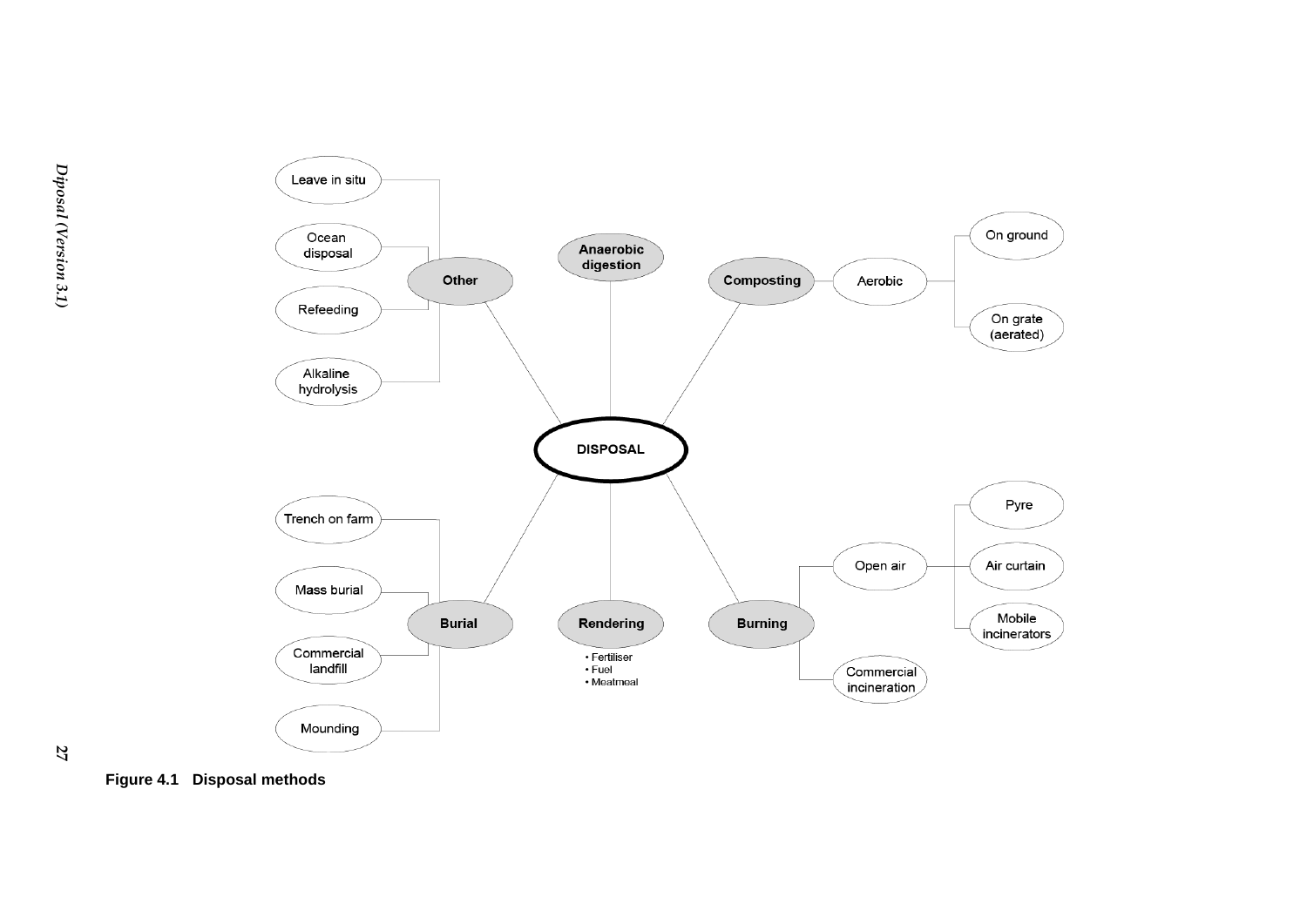

**27**

<span id="page-26-0"></span>**Figure 4.1 Disposal methods**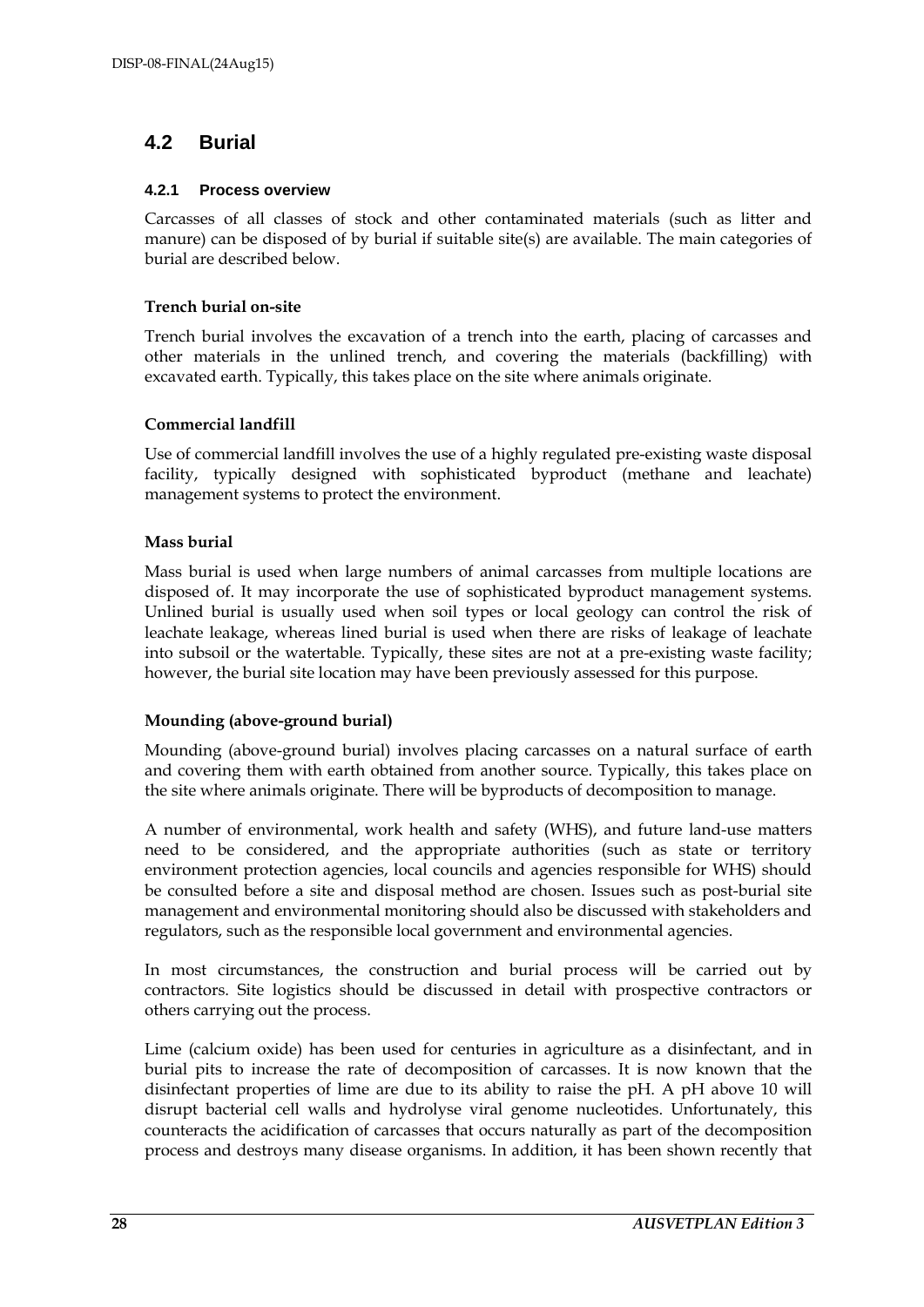## <span id="page-27-0"></span>**4.2 Burial**

#### <span id="page-27-1"></span>**4.2.1 Process overview**

Carcasses of all classes of stock and other contaminated materials (such as litter and manure) can be disposed of by burial if suitable site(s) are available. The main categories of burial are described below.

#### **Trench burial on-site**

Trench burial involves the excavation of a trench into the earth, placing of carcasses and other materials in the unlined trench, and covering the materials (backfilling) with excavated earth. Typically, this takes place on the site where animals originate.

#### **Commercial landfill**

Use of commercial landfill involves the use of a highly regulated pre-existing waste disposal facility, typically designed with sophisticated byproduct (methane and leachate) management systems to protect the environment.

#### **Mass burial**

Mass burial is used when large numbers of animal carcasses from multiple locations are disposed of. It may incorporate the use of sophisticated byproduct management systems. Unlined burial is usually used when soil types or local geology can control the risk of leachate leakage, whereas lined burial is used when there are risks of leakage of leachate into subsoil or the watertable. Typically, these sites are not at a pre-existing waste facility; however, the burial site location may have been previously assessed for this purpose.

### **Mounding (above-ground burial)**

Mounding (above-ground burial) involves placing carcasses on a natural surface of earth and covering them with earth obtained from another source. Typically, this takes place on the site where animals originate. There will be byproducts of decomposition to manage.

A number of environmental, work health and safety (WHS), and future land-use matters need to be considered, and the appropriate authorities (such as state or territory environment protection agencies, local councils and agencies responsible for WHS) should be consulted before a site and disposal method are chosen. Issues such as post-burial site management and environmental monitoring should also be discussed with stakeholders and regulators, such as the responsible local government and environmental agencies.

In most circumstances, the construction and burial process will be carried out by contractors. Site logistics should be discussed in detail with prospective contractors or others carrying out the process.

Lime (calcium oxide) has been used for centuries in agriculture as a disinfectant, and in burial pits to increase the rate of decomposition of carcasses. It is now known that the disinfectant properties of lime are due to its ability to raise the pH. A pH above 10 will disrupt bacterial cell walls and hydrolyse viral genome nucleotides. Unfortunately, this counteracts the acidification of carcasses that occurs naturally as part of the decomposition process and destroys many disease organisms. In addition, it has been shown recently that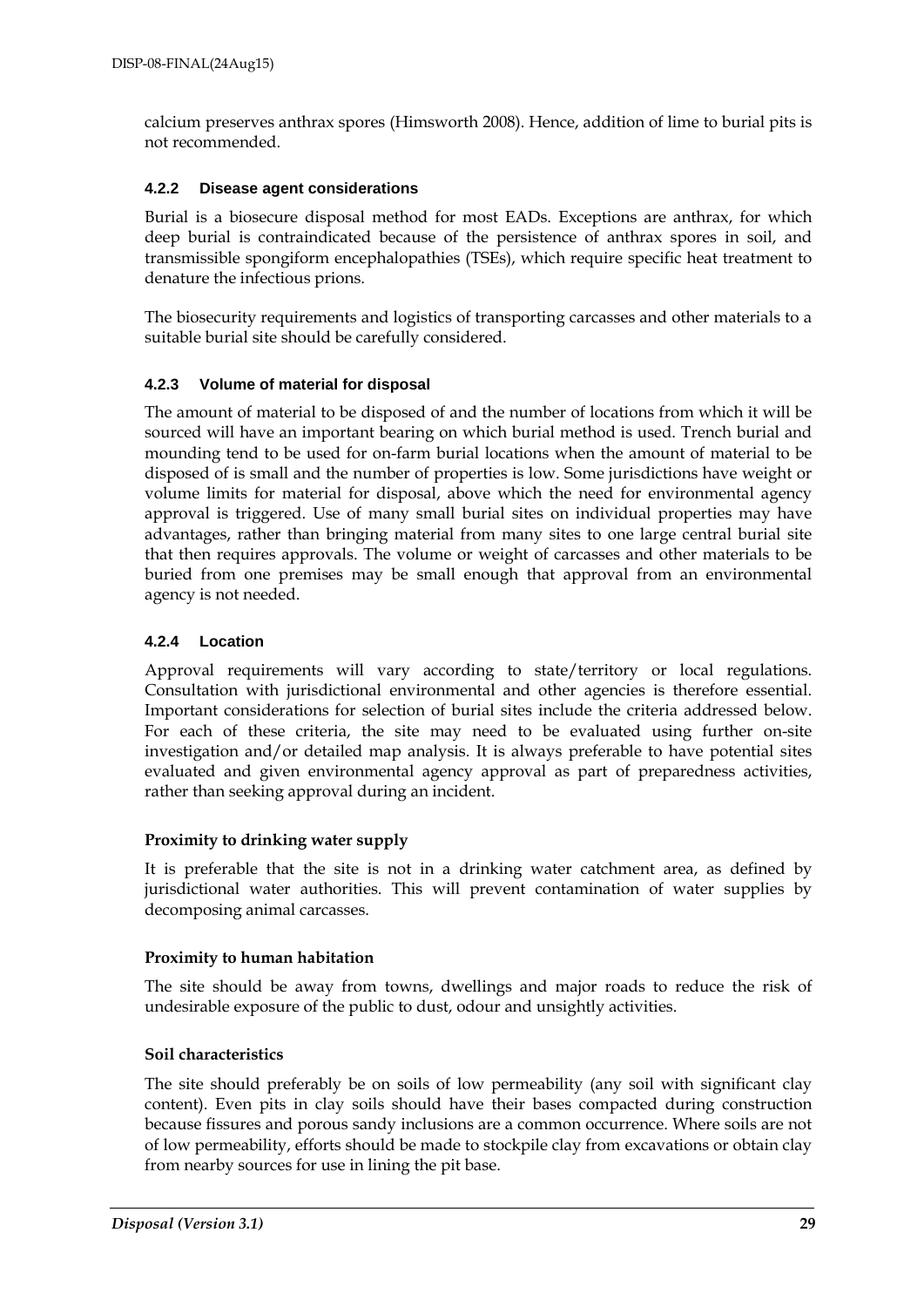calcium preserves anthrax spores (Himsworth 2008). Hence, addition of lime to burial pits is not recommended.

#### <span id="page-28-0"></span>**4.2.2 Disease agent considerations**

Burial is a biosecure disposal method for most EADs. Exceptions are anthrax, for which deep burial is contraindicated because of the persistence of anthrax spores in soil, and transmissible spongiform encephalopathies (TSEs), which require specific heat treatment to denature the infectious prions.

The biosecurity requirements and logistics of transporting carcasses and other materials to a suitable burial site should be carefully considered.

#### <span id="page-28-1"></span>**4.2.3 Volume of material for disposal**

The amount of material to be disposed of and the number of locations from which it will be sourced will have an important bearing on which burial method is used. Trench burial and mounding tend to be used for on-farm burial locations when the amount of material to be disposed of is small and the number of properties is low. Some jurisdictions have weight or volume limits for material for disposal, above which the need for environmental agency approval is triggered. Use of many small burial sites on individual properties may have advantages, rather than bringing material from many sites to one large central burial site that then requires approvals. The volume or weight of carcasses and other materials to be buried from one premises may be small enough that approval from an environmental agency is not needed.

#### <span id="page-28-2"></span>**4.2.4 Location**

Approval requirements will vary according to state/territory or local regulations. Consultation with jurisdictional environmental and other agencies is therefore essential. Important considerations for selection of burial sites include the criteria addressed below. For each of these criteria, the site may need to be evaluated using further on-site investigation and/or detailed map analysis. It is always preferable to have potential sites evaluated and given environmental agency approval as part of preparedness activities, rather than seeking approval during an incident.

#### **Proximity to drinking water supply**

It is preferable that the site is not in a drinking water catchment area, as defined by jurisdictional water authorities. This will prevent contamination of water supplies by decomposing animal carcasses.

#### **Proximity to human habitation**

The site should be away from towns, dwellings and major roads to reduce the risk of undesirable exposure of the public to dust, odour and unsightly activities.

#### **Soil characteristics**

The site should preferably be on soils of low permeability (any soil with significant clay content). Even pits in clay soils should have their bases compacted during construction because fissures and porous sandy inclusions are a common occurrence. Where soils are not of low permeability, efforts should be made to stockpile clay from excavations or obtain clay from nearby sources for use in lining the pit base.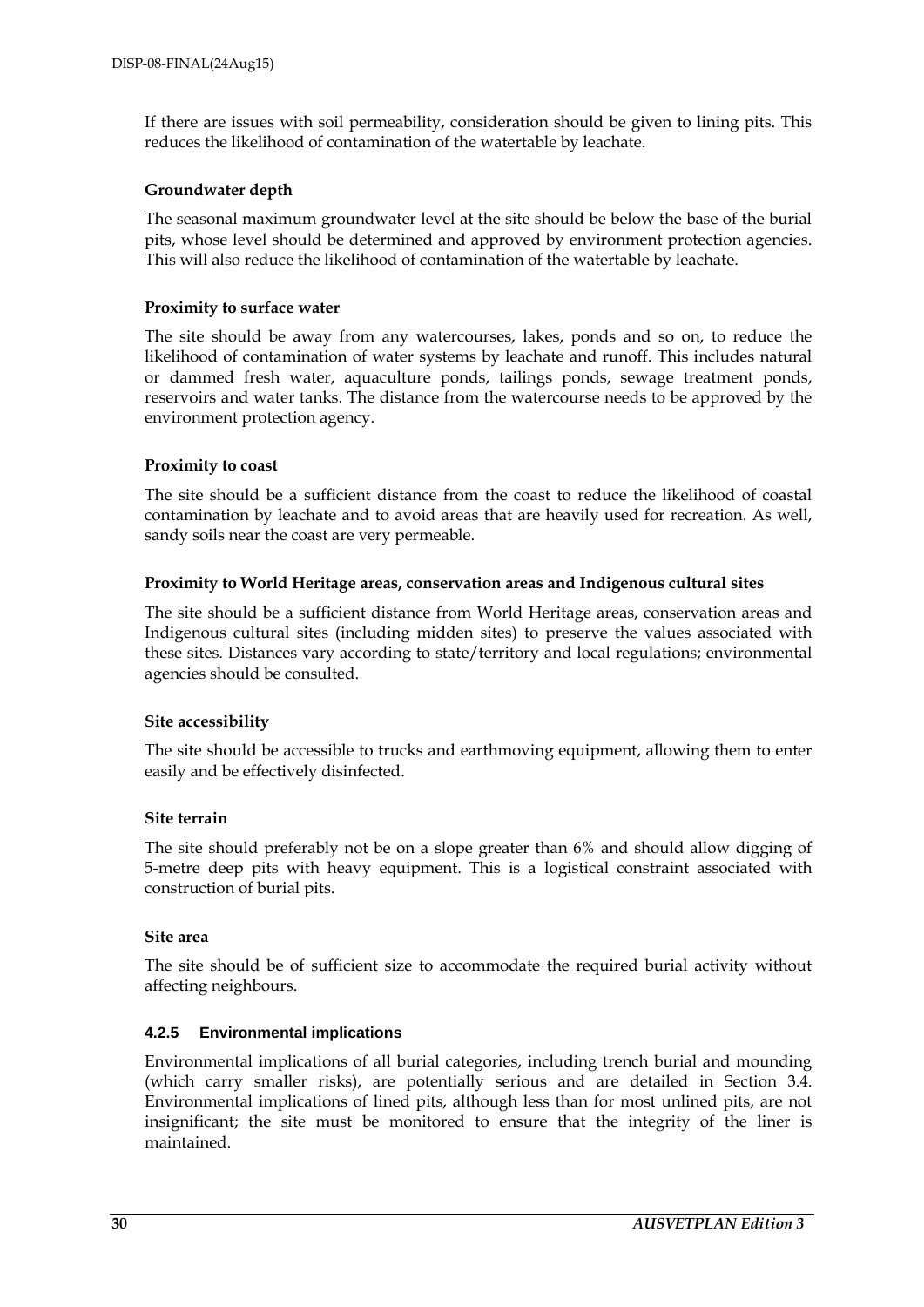If there are issues with soil permeability, consideration should be given to lining pits. This reduces the likelihood of contamination of the watertable by leachate.

#### **Groundwater depth**

The seasonal maximum groundwater level at the site should be below the base of the burial pits, whose level should be determined and approved by environment protection agencies. This will also reduce the likelihood of contamination of the watertable by leachate.

#### **Proximity to surface water**

The site should be away from any watercourses, lakes, ponds and so on, to reduce the likelihood of contamination of water systems by leachate and runoff. This includes natural or dammed fresh water, aquaculture ponds, tailings ponds, sewage treatment ponds, reservoirs and water tanks. The distance from the watercourse needs to be approved by the environment protection agency.

#### **Proximity to coast**

The site should be a sufficient distance from the coast to reduce the likelihood of coastal contamination by leachate and to avoid areas that are heavily used for recreation. As well, sandy soils near the coast are very permeable.

#### **Proximity to World Heritage areas, conservation areas and Indigenous cultural sites**

The site should be a sufficient distance from World Heritage areas, conservation areas and Indigenous cultural sites (including midden sites) to preserve the values associated with these sites. Distances vary according to state/territory and local regulations; environmental agencies should be consulted.

### **Site accessibility**

The site should be accessible to trucks and earthmoving equipment, allowing them to enter easily and be effectively disinfected.

#### **Site terrain**

The site should preferably not be on a slope greater than 6% and should allow digging of 5-metre deep pits with heavy equipment. This is a logistical constraint associated with construction of burial pits.

#### **Site area**

The site should be of sufficient size to accommodate the required burial activity without affecting neighbours.

### <span id="page-29-0"></span>**4.2.5 Environmental implications**

Environmental implications of all burial categories, including trench burial and mounding (which carry smaller risks), are potentially serious and are detailed in Section 3.4. Environmental implications of lined pits, although less than for most unlined pits, are not insignificant; the site must be monitored to ensure that the integrity of the liner is maintained.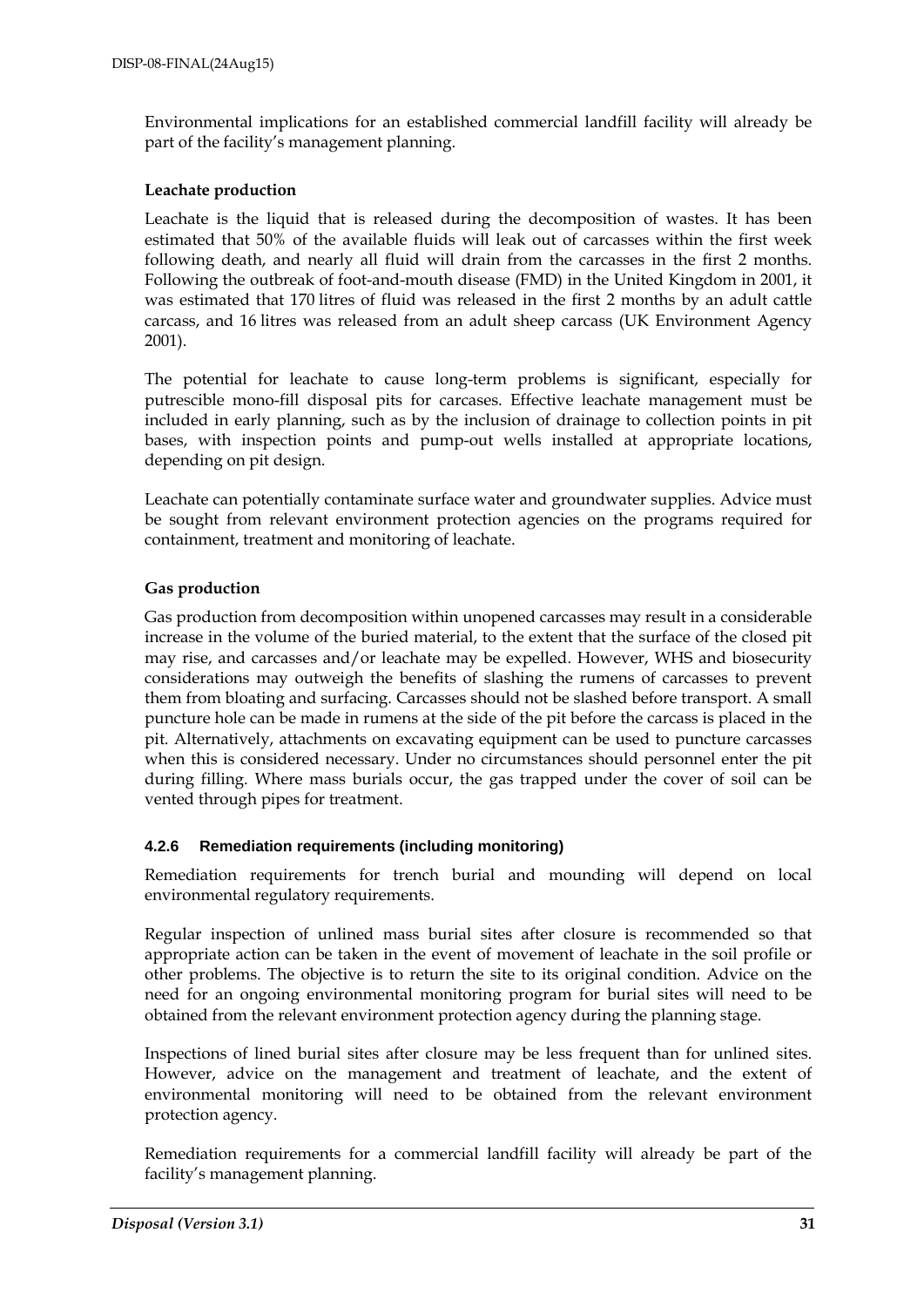Environmental implications for an established commercial landfill facility will already be part of the facility's management planning.

#### **Leachate production**

Leachate is the liquid that is released during the decomposition of wastes. It has been estimated that 50% of the available fluids will leak out of carcasses within the first week following death, and nearly all fluid will drain from the carcasses in the first 2 months. Following the outbreak of foot-and-mouth disease (FMD) in the United Kingdom in 2001, it was estimated that 170 litres of fluid was released in the first 2 months by an adult cattle carcass, and 16 litres was released from an adult sheep carcass (UK Environment Agency 2001).

The potential for leachate to cause long-term problems is significant, especially for putrescible mono-fill disposal pits for carcases. Effective leachate management must be included in early planning, such as by the inclusion of drainage to collection points in pit bases, with inspection points and pump-out wells installed at appropriate locations, depending on pit design.

Leachate can potentially contaminate surface water and groundwater supplies. Advice must be sought from relevant environment protection agencies on the programs required for containment, treatment and monitoring of leachate.

#### **Gas production**

Gas production from decomposition within unopened carcasses may result in a considerable increase in the volume of the buried material, to the extent that the surface of the closed pit may rise, and carcasses and/or leachate may be expelled. However, WHS and biosecurity considerations may outweigh the benefits of slashing the rumens of carcasses to prevent them from bloating and surfacing. Carcasses should not be slashed before transport. A small puncture hole can be made in rumens at the side of the pit before the carcass is placed in the pit. Alternatively, attachments on excavating equipment can be used to puncture carcasses when this is considered necessary. Under no circumstances should personnel enter the pit during filling. Where mass burials occur, the gas trapped under the cover of soil can be vented through pipes for treatment.

### <span id="page-30-0"></span>**4.2.6 Remediation requirements (including monitoring)**

Remediation requirements for trench burial and mounding will depend on local environmental regulatory requirements.

Regular inspection of unlined mass burial sites after closure is recommended so that appropriate action can be taken in the event of movement of leachate in the soil profile or other problems. The objective is to return the site to its original condition. Advice on the need for an ongoing environmental monitoring program for burial sites will need to be obtained from the relevant environment protection agency during the planning stage.

Inspections of lined burial sites after closure may be less frequent than for unlined sites. However, advice on the management and treatment of leachate, and the extent of environmental monitoring will need to be obtained from the relevant environment protection agency.

Remediation requirements for a commercial landfill facility will already be part of the facility's management planning.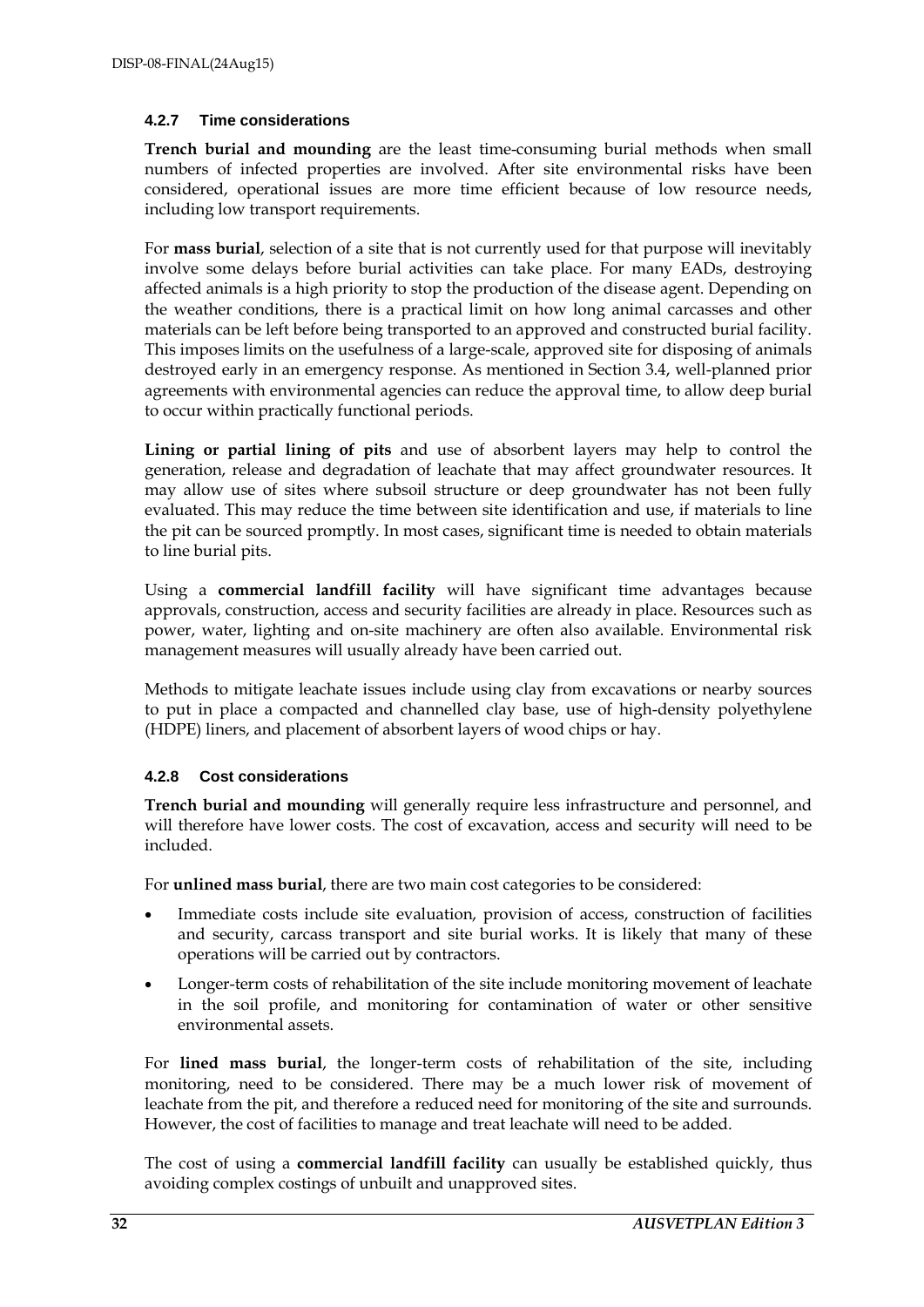#### <span id="page-31-0"></span>**4.2.7 Time considerations**

**Trench burial and mounding** are the least time-consuming burial methods when small numbers of infected properties are involved. After site environmental risks have been considered, operational issues are more time efficient because of low resource needs, including low transport requirements.

For **mass burial**, selection of a site that is not currently used for that purpose will inevitably involve some delays before burial activities can take place. For many EADs, destroying affected animals is a high priority to stop the production of the disease agent. Depending on the weather conditions, there is a practical limit on how long animal carcasses and other materials can be left before being transported to an approved and constructed burial facility. This imposes limits on the usefulness of a large-scale, approved site for disposing of animals destroyed early in an emergency response. As mentioned in Section 3.4, well-planned prior agreements with environmental agencies can reduce the approval time, to allow deep burial to occur within practically functional periods.

**Lining or partial lining of pits** and use of absorbent layers may help to control the generation, release and degradation of leachate that may affect groundwater resources. It may allow use of sites where subsoil structure or deep groundwater has not been fully evaluated. This may reduce the time between site identification and use, if materials to line the pit can be sourced promptly. In most cases, significant time is needed to obtain materials to line burial pits.

Using a **commercial landfill facility** will have significant time advantages because approvals, construction, access and security facilities are already in place. Resources such as power, water, lighting and on-site machinery are often also available. Environmental risk management measures will usually already have been carried out.

Methods to mitigate leachate issues include using clay from excavations or nearby sources to put in place a compacted and channelled clay base, use of high-density polyethylene (HDPE) liners, and placement of absorbent layers of wood chips or hay.

### <span id="page-31-1"></span>**4.2.8 Cost considerations**

**Trench burial and mounding** will generally require less infrastructure and personnel, and will therefore have lower costs. The cost of excavation, access and security will need to be included.

For **unlined mass burial**, there are two main cost categories to be considered:

- Immediate costs include site evaluation, provision of access, construction of facilities and security, carcass transport and site burial works. It is likely that many of these operations will be carried out by contractors.
- Longer-term costs of rehabilitation of the site include monitoring movement of leachate in the soil profile, and monitoring for contamination of water or other sensitive environmental assets.

For **lined mass burial**, the longer-term costs of rehabilitation of the site, including monitoring, need to be considered. There may be a much lower risk of movement of leachate from the pit, and therefore a reduced need for monitoring of the site and surrounds. However, the cost of facilities to manage and treat leachate will need to be added.

The cost of using a **commercial landfill facility** can usually be established quickly, thus avoiding complex costings of unbuilt and unapproved sites.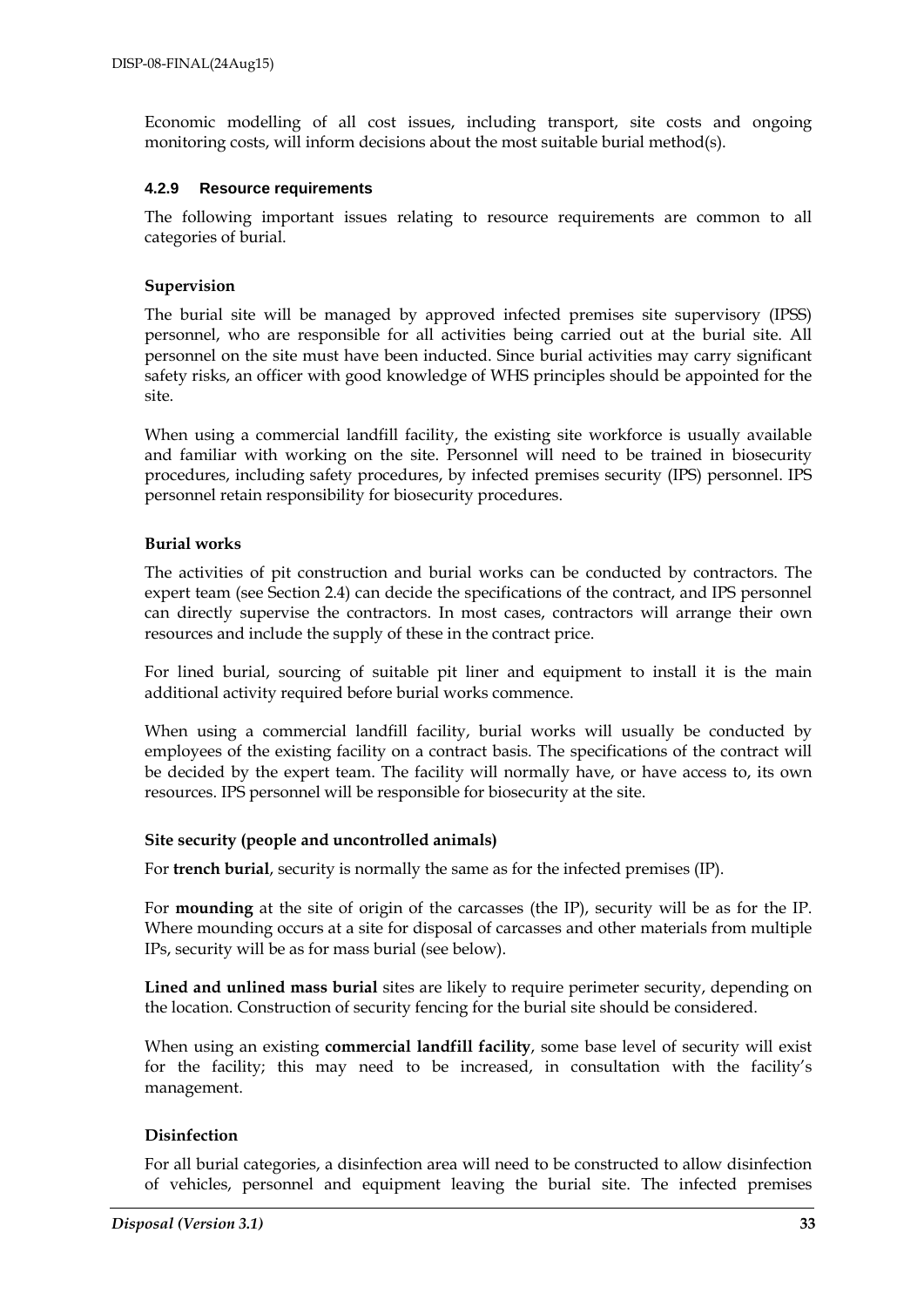Economic modelling of all cost issues, including transport, site costs and ongoing monitoring costs, will inform decisions about the most suitable burial method(s).

#### <span id="page-32-0"></span>**4.2.9 Resource requirements**

The following important issues relating to resource requirements are common to all categories of burial.

#### **Supervision**

The burial site will be managed by approved infected premises site supervisory (IPSS) personnel, who are responsible for all activities being carried out at the burial site. All personnel on the site must have been inducted. Since burial activities may carry significant safety risks, an officer with good knowledge of WHS principles should be appointed for the site.

When using a commercial landfill facility, the existing site workforce is usually available and familiar with working on the site. Personnel will need to be trained in biosecurity procedures, including safety procedures, by infected premises security (IPS) personnel. IPS personnel retain responsibility for biosecurity procedures.

#### **Burial works**

The activities of pit construction and burial works can be conducted by contractors. The expert team (see Section 2.4) can decide the specifications of the contract, and IPS personnel can directly supervise the contractors. In most cases, contractors will arrange their own resources and include the supply of these in the contract price.

For lined burial, sourcing of suitable pit liner and equipment to install it is the main additional activity required before burial works commence.

When using a commercial landfill facility, burial works will usually be conducted by employees of the existing facility on a contract basis. The specifications of the contract will be decided by the expert team. The facility will normally have, or have access to, its own resources. IPS personnel will be responsible for biosecurity at the site.

#### **Site security (people and uncontrolled animals)**

For **trench burial**, security is normally the same as for the infected premises (IP).

For **mounding** at the site of origin of the carcasses (the IP), security will be as for the IP. Where mounding occurs at a site for disposal of carcasses and other materials from multiple IPs, security will be as for mass burial (see below).

**Lined and unlined mass burial** sites are likely to require perimeter security, depending on the location. Construction of security fencing for the burial site should be considered.

When using an existing **commercial landfill facility**, some base level of security will exist for the facility; this may need to be increased, in consultation with the facility's management.

### **Disinfection**

For all burial categories, a disinfection area will need to be constructed to allow disinfection of vehicles, personnel and equipment leaving the burial site. The infected premises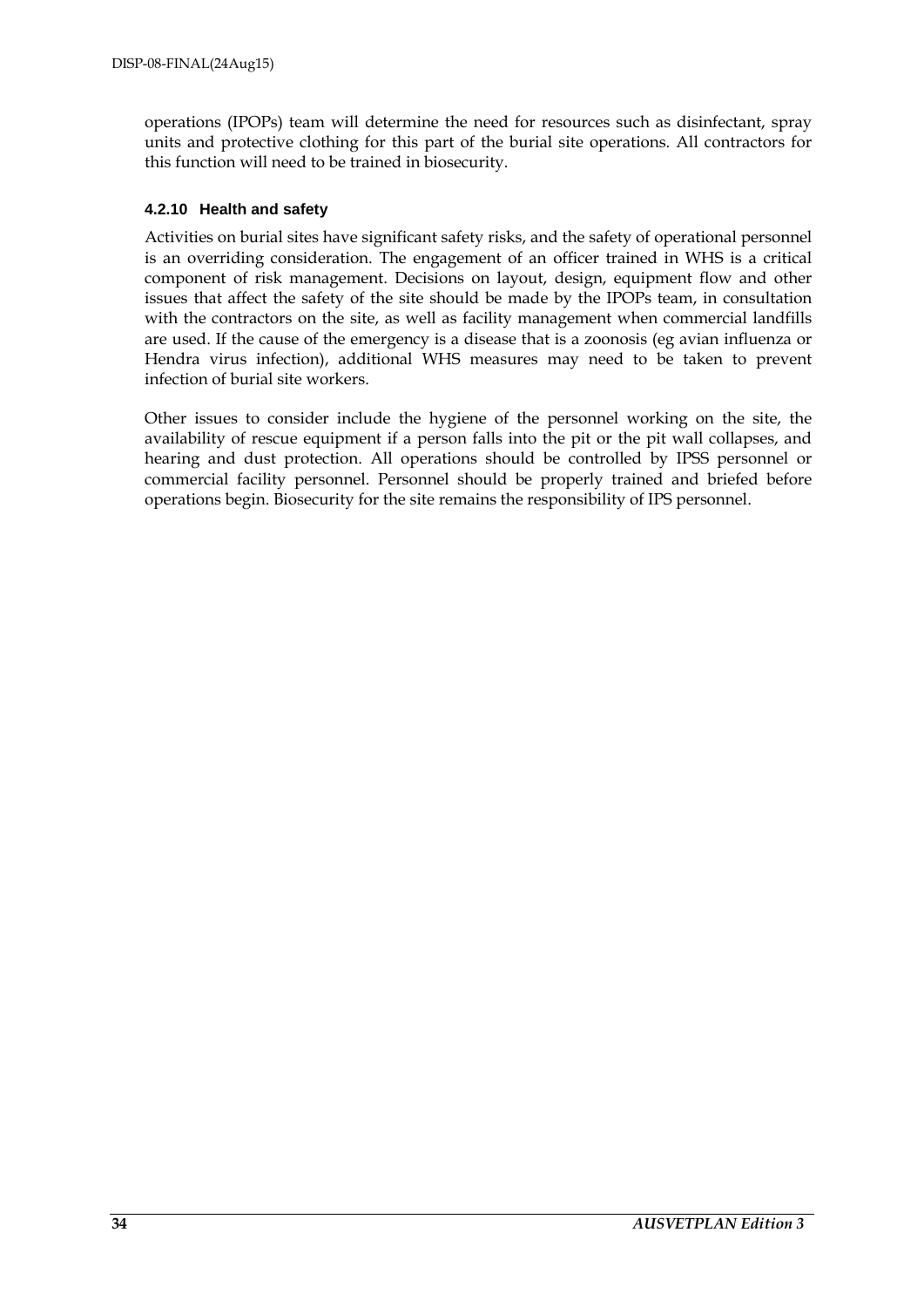operations (IPOPs) team will determine the need for resources such as disinfectant, spray units and protective clothing for this part of the burial site operations. All contractors for this function will need to be trained in biosecurity.

#### <span id="page-33-0"></span>**4.2.10 Health and safety**

Activities on burial sites have significant safety risks, and the safety of operational personnel is an overriding consideration. The engagement of an officer trained in WHS is a critical component of risk management. Decisions on layout, design, equipment flow and other issues that affect the safety of the site should be made by the IPOPs team, in consultation with the contractors on the site, as well as facility management when commercial landfills are used. If the cause of the emergency is a disease that is a zoonosis (eg avian influenza or Hendra virus infection), additional WHS measures may need to be taken to prevent infection of burial site workers.

Other issues to consider include the hygiene of the personnel working on the site, the availability of rescue equipment if a person falls into the pit or the pit wall collapses, and hearing and dust protection. All operations should be controlled by IPSS personnel or commercial facility personnel. Personnel should be properly trained and briefed before operations begin. Biosecurity for the site remains the responsibility of IPS personnel.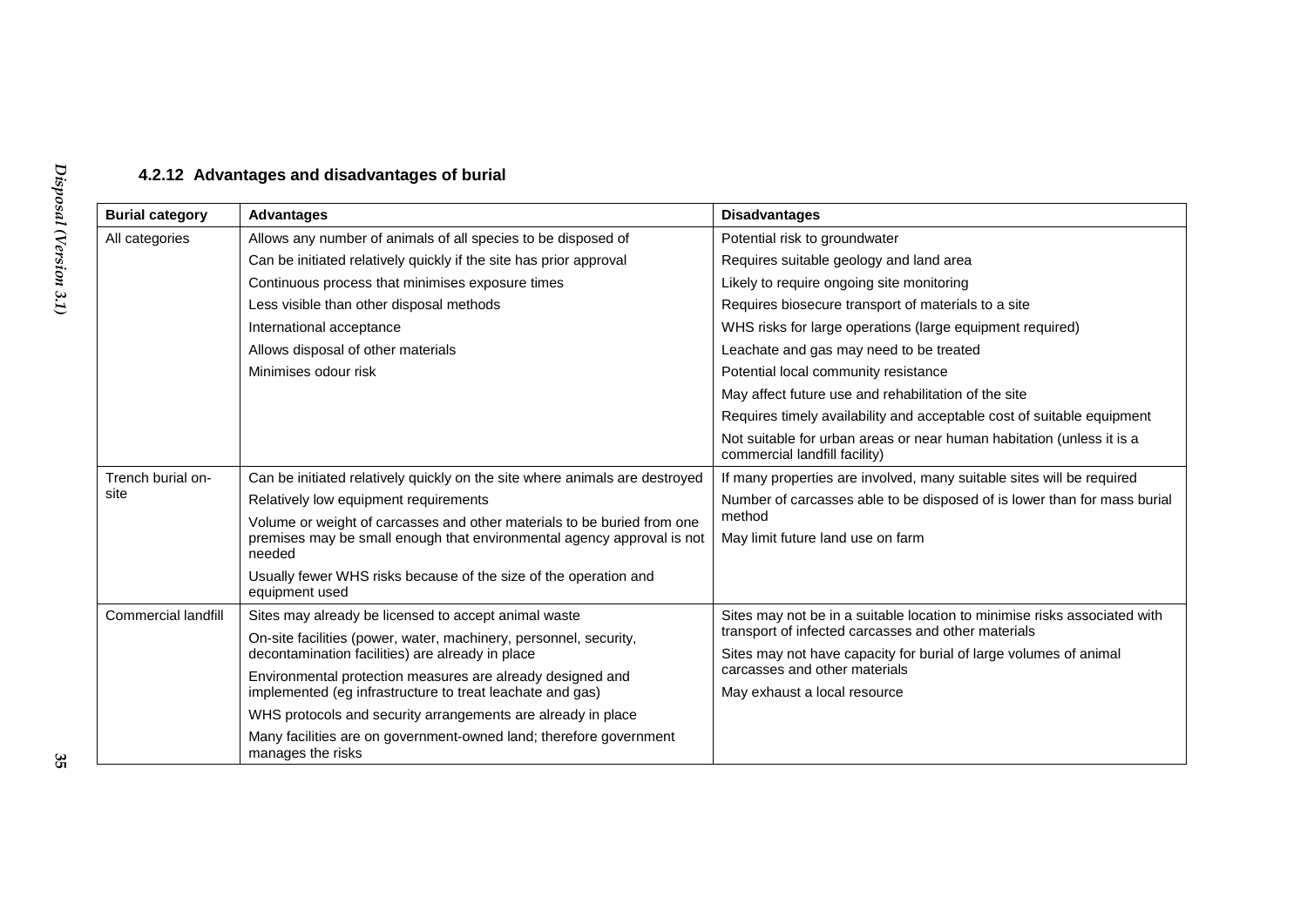## **4.2.12 Advantages and disadvantages of burial**

<span id="page-34-0"></span>

| <b>Burial category</b> | <b>Advantages</b>                                                                                                                                           | <b>Disadvantages</b>                                                                                                     |  |
|------------------------|-------------------------------------------------------------------------------------------------------------------------------------------------------------|--------------------------------------------------------------------------------------------------------------------------|--|
| All categories         | Allows any number of animals of all species to be disposed of                                                                                               | Potential risk to groundwater                                                                                            |  |
|                        | Can be initiated relatively quickly if the site has prior approval                                                                                          | Requires suitable geology and land area                                                                                  |  |
|                        | Continuous process that minimises exposure times                                                                                                            | Likely to require ongoing site monitoring                                                                                |  |
|                        | Less visible than other disposal methods                                                                                                                    | Requires biosecure transport of materials to a site                                                                      |  |
|                        | International acceptance                                                                                                                                    | WHS risks for large operations (large equipment required)                                                                |  |
|                        | Allows disposal of other materials                                                                                                                          | Leachate and gas may need to be treated                                                                                  |  |
|                        | Minimises odour risk                                                                                                                                        | Potential local community resistance                                                                                     |  |
|                        |                                                                                                                                                             | May affect future use and rehabilitation of the site                                                                     |  |
|                        |                                                                                                                                                             | Requires timely availability and acceptable cost of suitable equipment                                                   |  |
|                        |                                                                                                                                                             | Not suitable for urban areas or near human habitation (unless it is a<br>commercial landfill facility)                   |  |
| Trench burial on-      | Can be initiated relatively quickly on the site where animals are destroyed                                                                                 | If many properties are involved, many suitable sites will be required                                                    |  |
| site                   | Relatively low equipment requirements                                                                                                                       | Number of carcasses able to be disposed of is lower than for mass burial                                                 |  |
|                        | Volume or weight of carcasses and other materials to be buried from one<br>premises may be small enough that environmental agency approval is not<br>needed | method<br>May limit future land use on farm                                                                              |  |
|                        | Usually fewer WHS risks because of the size of the operation and<br>equipment used                                                                          |                                                                                                                          |  |
| Commercial landfill    | Sites may already be licensed to accept animal waste                                                                                                        | Sites may not be in a suitable location to minimise risks associated with                                                |  |
|                        | On-site facilities (power, water, machinery, personnel, security,<br>decontamination facilities) are already in place                                       | transport of infected carcasses and other materials<br>Sites may not have capacity for burial of large volumes of animal |  |
|                        | Environmental protection measures are already designed and                                                                                                  | carcasses and other materials                                                                                            |  |
|                        | implemented (eg infrastructure to treat leachate and gas)                                                                                                   | May exhaust a local resource                                                                                             |  |
|                        | WHS protocols and security arrangements are already in place                                                                                                |                                                                                                                          |  |
|                        | Many facilities are on government-owned land; therefore government<br>manages the risks                                                                     |                                                                                                                          |  |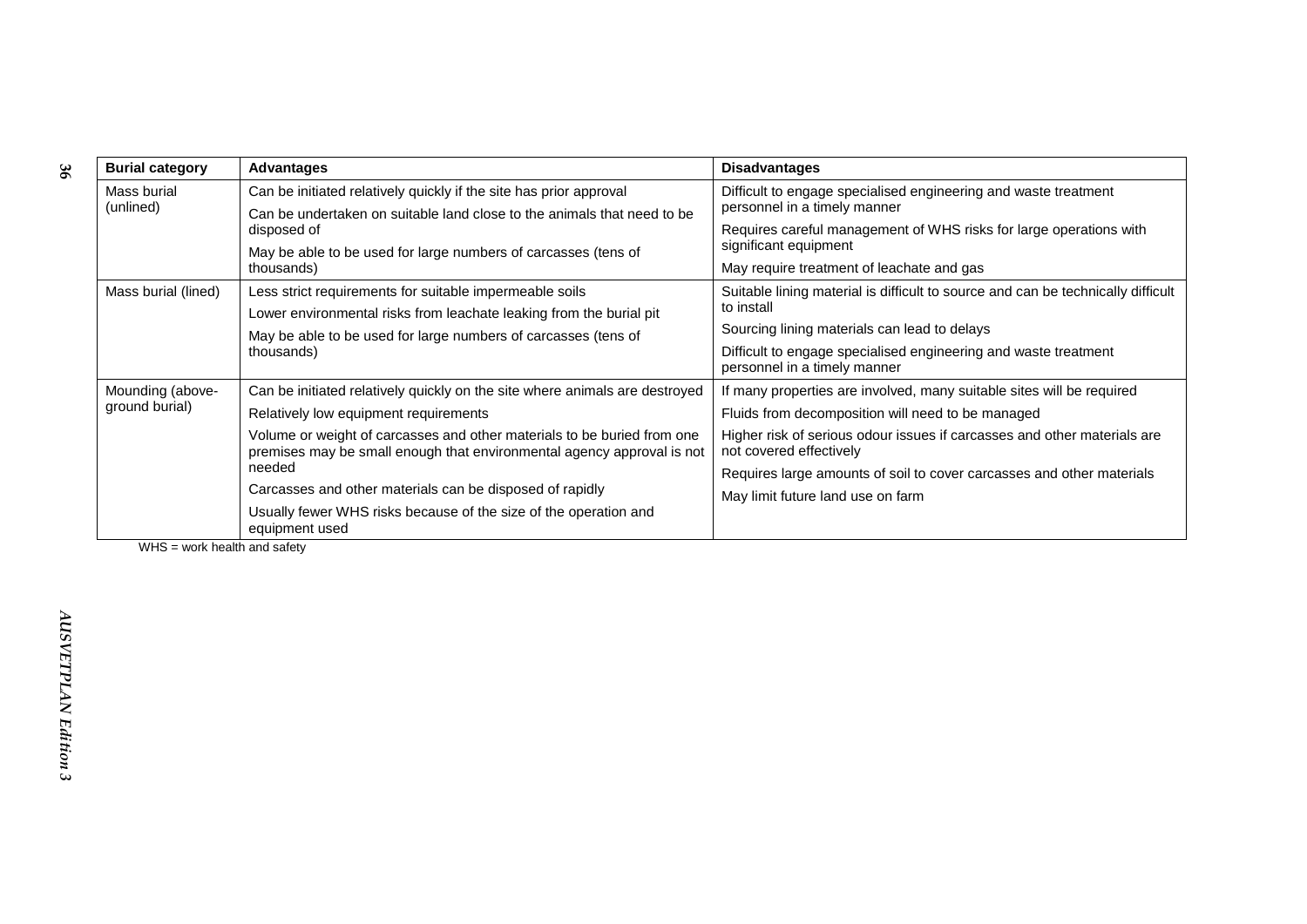| <b>Burial category</b>   | Advantages                                                                                                                                        | <b>Disadvantages</b>                                                                                |  |
|--------------------------|---------------------------------------------------------------------------------------------------------------------------------------------------|-----------------------------------------------------------------------------------------------------|--|
| Mass burial<br>(unlined) | Can be initiated relatively quickly if the site has prior approval                                                                                | Difficult to engage specialised engineering and waste treatment<br>personnel in a timely manner     |  |
|                          | Can be undertaken on suitable land close to the animals that need to be<br>disposed of                                                            | Requires careful management of WHS risks for large operations with                                  |  |
|                          | May be able to be used for large numbers of carcasses (tens of<br>thousands)                                                                      | significant equipment                                                                               |  |
|                          |                                                                                                                                                   | May require treatment of leachate and gas                                                           |  |
| Mass burial (lined)      | Less strict requirements for suitable impermeable soils                                                                                           | Suitable lining material is difficult to source and can be technically difficult<br>to install      |  |
|                          | Lower environmental risks from leachate leaking from the burial pit                                                                               |                                                                                                     |  |
|                          | May be able to be used for large numbers of carcasses (tens of                                                                                    | Sourcing lining materials can lead to delays                                                        |  |
|                          | thousands)                                                                                                                                        | Difficult to engage specialised engineering and waste treatment<br>personnel in a timely manner     |  |
| Mounding (above-         | Can be initiated relatively quickly on the site where animals are destroyed                                                                       | If many properties are involved, many suitable sites will be required                               |  |
| ground burial)           | Relatively low equipment requirements                                                                                                             | Fluids from decomposition will need to be managed                                                   |  |
|                          | Volume or weight of carcasses and other materials to be buried from one<br>premises may be small enough that environmental agency approval is not | Higher risk of serious odour issues if carcasses and other materials are<br>not covered effectively |  |
|                          | needed                                                                                                                                            | Requires large amounts of soil to cover carcasses and other materials                               |  |
|                          | Carcasses and other materials can be disposed of rapidly                                                                                          | May limit future land use on farm                                                                   |  |
|                          | Usually fewer WHS risks because of the size of the operation and<br>equipment used                                                                |                                                                                                     |  |

WHS = work health and safety

**36**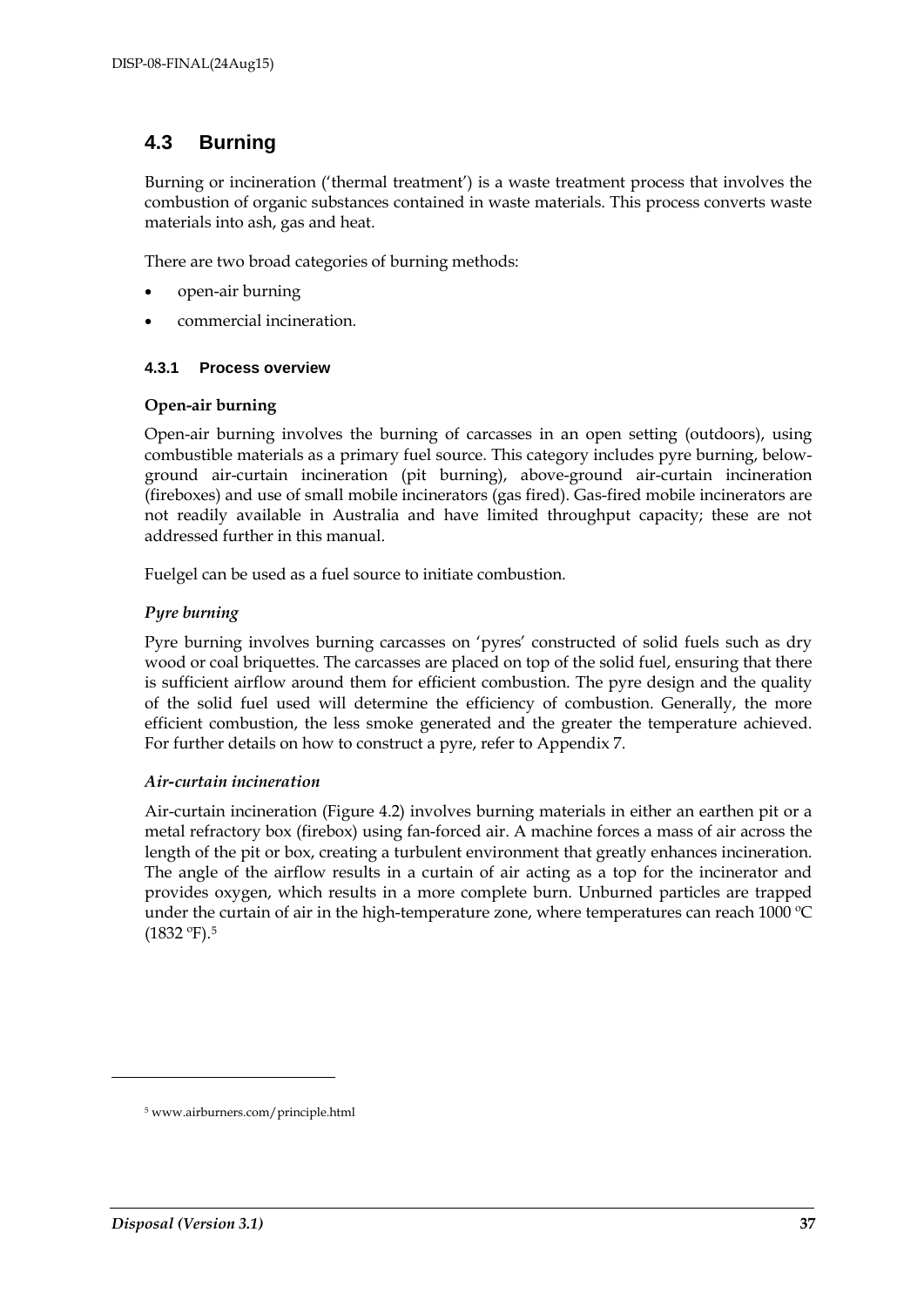### **4.3 Burning**

Burning or incineration ('thermal treatment') is a waste treatment process that involves the combustion of organic substances contained in waste materials. This process converts waste materials into ash, gas and heat.

There are two broad categories of burning methods:

- open-air burning
- commercial incineration.

#### **4.3.1 Process overview**

#### **Open-air burning**

Open-air burning involves the burning of carcasses in an open setting (outdoors), using combustible materials as a primary fuel source. This category includes pyre burning, belowground air-curtain incineration (pit burning), above-ground air-curtain incineration (fireboxes) and use of small mobile incinerators (gas fired). Gas-fired mobile incinerators are not readily available in Australia and have limited throughput capacity; these are not addressed further in this manual.

Fuelgel can be used as a fuel source to initiate combustion.

#### *Pyre burning*

Pyre burning involves burning carcasses on 'pyres' constructed of solid fuels such as dry wood or coal briquettes. The carcasses are placed on top of the solid fuel, ensuring that there is sufficient airflow around them for efficient combustion. The pyre design and the quality of the solid fuel used will determine the efficiency of combustion. Generally, the more efficient combustion, the less smoke generated and the greater the temperature achieved. For further details on how to construct a pyre, refer to Appendix 7.

#### *Air-curtain incineration*

Air-curtain incineration (Figure 4.2) involves burning materials in either an earthen pit or a metal refractory box (firebox) using fan-forced air. A machine forces a mass of air across the length of the pit or box, creating a turbulent environment that greatly enhances incineration. The angle of the airflow results in a curtain of air acting as a top for the incinerator and provides oxygen, which results in a more complete burn. Unburned particles are trapped under the curtain of air in the high-temperature zone, where temperatures can reach 1000 ºC (1832 ºF)[.5](#page-36-0)

<span id="page-36-0"></span>-

<sup>5</sup> www.airburners.com/principle.html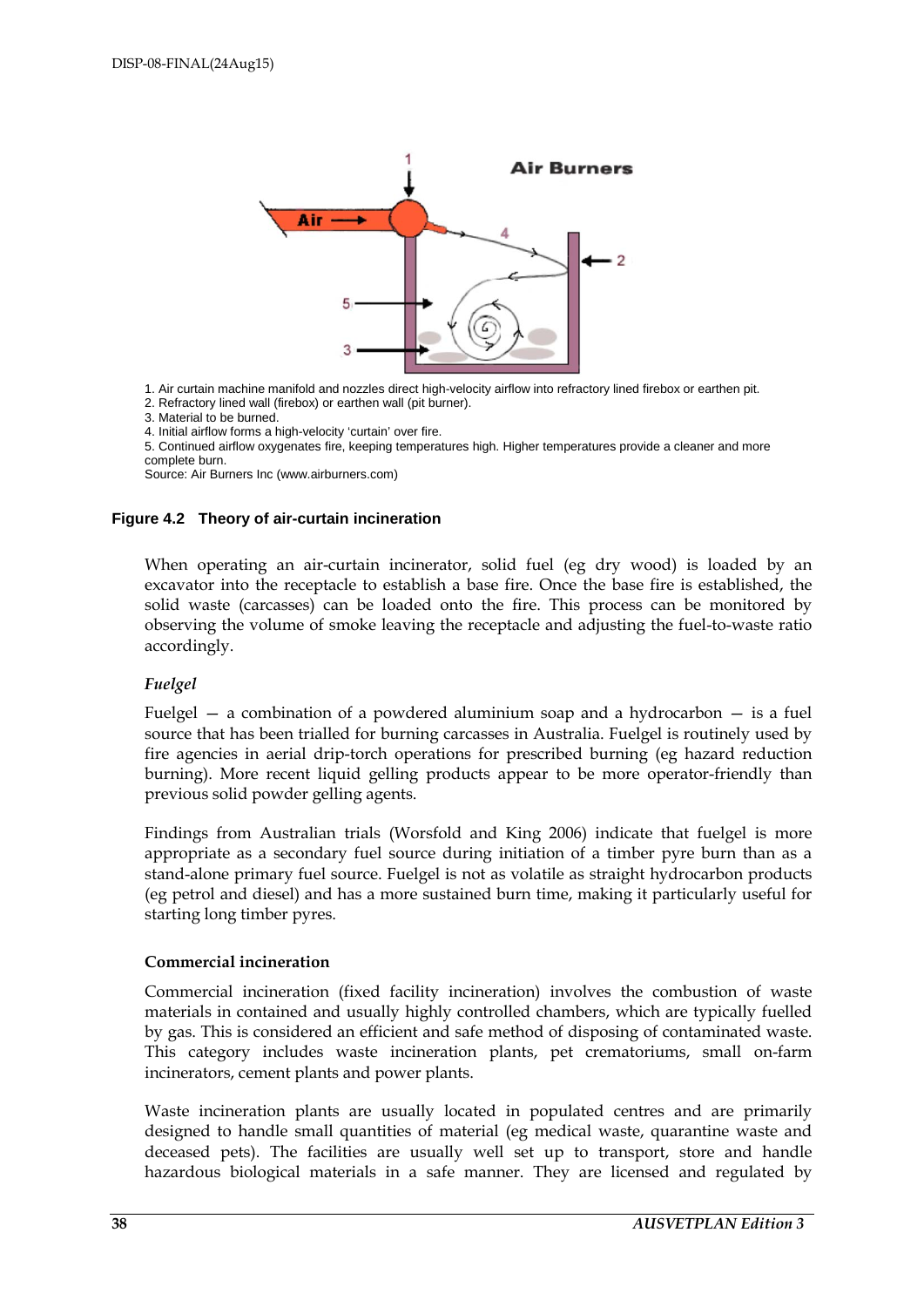

1. Air curtain machine manifold and nozzles direct high-velocity airflow into refractory lined firebox or earthen pit.

- 2. Refractory lined wall (firebox) or earthen wall (pit burner).
- 3. Material to be burned.
- 4. Initial airflow forms a high-velocity 'curtain' over fire.

5. Continued airflow oxygenates fire, keeping temperatures high. Higher temperatures provide a cleaner and more complete burn.

Source: Air Burners Inc (www.airburners.com)

#### **Figure 4.2 Theory of air-curtain incineration**

When operating an air-curtain incinerator, solid fuel (eg dry wood) is loaded by an excavator into the receptacle to establish a base fire. Once the base fire is established, the solid waste (carcasses) can be loaded onto the fire. This process can be monitored by observing the volume of smoke leaving the receptacle and adjusting the fuel-to-waste ratio accordingly.

#### *Fuelgel*

Fuelgel  $-$  a combination of a powdered aluminium soap and a hydrocarbon  $-$  is a fuel source that has been trialled for burning carcasses in Australia. Fuelgel is routinely used by fire agencies in aerial drip-torch operations for prescribed burning (eg hazard reduction burning). More recent liquid gelling products appear to be more operator-friendly than previous solid powder gelling agents.

Findings from Australian trials (Worsfold and King 2006) indicate that fuelgel is more appropriate as a secondary fuel source during initiation of a timber pyre burn than as a stand-alone primary fuel source. Fuelgel is not as volatile as straight hydrocarbon products (eg petrol and diesel) and has a more sustained burn time, making it particularly useful for starting long timber pyres.

#### **Commercial incineration**

Commercial incineration (fixed facility incineration) involves the combustion of waste materials in contained and usually highly controlled chambers, which are typically fuelled by gas. This is considered an efficient and safe method of disposing of contaminated waste. This category includes waste incineration plants, pet crematoriums, small on-farm incinerators, cement plants and power plants.

Waste incineration plants are usually located in populated centres and are primarily designed to handle small quantities of material (eg medical waste, quarantine waste and deceased pets). The facilities are usually well set up to transport, store and handle hazardous biological materials in a safe manner. They are licensed and regulated by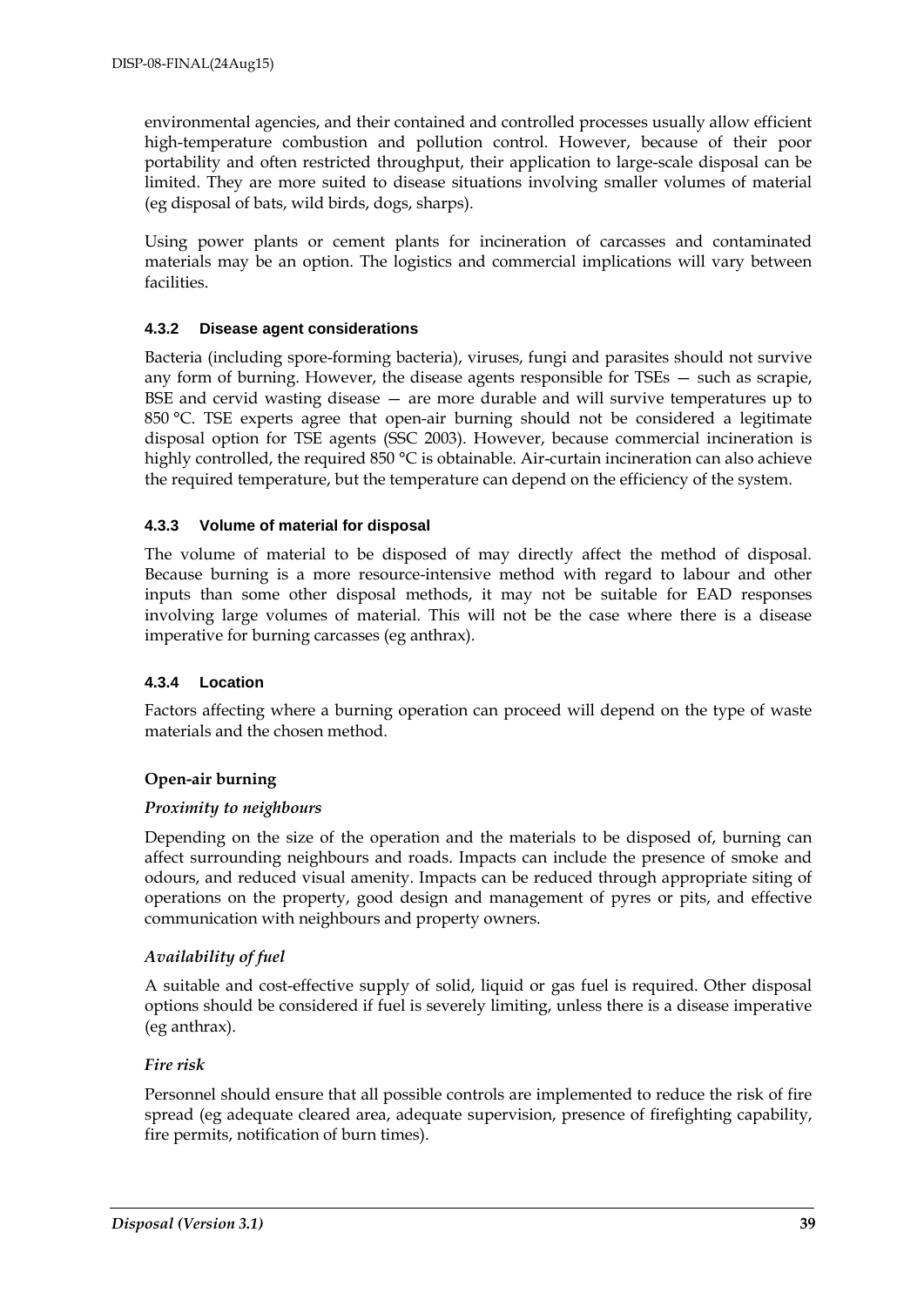environmental agencies, and their contained and controlled processes usually allow efficient high-temperature combustion and pollution control. However, because of their poor portability and often restricted throughput, their application to large-scale disposal can be limited. They are more suited to disease situations involving smaller volumes of material (eg disposal of bats, wild birds, dogs, sharps).

Using power plants or cement plants for incineration of carcasses and contaminated materials may be an option. The logistics and commercial implications will vary between facilities.

#### **4.3.2 Disease agent considerations**

Bacteria (including spore-forming bacteria), viruses, fungi and parasites should not survive any form of burning. However, the disease agents responsible for TSEs — such as scrapie, BSE and cervid wasting disease — are more durable and will survive temperatures up to 850 °C. TSE experts agree that open-air burning should not be considered a legitimate disposal option for TSE agents (SSC 2003). However, because commercial incineration is highly controlled, the required 850 °C is obtainable. Air-curtain incineration can also achieve the required temperature, but the temperature can depend on the efficiency of the system.

#### **4.3.3 Volume of material for disposal**

The volume of material to be disposed of may directly affect the method of disposal. Because burning is a more resource-intensive method with regard to labour and other inputs than some other disposal methods, it may not be suitable for EAD responses involving large volumes of material. This will not be the case where there is a disease imperative for burning carcasses (eg anthrax).

#### **4.3.4 Location**

Factors affecting where a burning operation can proceed will depend on the type of waste materials and the chosen method.

#### **Open-air burning**

#### *Proximity to neighbours*

Depending on the size of the operation and the materials to be disposed of, burning can affect surrounding neighbours and roads. Impacts can include the presence of smoke and odours, and reduced visual amenity. Impacts can be reduced through appropriate siting of operations on the property, good design and management of pyres or pits, and effective communication with neighbours and property owners.

#### *Availability of fuel*

A suitable and cost-effective supply of solid, liquid or gas fuel is required. Other disposal options should be considered if fuel is severely limiting, unless there is a disease imperative (eg anthrax).

#### *Fire risk*

Personnel should ensure that all possible controls are implemented to reduce the risk of fire spread (eg adequate cleared area, adequate supervision, presence of firefighting capability, fire permits, notification of burn times).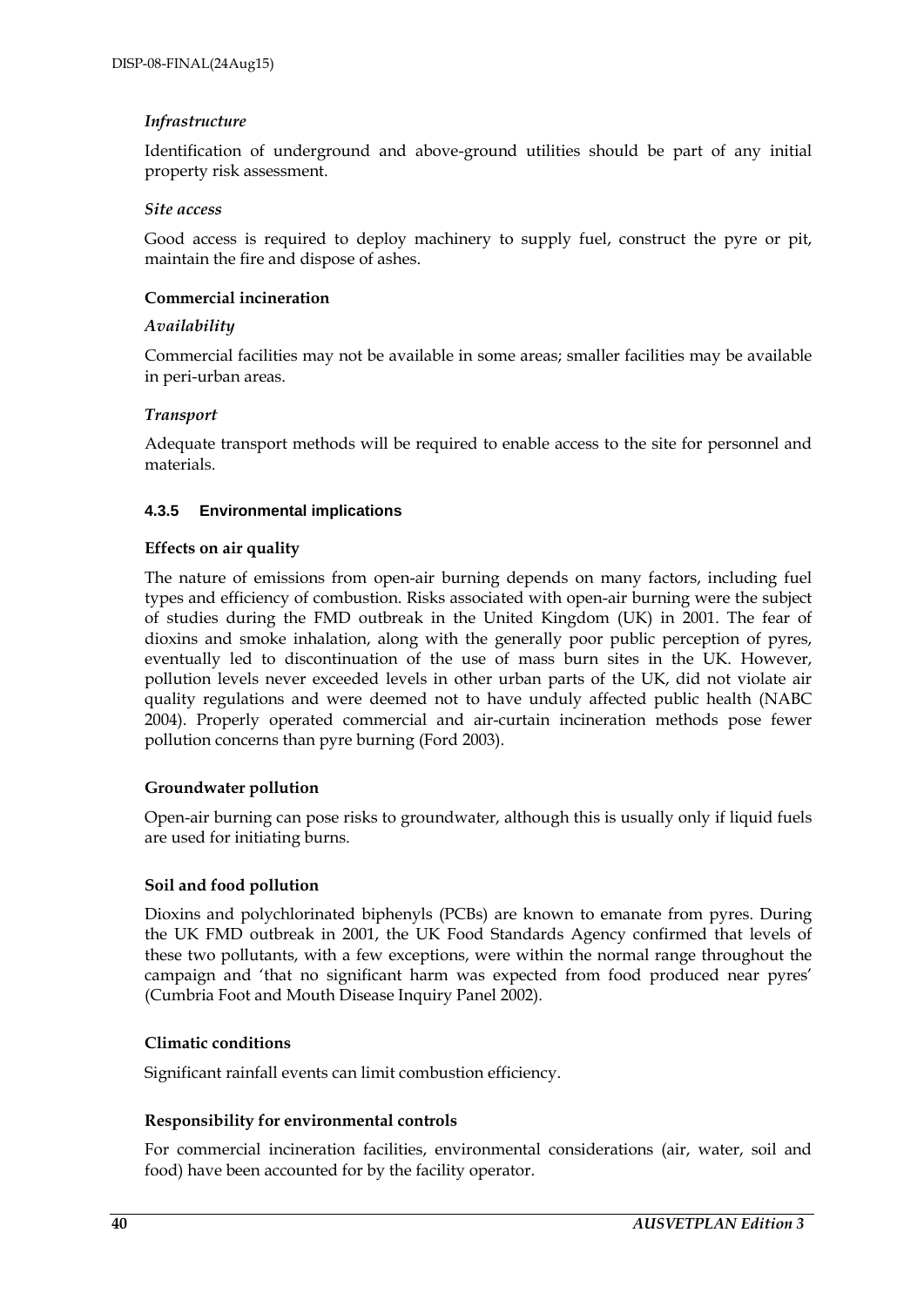#### *Infrastructure*

Identification of underground and above-ground utilities should be part of any initial property risk assessment.

#### *Site access*

Good access is required to deploy machinery to supply fuel, construct the pyre or pit, maintain the fire and dispose of ashes.

#### **Commercial incineration**

#### *Availability*

Commercial facilities may not be available in some areas; smaller facilities may be available in peri-urban areas.

#### *Transport*

Adequate transport methods will be required to enable access to the site for personnel and materials.

#### **4.3.5 Environmental implications**

#### **Effects on air quality**

The nature of emissions from open-air burning depends on many factors, including fuel types and efficiency of combustion. Risks associated with open-air burning were the subject of studies during the FMD outbreak in the United Kingdom (UK) in 2001. The fear of dioxins and smoke inhalation, along with the generally poor public perception of pyres, eventually led to discontinuation of the use of mass burn sites in the UK. However, pollution levels never exceeded levels in other urban parts of the UK, did not violate air quality regulations and were deemed not to have unduly affected public health (NABC 2004). Properly operated commercial and air-curtain incineration methods pose fewer pollution concerns than pyre burning (Ford 2003).

#### **Groundwater pollution**

Open-air burning can pose risks to groundwater, although this is usually only if liquid fuels are used for initiating burns.

#### **Soil and food pollution**

Dioxins and polychlorinated biphenyls (PCBs) are known to emanate from pyres. During the UK FMD outbreak in 2001, the UK Food Standards Agency confirmed that levels of these two pollutants, with a few exceptions, were within the normal range throughout the campaign and 'that no significant harm was expected from food produced near pyres' (Cumbria Foot and Mouth Disease Inquiry Panel 2002).

#### **Climatic conditions**

Significant rainfall events can limit combustion efficiency.

#### **Responsibility for environmental controls**

For commercial incineration facilities, environmental considerations (air, water, soil and food) have been accounted for by the facility operator.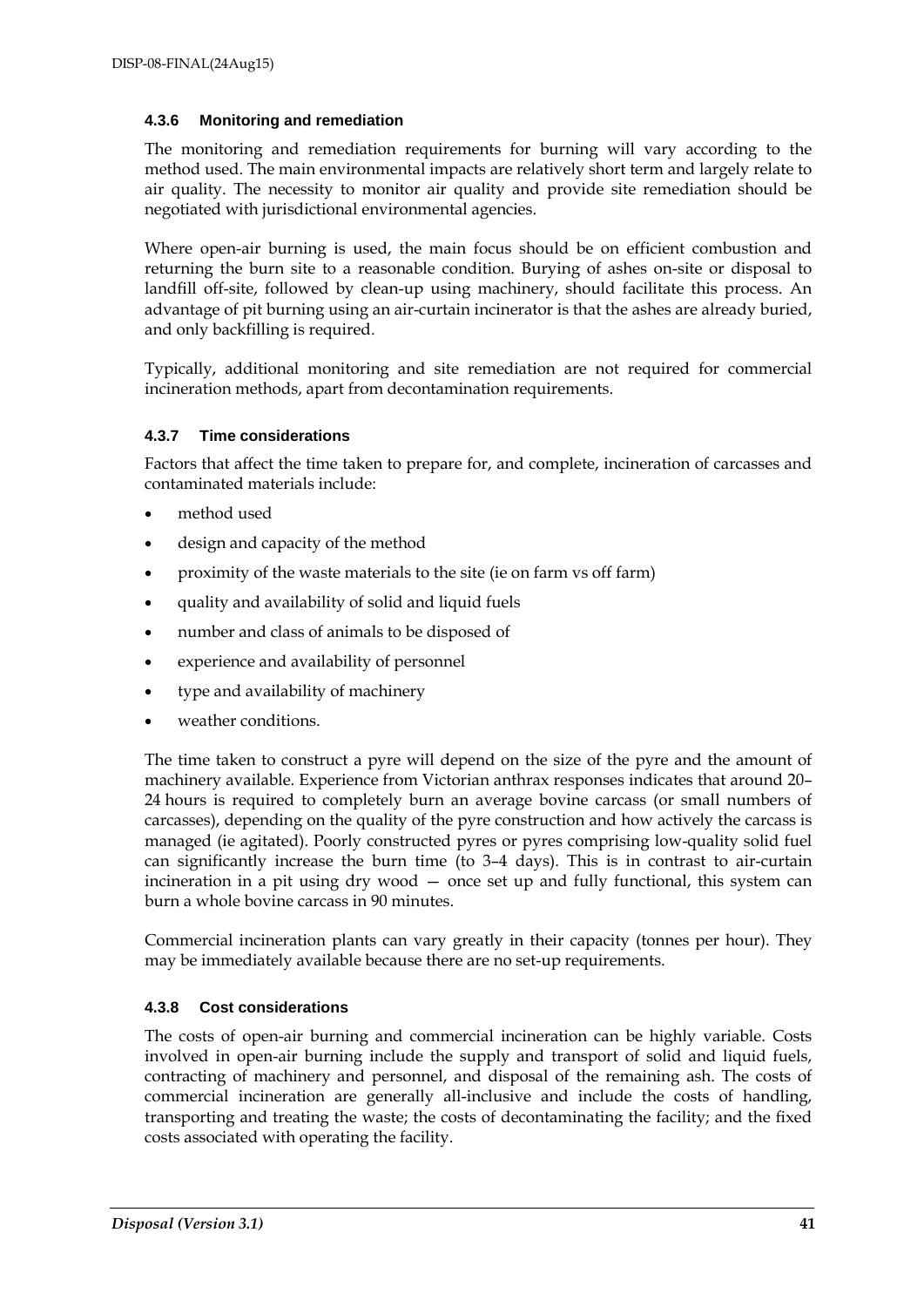#### **4.3.6 Monitoring and remediation**

The monitoring and remediation requirements for burning will vary according to the method used. The main environmental impacts are relatively short term and largely relate to air quality. The necessity to monitor air quality and provide site remediation should be negotiated with jurisdictional environmental agencies.

Where open-air burning is used, the main focus should be on efficient combustion and returning the burn site to a reasonable condition. Burying of ashes on-site or disposal to landfill off-site, followed by clean-up using machinery, should facilitate this process. An advantage of pit burning using an air-curtain incinerator is that the ashes are already buried, and only backfilling is required.

Typically, additional monitoring and site remediation are not required for commercial incineration methods, apart from decontamination requirements.

#### **4.3.7 Time considerations**

Factors that affect the time taken to prepare for, and complete, incineration of carcasses and contaminated materials include:

- method used
- design and capacity of the method
- proximity of the waste materials to the site (ie on farm vs off farm)
- quality and availability of solid and liquid fuels
- number and class of animals to be disposed of
- experience and availability of personnel
- type and availability of machinery
- weather conditions.

The time taken to construct a pyre will depend on the size of the pyre and the amount of machinery available. Experience from Victorian anthrax responses indicates that around 20– 24 hours is required to completely burn an average bovine carcass (or small numbers of carcasses), depending on the quality of the pyre construction and how actively the carcass is managed (ie agitated). Poorly constructed pyres or pyres comprising low-quality solid fuel can significantly increase the burn time (to 3–4 days). This is in contrast to air-curtain incineration in a pit using dry wood — once set up and fully functional, this system can burn a whole bovine carcass in 90 minutes.

Commercial incineration plants can vary greatly in their capacity (tonnes per hour). They may be immediately available because there are no set-up requirements.

#### **4.3.8 Cost considerations**

The costs of open-air burning and commercial incineration can be highly variable. Costs involved in open-air burning include the supply and transport of solid and liquid fuels, contracting of machinery and personnel, and disposal of the remaining ash. The costs of commercial incineration are generally all-inclusive and include the costs of handling, transporting and treating the waste; the costs of decontaminating the facility; and the fixed costs associated with operating the facility.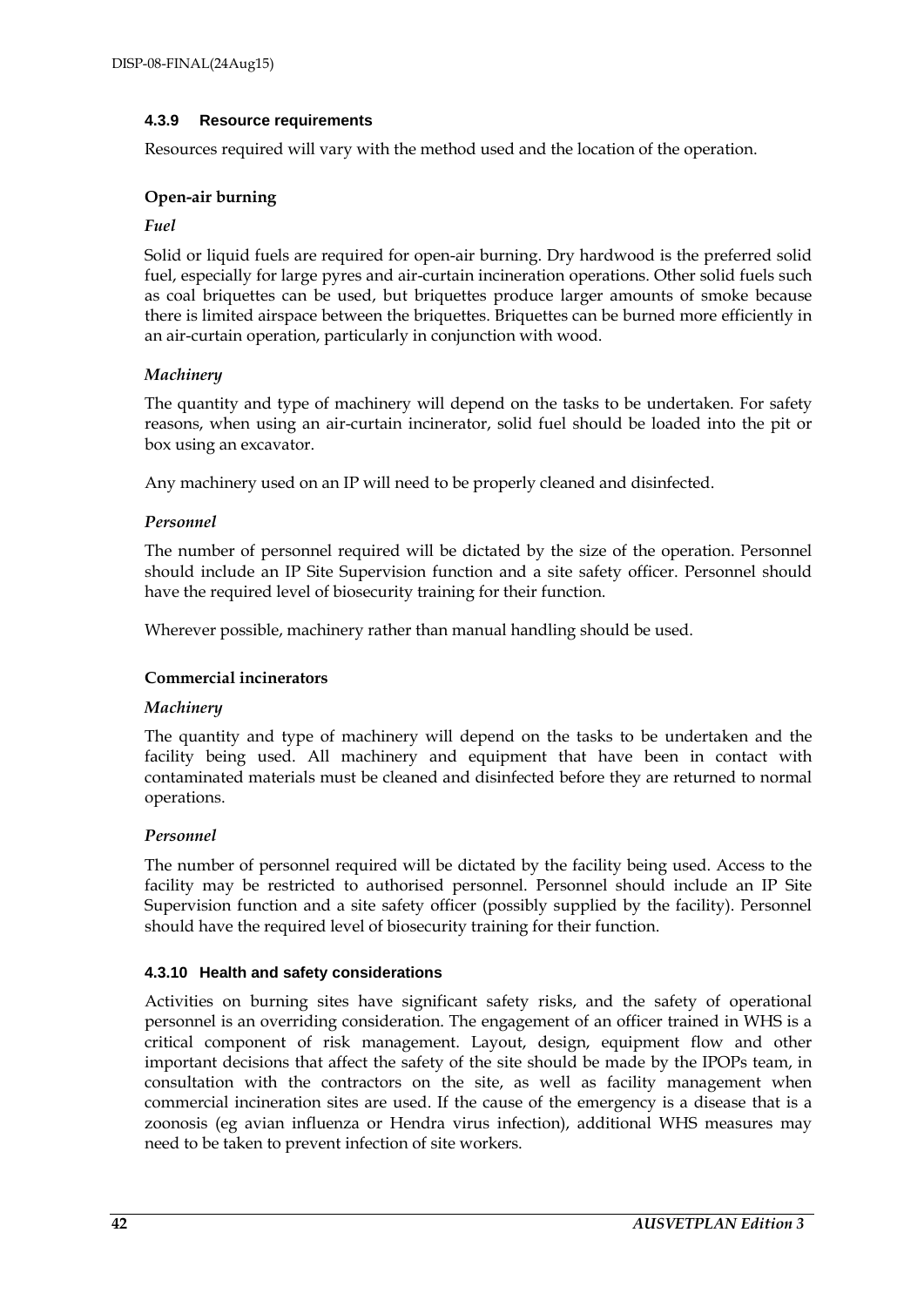#### **4.3.9 Resource requirements**

Resources required will vary with the method used and the location of the operation.

#### **Open-air burning**

#### *Fuel*

Solid or liquid fuels are required for open-air burning. Dry hardwood is the preferred solid fuel, especially for large pyres and air-curtain incineration operations. Other solid fuels such as coal briquettes can be used, but briquettes produce larger amounts of smoke because there is limited airspace between the briquettes. Briquettes can be burned more efficiently in an air-curtain operation, particularly in conjunction with wood.

#### *Machinery*

The quantity and type of machinery will depend on the tasks to be undertaken. For safety reasons, when using an air-curtain incinerator, solid fuel should be loaded into the pit or box using an excavator.

Any machinery used on an IP will need to be properly cleaned and disinfected.

#### *Personnel*

The number of personnel required will be dictated by the size of the operation. Personnel should include an IP Site Supervision function and a site safety officer. Personnel should have the required level of biosecurity training for their function.

Wherever possible, machinery rather than manual handling should be used.

#### **Commercial incinerators**

#### *Machinery*

The quantity and type of machinery will depend on the tasks to be undertaken and the facility being used. All machinery and equipment that have been in contact with contaminated materials must be cleaned and disinfected before they are returned to normal operations.

#### *Personnel*

The number of personnel required will be dictated by the facility being used. Access to the facility may be restricted to authorised personnel. Personnel should include an IP Site Supervision function and a site safety officer (possibly supplied by the facility). Personnel should have the required level of biosecurity training for their function.

#### **4.3.10 Health and safety considerations**

Activities on burning sites have significant safety risks, and the safety of operational personnel is an overriding consideration. The engagement of an officer trained in WHS is a critical component of risk management. Layout, design, equipment flow and other important decisions that affect the safety of the site should be made by the IPOPs team, in consultation with the contractors on the site, as well as facility management when commercial incineration sites are used. If the cause of the emergency is a disease that is a zoonosis (eg avian influenza or Hendra virus infection), additional WHS measures may need to be taken to prevent infection of site workers.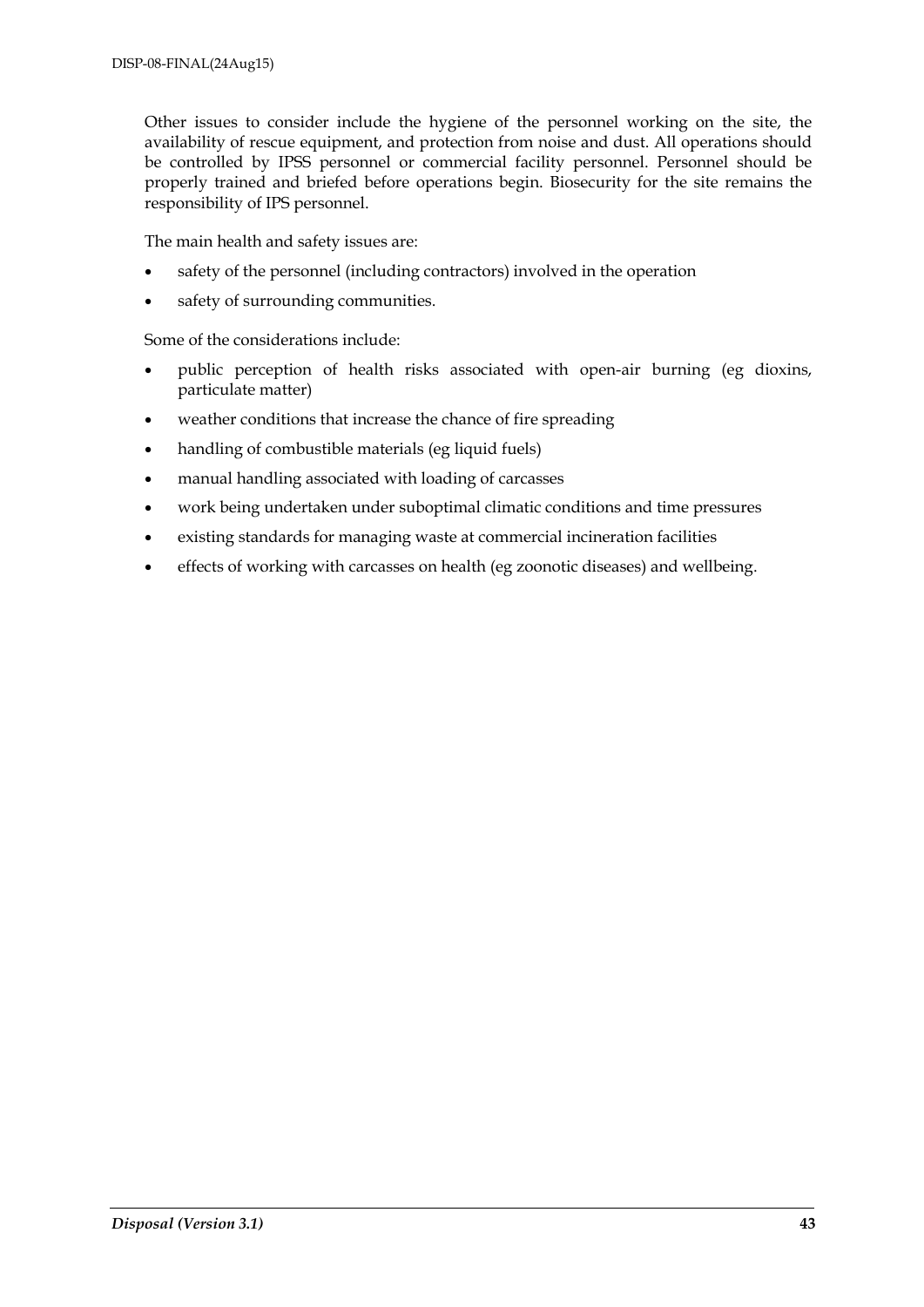Other issues to consider include the hygiene of the personnel working on the site, the availability of rescue equipment, and protection from noise and dust. All operations should be controlled by IPSS personnel or commercial facility personnel. Personnel should be properly trained and briefed before operations begin. Biosecurity for the site remains the responsibility of IPS personnel.

The main health and safety issues are:

- safety of the personnel (including contractors) involved in the operation
- safety of surrounding communities.

Some of the considerations include:

- public perception of health risks associated with open-air burning (eg dioxins, particulate matter)
- weather conditions that increase the chance of fire spreading
- handling of combustible materials (eg liquid fuels)
- manual handling associated with loading of carcasses
- work being undertaken under suboptimal climatic conditions and time pressures
- existing standards for managing waste at commercial incineration facilities
- effects of working with carcasses on health (eg zoonotic diseases) and wellbeing.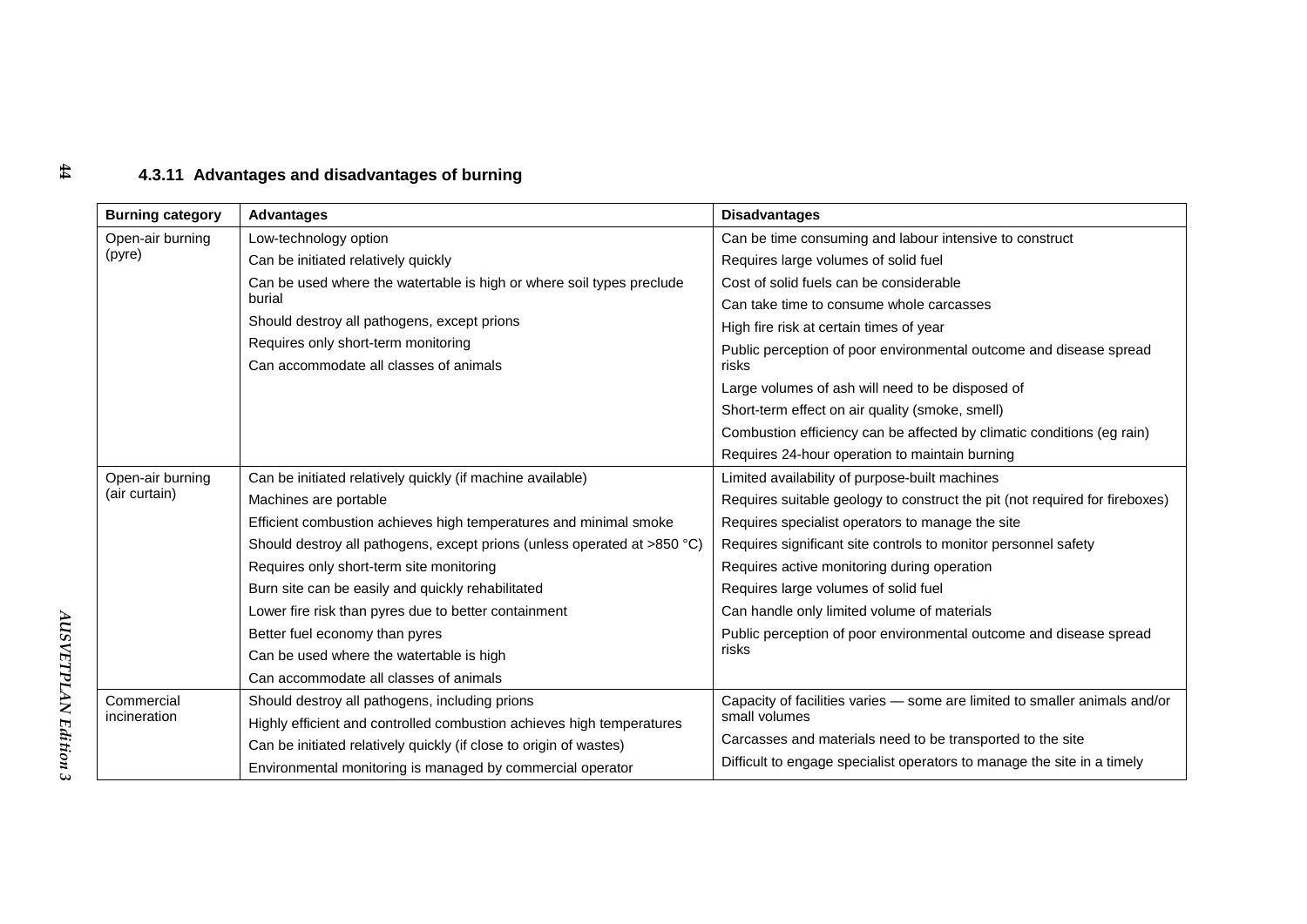### **4.3.11 Advantages and disadvantages of burning**

| <b>Burning category</b> | <b>Advantages</b>                                                        | <b>Disadvantages</b>                                                        |
|-------------------------|--------------------------------------------------------------------------|-----------------------------------------------------------------------------|
| Open-air burning        | Low-technology option                                                    | Can be time consuming and labour intensive to construct                     |
| (pyre)                  | Can be initiated relatively quickly                                      | Requires large volumes of solid fuel                                        |
|                         | Can be used where the watertable is high or where soil types preclude    | Cost of solid fuels can be considerable                                     |
|                         | burial                                                                   | Can take time to consume whole carcasses                                    |
|                         | Should destroy all pathogens, except prions                              | High fire risk at certain times of year                                     |
|                         | Requires only short-term monitoring                                      | Public perception of poor environmental outcome and disease spread          |
|                         | Can accommodate all classes of animals                                   | risks                                                                       |
|                         |                                                                          | Large volumes of ash will need to be disposed of                            |
|                         |                                                                          | Short-term effect on air quality (smoke, smell)                             |
|                         |                                                                          | Combustion efficiency can be affected by climatic conditions (eg rain)      |
|                         |                                                                          | Requires 24-hour operation to maintain burning                              |
| Open-air burning        | Can be initiated relatively quickly (if machine available)               | Limited availability of purpose-built machines                              |
| (air curtain)           | Machines are portable                                                    | Requires suitable geology to construct the pit (not required for fireboxes) |
|                         | Efficient combustion achieves high temperatures and minimal smoke        | Requires specialist operators to manage the site                            |
|                         | Should destroy all pathogens, except prions (unless operated at >850 °C) | Requires significant site controls to monitor personnel safety              |
|                         | Requires only short-term site monitoring                                 | Requires active monitoring during operation                                 |
|                         | Burn site can be easily and quickly rehabilitated                        | Requires large volumes of solid fuel                                        |
|                         | Lower fire risk than pyres due to better containment                     | Can handle only limited volume of materials                                 |
|                         | Better fuel economy than pyres                                           | Public perception of poor environmental outcome and disease spread          |
|                         | Can be used where the watertable is high                                 | risks                                                                       |
|                         | Can accommodate all classes of animals                                   |                                                                             |
| Commercial              | Should destroy all pathogens, including prions                           | Capacity of facilities varies - some are limited to smaller animals and/or  |
| incineration            | Highly efficient and controlled combustion achieves high temperatures    | small volumes                                                               |
|                         | Can be initiated relatively quickly (if close to origin of wastes)       | Carcasses and materials need to be transported to the site                  |
|                         | Environmental monitoring is managed by commercial operator               | Difficult to engage specialist operators to manage the site in a timely     |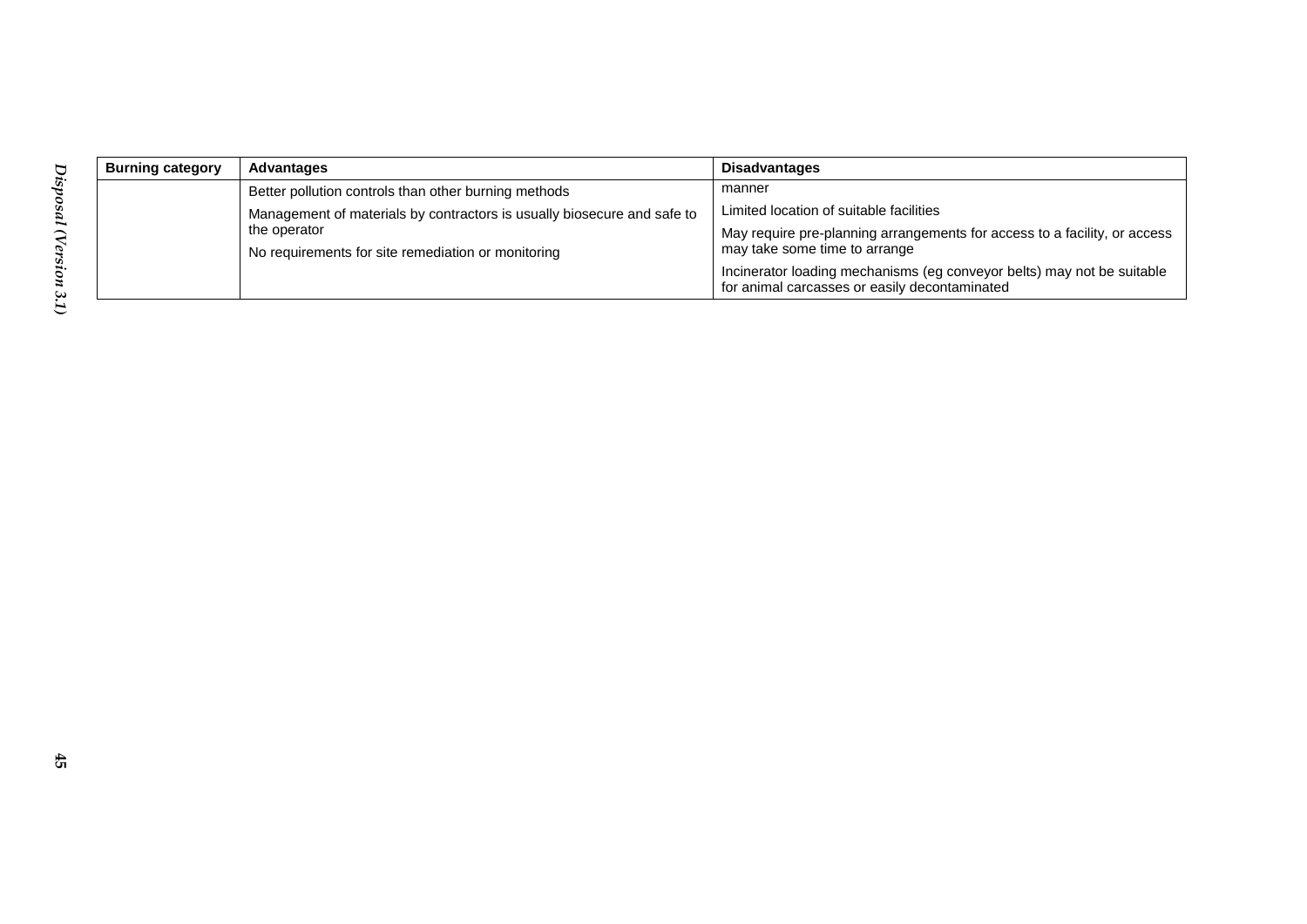| <b>Burning category</b> | <b>Advantages</b>                                                       | <b>Disadvantages</b>                                                                                                    |
|-------------------------|-------------------------------------------------------------------------|-------------------------------------------------------------------------------------------------------------------------|
|                         | Better pollution controls than other burning methods                    | manner                                                                                                                  |
|                         | Management of materials by contractors is usually biosecure and safe to | Limited location of suitable facilities                                                                                 |
|                         | the operator                                                            | May require pre-planning arrangements for access to a facility, or access                                               |
|                         | No requirements for site remediation or monitoring                      | may take some time to arrange                                                                                           |
|                         |                                                                         | Incinerator loading mechanisms (eg conveyor belts) may not be suitable<br>for animal carcasses or easily decontaminated |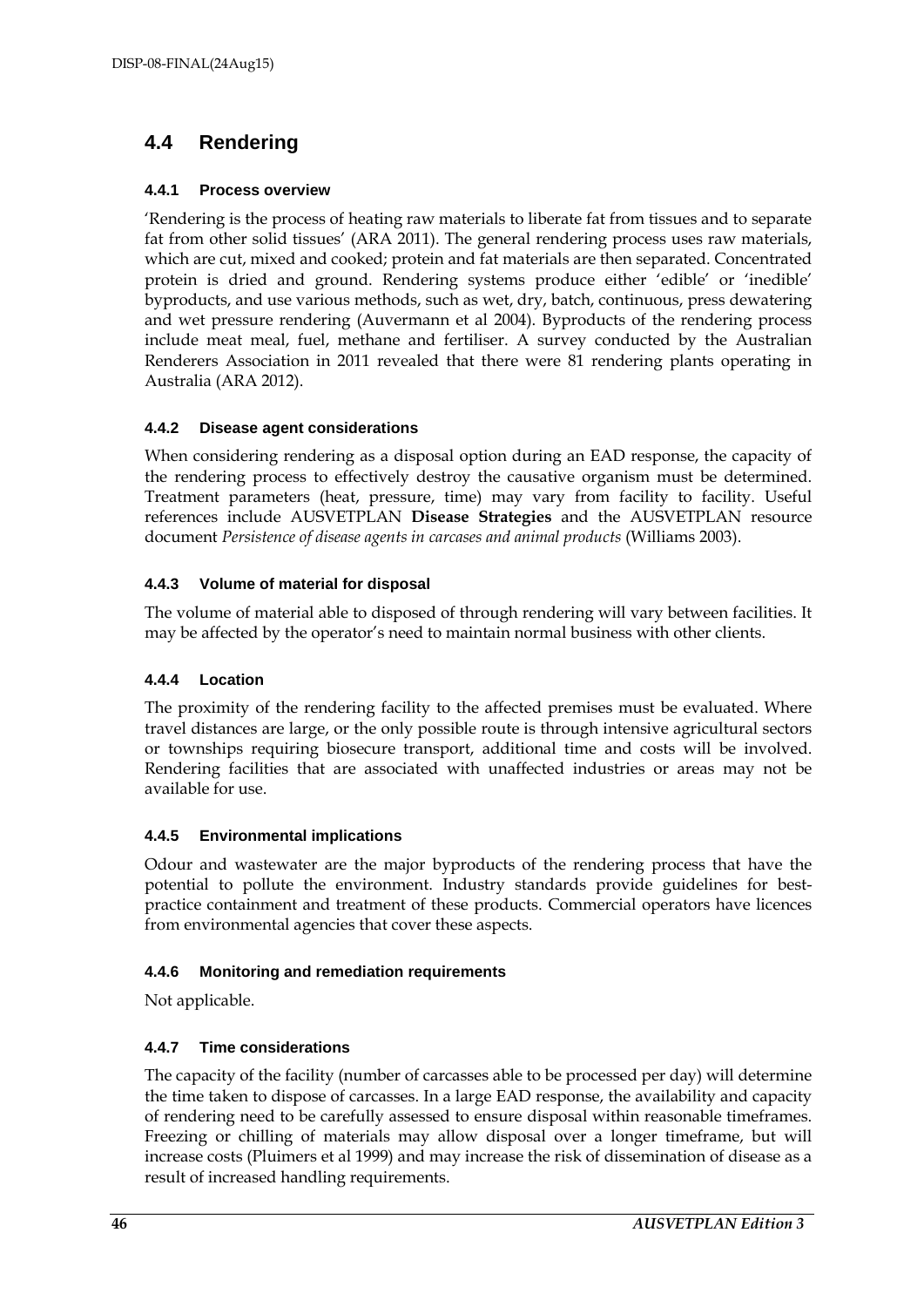### **4.4 Rendering**

#### **4.4.1 Process overview**

'Rendering is the process of heating raw materials to liberate fat from tissues and to separate fat from other solid tissues' (ARA 2011). The general rendering process uses raw materials, which are cut, mixed and cooked; protein and fat materials are then separated. Concentrated protein is dried and ground. Rendering systems produce either 'edible' or 'inedible' byproducts, and use various methods, such as wet, dry, batch, continuous, press dewatering and wet pressure rendering (Auvermann et al 2004). Byproducts of the rendering process include meat meal, fuel, methane and fertiliser. A survey conducted by the Australian Renderers Association in 2011 revealed that there were 81 rendering plants operating in Australia (ARA 2012).

#### **4.4.2 Disease agent considerations**

When considering rendering as a disposal option during an EAD response, the capacity of the rendering process to effectively destroy the causative organism must be determined. Treatment parameters (heat, pressure, time) may vary from facility to facility. Useful references include AUSVETPLAN **Disease Strategies** and the AUSVETPLAN resource document *Persistence of disease agents in carcases and animal products* (Williams 2003).

#### **4.4.3 Volume of material for disposal**

The volume of material able to disposed of through rendering will vary between facilities. It may be affected by the operator's need to maintain normal business with other clients.

#### **4.4.4 Location**

The proximity of the rendering facility to the affected premises must be evaluated. Where travel distances are large, or the only possible route is through intensive agricultural sectors or townships requiring biosecure transport, additional time and costs will be involved. Rendering facilities that are associated with unaffected industries or areas may not be available for use.

#### **4.4.5 Environmental implications**

Odour and wastewater are the major byproducts of the rendering process that have the potential to pollute the environment. Industry standards provide guidelines for bestpractice containment and treatment of these products. Commercial operators have licences from environmental agencies that cover these aspects.

#### **4.4.6 Monitoring and remediation requirements**

Not applicable.

#### **4.4.7 Time considerations**

The capacity of the facility (number of carcasses able to be processed per day) will determine the time taken to dispose of carcasses. In a large EAD response, the availability and capacity of rendering need to be carefully assessed to ensure disposal within reasonable timeframes. Freezing or chilling of materials may allow disposal over a longer timeframe, but will increase costs (Pluimers et al 1999) and may increase the risk of dissemination of disease as a result of increased handling requirements.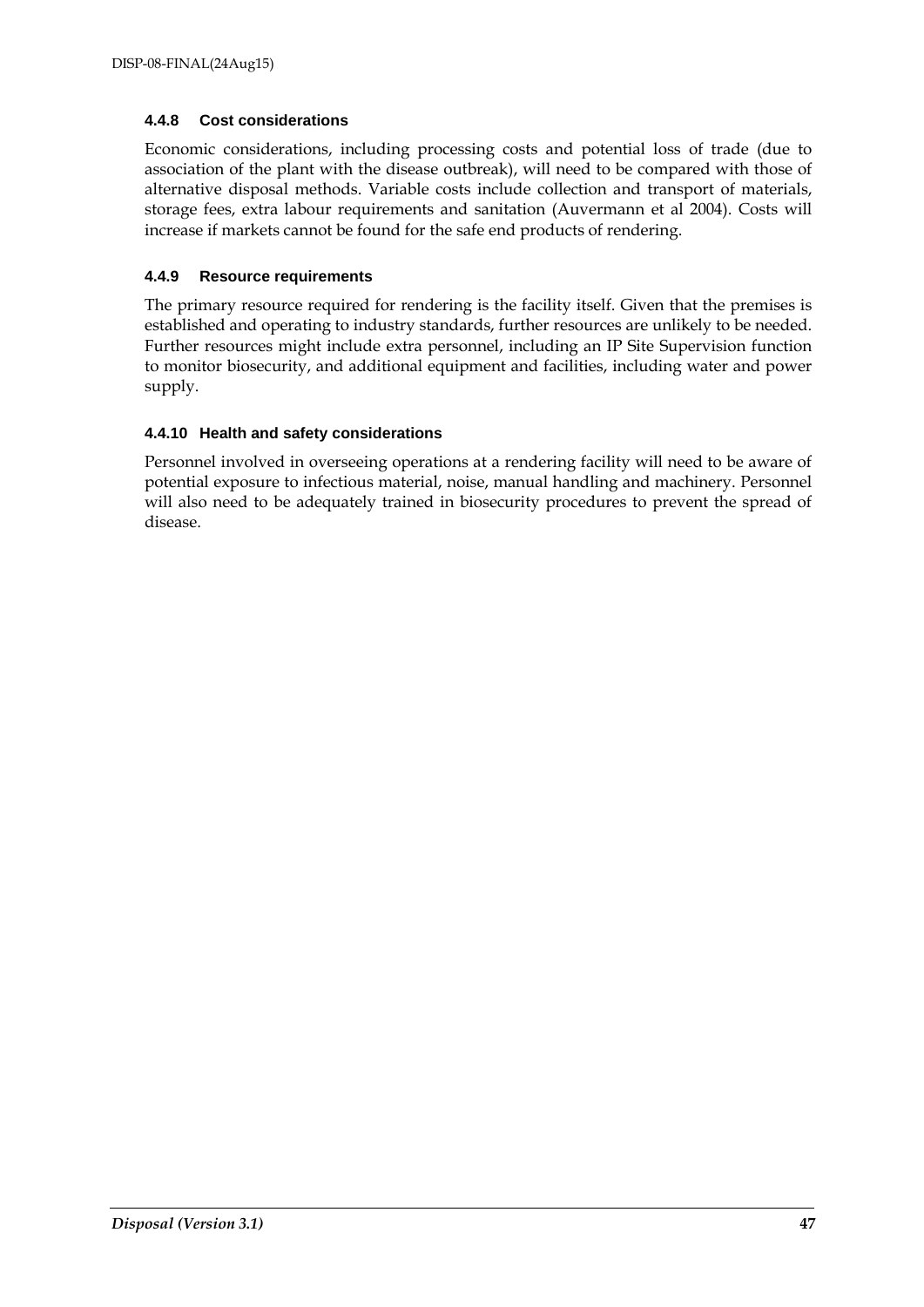#### **4.4.8 Cost considerations**

Economic considerations, including processing costs and potential loss of trade (due to association of the plant with the disease outbreak), will need to be compared with those of alternative disposal methods. Variable costs include collection and transport of materials, storage fees, extra labour requirements and sanitation (Auvermann et al 2004). Costs will increase if markets cannot be found for the safe end products of rendering.

#### **4.4.9 Resource requirements**

The primary resource required for rendering is the facility itself. Given that the premises is established and operating to industry standards, further resources are unlikely to be needed. Further resources might include extra personnel, including an IP Site Supervision function to monitor biosecurity, and additional equipment and facilities, including water and power supply.

#### **4.4.10 Health and safety considerations**

Personnel involved in overseeing operations at a rendering facility will need to be aware of potential exposure to infectious material, noise, manual handling and machinery. Personnel will also need to be adequately trained in biosecurity procedures to prevent the spread of disease.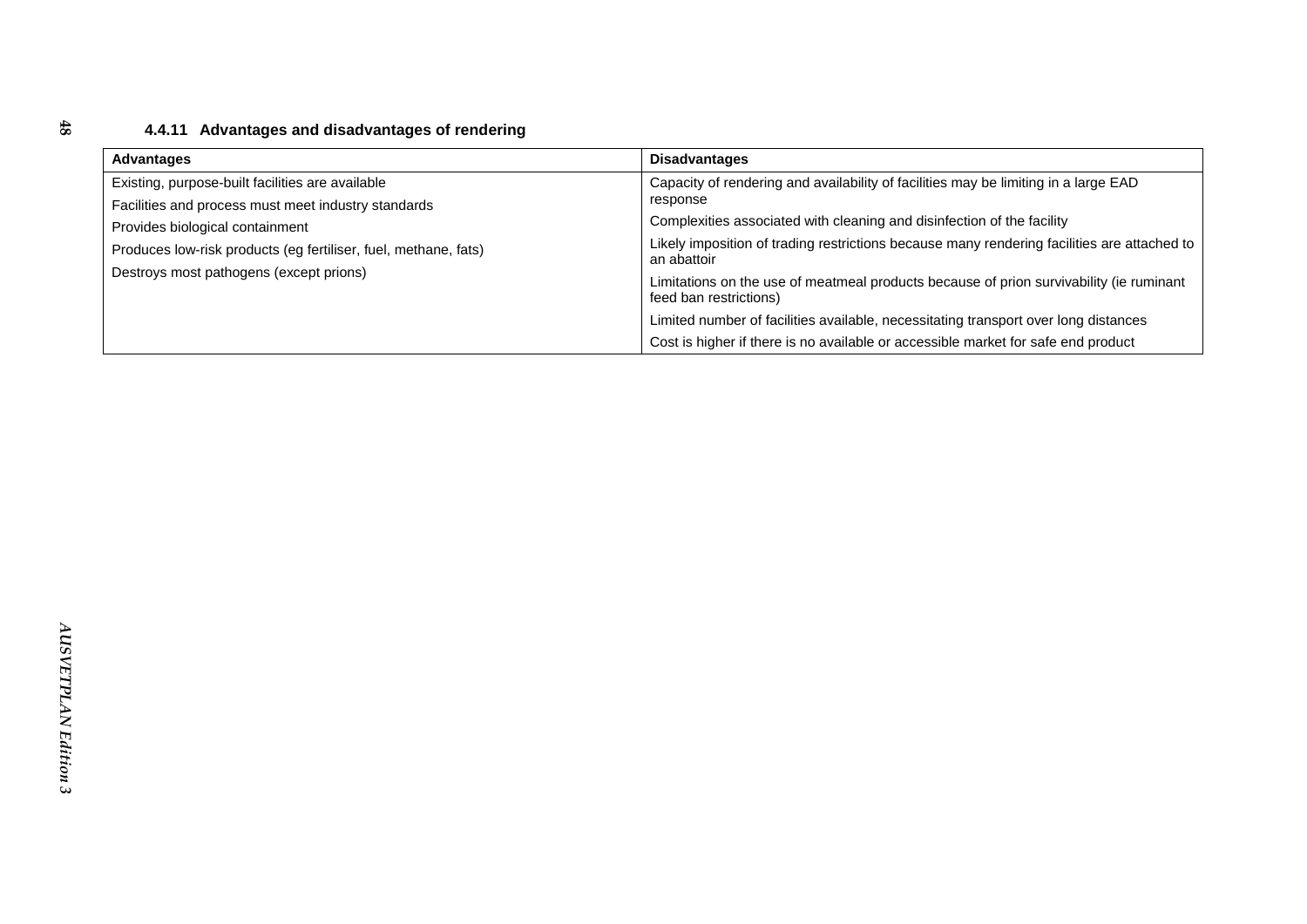### **4.4.11 Advantages and disadvantages of rendering**

| <b>Advantages</b>                                               | <b>Disadvantages</b>                                                                                              |
|-----------------------------------------------------------------|-------------------------------------------------------------------------------------------------------------------|
| Existing, purpose-built facilities are available                | Capacity of rendering and availability of facilities may be limiting in a large EAD                               |
| Facilities and process must meet industry standards             | response                                                                                                          |
| Provides biological containment                                 | Complexities associated with cleaning and disinfection of the facility                                            |
| Produces low-risk products (eg fertiliser, fuel, methane, fats) | Likely imposition of trading restrictions because many rendering facilities are attached to<br>an abattoir        |
| Destroys most pathogens (except prions)                         |                                                                                                                   |
|                                                                 | Limitations on the use of meatmeal products because of prion survivability (ie ruminant<br>feed ban restrictions) |
|                                                                 | Limited number of facilities available, necessitating transport over long distances                               |
|                                                                 | Cost is higher if there is no available or accessible market for safe end product                                 |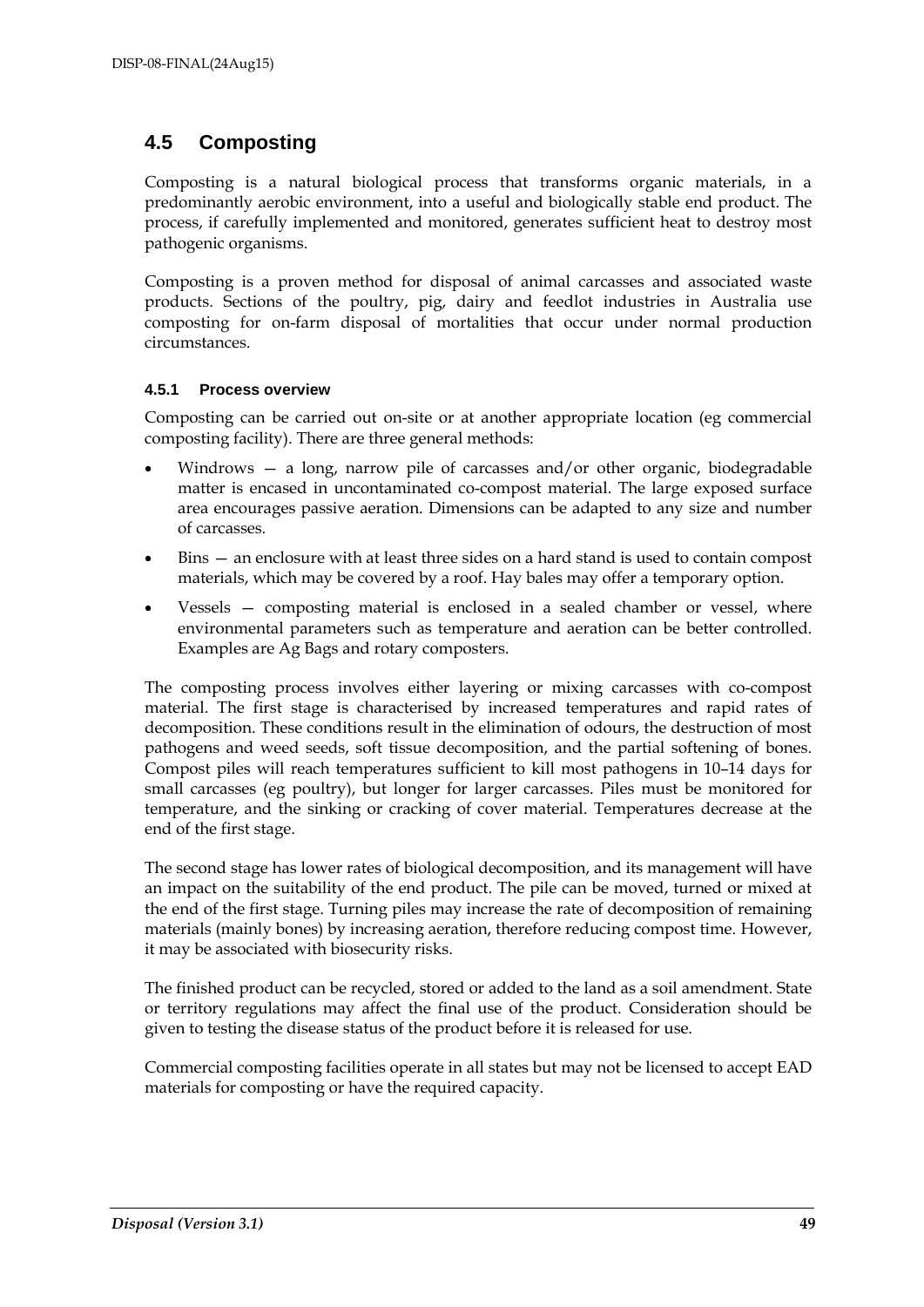### **4.5 Composting**

Composting is a natural biological process that transforms organic materials, in a predominantly aerobic environment, into a useful and biologically stable end product. The process, if carefully implemented and monitored, generates sufficient heat to destroy most pathogenic organisms.

Composting is a proven method for disposal of animal carcasses and associated waste products. Sections of the poultry, pig, dairy and feedlot industries in Australia use composting for on-farm disposal of mortalities that occur under normal production circumstances.

#### **4.5.1 Process overview**

Composting can be carried out on-site or at another appropriate location (eg commercial composting facility). There are three general methods:

- Windrows a long, narrow pile of carcasses and/or other organic, biodegradable matter is encased in uncontaminated co-compost material. The large exposed surface area encourages passive aeration. Dimensions can be adapted to any size and number of carcasses.
- Bins an enclosure with at least three sides on a hard stand is used to contain compost materials, which may be covered by a roof. Hay bales may offer a temporary option.
- Vessels composting material is enclosed in a sealed chamber or vessel, where environmental parameters such as temperature and aeration can be better controlled. Examples are Ag Bags and rotary composters.

The composting process involves either layering or mixing carcasses with co-compost material. The first stage is characterised by increased temperatures and rapid rates of decomposition. These conditions result in the elimination of odours, the destruction of most pathogens and weed seeds, soft tissue decomposition, and the partial softening of bones. Compost piles will reach temperatures sufficient to kill most pathogens in 10–14 days for small carcasses (eg poultry), but longer for larger carcasses. Piles must be monitored for temperature, and the sinking or cracking of cover material. Temperatures decrease at the end of the first stage.

The second stage has lower rates of biological decomposition, and its management will have an impact on the suitability of the end product. The pile can be moved, turned or mixed at the end of the first stage. Turning piles may increase the rate of decomposition of remaining materials (mainly bones) by increasing aeration, therefore reducing compost time. However, it may be associated with biosecurity risks.

The finished product can be recycled, stored or added to the land as a soil amendment. State or territory regulations may affect the final use of the product. Consideration should be given to testing the disease status of the product before it is released for use.

Commercial composting facilities operate in all states but may not be licensed to accept EAD materials for composting or have the required capacity.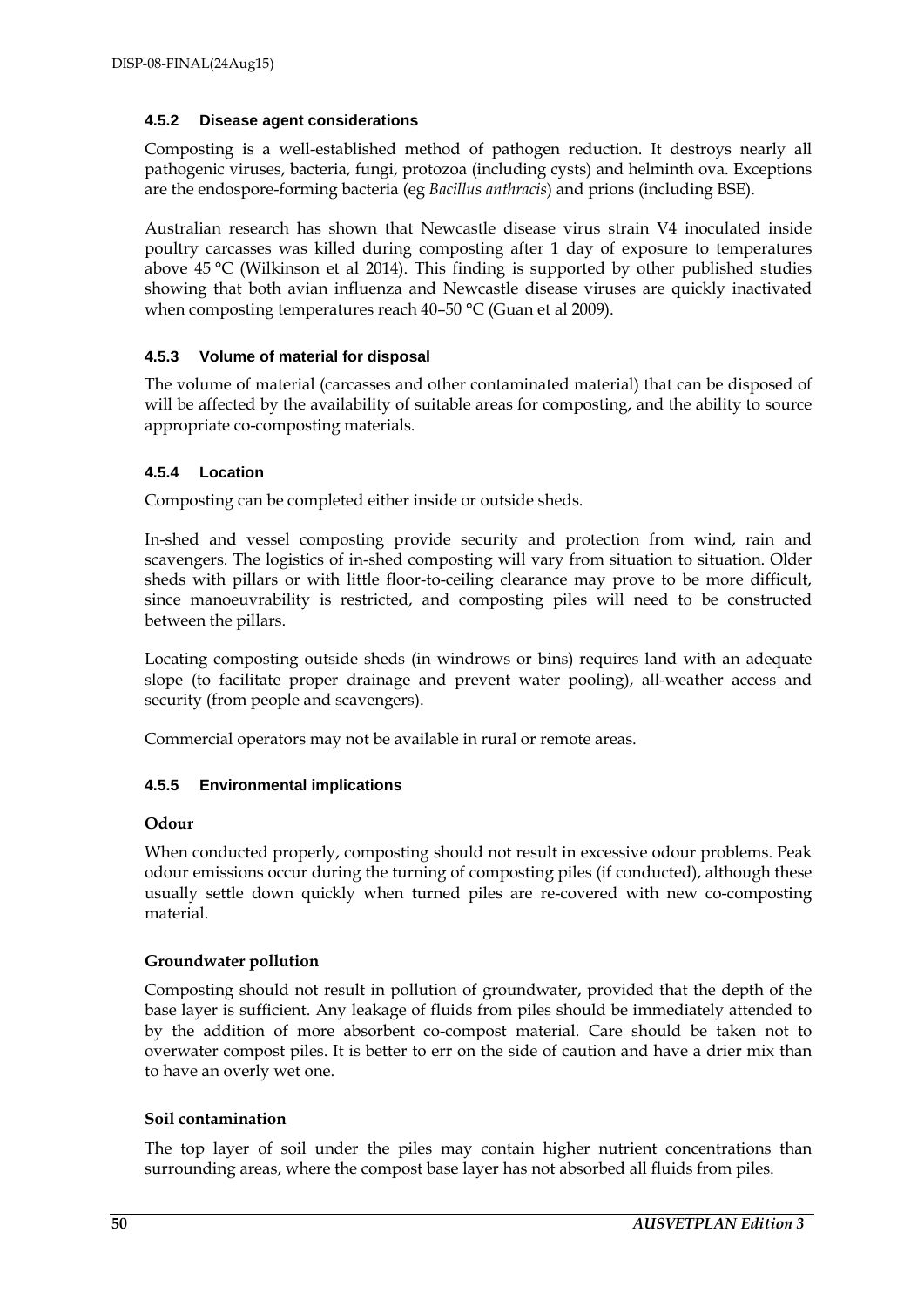#### **4.5.2 Disease agent considerations**

Composting is a well-established method of pathogen reduction. It destroys nearly all pathogenic viruses, bacteria, fungi, protozoa (including cysts) and helminth ova. Exceptions are the endospore-forming bacteria (eg *Bacillus anthracis*) and prions (including BSE).

Australian research has shown that Newcastle disease virus strain V4 inoculated inside poultry carcasses was killed during composting after 1 day of exposure to temperatures above 45 °C (Wilkinson et al 2014). This finding is supported by other published studies showing that both avian influenza and Newcastle disease viruses are quickly inactivated when composting temperatures reach 40–50 °C (Guan et al 2009).

#### **4.5.3 Volume of material for disposal**

The volume of material (carcasses and other contaminated material) that can be disposed of will be affected by the availability of suitable areas for composting, and the ability to source appropriate co-composting materials.

#### **4.5.4 Location**

Composting can be completed either inside or outside sheds.

In-shed and vessel composting provide security and protection from wind, rain and scavengers. The logistics of in-shed composting will vary from situation to situation. Older sheds with pillars or with little floor-to-ceiling clearance may prove to be more difficult, since manoeuvrability is restricted, and composting piles will need to be constructed between the pillars.

Locating composting outside sheds (in windrows or bins) requires land with an adequate slope (to facilitate proper drainage and prevent water pooling), all-weather access and security (from people and scavengers).

Commercial operators may not be available in rural or remote areas.

#### **4.5.5 Environmental implications**

#### **Odour**

When conducted properly, composting should not result in excessive odour problems. Peak odour emissions occur during the turning of composting piles (if conducted), although these usually settle down quickly when turned piles are re-covered with new co-composting material.

#### **Groundwater pollution**

Composting should not result in pollution of groundwater, provided that the depth of the base layer is sufficient. Any leakage of fluids from piles should be immediately attended to by the addition of more absorbent co-compost material. Care should be taken not to overwater compost piles. It is better to err on the side of caution and have a drier mix than to have an overly wet one.

#### **Soil contamination**

The top layer of soil under the piles may contain higher nutrient concentrations than surrounding areas, where the compost base layer has not absorbed all fluids from piles.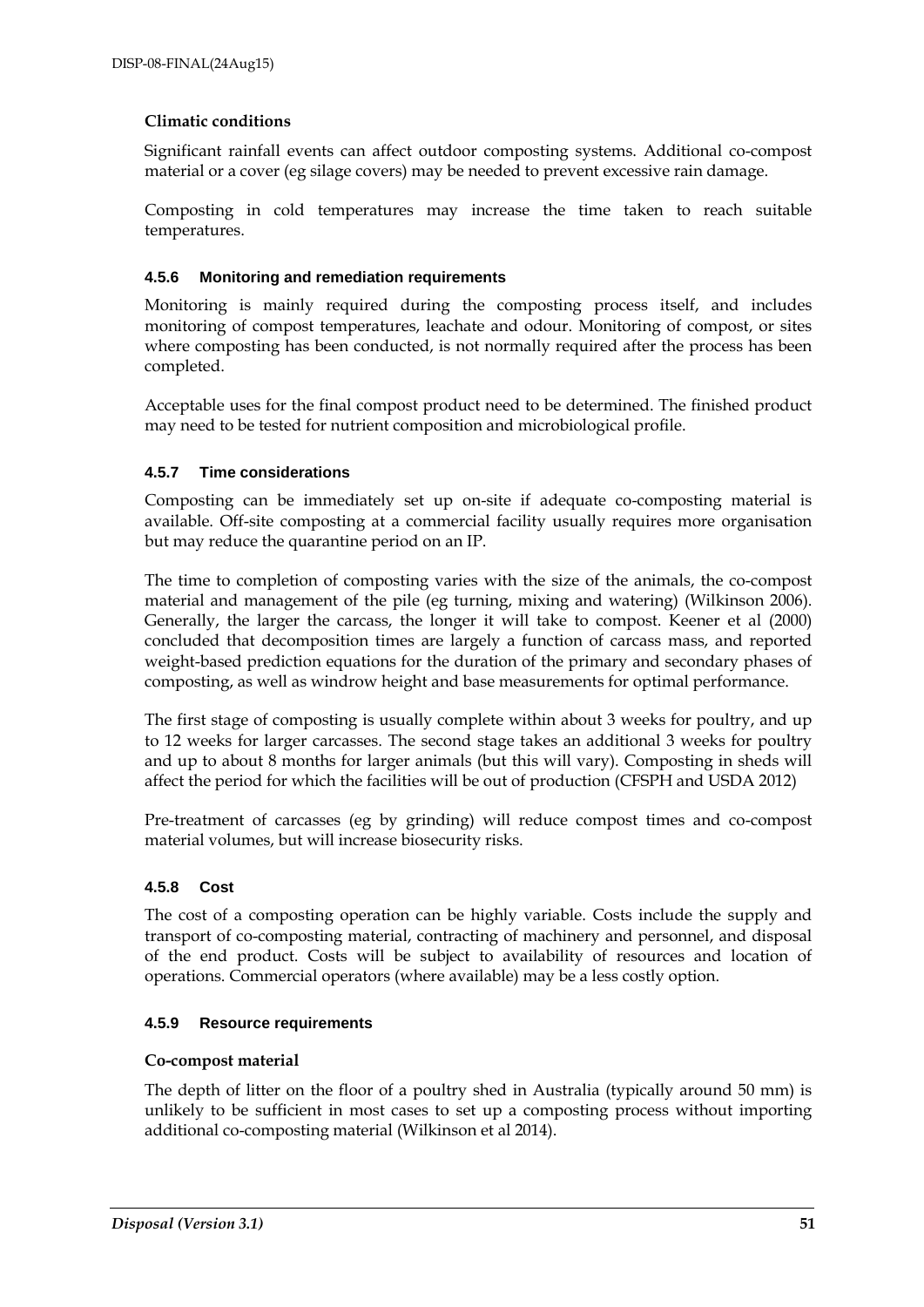#### **Climatic conditions**

Significant rainfall events can affect outdoor composting systems. Additional co-compost material or a cover (eg silage covers) may be needed to prevent excessive rain damage.

Composting in cold temperatures may increase the time taken to reach suitable temperatures.

#### **4.5.6 Monitoring and remediation requirements**

Monitoring is mainly required during the composting process itself, and includes monitoring of compost temperatures, leachate and odour. Monitoring of compost, or sites where composting has been conducted, is not normally required after the process has been completed.

Acceptable uses for the final compost product need to be determined. The finished product may need to be tested for nutrient composition and microbiological profile.

#### **4.5.7 Time considerations**

Composting can be immediately set up on-site if adequate co-composting material is available. Off-site composting at a commercial facility usually requires more organisation but may reduce the quarantine period on an IP.

The time to completion of composting varies with the size of the animals, the co-compost material and management of the pile (eg turning, mixing and watering) (Wilkinson 2006). Generally, the larger the carcass, the longer it will take to compost. Keener et al (2000) concluded that decomposition times are largely a function of carcass mass, and reported weight-based prediction equations for the duration of the primary and secondary phases of composting, as well as windrow height and base measurements for optimal performance.

The first stage of composting is usually complete within about 3 weeks for poultry, and up to 12 weeks for larger carcasses. The second stage takes an additional 3 weeks for poultry and up to about 8 months for larger animals (but this will vary). Composting in sheds will affect the period for which the facilities will be out of production (CFSPH and USDA 2012)

Pre-treatment of carcasses (eg by grinding) will reduce compost times and co-compost material volumes, but will increase biosecurity risks.

#### **4.5.8 Cost**

The cost of a composting operation can be highly variable. Costs include the supply and transport of co-composting material, contracting of machinery and personnel, and disposal of the end product. Costs will be subject to availability of resources and location of operations. Commercial operators (where available) may be a less costly option.

#### **4.5.9 Resource requirements**

#### **Co-compost material**

The depth of litter on the floor of a poultry shed in Australia (typically around 50 mm) is unlikely to be sufficient in most cases to set up a composting process without importing additional co-composting material (Wilkinson et al 2014).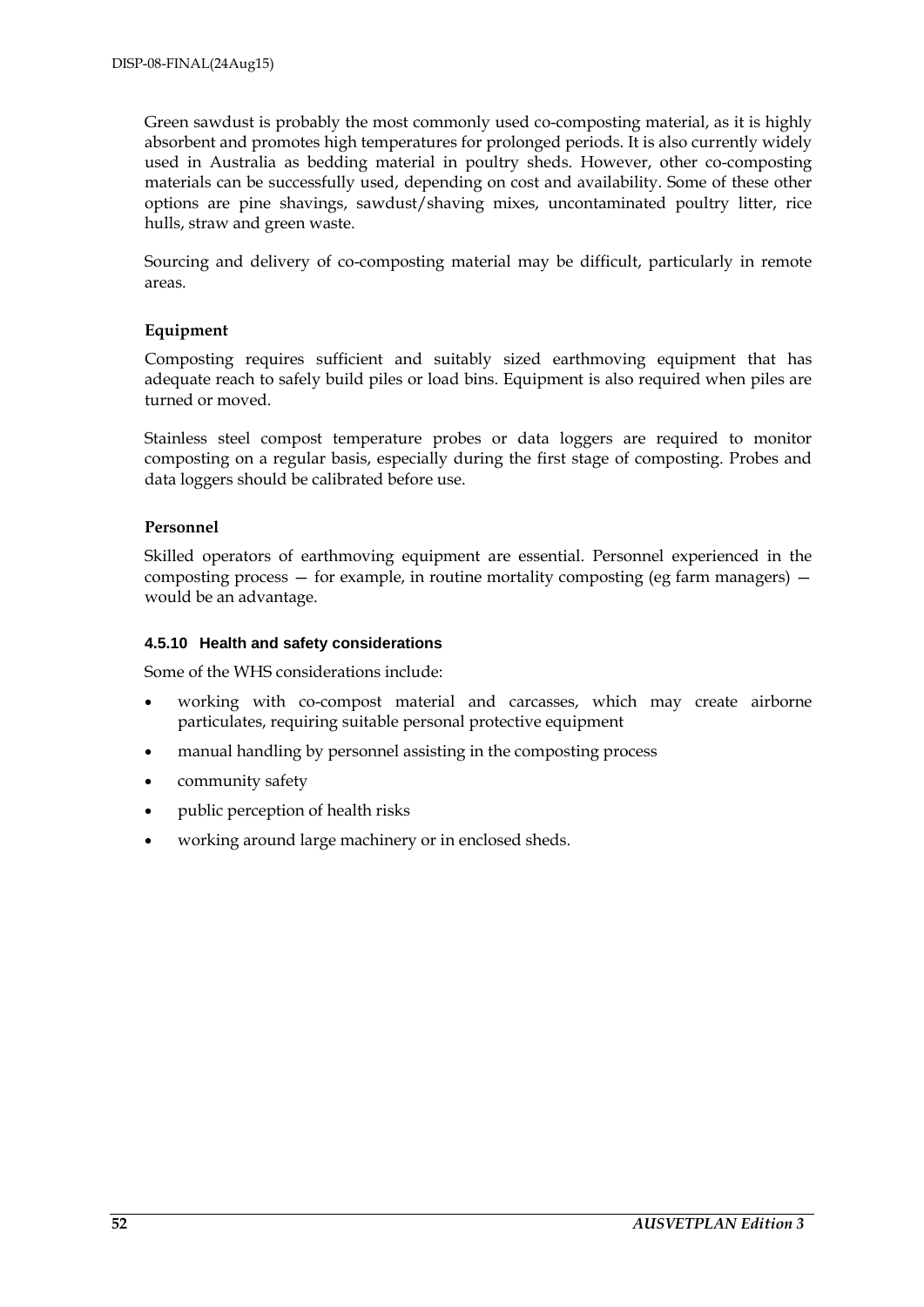Green sawdust is probably the most commonly used co-composting material, as it is highly absorbent and promotes high temperatures for prolonged periods. It is also currently widely used in Australia as bedding material in poultry sheds. However, other co-composting materials can be successfully used, depending on cost and availability. Some of these other options are pine shavings, sawdust/shaving mixes, uncontaminated poultry litter, rice hulls, straw and green waste.

Sourcing and delivery of co-composting material may be difficult, particularly in remote areas.

#### **Equipment**

Composting requires sufficient and suitably sized earthmoving equipment that has adequate reach to safely build piles or load bins. Equipment is also required when piles are turned or moved.

Stainless steel compost temperature probes or data loggers are required to monitor composting on a regular basis, especially during the first stage of composting. Probes and data loggers should be calibrated before use.

#### **Personnel**

Skilled operators of earthmoving equipment are essential. Personnel experienced in the composting process  $-$  for example, in routine mortality composting (eg farm managers)  $$ would be an advantage.

#### **4.5.10 Health and safety considerations**

Some of the WHS considerations include:

- working with co-compost material and carcasses, which may create airborne particulates, requiring suitable personal protective equipment
- manual handling by personnel assisting in the composting process
- community safety
- public perception of health risks
- working around large machinery or in enclosed sheds.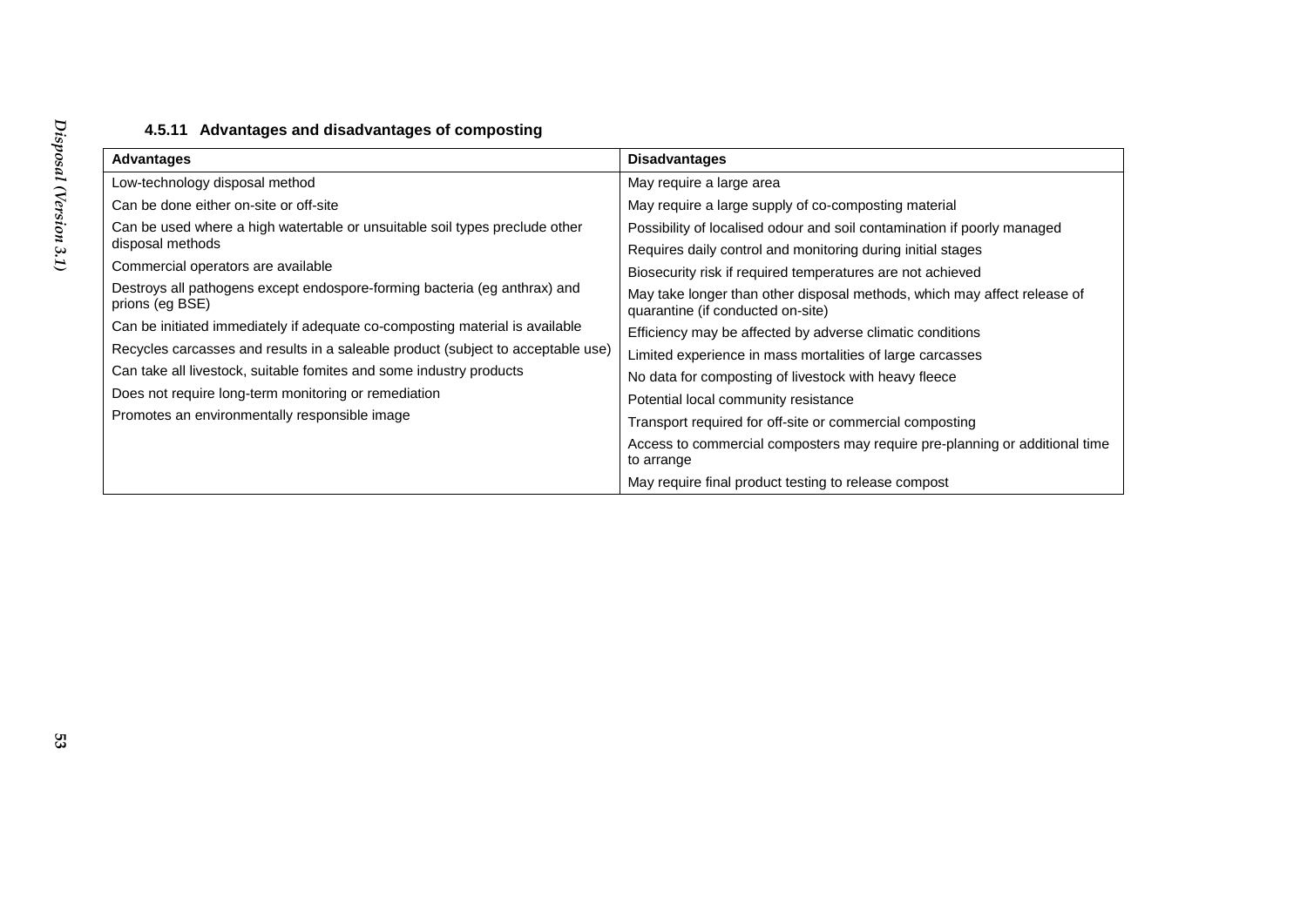| <b>Advantages</b>                                                                            | <b>Disadvantages</b>                                                                                          |
|----------------------------------------------------------------------------------------------|---------------------------------------------------------------------------------------------------------------|
| Low-technology disposal method                                                               | May require a large area                                                                                      |
| Can be done either on-site or off-site                                                       | May require a large supply of co-composting material                                                          |
| Can be used where a high watertable or unsuitable soil types preclude other                  | Possibility of localised odour and soil contamination if poorly managed                                       |
| disposal methods                                                                             | Requires daily control and monitoring during initial stages                                                   |
| Commercial operators are available                                                           | Biosecurity risk if required temperatures are not achieved                                                    |
| Destroys all pathogens except endospore-forming bacteria (eg anthrax) and<br>prions (eg BSE) | May take longer than other disposal methods, which may affect release of<br>quarantine (if conducted on-site) |
| Can be initiated immediately if adequate co-composting material is available                 | Efficiency may be affected by adverse climatic conditions                                                     |
| Recycles carcasses and results in a saleable product (subject to acceptable use)             | Limited experience in mass mortalities of large carcasses                                                     |
| Can take all livestock, suitable fomites and some industry products                          | No data for composting of livestock with heavy fleece                                                         |
| Does not require long-term monitoring or remediation                                         | Potential local community resistance                                                                          |
| Promotes an environmentally responsible image                                                | Transport required for off-site or commercial composting                                                      |
|                                                                                              | Access to commercial composters may require pre-planning or additional time<br>to arrange                     |
|                                                                                              | May require final product testing to release compost                                                          |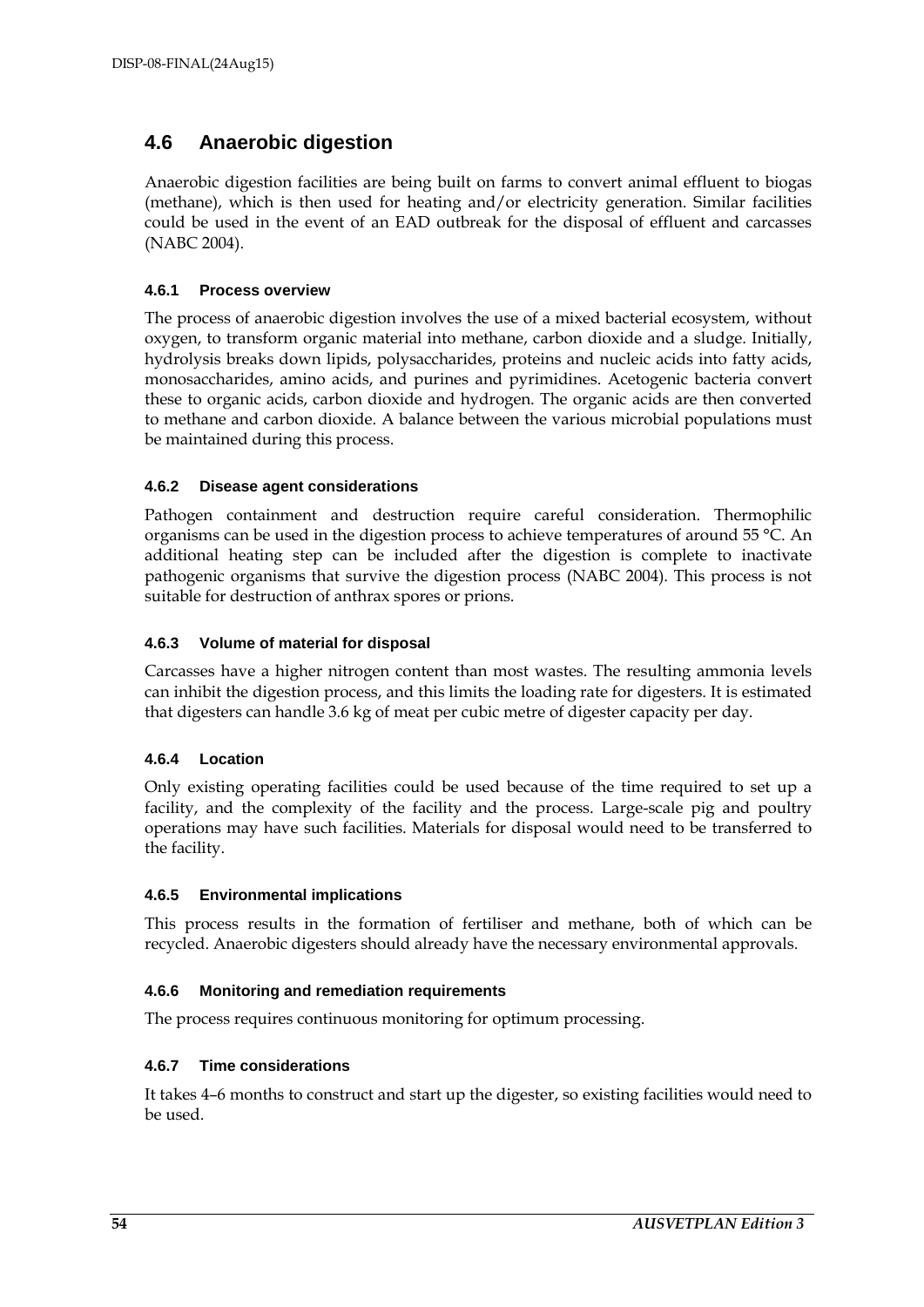### **4.6 Anaerobic digestion**

Anaerobic digestion facilities are being built on farms to convert animal effluent to biogas (methane), which is then used for heating and/or electricity generation. Similar facilities could be used in the event of an EAD outbreak for the disposal of effluent and carcasses (NABC 2004).

#### **4.6.1 Process overview**

The process of anaerobic digestion involves the use of a mixed bacterial ecosystem, without oxygen, to transform organic material into methane, carbon dioxide and a sludge. Initially, hydrolysis breaks down lipids, polysaccharides, proteins and nucleic acids into fatty acids, monosaccharides, amino acids, and purines and pyrimidines. Acetogenic bacteria convert these to organic acids, carbon dioxide and hydrogen. The organic acids are then converted to methane and carbon dioxide. A balance between the various microbial populations must be maintained during this process.

#### **4.6.2 Disease agent considerations**

Pathogen containment and destruction require careful consideration. Thermophilic organisms can be used in the digestion process to achieve temperatures of around 55 °C. An additional heating step can be included after the digestion is complete to inactivate pathogenic organisms that survive the digestion process (NABC 2004). This process is not suitable for destruction of anthrax spores or prions.

#### **4.6.3 Volume of material for disposal**

Carcasses have a higher nitrogen content than most wastes. The resulting ammonia levels can inhibit the digestion process, and this limits the loading rate for digesters. It is estimated that digesters can handle 3.6 kg of meat per cubic metre of digester capacity per day.

#### **4.6.4 Location**

Only existing operating facilities could be used because of the time required to set up a facility, and the complexity of the facility and the process. Large-scale pig and poultry operations may have such facilities. Materials for disposal would need to be transferred to the facility.

#### **4.6.5 Environmental implications**

This process results in the formation of fertiliser and methane, both of which can be recycled. Anaerobic digesters should already have the necessary environmental approvals.

#### **4.6.6 Monitoring and remediation requirements**

The process requires continuous monitoring for optimum processing.

#### **4.6.7 Time considerations**

It takes 4–6 months to construct and start up the digester, so existing facilities would need to be used.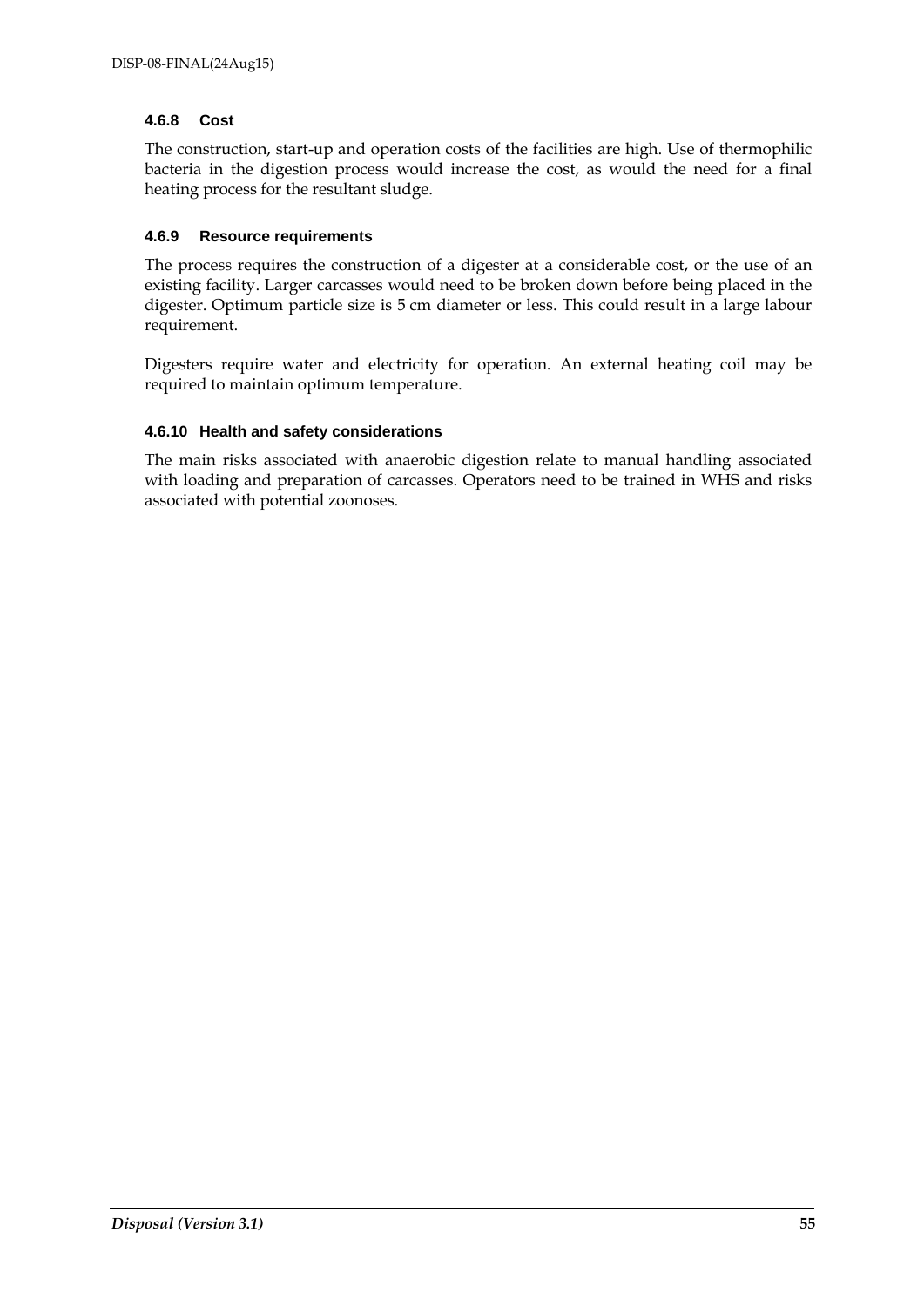#### **4.6.8 Cost**

The construction, start-up and operation costs of the facilities are high. Use of thermophilic bacteria in the digestion process would increase the cost, as would the need for a final heating process for the resultant sludge.

#### **4.6.9 Resource requirements**

The process requires the construction of a digester at a considerable cost, or the use of an existing facility. Larger carcasses would need to be broken down before being placed in the digester. Optimum particle size is 5 cm diameter or less. This could result in a large labour requirement.

Digesters require water and electricity for operation. An external heating coil may be required to maintain optimum temperature.

#### **4.6.10 Health and safety considerations**

The main risks associated with anaerobic digestion relate to manual handling associated with loading and preparation of carcasses. Operators need to be trained in WHS and risks associated with potential zoonoses.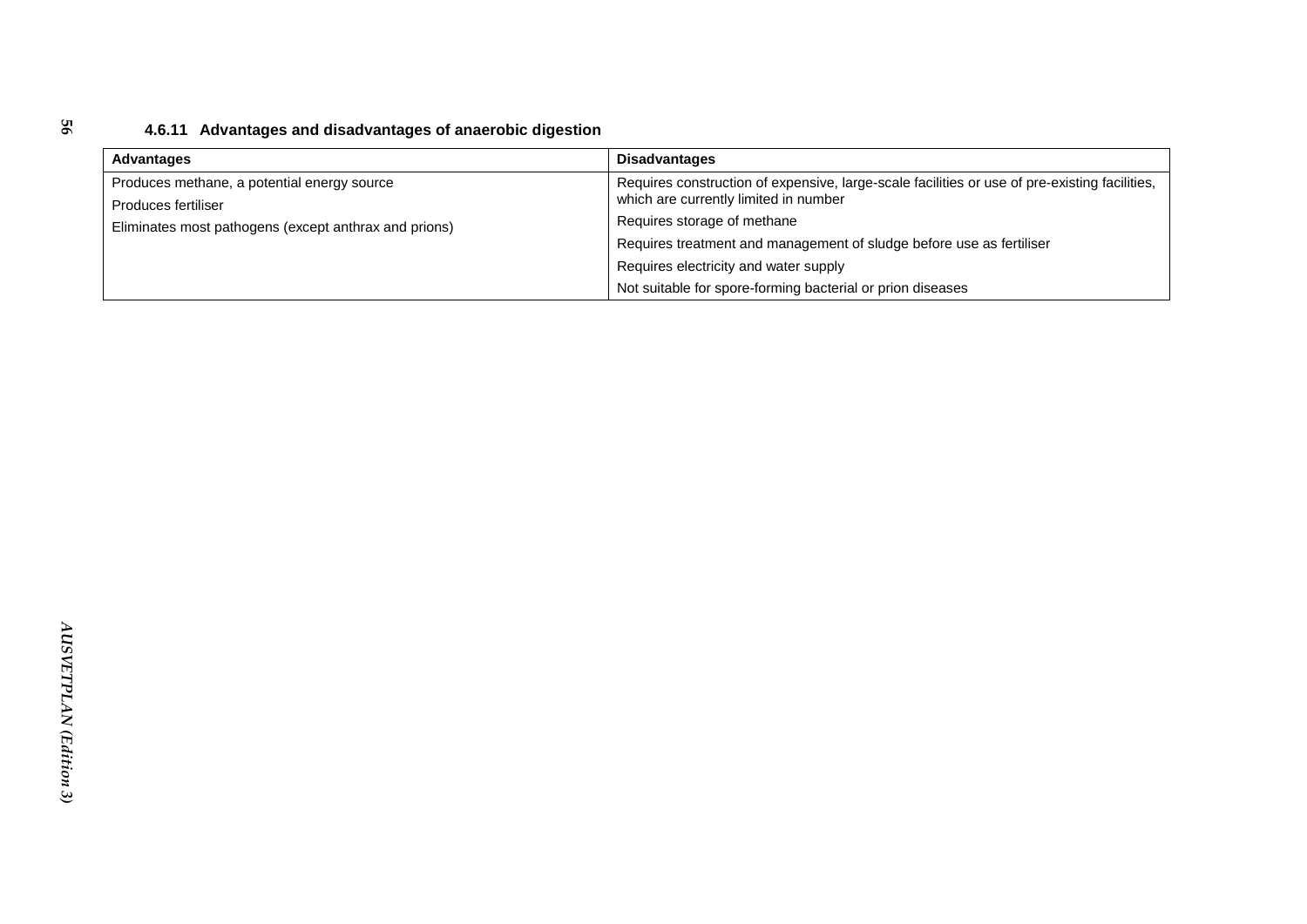### **4.6.11 Advantages and disadvantages of anaerobic digestion**

| Advantages                                            | <b>Disadvantages</b>                                                                          |
|-------------------------------------------------------|-----------------------------------------------------------------------------------------------|
| Produces methane, a potential energy source           | Requires construction of expensive, large-scale facilities or use of pre-existing facilities, |
| Produces fertiliser                                   | which are currently limited in number                                                         |
| Eliminates most pathogens (except anthrax and prions) | Requires storage of methane                                                                   |
|                                                       | Requires treatment and management of sludge before use as fertiliser                          |
|                                                       | Requires electricity and water supply                                                         |
|                                                       | Not suitable for spore-forming bacterial or prion diseases                                    |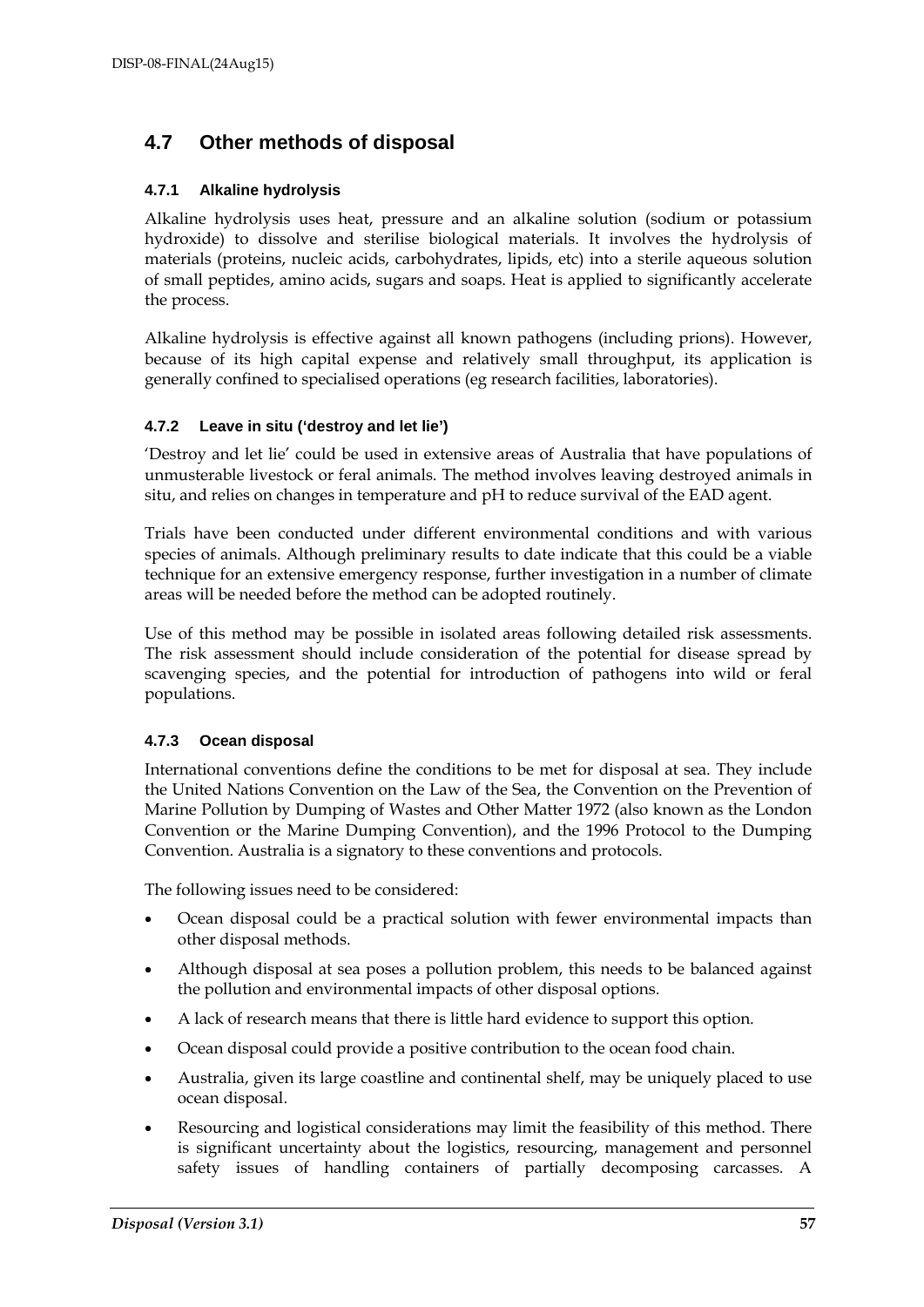### **4.7 Other methods of disposal**

#### **4.7.1 Alkaline hydrolysis**

Alkaline hydrolysis uses heat, pressure and an alkaline solution (sodium or potassium hydroxide) to dissolve and sterilise biological materials. It involves the hydrolysis of materials (proteins, nucleic acids, carbohydrates, lipids, etc) into a sterile aqueous solution of small peptides, amino acids, sugars and soaps. Heat is applied to significantly accelerate the process.

Alkaline hydrolysis is effective against all known pathogens (including prions). However, because of its high capital expense and relatively small throughput, its application is generally confined to specialised operations (eg research facilities, laboratories).

#### **4.7.2 Leave in situ ('destroy and let lie')**

'Destroy and let lie' could be used in extensive areas of Australia that have populations of unmusterable livestock or feral animals. The method involves leaving destroyed animals in situ, and relies on changes in temperature and pH to reduce survival of the EAD agent.

Trials have been conducted under different environmental conditions and with various species of animals. Although preliminary results to date indicate that this could be a viable technique for an extensive emergency response, further investigation in a number of climate areas will be needed before the method can be adopted routinely.

Use of this method may be possible in isolated areas following detailed risk assessments. The risk assessment should include consideration of the potential for disease spread by scavenging species, and the potential for introduction of pathogens into wild or feral populations.

#### **4.7.3 Ocean disposal**

International conventions define the conditions to be met for disposal at sea. They include the United Nations Convention on the Law of the Sea, the Convention on the Prevention of Marine Pollution by Dumping of Wastes and Other Matter 1972 (also known as the London Convention or the Marine Dumping Convention), and the 1996 Protocol to the Dumping Convention. Australia is a signatory to these conventions and protocols.

The following issues need to be considered:

- Ocean disposal could be a practical solution with fewer environmental impacts than other disposal methods.
- Although disposal at sea poses a pollution problem, this needs to be balanced against the pollution and environmental impacts of other disposal options.
- A lack of research means that there is little hard evidence to support this option.
- Ocean disposal could provide a positive contribution to the ocean food chain.
- Australia, given its large coastline and continental shelf, may be uniquely placed to use ocean disposal.
- Resourcing and logistical considerations may limit the feasibility of this method. There is significant uncertainty about the logistics, resourcing, management and personnel safety issues of handling containers of partially decomposing carcasses. A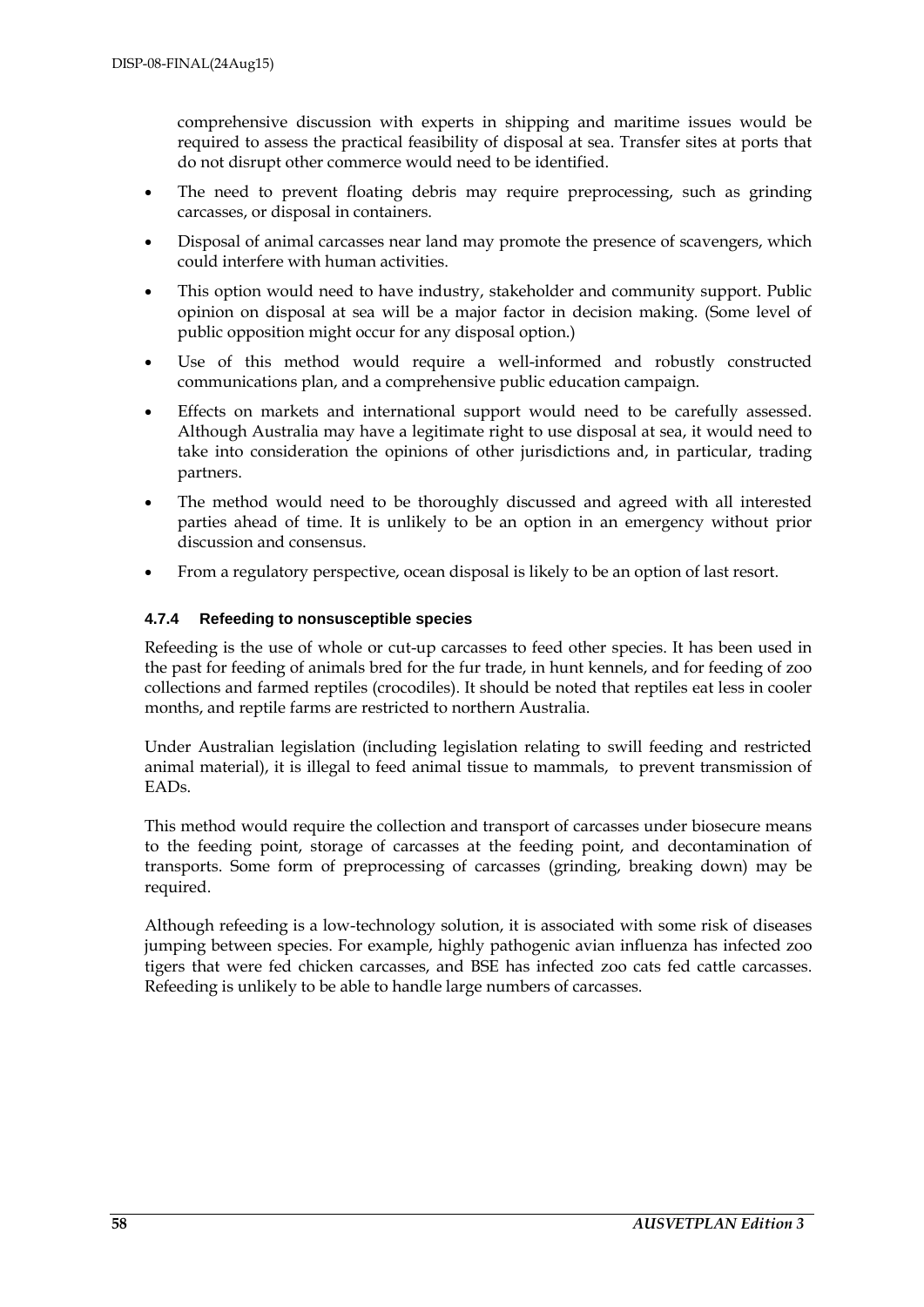comprehensive discussion with experts in shipping and maritime issues would be required to assess the practical feasibility of disposal at sea. Transfer sites at ports that do not disrupt other commerce would need to be identified.

- The need to prevent floating debris may require preprocessing, such as grinding carcasses, or disposal in containers.
- Disposal of animal carcasses near land may promote the presence of scavengers, which could interfere with human activities.
- This option would need to have industry, stakeholder and community support. Public opinion on disposal at sea will be a major factor in decision making. (Some level of public opposition might occur for any disposal option.)
- Use of this method would require a well-informed and robustly constructed communications plan, and a comprehensive public education campaign.
- Effects on markets and international support would need to be carefully assessed. Although Australia may have a legitimate right to use disposal at sea, it would need to take into consideration the opinions of other jurisdictions and, in particular, trading partners.
- The method would need to be thoroughly discussed and agreed with all interested parties ahead of time. It is unlikely to be an option in an emergency without prior discussion and consensus.
- From a regulatory perspective, ocean disposal is likely to be an option of last resort.

#### **4.7.4 Refeeding to nonsusceptible species**

Refeeding is the use of whole or cut-up carcasses to feed other species. It has been used in the past for feeding of animals bred for the fur trade, in hunt kennels, and for feeding of zoo collections and farmed reptiles (crocodiles). It should be noted that reptiles eat less in cooler months, and reptile farms are restricted to northern Australia.

Under Australian legislation (including legislation relating to swill feeding and restricted animal material), it is illegal to feed animal tissue to mammals, to prevent transmission of EADs.

This method would require the collection and transport of carcasses under biosecure means to the feeding point, storage of carcasses at the feeding point, and decontamination of transports. Some form of preprocessing of carcasses (grinding, breaking down) may be required.

Although refeeding is a low-technology solution, it is associated with some risk of diseases jumping between species. For example, highly pathogenic avian influenza has infected zoo tigers that were fed chicken carcasses, and BSE has infected zoo cats fed cattle carcasses. Refeeding is unlikely to be able to handle large numbers of carcasses.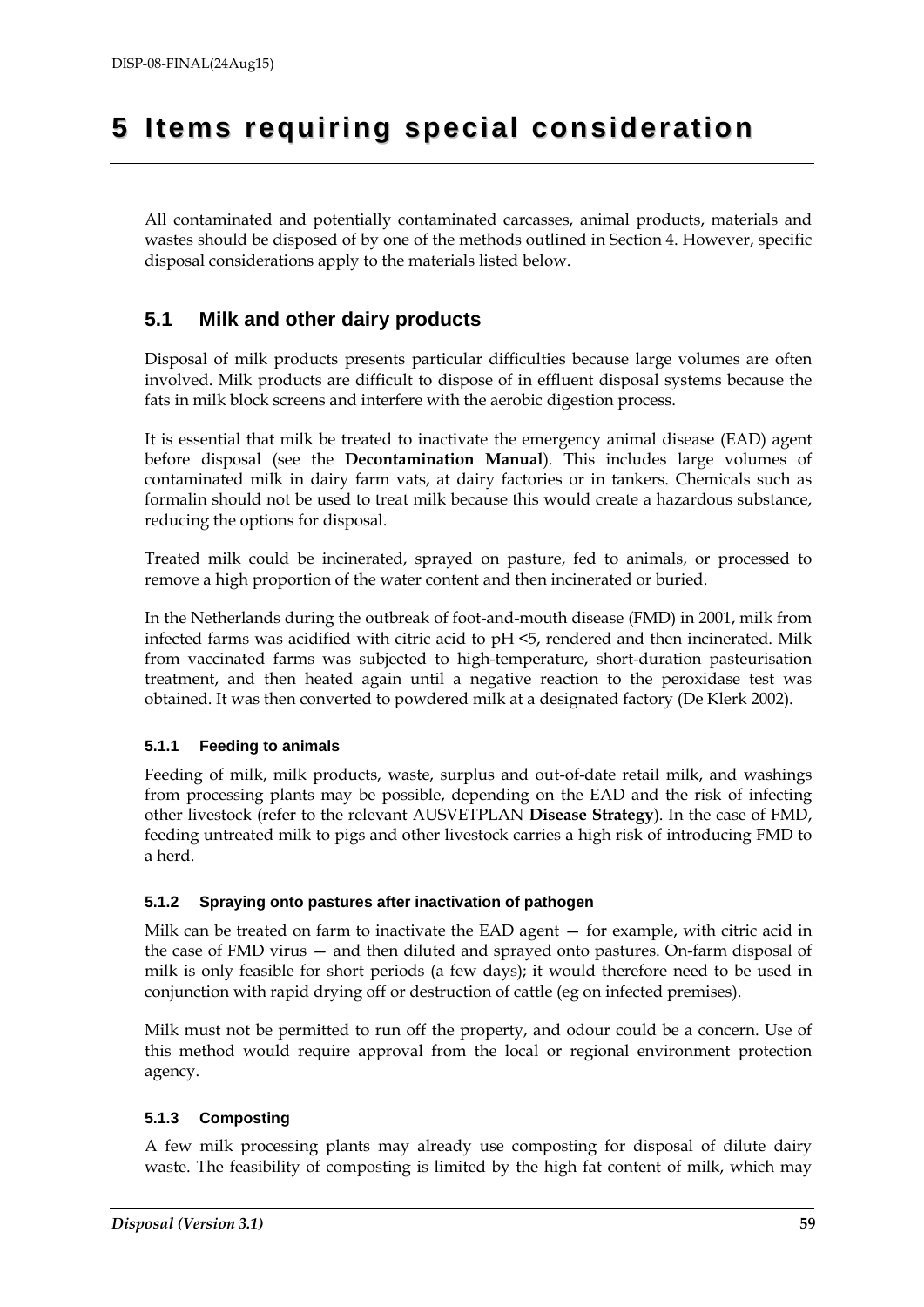# **5 Ite ms requiring special consideration**

All contaminated and potentially contaminated carcasses, animal products, materials and wastes should be disposed of by one of the methods outlined in Section 4. However, specific disposal considerations apply to the materials listed below.

### **5.1 Milk and other dairy products**

Disposal of milk products presents particular difficulties because large volumes are often involved. Milk products are difficult to dispose of in effluent disposal systems because the fats in milk block screens and interfere with the aerobic digestion process.

It is essential that milk be treated to inactivate the emergency animal disease (EAD) agent before disposal (see the **Decontamination Manual**). This includes large volumes of contaminated milk in dairy farm vats, at dairy factories or in tankers. Chemicals such as formalin should not be used to treat milk because this would create a hazardous substance, reducing the options for disposal.

Treated milk could be incinerated, sprayed on pasture, fed to animals, or processed to remove a high proportion of the water content and then incinerated or buried.

In the Netherlands during the outbreak of foot-and-mouth disease (FMD) in 2001, milk from infected farms was acidified with citric acid to pH <5, rendered and then incinerated. Milk from vaccinated farms was subjected to high-temperature, short-duration pasteurisation treatment, and then heated again until a negative reaction to the peroxidase test was obtained. It was then converted to powdered milk at a designated factory (De Klerk 2002).

#### **5.1.1 Feeding to animals**

Feeding of milk, milk products, waste, surplus and out-of-date retail milk, and washings from processing plants may be possible, depending on the EAD and the risk of infecting other livestock (refer to the relevant AUSVETPLAN **Disease Strategy**). In the case of FMD, feeding untreated milk to pigs and other livestock carries a high risk of introducing FMD to a herd.

#### **5.1.2 Spraying onto pastures after inactivation of pathogen**

Milk can be treated on farm to inactivate the EAD agent — for example, with citric acid in the case of FMD virus — and then diluted and sprayed onto pastures. On-farm disposal of milk is only feasible for short periods (a few days); it would therefore need to be used in conjunction with rapid drying off or destruction of cattle (eg on infected premises).

Milk must not be permitted to run off the property, and odour could be a concern. Use of this method would require approval from the local or regional environment protection agency.

#### **5.1.3 Composting**

A few milk processing plants may already use composting for disposal of dilute dairy waste. The feasibility of composting is limited by the high fat content of milk, which may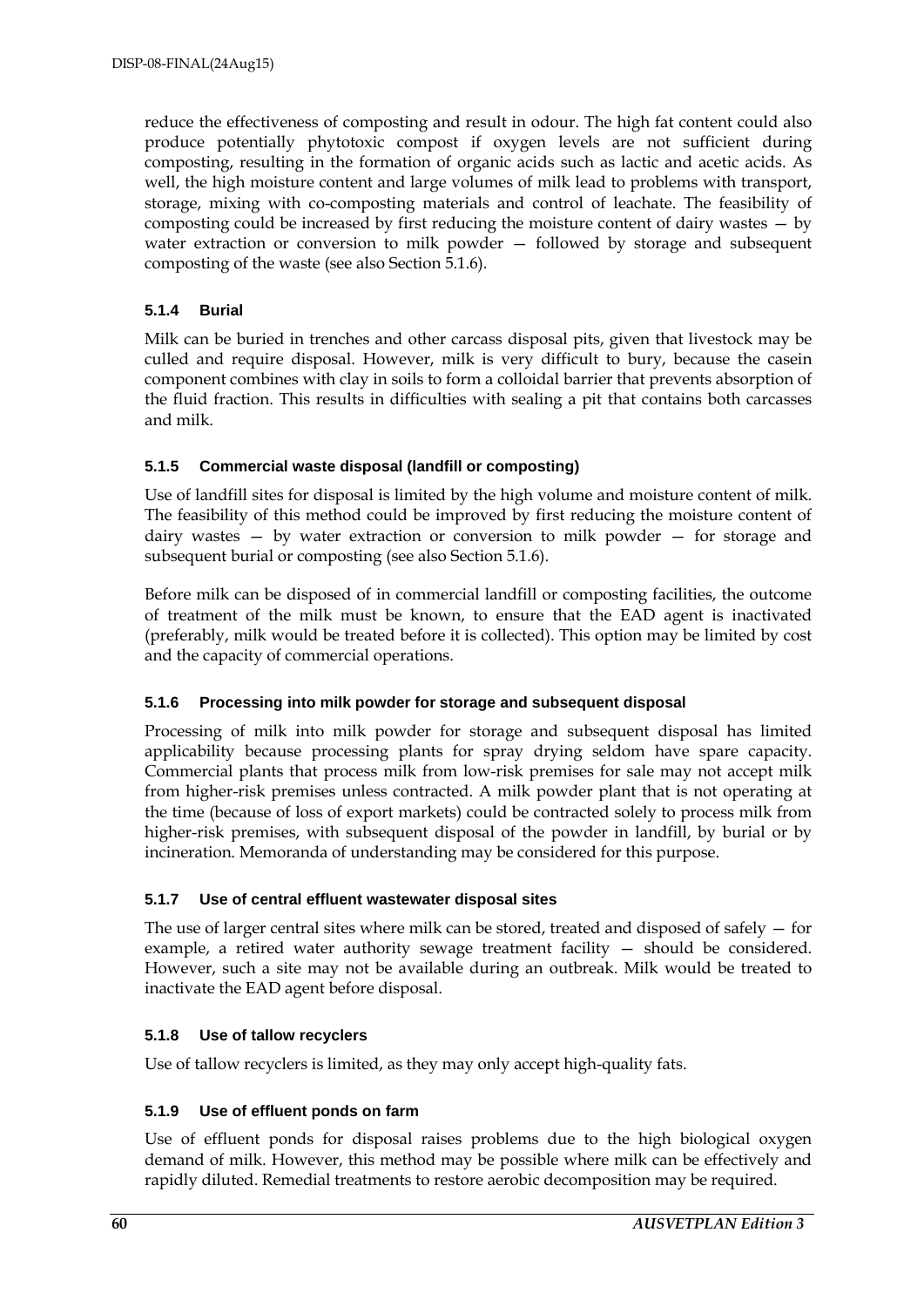reduce the effectiveness of composting and result in odour. The high fat content could also produce potentially phytotoxic compost if oxygen levels are not sufficient during composting, resulting in the formation of organic acids such as lactic and acetic acids. As well, the high moisture content and large volumes of milk lead to problems with transport, storage, mixing with co-composting materials and control of leachate. The feasibility of composting could be increased by first reducing the moisture content of dairy wastes — by water extraction or conversion to milk powder — followed by storage and subsequent composting of the waste (see also Section 5.1.6).

#### **5.1.4 Burial**

Milk can be buried in trenches and other carcass disposal pits, given that livestock may be culled and require disposal. However, milk is very difficult to bury, because the casein component combines with clay in soils to form a colloidal barrier that prevents absorption of the fluid fraction. This results in difficulties with sealing a pit that contains both carcasses and milk.

#### **5.1.5 Commercial waste disposal (landfill or composting)**

Use of landfill sites for disposal is limited by the high volume and moisture content of milk. The feasibility of this method could be improved by first reducing the moisture content of dairy wastes — by water extraction or conversion to milk powder — for storage and subsequent burial or composting (see also Section 5.1.6).

Before milk can be disposed of in commercial landfill or composting facilities, the outcome of treatment of the milk must be known, to ensure that the EAD agent is inactivated (preferably, milk would be treated before it is collected). This option may be limited by cost and the capacity of commercial operations.

#### **5.1.6 Processing into milk powder for storage and subsequent disposal**

Processing of milk into milk powder for storage and subsequent disposal has limited applicability because processing plants for spray drying seldom have spare capacity. Commercial plants that process milk from low-risk premises for sale may not accept milk from higher-risk premises unless contracted. A milk powder plant that is not operating at the time (because of loss of export markets) could be contracted solely to process milk from higher-risk premises, with subsequent disposal of the powder in landfill, by burial or by incineration. Memoranda of understanding may be considered for this purpose.

#### **5.1.7 Use of central effluent wastewater disposal sites**

The use of larger central sites where milk can be stored, treated and disposed of safely — for example, a retired water authority sewage treatment facility — should be considered. However, such a site may not be available during an outbreak. Milk would be treated to inactivate the EAD agent before disposal.

#### **5.1.8 Use of tallow recyclers**

Use of tallow recyclers is limited, as they may only accept high-quality fats.

#### **5.1.9 Use of effluent ponds on farm**

Use of effluent ponds for disposal raises problems due to the high biological oxygen demand of milk. However, this method may be possible where milk can be effectively and rapidly diluted. Remedial treatments to restore aerobic decomposition may be required.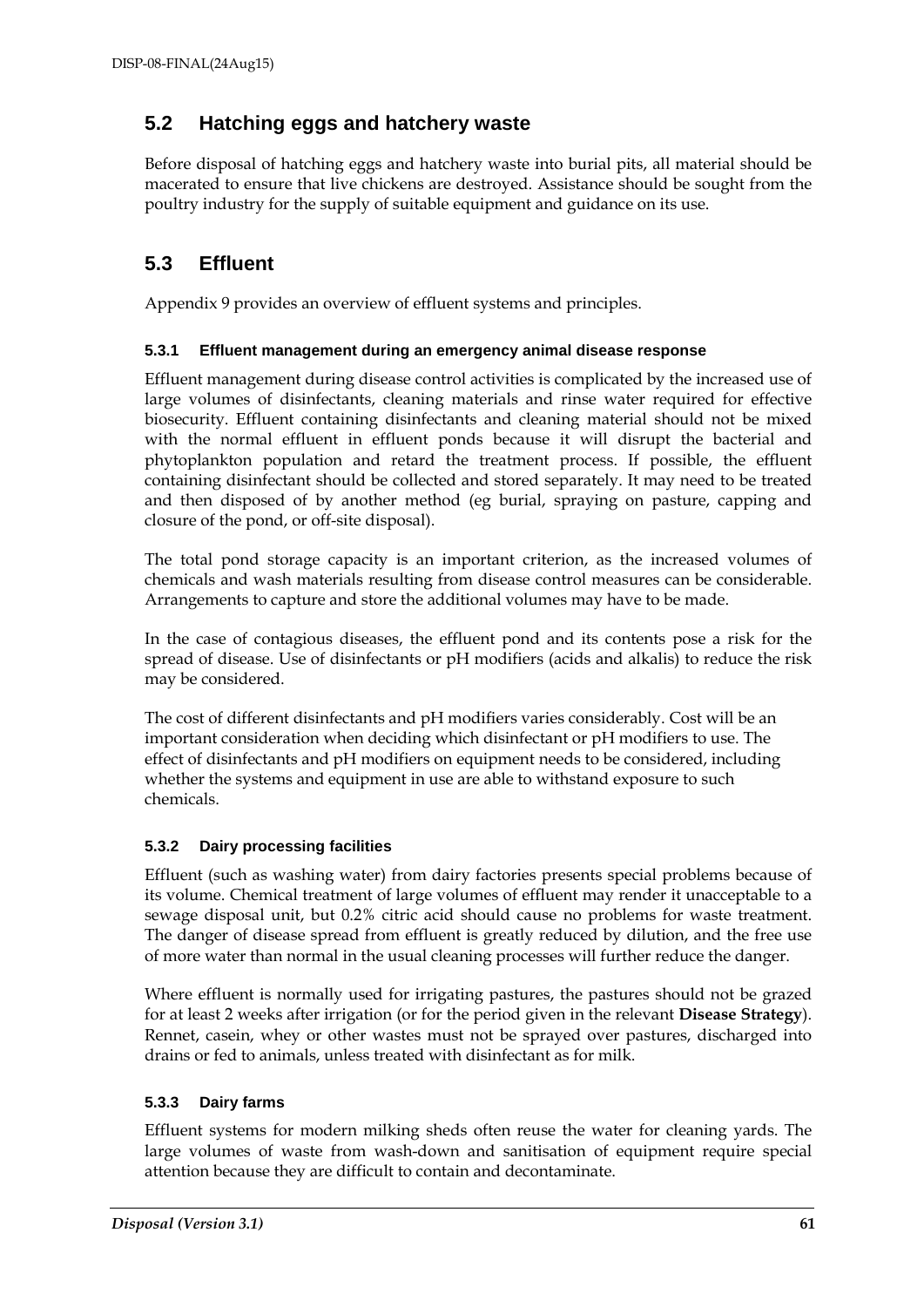### **5.2 Hatching eggs and hatchery waste**

Before disposal of hatching eggs and hatchery waste into burial pits, all material should be macerated to ensure that live chickens are destroyed. Assistance should be sought from the poultry industry for the supply of suitable equipment and guidance on its use.

### **5.3 Effluent**

Appendix 9 provides an overview of effluent systems and principles.

#### **5.3.1 Effluent management during an emergency animal disease response**

Effluent management during disease control activities is complicated by the increased use of large volumes of disinfectants, cleaning materials and rinse water required for effective biosecurity. Effluent containing disinfectants and cleaning material should not be mixed with the normal effluent in effluent ponds because it will disrupt the bacterial and phytoplankton population and retard the treatment process. If possible, the effluent containing disinfectant should be collected and stored separately. It may need to be treated and then disposed of by another method (eg burial, spraying on pasture, capping and closure of the pond, or off-site disposal).

The total pond storage capacity is an important criterion, as the increased volumes of chemicals and wash materials resulting from disease control measures can be considerable. Arrangements to capture and store the additional volumes may have to be made.

In the case of contagious diseases, the effluent pond and its contents pose a risk for the spread of disease. Use of disinfectants or pH modifiers (acids and alkalis) to reduce the risk may be considered.

The cost of different disinfectants and pH modifiers varies considerably. Cost will be an important consideration when deciding which disinfectant or pH modifiers to use. The effect of disinfectants and pH modifiers on equipment needs to be considered, including whether the systems and equipment in use are able to withstand exposure to such chemicals.

#### **5.3.2 Dairy processing facilities**

Effluent (such as washing water) from dairy factories presents special problems because of its volume. Chemical treatment of large volumes of effluent may render it unacceptable to a sewage disposal unit, but 0.2% citric acid should cause no problems for waste treatment. The danger of disease spread from effluent is greatly reduced by dilution, and the free use of more water than normal in the usual cleaning processes will further reduce the danger.

Where effluent is normally used for irrigating pastures, the pastures should not be grazed for at least 2 weeks after irrigation (or for the period given in the relevant **Disease Strategy**). Rennet, casein, whey or other wastes must not be sprayed over pastures, discharged into drains or fed to animals, unless treated with disinfectant as for milk.

#### **5.3.3 Dairy farms**

Effluent systems for modern milking sheds often reuse the water for cleaning yards. The large volumes of waste from wash-down and sanitisation of equipment require special attention because they are difficult to contain and decontaminate.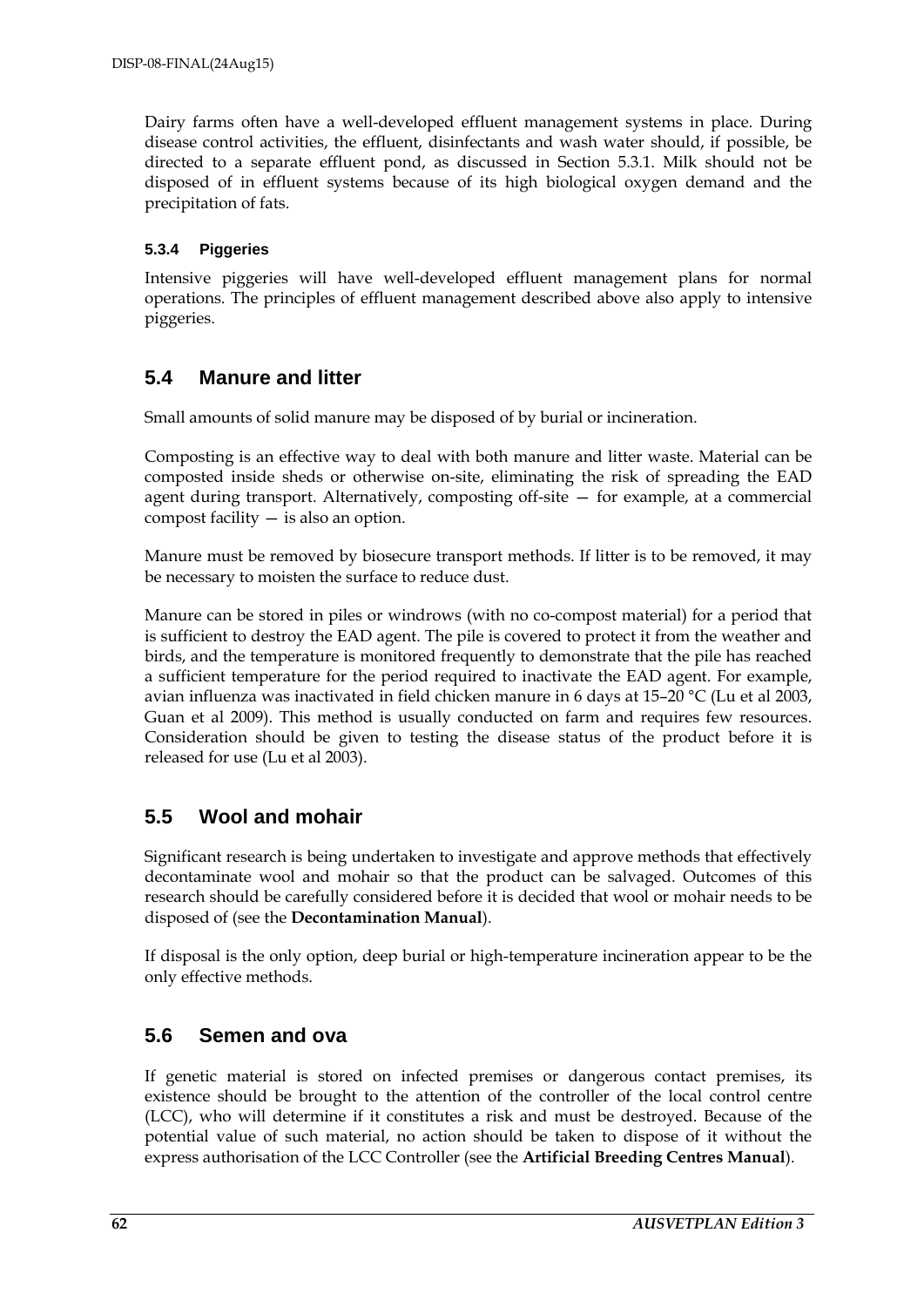Dairy farms often have a well-developed effluent management systems in place. During disease control activities, the effluent, disinfectants and wash water should, if possible, be directed to a separate effluent pond, as discussed in Section 5.3.1. Milk should not be disposed of in effluent systems because of its high biological oxygen demand and the precipitation of fats.

#### **5.3.4 Piggeries**

Intensive piggeries will have well-developed effluent management plans for normal operations. The principles of effluent management described above also apply to intensive piggeries.

### **5.4 Manure and litter**

Small amounts of solid manure may be disposed of by burial or incineration.

Composting is an effective way to deal with both manure and litter waste. Material can be composted inside sheds or otherwise on-site, eliminating the risk of spreading the EAD agent during transport. Alternatively, composting off-site — for example, at a commercial compost facility — is also an option.

Manure must be removed by biosecure transport methods. If litter is to be removed, it may be necessary to moisten the surface to reduce dust.

Manure can be stored in piles or windrows (with no co-compost material) for a period that is sufficient to destroy the EAD agent. The pile is covered to protect it from the weather and birds, and the temperature is monitored frequently to demonstrate that the pile has reached a sufficient temperature for the period required to inactivate the EAD agent. For example, avian influenza was inactivated in field chicken manure in 6 days at 15–20 °C (Lu et al 2003, Guan et al 2009). This method is usually conducted on farm and requires few resources. Consideration should be given to testing the disease status of the product before it is released for use (Lu et al 2003).

### **5.5 Wool and mohair**

Significant research is being undertaken to investigate and approve methods that effectively decontaminate wool and mohair so that the product can be salvaged. Outcomes of this research should be carefully considered before it is decided that wool or mohair needs to be disposed of (see the **Decontamination Manual**).

If disposal is the only option, deep burial or high-temperature incineration appear to be the only effective methods.

### **5.6 Semen and ova**

If genetic material is stored on infected premises or dangerous contact premises, its existence should be brought to the attention of the controller of the local control centre (LCC), who will determine if it constitutes a risk and must be destroyed. Because of the potential value of such material, no action should be taken to dispose of it without the express authorisation of the LCC Controller (see the **Artificial Breeding Centres Manual**).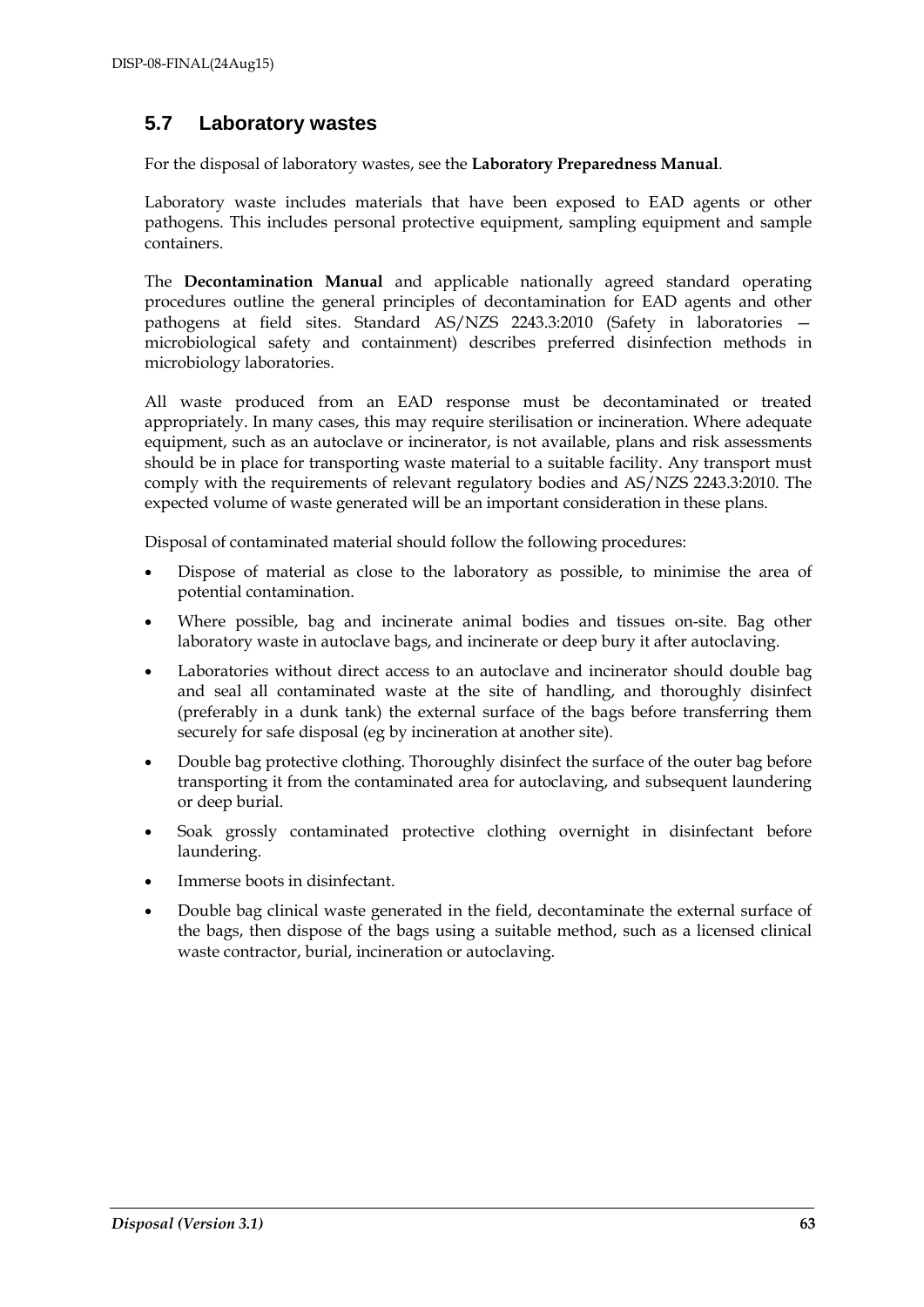### **5.7 Laboratory wastes**

For the disposal of laboratory wastes, see the **Laboratory Preparedness Manual**.

Laboratory waste includes materials that have been exposed to EAD agents or other pathogens. This includes personal protective equipment, sampling equipment and sample containers.

The **Decontamination Manual** and applicable nationally agreed standard operating procedures outline the general principles of decontamination for EAD agents and other pathogens at field sites. Standard AS/NZS 2243.3:2010 (Safety in laboratories microbiological safety and containment) describes preferred disinfection methods in microbiology laboratories.

All waste produced from an EAD response must be decontaminated or treated appropriately. In many cases, this may require sterilisation or incineration. Where adequate equipment, such as an autoclave or incinerator, is not available, plans and risk assessments should be in place for transporting waste material to a suitable facility. Any transport must comply with the requirements of relevant regulatory bodies and AS/NZS 2243.3:2010. The expected volume of waste generated will be an important consideration in these plans.

Disposal of contaminated material should follow the following procedures:

- Dispose of material as close to the laboratory as possible, to minimise the area of potential contamination.
- Where possible, bag and incinerate animal bodies and tissues on-site. Bag other laboratory waste in autoclave bags, and incinerate or deep bury it after autoclaving.
- Laboratories without direct access to an autoclave and incinerator should double bag and seal all contaminated waste at the site of handling, and thoroughly disinfect (preferably in a dunk tank) the external surface of the bags before transferring them securely for safe disposal (eg by incineration at another site).
- Double bag protective clothing. Thoroughly disinfect the surface of the outer bag before transporting it from the contaminated area for autoclaving, and subsequent laundering or deep burial.
- Soak grossly contaminated protective clothing overnight in disinfectant before laundering.
- Immerse boots in disinfectant.
- Double bag clinical waste generated in the field, decontaminate the external surface of the bags, then dispose of the bags using a suitable method, such as a licensed clinical waste contractor, burial, incineration or autoclaving.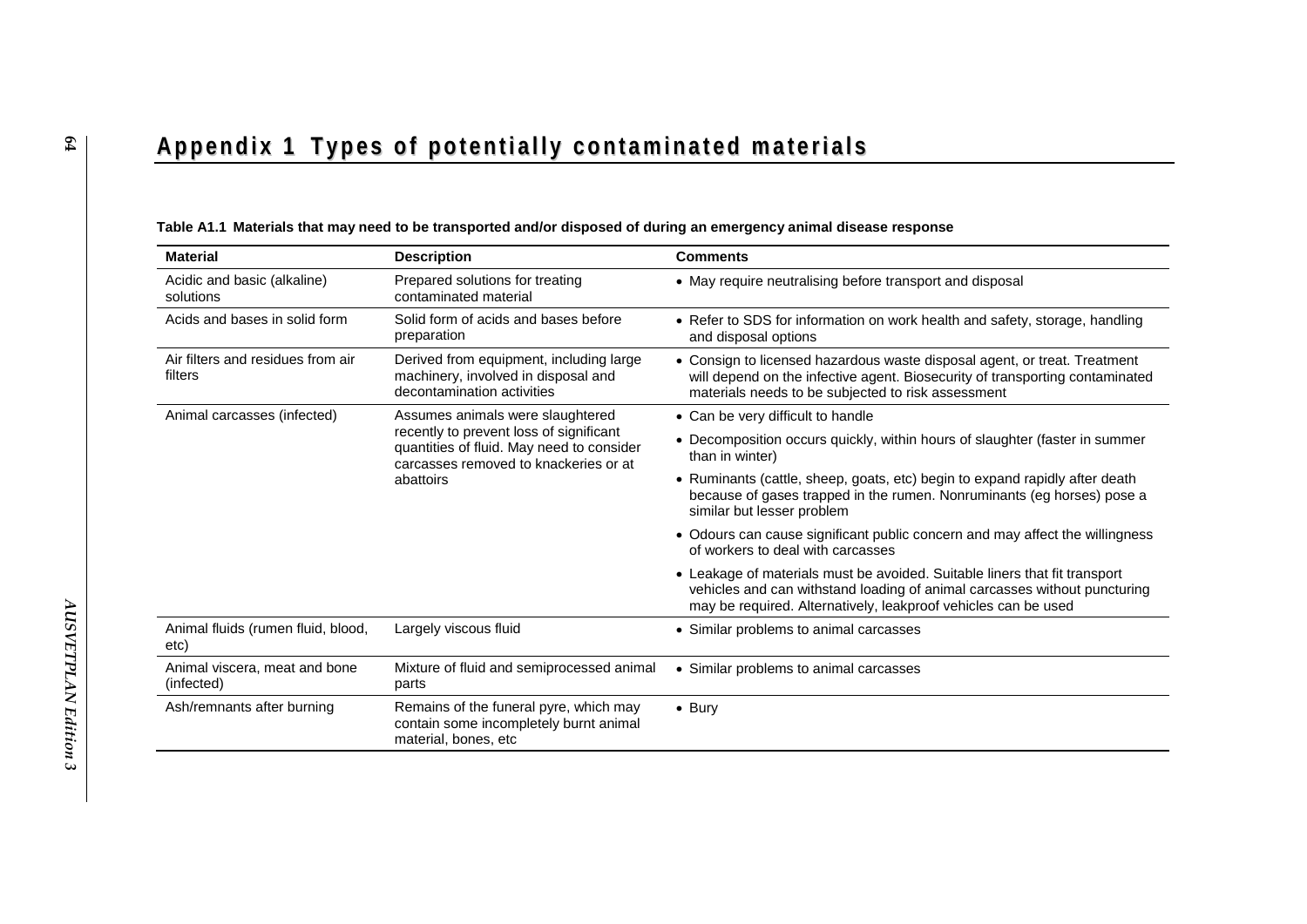# Appendix 1 Types of potentially contaminated materials

| <b>Material</b>                              | <b>Description</b>                                                                                                                                                             | <b>Comments</b>                                                                                                                                                                                                           |
|----------------------------------------------|--------------------------------------------------------------------------------------------------------------------------------------------------------------------------------|---------------------------------------------------------------------------------------------------------------------------------------------------------------------------------------------------------------------------|
| Acidic and basic (alkaline)<br>solutions     | Prepared solutions for treating<br>contaminated material                                                                                                                       | • May require neutralising before transport and disposal                                                                                                                                                                  |
| Acids and bases in solid form                | Solid form of acids and bases before<br>preparation                                                                                                                            | • Refer to SDS for information on work health and safety, storage, handling<br>and disposal options                                                                                                                       |
| Air filters and residues from air<br>filters | Derived from equipment, including large<br>machinery, involved in disposal and<br>decontamination activities                                                                   | • Consign to licensed hazardous waste disposal agent, or treat. Treatment<br>will depend on the infective agent. Biosecurity of transporting contaminated<br>materials needs to be subjected to risk assessment           |
| Animal carcasses (infected)                  | Assumes animals were slaughtered<br>recently to prevent loss of significant<br>quantities of fluid. May need to consider<br>carcasses removed to knackeries or at<br>abattoirs | • Can be very difficult to handle                                                                                                                                                                                         |
|                                              |                                                                                                                                                                                | • Decomposition occurs quickly, within hours of slaughter (faster in summer<br>than in winter)                                                                                                                            |
|                                              |                                                                                                                                                                                | • Ruminants (cattle, sheep, goats, etc) begin to expand rapidly after death<br>because of gases trapped in the rumen. Nonruminants (eg horses) pose a<br>similar but lesser problem                                       |
|                                              |                                                                                                                                                                                | • Odours can cause significant public concern and may affect the willingness<br>of workers to deal with carcasses                                                                                                         |
|                                              |                                                                                                                                                                                | • Leakage of materials must be avoided. Suitable liners that fit transport<br>vehicles and can withstand loading of animal carcasses without puncturing<br>may be required. Alternatively, leakproof vehicles can be used |
| Animal fluids (rumen fluid, blood,<br>etc)   | Largely viscous fluid                                                                                                                                                          | • Similar problems to animal carcasses                                                                                                                                                                                    |
| Animal viscera, meat and bone<br>(infected)  | Mixture of fluid and semiprocessed animal<br>parts                                                                                                                             | • Similar problems to animal carcasses                                                                                                                                                                                    |
| Ash/remnants after burning                   | Remains of the funeral pyre, which may<br>contain some incompletely burnt animal<br>material, bones, etc                                                                       | $\bullet$ Bury                                                                                                                                                                                                            |

#### **Table A1.1 Materials that may need to be transported and/or disposed of during an emergency animal disease response**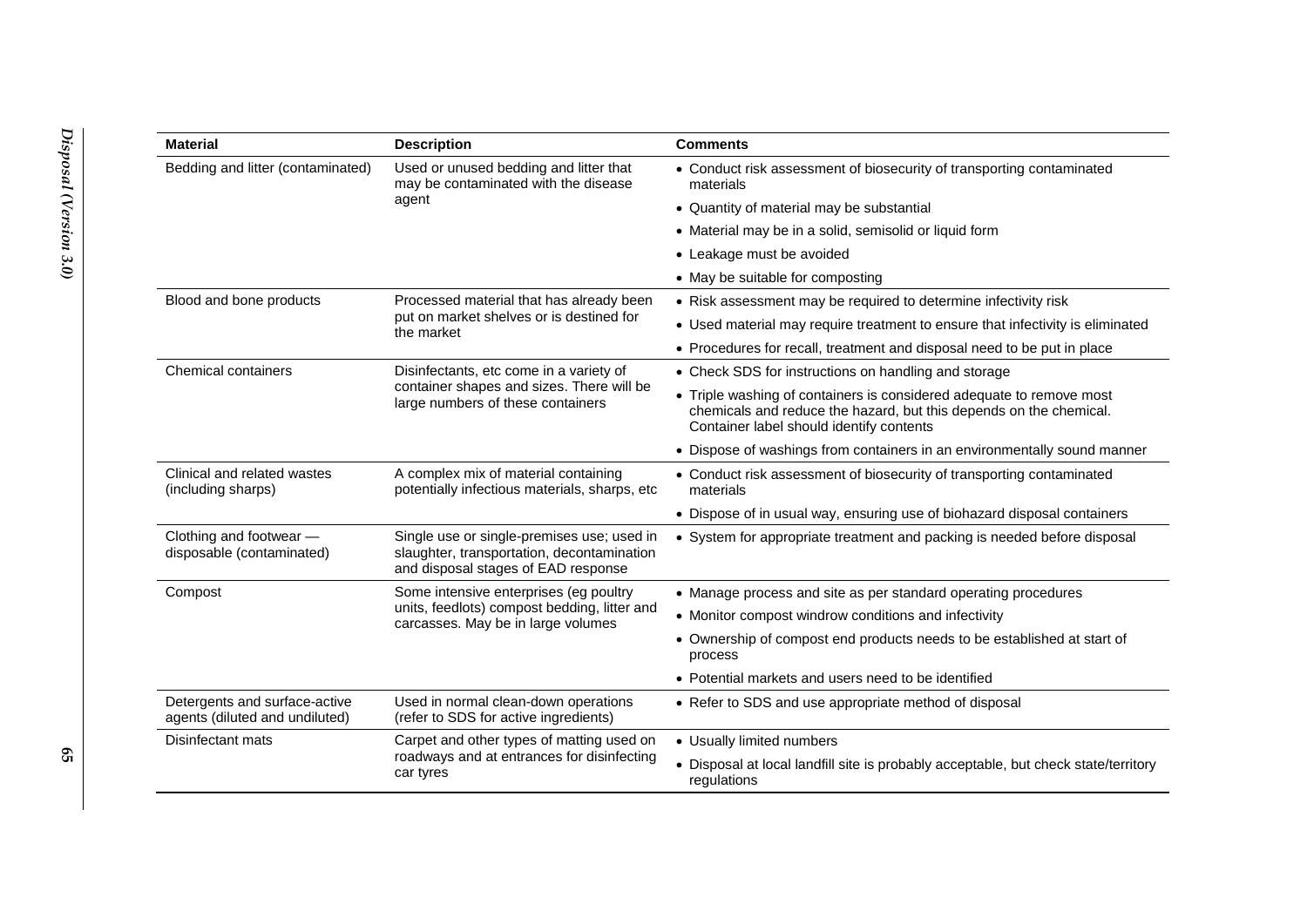| <b>Material</b>                                                 | <b>Description</b>                                                                                                              | <b>Comments</b>                                                                                                                                                                        |
|-----------------------------------------------------------------|---------------------------------------------------------------------------------------------------------------------------------|----------------------------------------------------------------------------------------------------------------------------------------------------------------------------------------|
| Bedding and litter (contaminated)                               | Used or unused bedding and litter that<br>may be contaminated with the disease<br>agent                                         | • Conduct risk assessment of biosecurity of transporting contaminated<br>materials                                                                                                     |
|                                                                 |                                                                                                                                 | • Quantity of material may be substantial                                                                                                                                              |
|                                                                 |                                                                                                                                 | • Material may be in a solid, semisolid or liquid form                                                                                                                                 |
|                                                                 |                                                                                                                                 | • Leakage must be avoided                                                                                                                                                              |
|                                                                 |                                                                                                                                 | • May be suitable for composting                                                                                                                                                       |
| Blood and bone products                                         | Processed material that has already been                                                                                        | • Risk assessment may be required to determine infectivity risk                                                                                                                        |
|                                                                 | put on market shelves or is destined for<br>the market                                                                          | • Used material may require treatment to ensure that infectivity is eliminated                                                                                                         |
|                                                                 |                                                                                                                                 | • Procedures for recall, treatment and disposal need to be put in place                                                                                                                |
| Chemical containers                                             | Disinfectants, etc come in a variety of                                                                                         | • Check SDS for instructions on handling and storage                                                                                                                                   |
|                                                                 | container shapes and sizes. There will be<br>large numbers of these containers                                                  | • Triple washing of containers is considered adequate to remove most<br>chemicals and reduce the hazard, but this depends on the chemical.<br>Container label should identify contents |
|                                                                 |                                                                                                                                 | • Dispose of washings from containers in an environmentally sound manner                                                                                                               |
| Clinical and related wastes<br>(including sharps)               | A complex mix of material containing<br>potentially infectious materials, sharps, etc                                           | • Conduct risk assessment of biosecurity of transporting contaminated<br>materials                                                                                                     |
|                                                                 |                                                                                                                                 | • Dispose of in usual way, ensuring use of biohazard disposal containers                                                                                                               |
| Clothing and footwear -<br>disposable (contaminated)            | Single use or single-premises use; used in<br>slaughter, transportation, decontamination<br>and disposal stages of EAD response | • System for appropriate treatment and packing is needed before disposal                                                                                                               |
| Compost                                                         | Some intensive enterprises (eg poultry                                                                                          | • Manage process and site as per standard operating procedures                                                                                                                         |
|                                                                 | units, feedlots) compost bedding, litter and<br>carcasses. May be in large volumes                                              | • Monitor compost windrow conditions and infectivity                                                                                                                                   |
|                                                                 |                                                                                                                                 | • Ownership of compost end products needs to be established at start of<br>process                                                                                                     |
|                                                                 |                                                                                                                                 | • Potential markets and users need to be identified                                                                                                                                    |
| Detergents and surface-active<br>agents (diluted and undiluted) | Used in normal clean-down operations<br>(refer to SDS for active ingredients)                                                   | • Refer to SDS and use appropriate method of disposal                                                                                                                                  |
| Disinfectant mats                                               | Carpet and other types of matting used on                                                                                       | • Usually limited numbers                                                                                                                                                              |
|                                                                 | roadways and at entrances for disinfecting<br>car tyres                                                                         | • Disposal at local landfill site is probably acceptable, but check state/territory<br>regulations                                                                                     |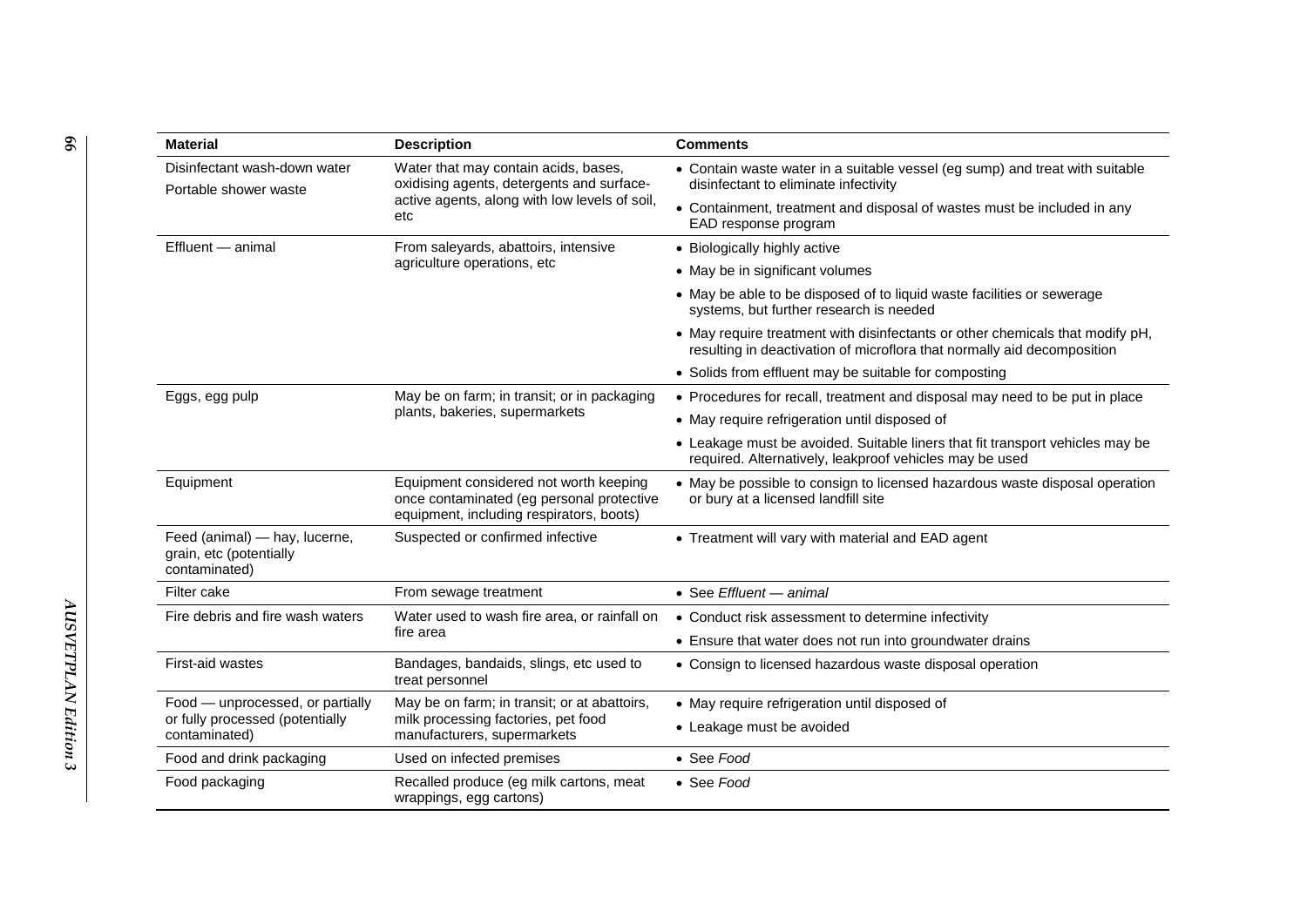| <b>Material</b>                                                           | <b>Description</b>                                                                                                              | <b>Comments</b>                                                                                                                                          |
|---------------------------------------------------------------------------|---------------------------------------------------------------------------------------------------------------------------------|----------------------------------------------------------------------------------------------------------------------------------------------------------|
| Disinfectant wash-down water<br>Portable shower waste                     | Water that may contain acids, bases,<br>oxidising agents, detergents and surface-                                               | • Contain waste water in a suitable vessel (eg sump) and treat with suitable<br>disinfectant to eliminate infectivity                                    |
|                                                                           | active agents, along with low levels of soil,<br>etc                                                                            | • Containment, treatment and disposal of wastes must be included in any<br>EAD response program                                                          |
| Effluent - animal                                                         | From saleyards, abattoirs, intensive<br>agriculture operations, etc                                                             | • Biologically highly active                                                                                                                             |
|                                                                           |                                                                                                                                 | • May be in significant volumes                                                                                                                          |
|                                                                           |                                                                                                                                 | • May be able to be disposed of to liquid waste facilities or sewerage<br>systems, but further research is needed                                        |
|                                                                           |                                                                                                                                 | • May require treatment with disinfectants or other chemicals that modify pH,<br>resulting in deactivation of microflora that normally aid decomposition |
|                                                                           |                                                                                                                                 | • Solids from effluent may be suitable for composting                                                                                                    |
| Eggs, egg pulp                                                            | May be on farm; in transit; or in packaging                                                                                     | • Procedures for recall, treatment and disposal may need to be put in place                                                                              |
|                                                                           | plants, bakeries, supermarkets                                                                                                  | • May require refrigeration until disposed of                                                                                                            |
|                                                                           |                                                                                                                                 | • Leakage must be avoided. Suitable liners that fit transport vehicles may be<br>required. Alternatively, leakproof vehicles may be used                 |
| Equipment                                                                 | Equipment considered not worth keeping<br>once contaminated (eg personal protective<br>equipment, including respirators, boots) | • May be possible to consign to licensed hazardous waste disposal operation<br>or bury at a licensed landfill site                                       |
| Feed (animal) - hay, lucerne,<br>grain, etc (potentially<br>contaminated) | Suspected or confirmed infective                                                                                                | • Treatment will vary with material and EAD agent                                                                                                        |
| Filter cake                                                               | From sewage treatment                                                                                                           | • See Effluent - animal                                                                                                                                  |
| Fire debris and fire wash waters                                          | Water used to wash fire area, or rainfall on                                                                                    | • Conduct risk assessment to determine infectivity                                                                                                       |
|                                                                           | fire area                                                                                                                       | • Ensure that water does not run into groundwater drains                                                                                                 |
| First-aid wastes                                                          | Bandages, bandaids, slings, etc used to<br>treat personnel                                                                      | • Consign to licensed hazardous waste disposal operation                                                                                                 |
| Food - unprocessed, or partially                                          | May be on farm; in transit; or at abattoirs,                                                                                    | • May require refrigeration until disposed of                                                                                                            |
| or fully processed (potentially<br>contaminated)                          | milk processing factories, pet food<br>manufacturers, supermarkets                                                              | • Leakage must be avoided                                                                                                                                |
| Food and drink packaging                                                  | Used on infected premises                                                                                                       | • See Food                                                                                                                                               |
| Food packaging                                                            | Recalled produce (eg milk cartons, meat<br>wrappings, egg cartons)                                                              | • See Food                                                                                                                                               |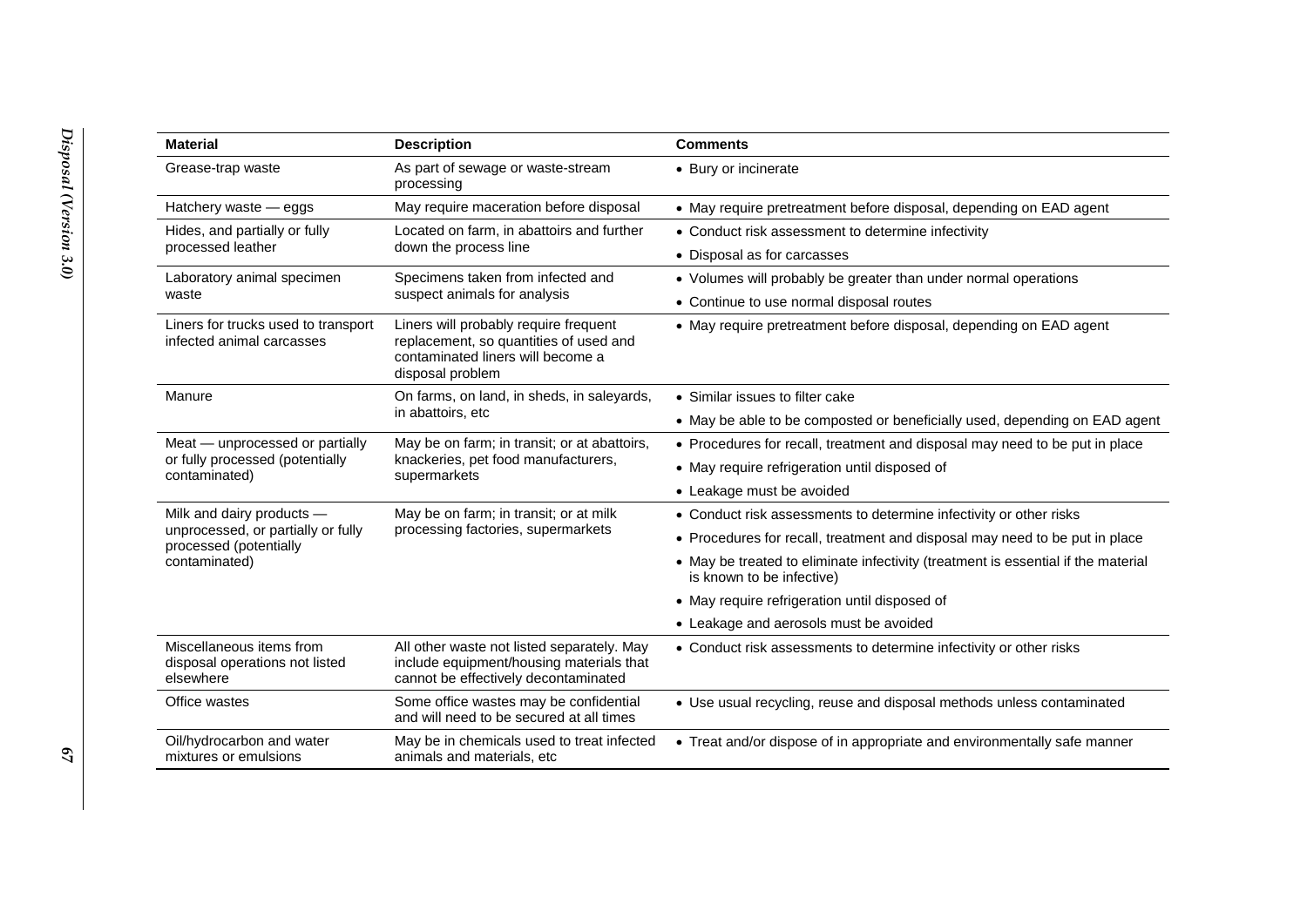| <b>Material</b>                                                         | <b>Description</b>                                                                                                                       | <b>Comments</b>                                                                                                |
|-------------------------------------------------------------------------|------------------------------------------------------------------------------------------------------------------------------------------|----------------------------------------------------------------------------------------------------------------|
| Grease-trap waste                                                       | As part of sewage or waste-stream<br>processing                                                                                          | • Bury or incinerate                                                                                           |
| Hatchery waste - eggs                                                   | May require maceration before disposal                                                                                                   | • May require pretreatment before disposal, depending on EAD agent                                             |
| Hides, and partially or fully                                           | Located on farm, in abattoirs and further<br>down the process line                                                                       | • Conduct risk assessment to determine infectivity                                                             |
| processed leather                                                       |                                                                                                                                          | • Disposal as for carcasses                                                                                    |
| Laboratory animal specimen                                              | Specimens taken from infected and                                                                                                        | • Volumes will probably be greater than under normal operations                                                |
| waste                                                                   | suspect animals for analysis                                                                                                             | • Continue to use normal disposal routes                                                                       |
| Liners for trucks used to transport<br>infected animal carcasses        | Liners will probably require frequent<br>replacement, so quantities of used and<br>contaminated liners will become a<br>disposal problem | • May require pretreatment before disposal, depending on EAD agent                                             |
| Manure                                                                  | On farms, on land, in sheds, in saleyards,                                                                                               | • Similar issues to filter cake                                                                                |
|                                                                         | in abattoirs, etc                                                                                                                        | • May be able to be composted or beneficially used, depending on EAD agent                                     |
| Meat - unprocessed or partially                                         | May be on farm; in transit; or at abattoirs,                                                                                             | • Procedures for recall, treatment and disposal may need to be put in place                                    |
| or fully processed (potentially<br>contaminated)                        | knackeries, pet food manufacturers,<br>supermarkets                                                                                      | • May require refrigeration until disposed of                                                                  |
|                                                                         |                                                                                                                                          | • Leakage must be avoided                                                                                      |
| Milk and dairy products -                                               | May be on farm; in transit; or at milk                                                                                                   | • Conduct risk assessments to determine infectivity or other risks                                             |
| unprocessed, or partially or fully<br>processed (potentially            | processing factories, supermarkets                                                                                                       | • Procedures for recall, treatment and disposal may need to be put in place                                    |
| contaminated)                                                           |                                                                                                                                          | • May be treated to eliminate infectivity (treatment is essential if the material<br>is known to be infective) |
|                                                                         |                                                                                                                                          | • May require refrigeration until disposed of                                                                  |
|                                                                         |                                                                                                                                          | • Leakage and aerosols must be avoided                                                                         |
| Miscellaneous items from<br>disposal operations not listed<br>elsewhere | All other waste not listed separately. May<br>include equipment/housing materials that<br>cannot be effectively decontaminated           | • Conduct risk assessments to determine infectivity or other risks                                             |
| Office wastes                                                           | Some office wastes may be confidential<br>and will need to be secured at all times                                                       | • Use usual recycling, reuse and disposal methods unless contaminated                                          |
| Oil/hydrocarbon and water<br>mixtures or emulsions                      | May be in chemicals used to treat infected<br>animals and materials, etc                                                                 | • Treat and/or dispose of in appropriate and environmentally safe manner                                       |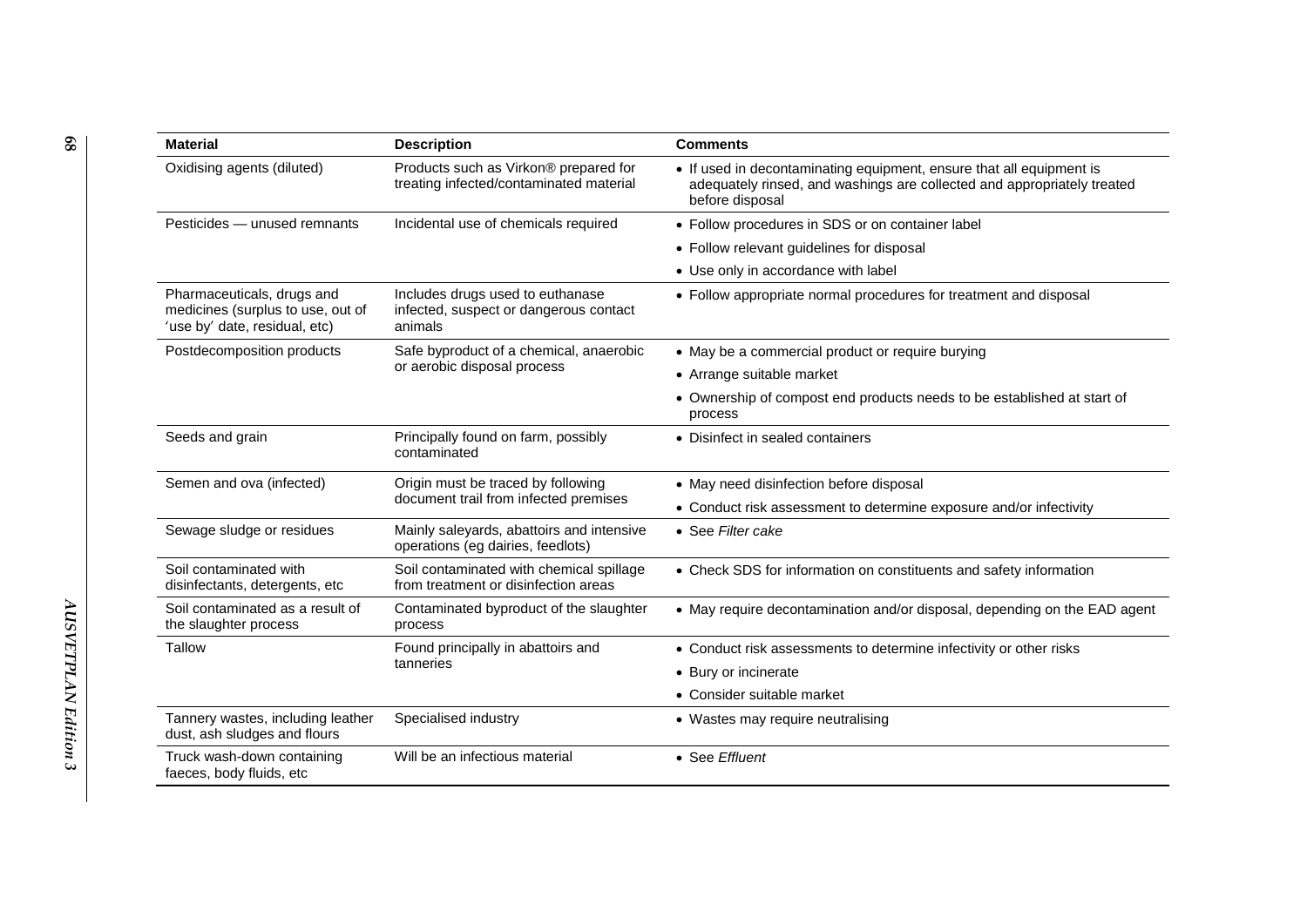| <b>Material</b>                                                                                  | <b>Description</b>                                                                    | <b>Comments</b>                                                                                                                                                    |
|--------------------------------------------------------------------------------------------------|---------------------------------------------------------------------------------------|--------------------------------------------------------------------------------------------------------------------------------------------------------------------|
| Oxidising agents (diluted)                                                                       | Products such as Virkon® prepared for<br>treating infected/contaminated material      | • If used in decontaminating equipment, ensure that all equipment is<br>adequately rinsed, and washings are collected and appropriately treated<br>before disposal |
| Pesticides - unused remnants                                                                     | Incidental use of chemicals required                                                  | • Follow procedures in SDS or on container label                                                                                                                   |
|                                                                                                  |                                                                                       | • Follow relevant guidelines for disposal                                                                                                                          |
|                                                                                                  |                                                                                       | • Use only in accordance with label                                                                                                                                |
| Pharmaceuticals, drugs and<br>medicines (surplus to use, out of<br>'use by' date, residual, etc) | Includes drugs used to euthanase<br>infected, suspect or dangerous contact<br>animals | • Follow appropriate normal procedures for treatment and disposal                                                                                                  |
| Postdecomposition products                                                                       | Safe byproduct of a chemical, anaerobic                                               | • May be a commercial product or require burying                                                                                                                   |
|                                                                                                  | or aerobic disposal process                                                           | • Arrange suitable market                                                                                                                                          |
|                                                                                                  |                                                                                       | • Ownership of compost end products needs to be established at start of<br>process                                                                                 |
| Seeds and grain                                                                                  | Principally found on farm, possibly<br>contaminated                                   | • Disinfect in sealed containers                                                                                                                                   |
| Semen and ova (infected)                                                                         | Origin must be traced by following                                                    | • May need disinfection before disposal                                                                                                                            |
|                                                                                                  | document trail from infected premises                                                 | • Conduct risk assessment to determine exposure and/or infectivity                                                                                                 |
| Sewage sludge or residues                                                                        | Mainly saleyards, abattoirs and intensive<br>operations (eg dairies, feedlots)        | • See Filter cake                                                                                                                                                  |
| Soil contaminated with<br>disinfectants, detergents, etc                                         | Soil contaminated with chemical spillage<br>from treatment or disinfection areas      | • Check SDS for information on constituents and safety information                                                                                                 |
| Soil contaminated as a result of<br>the slaughter process                                        | Contaminated byproduct of the slaughter<br>process                                    | • May require decontamination and/or disposal, depending on the EAD agent                                                                                          |
| Tallow                                                                                           | Found principally in abattoirs and                                                    | • Conduct risk assessments to determine infectivity or other risks                                                                                                 |
|                                                                                                  | tanneries                                                                             | • Bury or incinerate                                                                                                                                               |
|                                                                                                  |                                                                                       | • Consider suitable market                                                                                                                                         |
| Tannery wastes, including leather<br>dust, ash sludges and flours                                | Specialised industry                                                                  | • Wastes may require neutralising                                                                                                                                  |
| Truck wash-down containing<br>faeces, body fluids, etc                                           | Will be an infectious material                                                        | • See Effluent                                                                                                                                                     |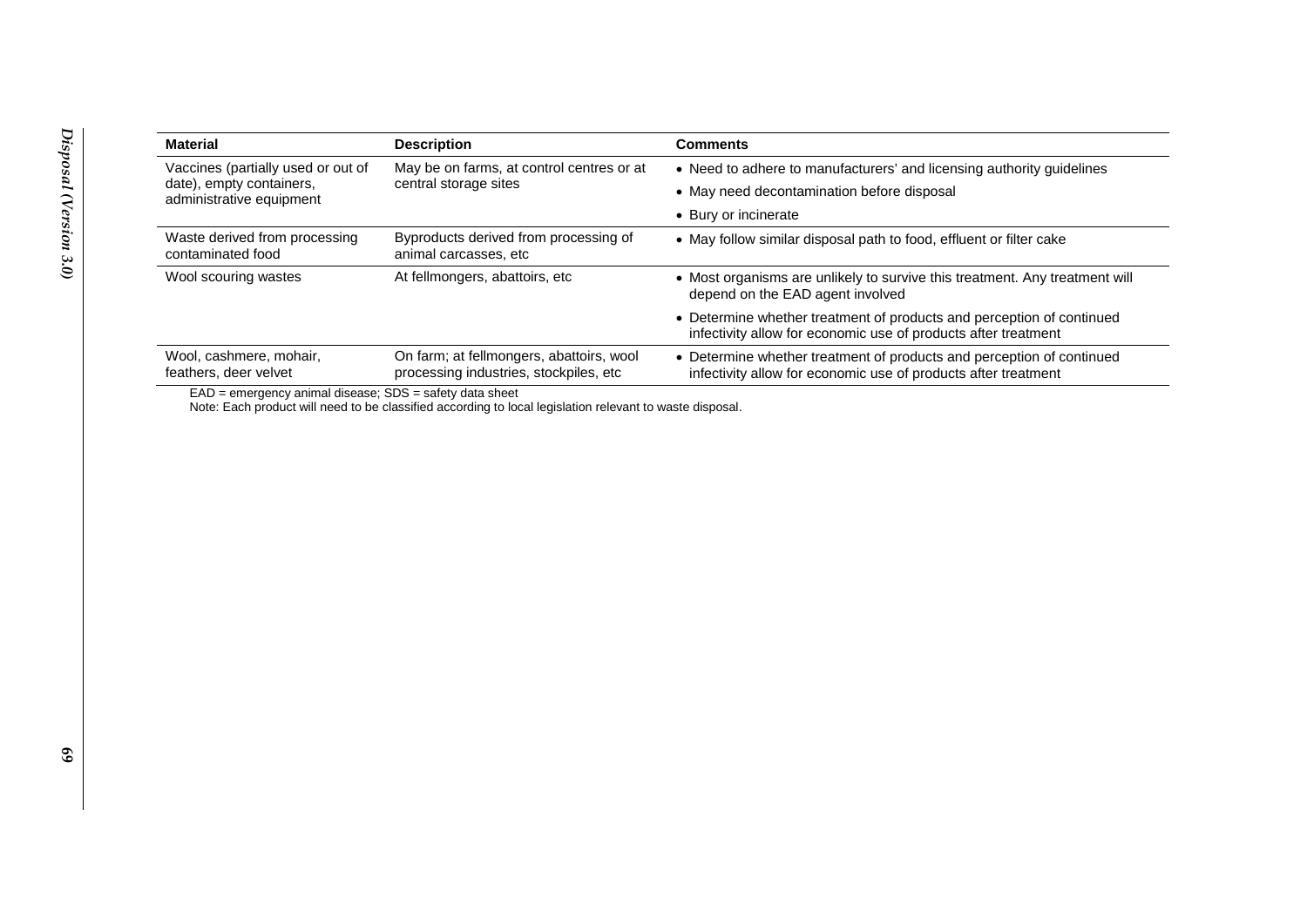| <b>Material</b>                                      | <b>Description</b>                                                                  | <b>Comments</b>                                                                                                                         |
|------------------------------------------------------|-------------------------------------------------------------------------------------|-----------------------------------------------------------------------------------------------------------------------------------------|
| Vaccines (partially used or out of                   | May be on farms, at control centres or at<br>central storage sites                  | • Need to adhere to manufacturers' and licensing authority guidelines                                                                   |
| date), empty containers,<br>administrative equipment |                                                                                     | • May need decontamination before disposal                                                                                              |
|                                                      |                                                                                     | • Bury or incinerate                                                                                                                    |
| Waste derived from processing<br>contaminated food   | Byproducts derived from processing of<br>animal carcasses, etc                      | • May follow similar disposal path to food, effluent or filter cake                                                                     |
| Wool scouring wastes                                 | At fellmongers, abattoirs, etc.                                                     | • Most organisms are unlikely to survive this treatment. Any treatment will<br>depend on the EAD agent involved                         |
|                                                      |                                                                                     | • Determine whether treatment of products and perception of continued<br>infectivity allow for economic use of products after treatment |
| Wool, cashmere, mohair,<br>feathers, deer velvet     | On farm; at fellmongers, abattoirs, wool<br>processing industries, stockpiles, etc. | • Determine whether treatment of products and perception of continued<br>infectivity allow for economic use of products after treatment |

EAD = emergency animal disease; SDS = safety data sheet

Note: Each product will need to be classified according to local legislation relevant to waste disposal.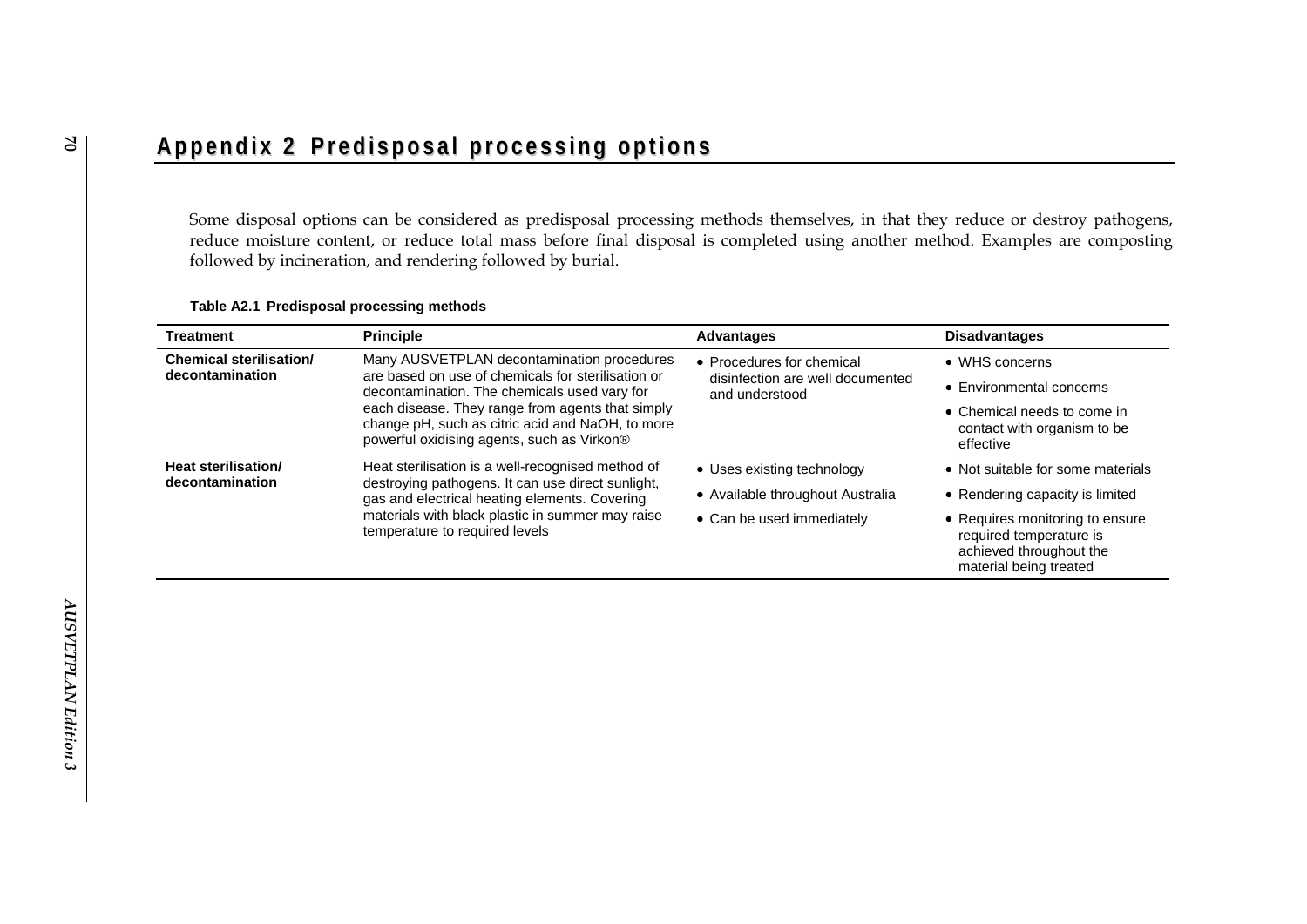## Appendix 2 Predisposal processing options

Some disposal options can be considered as predisposal processing methods themselves, in that they reduce or destroy pathogens, reduce moisture content, or reduce total mass before final disposal is completed using another method. Examples are composting followed by incineration, and rendering followed by burial.

#### **Table A2.1 Predisposal processing methods**

| <b>Treatment</b>                                  | <b>Principle</b>                                                                                                                                                                                                                                                                                       | <b>Advantages</b>                                                               | <b>Disadvantages</b>                                                                                            |
|---------------------------------------------------|--------------------------------------------------------------------------------------------------------------------------------------------------------------------------------------------------------------------------------------------------------------------------------------------------------|---------------------------------------------------------------------------------|-----------------------------------------------------------------------------------------------------------------|
| <b>Chemical sterilisation/</b><br>decontamination | Many AUSVETPLAN decontamination procedures<br>are based on use of chemicals for sterilisation or<br>decontamination. The chemicals used vary for<br>each disease. They range from agents that simply<br>change pH, such as citric acid and NaOH, to more<br>powerful oxidising agents, such as Virkon® | • Procedures for chemical<br>disinfection are well documented<br>and understood | • WHS concerns                                                                                                  |
|                                                   |                                                                                                                                                                                                                                                                                                        |                                                                                 | • Environmental concerns                                                                                        |
|                                                   |                                                                                                                                                                                                                                                                                                        |                                                                                 | • Chemical needs to come in<br>contact with organism to be<br>effective                                         |
| Heat sterilisation/<br>decontamination            | Heat sterilisation is a well-recognised method of<br>destroying pathogens. It can use direct sunlight,<br>gas and electrical heating elements. Covering<br>materials with black plastic in summer may raise<br>temperature to required levels                                                          | • Uses existing technology                                                      | • Not suitable for some materials                                                                               |
|                                                   |                                                                                                                                                                                                                                                                                                        | • Available throughout Australia                                                | • Rendering capacity is limited                                                                                 |
|                                                   |                                                                                                                                                                                                                                                                                                        | • Can be used immediately                                                       | • Requires monitoring to ensure<br>required temperature is<br>achieved throughout the<br>material being treated |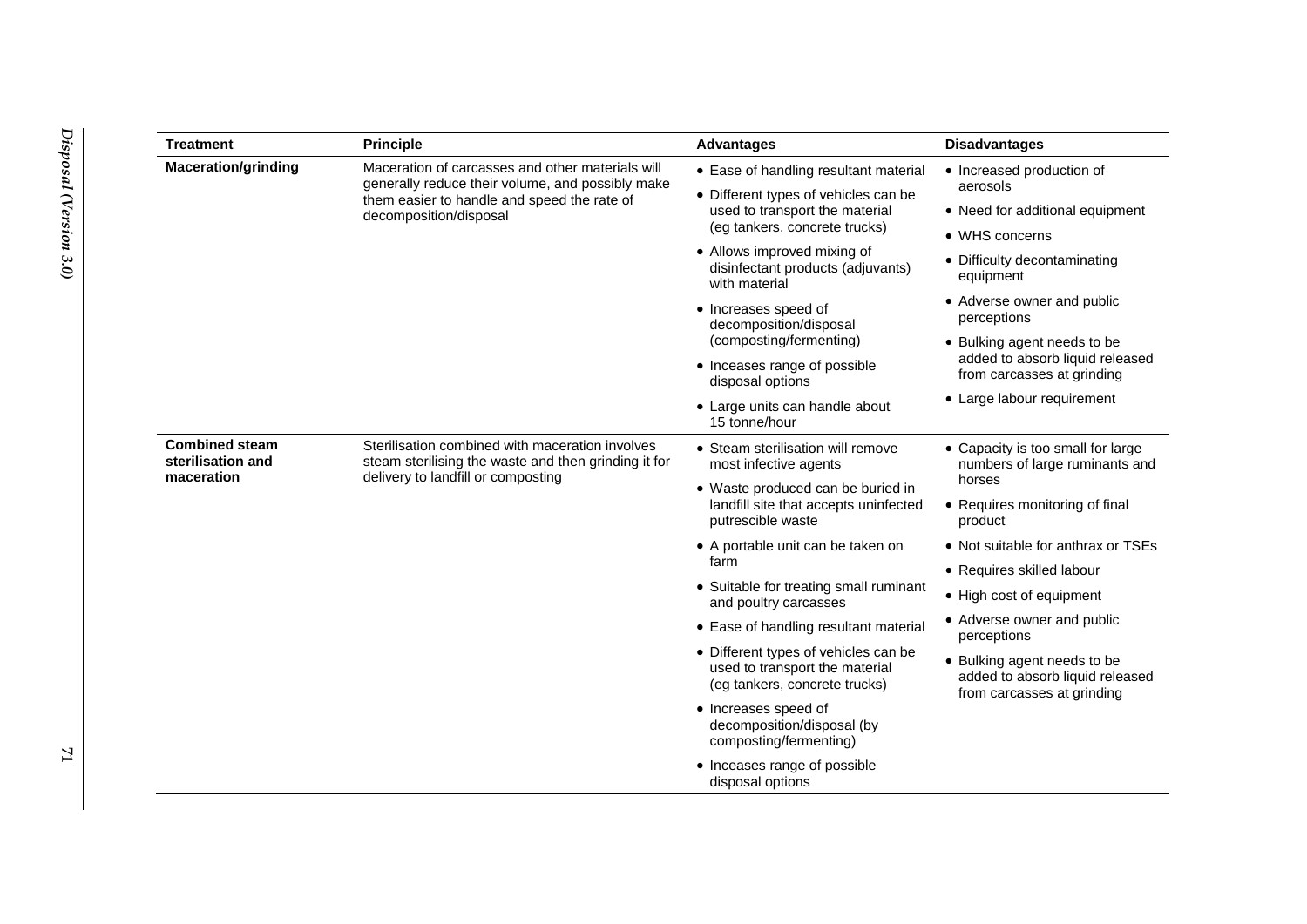| <b>Treatment</b>                                         | <b>Principle</b>                                                                                                                                                              | <b>Advantages</b>                                                                                       | <b>Disadvantages</b>                                                                         |
|----------------------------------------------------------|-------------------------------------------------------------------------------------------------------------------------------------------------------------------------------|---------------------------------------------------------------------------------------------------------|----------------------------------------------------------------------------------------------|
| <b>Maceration/grinding</b>                               | Maceration of carcasses and other materials will<br>generally reduce their volume, and possibly make<br>them easier to handle and speed the rate of<br>decomposition/disposal | • Ease of handling resultant material                                                                   | • Increased production of<br>aerosols                                                        |
|                                                          |                                                                                                                                                                               | • Different types of vehicles can be<br>used to transport the material<br>(eg tankers, concrete trucks) |                                                                                              |
|                                                          |                                                                                                                                                                               |                                                                                                         | • Need for additional equipment                                                              |
|                                                          |                                                                                                                                                                               | • Allows improved mixing of<br>disinfectant products (adjuvants)<br>with material                       | • WHS concerns                                                                               |
|                                                          |                                                                                                                                                                               |                                                                                                         | • Difficulty decontaminating<br>equipment                                                    |
|                                                          |                                                                                                                                                                               | • Increases speed of<br>decomposition/disposal                                                          | • Adverse owner and public<br>perceptions                                                    |
|                                                          |                                                                                                                                                                               | (composting/fermenting)                                                                                 | • Bulking agent needs to be<br>added to absorb liquid released<br>from carcasses at grinding |
|                                                          |                                                                                                                                                                               | • Inceases range of possible<br>disposal options                                                        |                                                                                              |
|                                                          |                                                                                                                                                                               | • Large units can handle about<br>15 tonne/hour                                                         | • Large labour requirement                                                                   |
| <b>Combined steam</b><br>sterilisation and<br>maceration | Sterilisation combined with maceration involves<br>steam sterilising the waste and then grinding it for<br>delivery to landfill or composting                                 | • Steam sterilisation will remove<br>most infective agents                                              | • Capacity is too small for large<br>numbers of large ruminants and<br>horses                |
|                                                          |                                                                                                                                                                               | • Waste produced can be buried in<br>landfill site that accepts uninfected<br>putrescible waste         |                                                                                              |
|                                                          |                                                                                                                                                                               |                                                                                                         | • Requires monitoring of final<br>product                                                    |
|                                                          |                                                                                                                                                                               | • A portable unit can be taken on<br>farm                                                               | • Not suitable for anthrax or TSEs                                                           |
|                                                          |                                                                                                                                                                               |                                                                                                         | • Requires skilled labour                                                                    |
|                                                          |                                                                                                                                                                               | • Suitable for treating small ruminant<br>and poultry carcasses                                         | • High cost of equipment                                                                     |
|                                                          |                                                                                                                                                                               | • Ease of handling resultant material                                                                   | • Adverse owner and public<br>perceptions                                                    |
|                                                          |                                                                                                                                                                               | • Different types of vehicles can be<br>used to transport the material<br>(eg tankers, concrete trucks) | • Bulking agent needs to be<br>added to absorb liquid released<br>from carcasses at grinding |
|                                                          |                                                                                                                                                                               | • Increases speed of<br>decomposition/disposal (by<br>composting/fermenting)                            |                                                                                              |
|                                                          |                                                                                                                                                                               | • Inceases range of possible<br>disposal options                                                        |                                                                                              |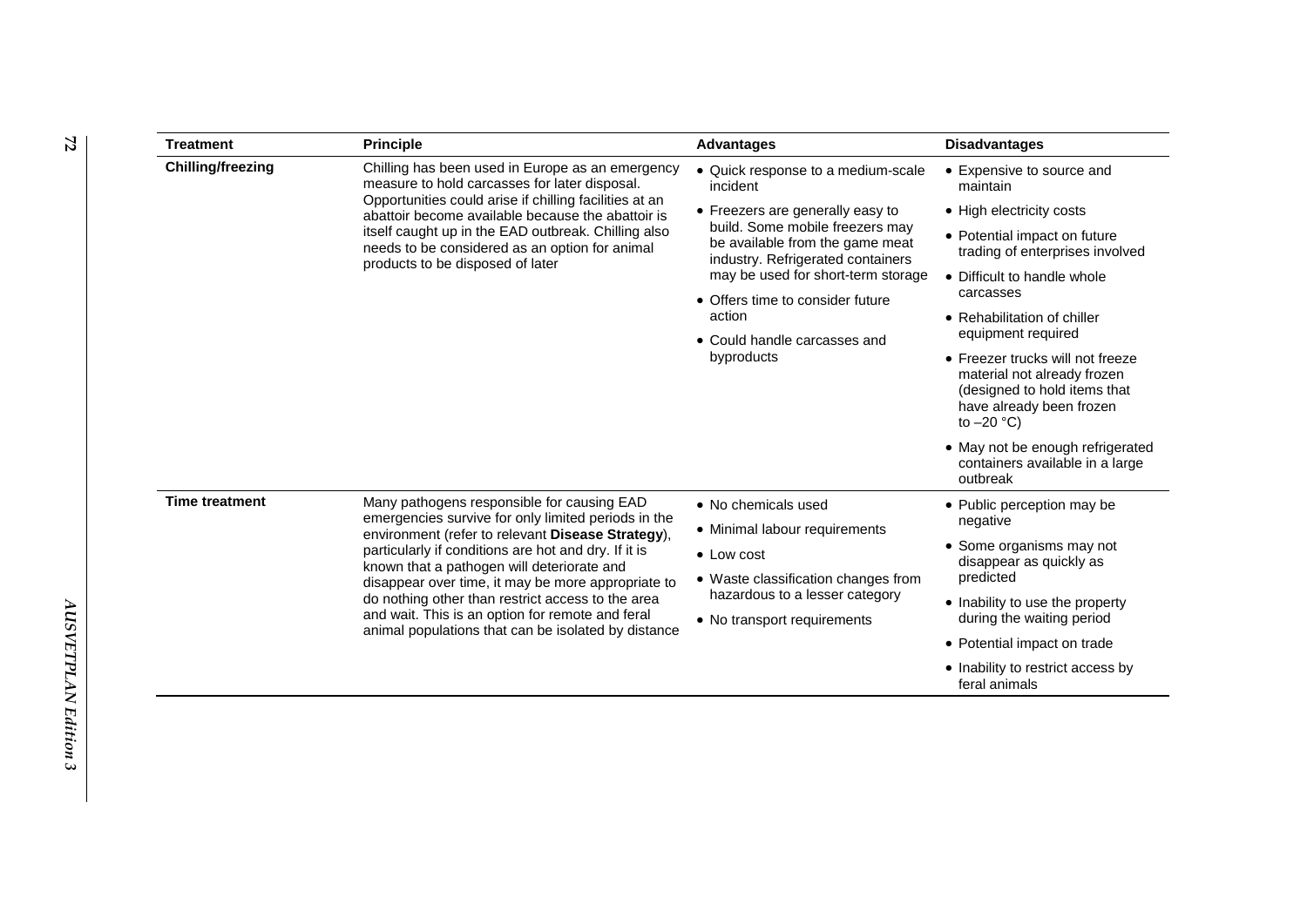| <b>Treatment</b>                                              | <b>Principle</b>                                                                                                                                                                                                                                                                                                                                              | <b>Advantages</b>                                                                                                                                                                 | <b>Disadvantages</b>                                                                          |
|---------------------------------------------------------------|---------------------------------------------------------------------------------------------------------------------------------------------------------------------------------------------------------------------------------------------------------------------------------------------------------------------------------------------------------------|-----------------------------------------------------------------------------------------------------------------------------------------------------------------------------------|-----------------------------------------------------------------------------------------------|
| <b>Chilling/freezing</b>                                      | Chilling has been used in Europe as an emergency<br>measure to hold carcasses for later disposal.<br>Opportunities could arise if chilling facilities at an<br>abattoir become available because the abattoir is<br>itself caught up in the EAD outbreak. Chilling also<br>needs to be considered as an option for animal<br>products to be disposed of later | • Quick response to a medium-scale<br>incident                                                                                                                                    | • Expensive to source and<br>maintain                                                         |
|                                                               |                                                                                                                                                                                                                                                                                                                                                               | • Freezers are generally easy to<br>build. Some mobile freezers may<br>be available from the game meat<br>industry. Refrigerated containers<br>may be used for short-term storage | • High electricity costs                                                                      |
|                                                               |                                                                                                                                                                                                                                                                                                                                                               |                                                                                                                                                                                   | • Potential impact on future<br>trading of enterprises involved                               |
|                                                               |                                                                                                                                                                                                                                                                                                                                                               |                                                                                                                                                                                   | • Difficult to handle whole<br>carcasses<br>• Rehabilitation of chiller<br>equipment required |
|                                                               |                                                                                                                                                                                                                                                                                                                                                               | • Offers time to consider future<br>action<br>• Could handle carcasses and<br>byproducts                                                                                          |                                                                                               |
|                                                               |                                                                                                                                                                                                                                                                                                                                                               |                                                                                                                                                                                   |                                                                                               |
|                                                               |                                                                                                                                                                                                                                                                                                                                                               |                                                                                                                                                                                   | • May not be enough refrigerated<br>containers available in a large<br>outbreak               |
|                                                               |                                                                                                                                                                                                                                                                                                                                                               |                                                                                                                                                                                   | <b>Time treatment</b>                                                                         |
| • Minimal labour requirements                                 |                                                                                                                                                                                                                                                                                                                                                               |                                                                                                                                                                                   |                                                                                               |
| $\bullet$ Low cost                                            | • Some organisms may not<br>disappear as quickly as                                                                                                                                                                                                                                                                                                           |                                                                                                                                                                                   |                                                                                               |
| • Waste classification changes from                           | predicted                                                                                                                                                                                                                                                                                                                                                     |                                                                                                                                                                                   |                                                                                               |
| hazardous to a lesser category<br>• No transport requirements | • Inability to use the property<br>during the waiting period                                                                                                                                                                                                                                                                                                  |                                                                                                                                                                                   |                                                                                               |
|                                                               | • Potential impact on trade                                                                                                                                                                                                                                                                                                                                   |                                                                                                                                                                                   |                                                                                               |
|                                                               | • Inability to restrict access by                                                                                                                                                                                                                                                                                                                             |                                                                                                                                                                                   |                                                                                               |
|                                                               | feral animals                                                                                                                                                                                                                                                                                                                                                 |                                                                                                                                                                                   |                                                                                               |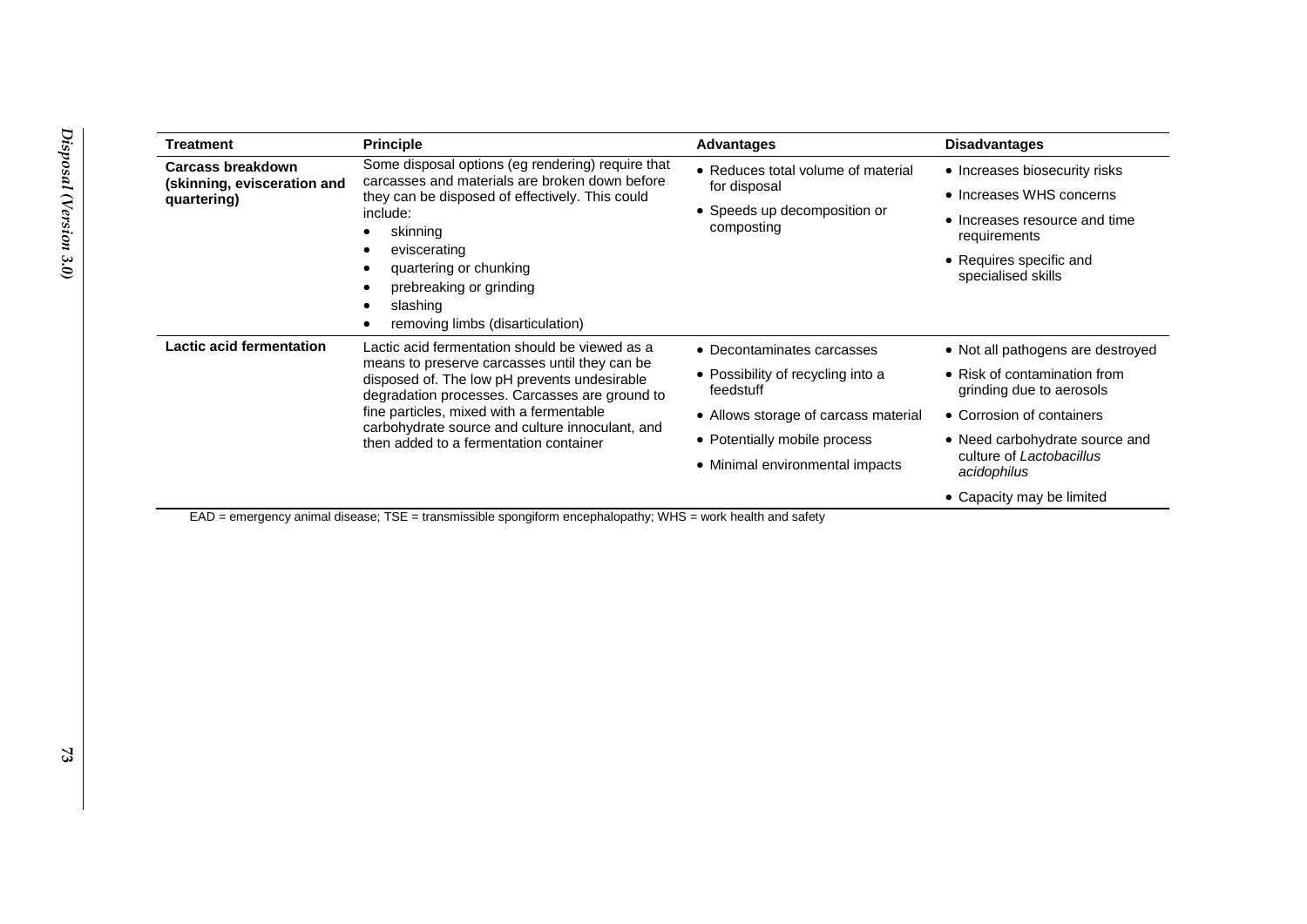| <b>Treatment</b>                                                                                                  | <b>Principle</b>                                                                                                                                                                                                                                                                                                                            | <b>Advantages</b>                              | <b>Disadvantages</b>                                     |
|-------------------------------------------------------------------------------------------------------------------|---------------------------------------------------------------------------------------------------------------------------------------------------------------------------------------------------------------------------------------------------------------------------------------------------------------------------------------------|------------------------------------------------|----------------------------------------------------------|
| <b>Carcass breakdown</b>                                                                                          | Some disposal options (eg rendering) require that<br>carcasses and materials are broken down before                                                                                                                                                                                                                                         | • Reduces total volume of material             | • Increases biosecurity risks                            |
| (skinning, evisceration and<br>quartering)                                                                        | they can be disposed of effectively. This could                                                                                                                                                                                                                                                                                             | for disposal                                   | • Increases WHS concerns                                 |
|                                                                                                                   | include:<br>skinning                                                                                                                                                                                                                                                                                                                        | • Speeds up decomposition or<br>composting     | • Increases resource and time<br>requirements            |
| eviscerating<br>quartering or chunking<br>prebreaking or grinding<br>slashing<br>removing limbs (disarticulation) |                                                                                                                                                                                                                                                                                                                                             | • Requires specific and<br>specialised skills  |                                                          |
| Lactic acid fermentation                                                                                          | Lactic acid fermentation should be viewed as a<br>means to preserve carcasses until they can be.<br>disposed of. The low pH prevents undesirable<br>degradation processes. Carcasses are ground to<br>fine particles, mixed with a fermentable<br>carbohydrate source and culture innoculant, and<br>then added to a fermentation container | • Decontaminates carcasses                     | • Not all pathogens are destroyed                        |
|                                                                                                                   |                                                                                                                                                                                                                                                                                                                                             | • Possibility of recycling into a<br>feedstuff | • Risk of contamination from<br>grinding due to aerosols |
|                                                                                                                   |                                                                                                                                                                                                                                                                                                                                             | • Allows storage of carcass material           | • Corrosion of containers                                |
|                                                                                                                   |                                                                                                                                                                                                                                                                                                                                             | • Potentially mobile process                   | • Need carbohydrate source and                           |
|                                                                                                                   |                                                                                                                                                                                                                                                                                                                                             | • Minimal environmental impacts                | culture of Lactobacillus<br>acidophilus                  |
|                                                                                                                   |                                                                                                                                                                                                                                                                                                                                             |                                                | • Capacity may be limited                                |

EAD = emergency animal disease; TSE = transmissible spongiform encephalopathy; WHS = work health and safety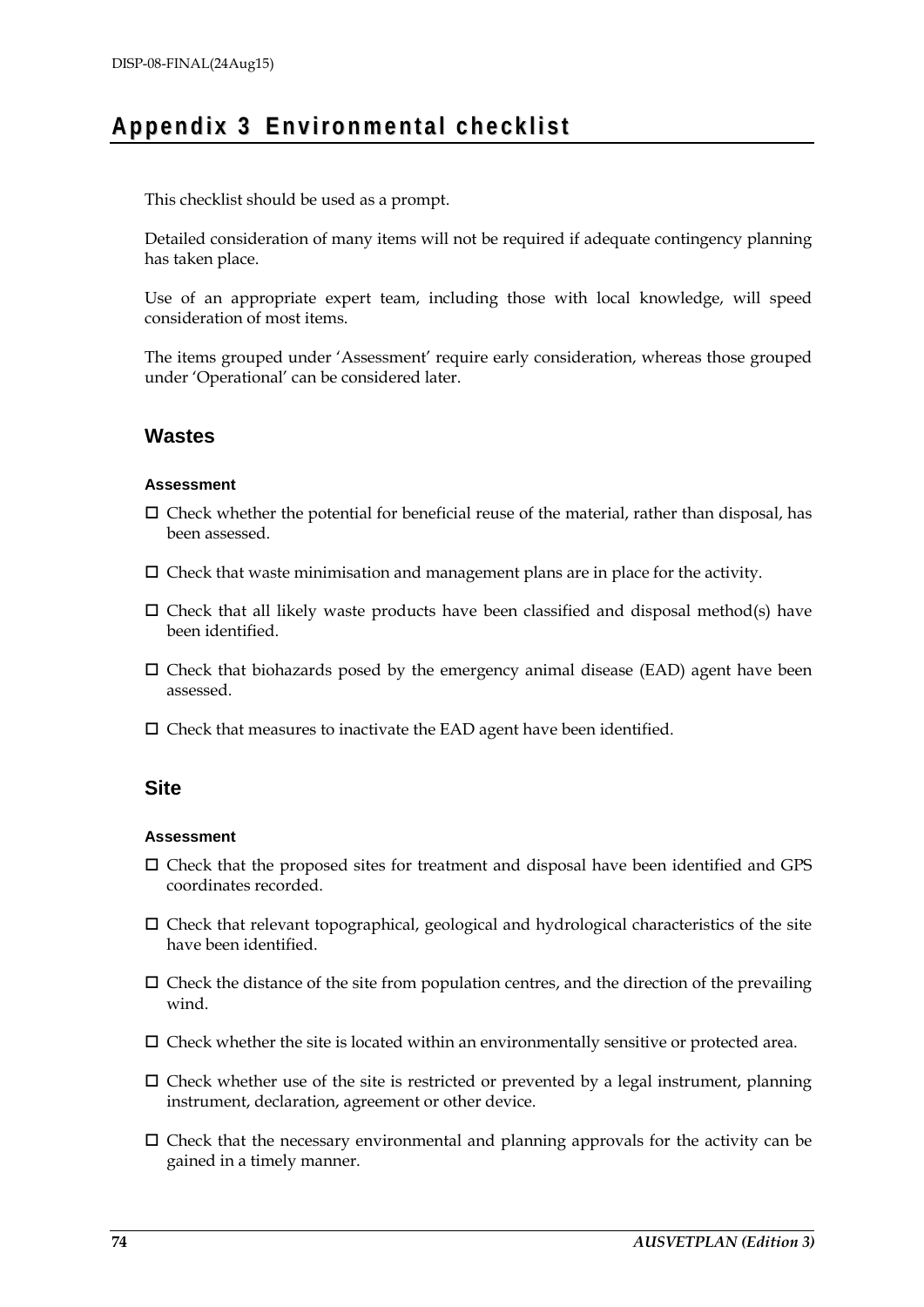## **Ap pen d i x 3 En v iro nme n t a l c he c k l i s t**

This checklist should be used as a prompt.

Detailed consideration of many items will not be required if adequate contingency planning has taken place.

Use of an appropriate expert team, including those with local knowledge, will speed consideration of most items.

The items grouped under 'Assessment' require early consideration, whereas those grouped under 'Operational' can be considered later.

## **Wastes**

### **Assessment**

- $\Box$  Check whether the potential for beneficial reuse of the material, rather than disposal, has been assessed.
- $\square$  Check that waste minimisation and management plans are in place for the activity.
- $\Box$  Check that all likely waste products have been classified and disposal method(s) have been identified.
- $\Box$  Check that biohazards posed by the emergency animal disease (EAD) agent have been assessed.
- $\square$  Check that measures to inactivate the EAD agent have been identified.

## **Site**

#### **Assessment**

- $\square$  Check that the proposed sites for treatment and disposal have been identified and GPS coordinates recorded.
- Check that relevant topographical, geological and hydrological characteristics of the site have been identified.
- $\Box$  Check the distance of the site from population centres, and the direction of the prevailing wind.
- $\square$  Check whether the site is located within an environmentally sensitive or protected area.
- $\Box$  Check whether use of the site is restricted or prevented by a legal instrument, planning instrument, declaration, agreement or other device.
- $\Box$  Check that the necessary environmental and planning approvals for the activity can be gained in a timely manner.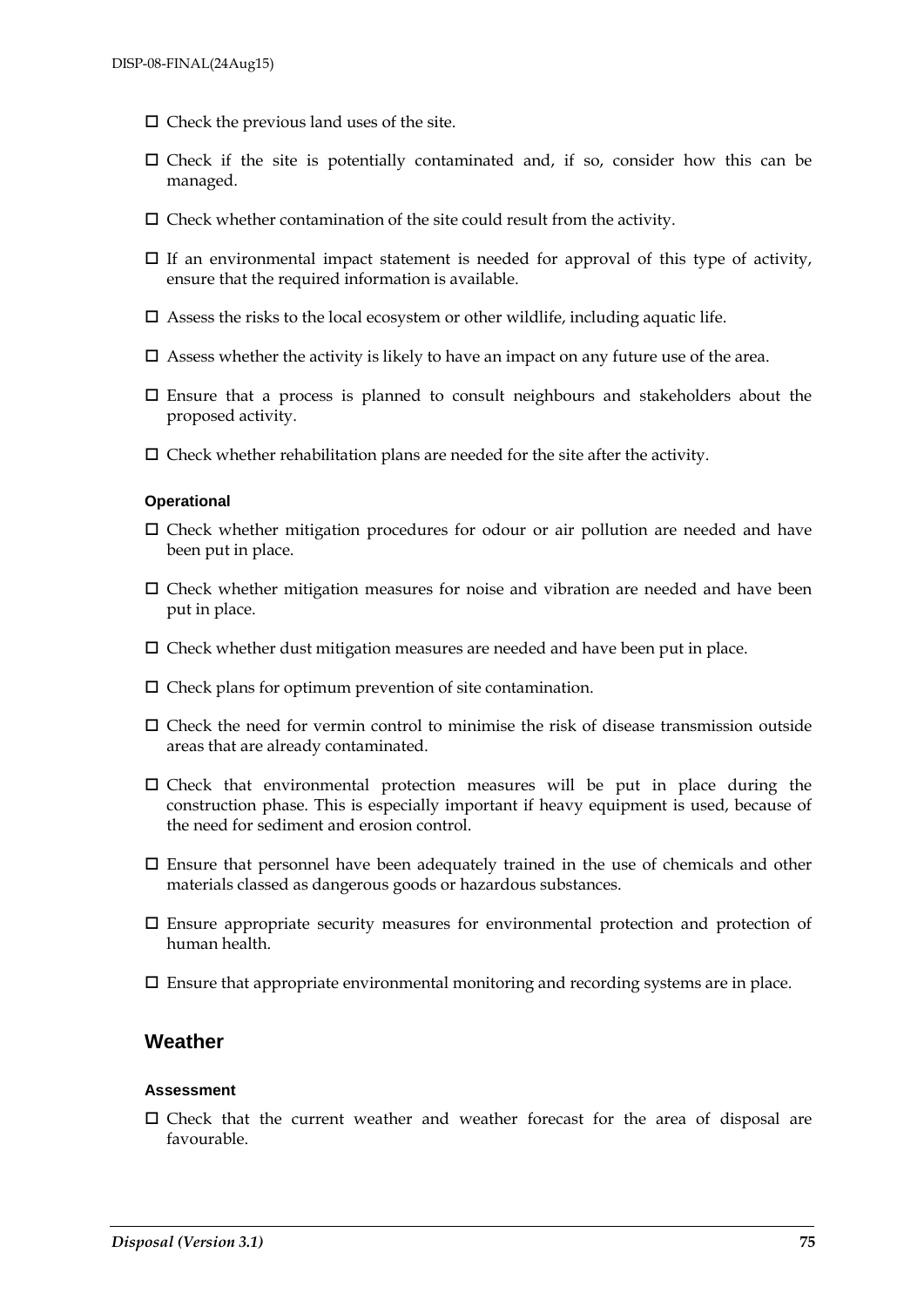- $\Box$  Check the previous land uses of the site.
- $\Box$  Check if the site is potentially contaminated and, if so, consider how this can be managed.
- $\square$  Check whether contamination of the site could result from the activity.
- $\Box$  If an environmental impact statement is needed for approval of this type of activity, ensure that the required information is available.
- $\square$  Assess the risks to the local ecosystem or other wildlife, including aquatic life.
- $\square$  Assess whether the activity is likely to have an impact on any future use of the area.
- $\square$  Ensure that a process is planned to consult neighbours and stakeholders about the proposed activity.
- $\square$  Check whether rehabilitation plans are needed for the site after the activity.

#### **Operational**

- $\Box$  Check whether mitigation procedures for odour or air pollution are needed and have been put in place.
- $\square$  Check whether mitigation measures for noise and vibration are needed and have been put in place.
- $\Box$  Check whether dust mitigation measures are needed and have been put in place.
- $\square$  Check plans for optimum prevention of site contamination.
- $\Box$  Check the need for vermin control to minimise the risk of disease transmission outside areas that are already contaminated.
- $\square$  Check that environmental protection measures will be put in place during the construction phase. This is especially important if heavy equipment is used, because of the need for sediment and erosion control.
- $\square$  Ensure that personnel have been adequately trained in the use of chemicals and other materials classed as dangerous goods or hazardous substances.
- Ensure appropriate security measures for environmental protection and protection of human health.
- $\square$  Ensure that appropriate environmental monitoring and recording systems are in place.

## **Weather**

#### **Assessment**

 $\square$  Check that the current weather and weather forecast for the area of disposal are favourable.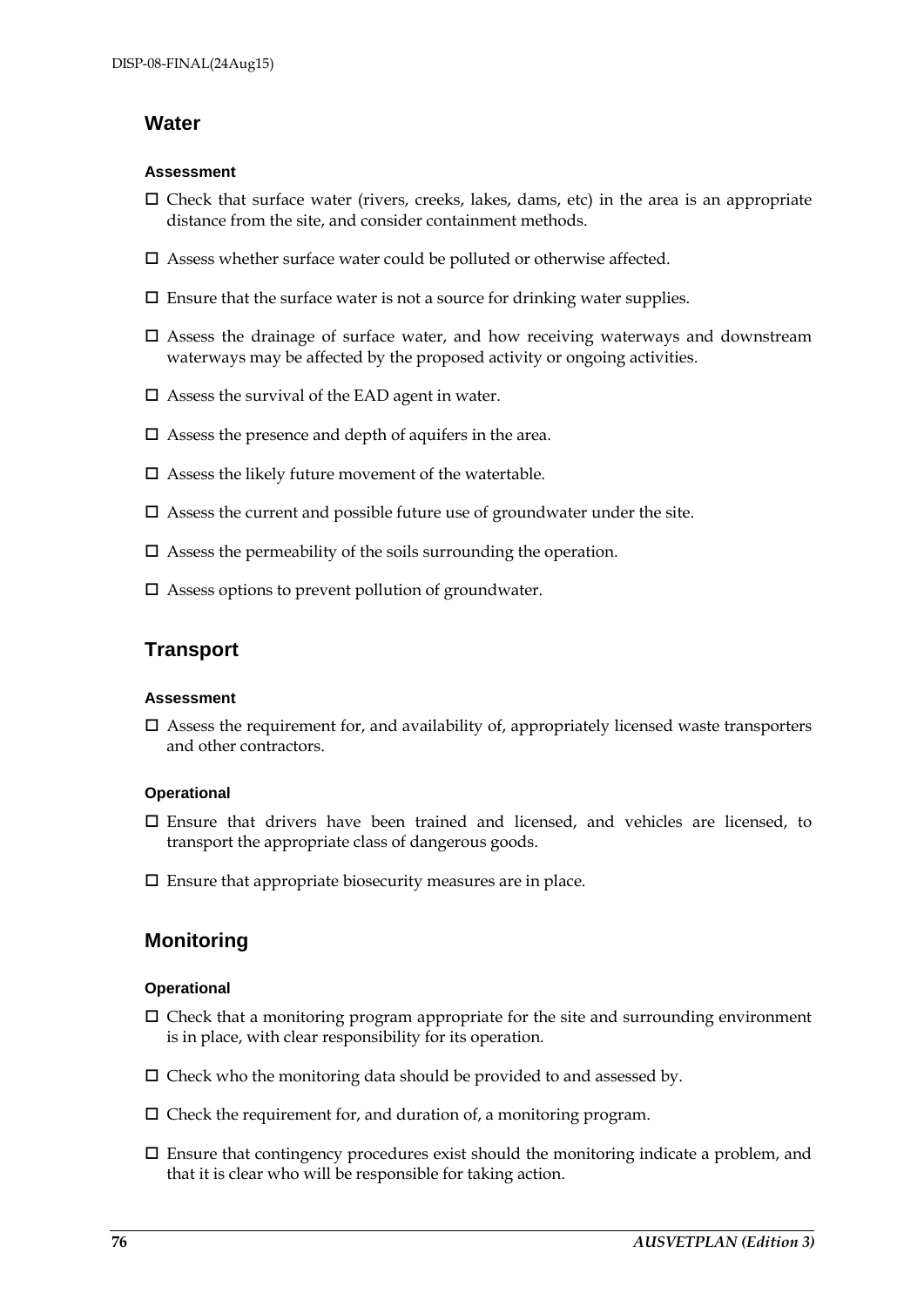## **Water**

### **Assessment**

- $\Box$  Check that surface water (rivers, creeks, lakes, dams, etc) in the area is an appropriate distance from the site, and consider containment methods.
- $\square$  Assess whether surface water could be polluted or otherwise affected.
- $\square$  Ensure that the surface water is not a source for drinking water supplies.
- $\square$  Assess the drainage of surface water, and how receiving waterways and downstream waterways may be affected by the proposed activity or ongoing activities.
- $\square$  Assess the survival of the EAD agent in water.
- $\square$  Assess the presence and depth of aquifers in the area.
- $\square$  Assess the likely future movement of the watertable.
- $\square$  Assess the current and possible future use of groundwater under the site.
- $\square$  Assess the permeability of the soils surrounding the operation.
- $\square$  Assess options to prevent pollution of groundwater.

## **Transport**

#### **Assessment**

 $\square$  Assess the requirement for, and availability of, appropriately licensed waste transporters and other contractors.

## **Operational**

- $\square$  Ensure that drivers have been trained and licensed, and vehicles are licensed, to transport the appropriate class of dangerous goods.
- $\square$  Ensure that appropriate biosecurity measures are in place.

## **Monitoring**

## **Operational**

- $\Box$  Check that a monitoring program appropriate for the site and surrounding environment is in place, with clear responsibility for its operation.
- $\square$  Check who the monitoring data should be provided to and assessed by.
- $\square$  Check the requirement for, and duration of, a monitoring program.
- $\square$  Ensure that contingency procedures exist should the monitoring indicate a problem, and that it is clear who will be responsible for taking action.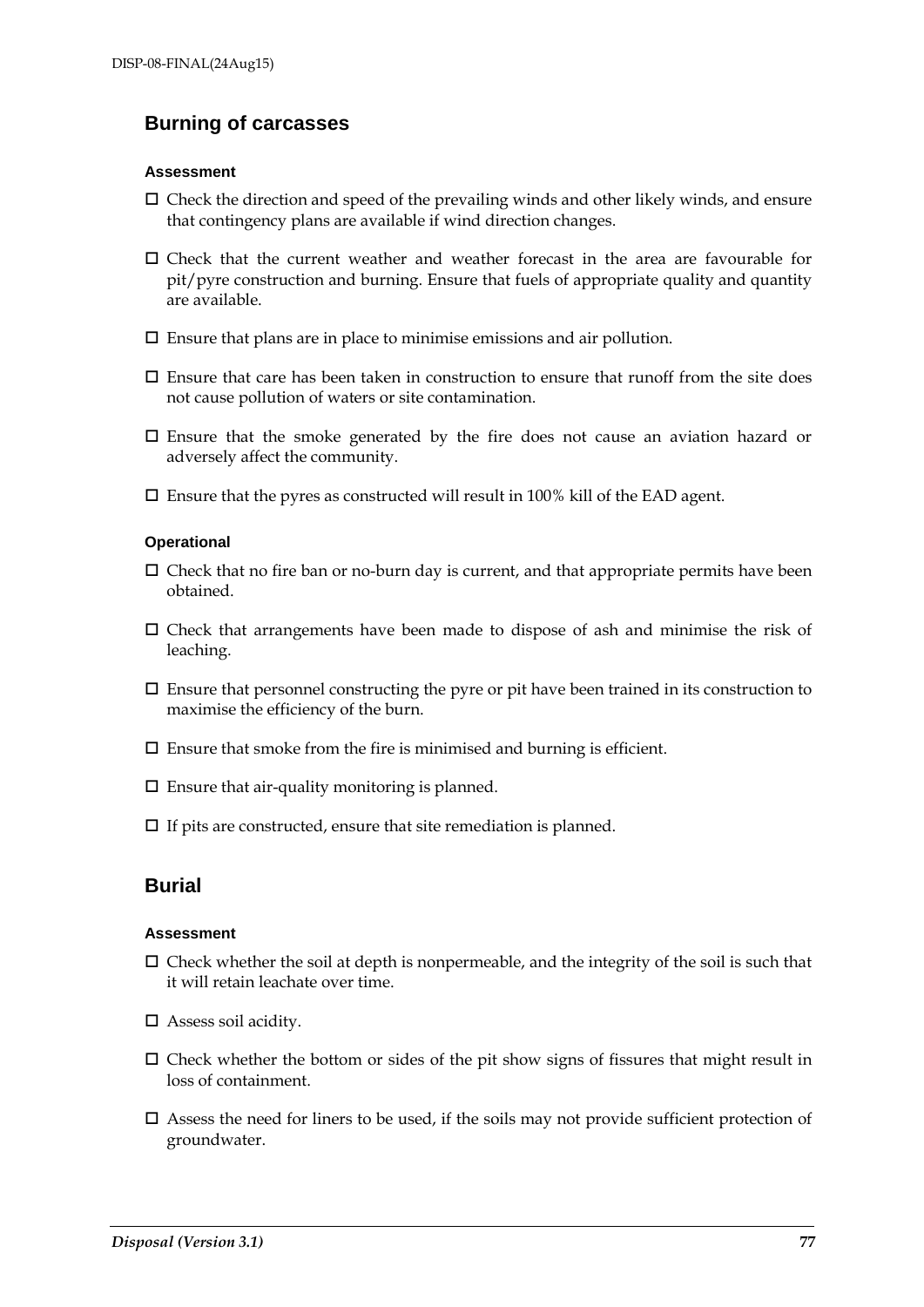## **Burning of carcasses**

#### **Assessment**

- $\square$  Check the direction and speed of the prevailing winds and other likely winds, and ensure that contingency plans are available if wind direction changes.
- $\square$  Check that the current weather and weather forecast in the area are favourable for pit/pyre construction and burning. Ensure that fuels of appropriate quality and quantity are available.
- $\square$  Ensure that plans are in place to minimise emissions and air pollution.
- $\square$  Ensure that care has been taken in construction to ensure that runoff from the site does not cause pollution of waters or site contamination.
- $\square$  Ensure that the smoke generated by the fire does not cause an aviation hazard or adversely affect the community.
- $\square$  Ensure that the pyres as constructed will result in 100% kill of the EAD agent.

### **Operational**

- $\Box$  Check that no fire ban or no-burn day is current, and that appropriate permits have been obtained.
- $\square$  Check that arrangements have been made to dispose of ash and minimise the risk of leaching.
- $\square$  Ensure that personnel constructing the pyre or pit have been trained in its construction to maximise the efficiency of the burn.
- $\square$  Ensure that smoke from the fire is minimised and burning is efficient.
- $\square$  <br> Ensure that air-quality monitoring is planned.
- $\Box$  If pits are constructed, ensure that site remediation is planned.

## **Burial**

#### **Assessment**

- $\Box$  Check whether the soil at depth is nonpermeable, and the integrity of the soil is such that it will retain leachate over time.
- Assess soil acidity.
- $\square$  Check whether the bottom or sides of the pit show signs of fissures that might result in loss of containment.
- $\square$  Assess the need for liners to be used, if the soils may not provide sufficient protection of groundwater.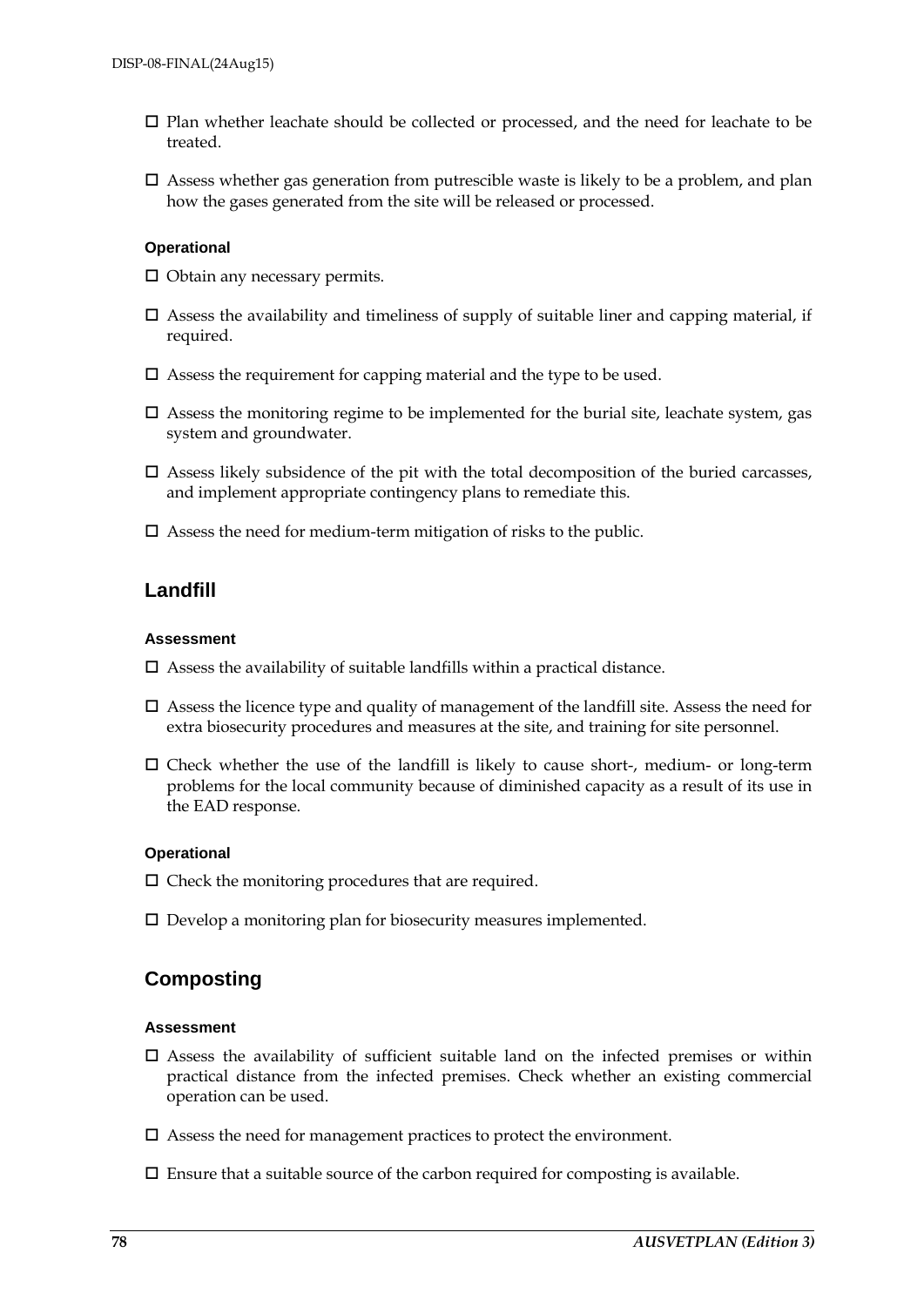- $\square$  Plan whether leachate should be collected or processed, and the need for leachate to be treated.
- $\square$  Assess whether gas generation from putrescible waste is likely to be a problem, and plan how the gases generated from the site will be released or processed.

#### **Operational**

- $\Box$  Obtain any necessary permits.
- $\square$  Assess the availability and timeliness of supply of suitable liner and capping material, if required.
- $\square$  Assess the requirement for capping material and the type to be used.
- $\Box$  Assess the monitoring regime to be implemented for the burial site, leachate system, gas system and groundwater.
- $\square$  Assess likely subsidence of the pit with the total decomposition of the buried carcasses, and implement appropriate contingency plans to remediate this.
- $\square$  Assess the need for medium-term mitigation of risks to the public.

## **Landfill**

### **Assessment**

- $\square$  Assess the availability of suitable landfills within a practical distance.
- $\square$  Assess the licence type and quality of management of the landfill site. Assess the need for extra biosecurity procedures and measures at the site, and training for site personnel.
- $\square$  Check whether the use of the landfill is likely to cause short-, medium- or long-term problems for the local community because of diminished capacity as a result of its use in the EAD response.

## **Operational**

- $\square$  Check the monitoring procedures that are required.
- $\square$  Develop a monitoring plan for biosecurity measures implemented.

## **Composting**

#### **Assessment**

- $\square$  Assess the availability of sufficient suitable land on the infected premises or within practical distance from the infected premises. Check whether an existing commercial operation can be used.
- $\square$  Assess the need for management practices to protect the environment.
- $\square$  Ensure that a suitable source of the carbon required for composting is available.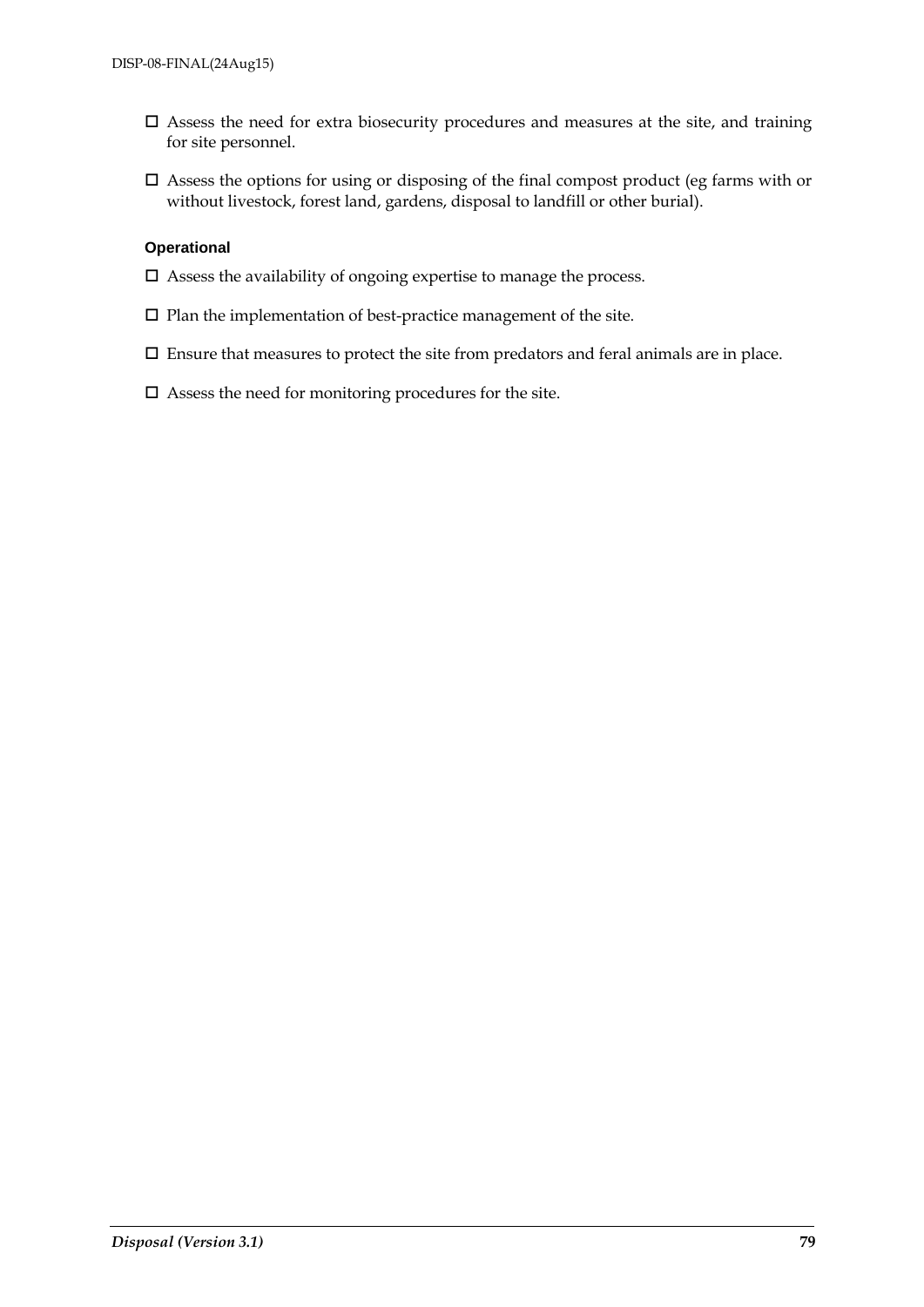- $\square$  Assess the need for extra biosecurity procedures and measures at the site, and training for site personnel.
- $\square$  Assess the options for using or disposing of the final compost product (eg farms with or without livestock, forest land, gardens, disposal to landfill or other burial).

#### **Operational**

- $\square$  Assess the availability of ongoing expertise to manage the process.
- $\square$  Plan the implementation of best-practice management of the site.
- $\square$  Ensure that measures to protect the site from predators and feral animals are in place.
- $\square$  Assess the need for monitoring procedures for the site.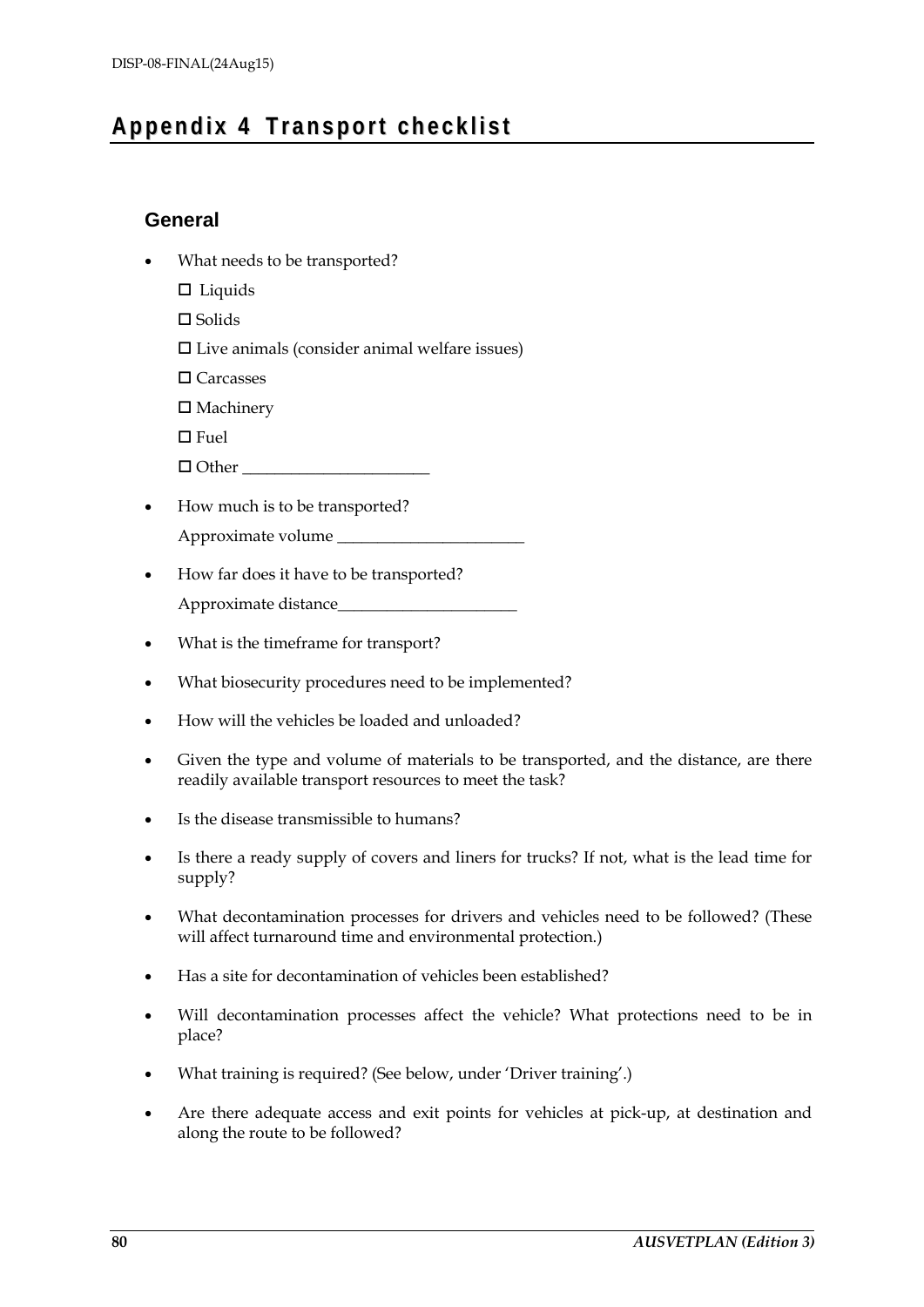## **Ap pen d i x 4 T r a ns po rt ch e c k l i s t**

## **General**

- What needs to be transported?
	- $\square$  Liquids

 $\Box$  Solids

 $\square$  Live animals (consider animal welfare issues)

□ Carcasses

 $\square$  Machinery

 $\Box$  Fuel

 $\Box$  Other

- How much is to be transported? Approximate volume \_\_\_\_\_\_\_\_\_\_\_\_\_\_\_\_\_\_\_\_\_\_\_
- How far does it have to be transported? Approximate distance\_\_\_\_\_\_\_\_\_\_\_\_\_\_\_\_\_\_\_\_\_\_
- What is the timeframe for transport?
- What biosecurity procedures need to be implemented?
- How will the vehicles be loaded and unloaded?
- Given the type and volume of materials to be transported, and the distance, are there readily available transport resources to meet the task?
- Is the disease transmissible to humans?
- Is there a ready supply of covers and liners for trucks? If not, what is the lead time for supply?
- What decontamination processes for drivers and vehicles need to be followed? (These will affect turnaround time and environmental protection.)
- Has a site for decontamination of vehicles been established?
- Will decontamination processes affect the vehicle? What protections need to be in place?
- What training is required? (See below, under 'Driver training'.)
- Are there adequate access and exit points for vehicles at pick-up, at destination and along the route to be followed?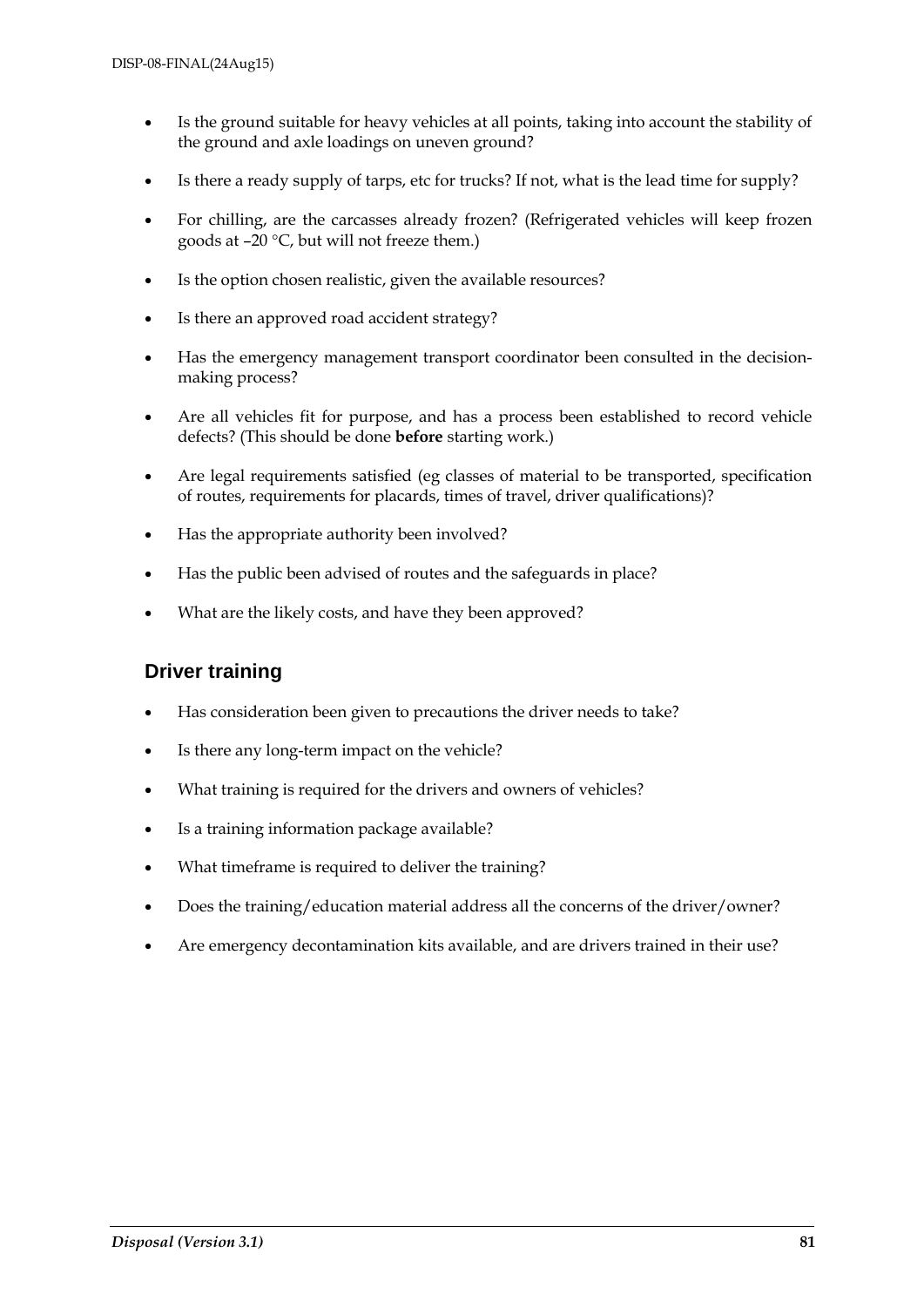- Is the ground suitable for heavy vehicles at all points, taking into account the stability of the ground and axle loadings on uneven ground?
- Is there a ready supply of tarps, etc for trucks? If not, what is the lead time for supply?
- For chilling, are the carcasses already frozen? (Refrigerated vehicles will keep frozen goods at –20 °C, but will not freeze them.)
- Is the option chosen realistic, given the available resources?
- Is there an approved road accident strategy?
- Has the emergency management transport coordinator been consulted in the decisionmaking process?
- Are all vehicles fit for purpose, and has a process been established to record vehicle defects? (This should be done **before** starting work.)
- Are legal requirements satisfied (eg classes of material to be transported, specification of routes, requirements for placards, times of travel, driver qualifications)?
- Has the appropriate authority been involved?
- Has the public been advised of routes and the safeguards in place?
- What are the likely costs, and have they been approved?

## **Driver training**

- Has consideration been given to precautions the driver needs to take?
- Is there any long-term impact on the vehicle?
- What training is required for the drivers and owners of vehicles?
- Is a training information package available?
- What timeframe is required to deliver the training?
- Does the training/education material address all the concerns of the driver/owner?
- Are emergency decontamination kits available, and are drivers trained in their use?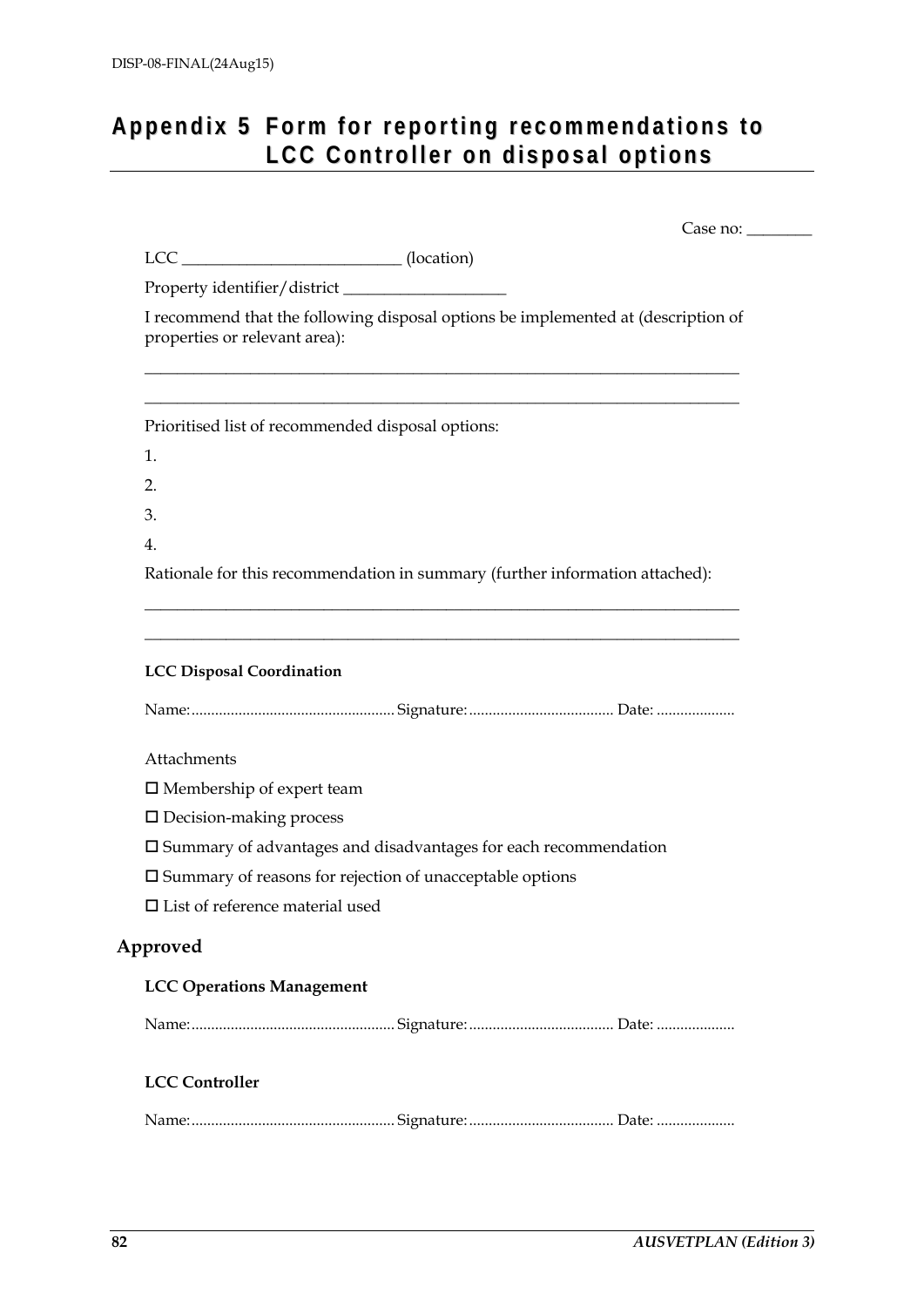## Appendix 5 Form for reporting recommendations to **LCC Con tro l l e r o n d i s po s a l op ti o ns**

|                                           | LCC _______________________________(location)                                     |
|-------------------------------------------|-----------------------------------------------------------------------------------|
|                                           |                                                                                   |
| properties or relevant area):             | I recommend that the following disposal options be implemented at (description of |
|                                           | Prioritised list of recommended disposal options:                                 |
| 1.                                        |                                                                                   |
| 2.                                        |                                                                                   |
| 3.                                        |                                                                                   |
| 4.                                        |                                                                                   |
|                                           | Rationale for this recommendation in summary (further information attached):      |
|                                           |                                                                                   |
| <b>LCC Disposal Coordination</b>          |                                                                                   |
|                                           |                                                                                   |
| Attachments                               |                                                                                   |
| $\square$ Membership of expert team       |                                                                                   |
| $\square$ Decision-making process         |                                                                                   |
|                                           | $\square$ Summary of advantages and disadvantages for each recommendation         |
|                                           | $\square$ Summary of reasons for rejection of unacceptable options                |
| $\square$ List of reference material used |                                                                                   |
| Approved                                  |                                                                                   |
| <b>LCC Operations Management</b>          |                                                                                   |
|                                           |                                                                                   |
| <b>LCC Controller</b>                     |                                                                                   |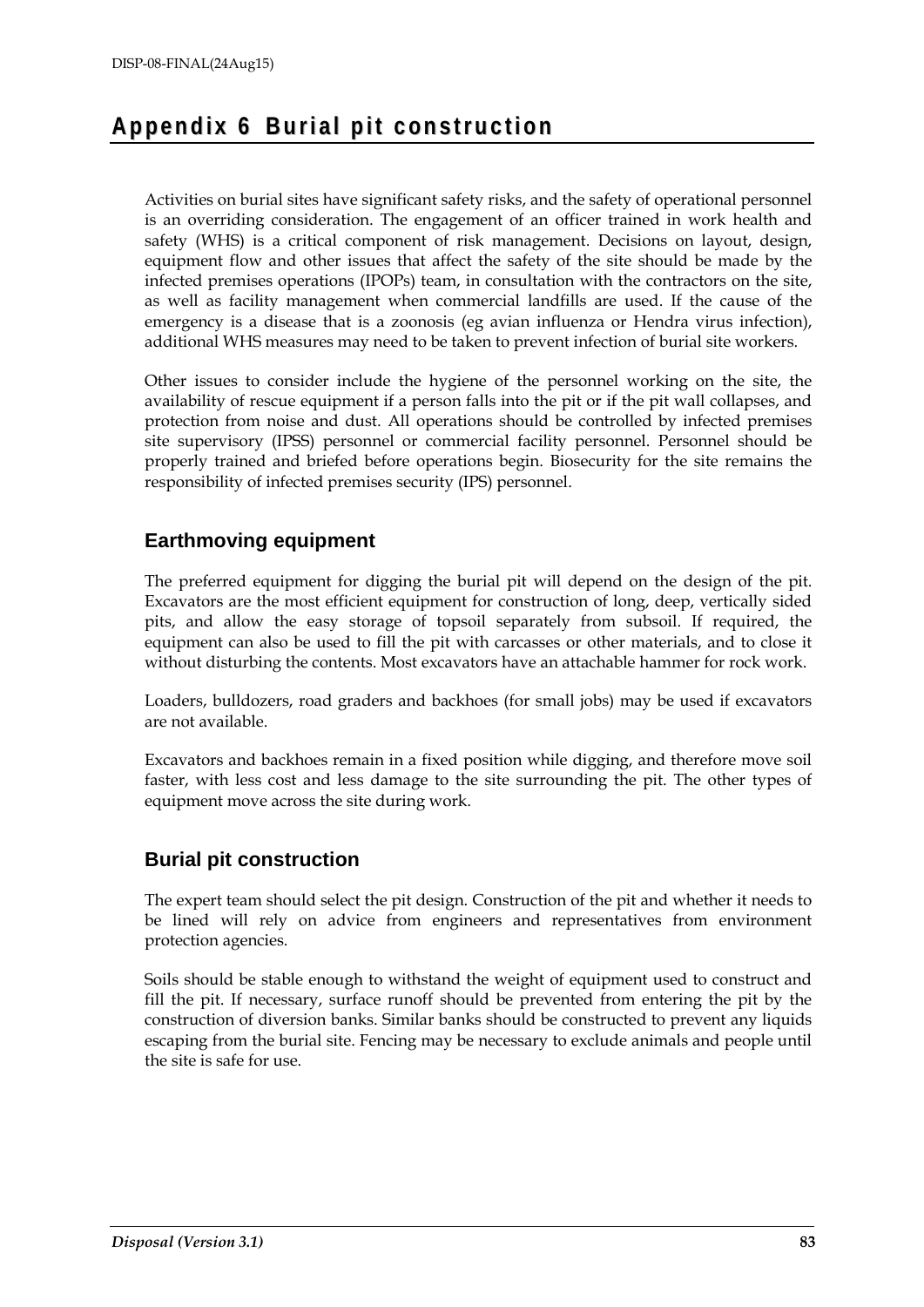## **Ap pen d i x 6 Bu ri a l p it c on s tru c ti on**

Activities on burial sites have significant safety risks, and the safety of operational personnel is an overriding consideration. The engagement of an officer trained in work health and safety (WHS) is a critical component of risk management. Decisions on layout, design, equipment flow and other issues that affect the safety of the site should be made by the infected premises operations (IPOPs) team, in consultation with the contractors on the site, as well as facility management when commercial landfills are used. If the cause of the emergency is a disease that is a zoonosis (eg avian influenza or Hendra virus infection), additional WHS measures may need to be taken to prevent infection of burial site workers.

Other issues to consider include the hygiene of the personnel working on the site, the availability of rescue equipment if a person falls into the pit or if the pit wall collapses, and protection from noise and dust. All operations should be controlled by infected premises site supervisory (IPSS) personnel or commercial facility personnel. Personnel should be properly trained and briefed before operations begin. Biosecurity for the site remains the responsibility of infected premises security (IPS) personnel.

## **Earthmoving equipment**

The preferred equipment for digging the burial pit will depend on the design of the pit. Excavators are the most efficient equipment for construction of long, deep, vertically sided pits, and allow the easy storage of topsoil separately from subsoil. If required, the equipment can also be used to fill the pit with carcasses or other materials, and to close it without disturbing the contents. Most excavators have an attachable hammer for rock work.

Loaders, bulldozers, road graders and backhoes (for small jobs) may be used if excavators are not available.

Excavators and backhoes remain in a fixed position while digging, and therefore move soil faster, with less cost and less damage to the site surrounding the pit. The other types of equipment move across the site during work.

## **Burial pit construction**

The expert team should select the pit design. Construction of the pit and whether it needs to be lined will rely on advice from engineers and representatives from environment protection agencies.

Soils should be stable enough to withstand the weight of equipment used to construct and fill the pit. If necessary, surface runoff should be prevented from entering the pit by the construction of diversion banks. Similar banks should be constructed to prevent any liquids escaping from the burial site. Fencing may be necessary to exclude animals and people until the site is safe for use.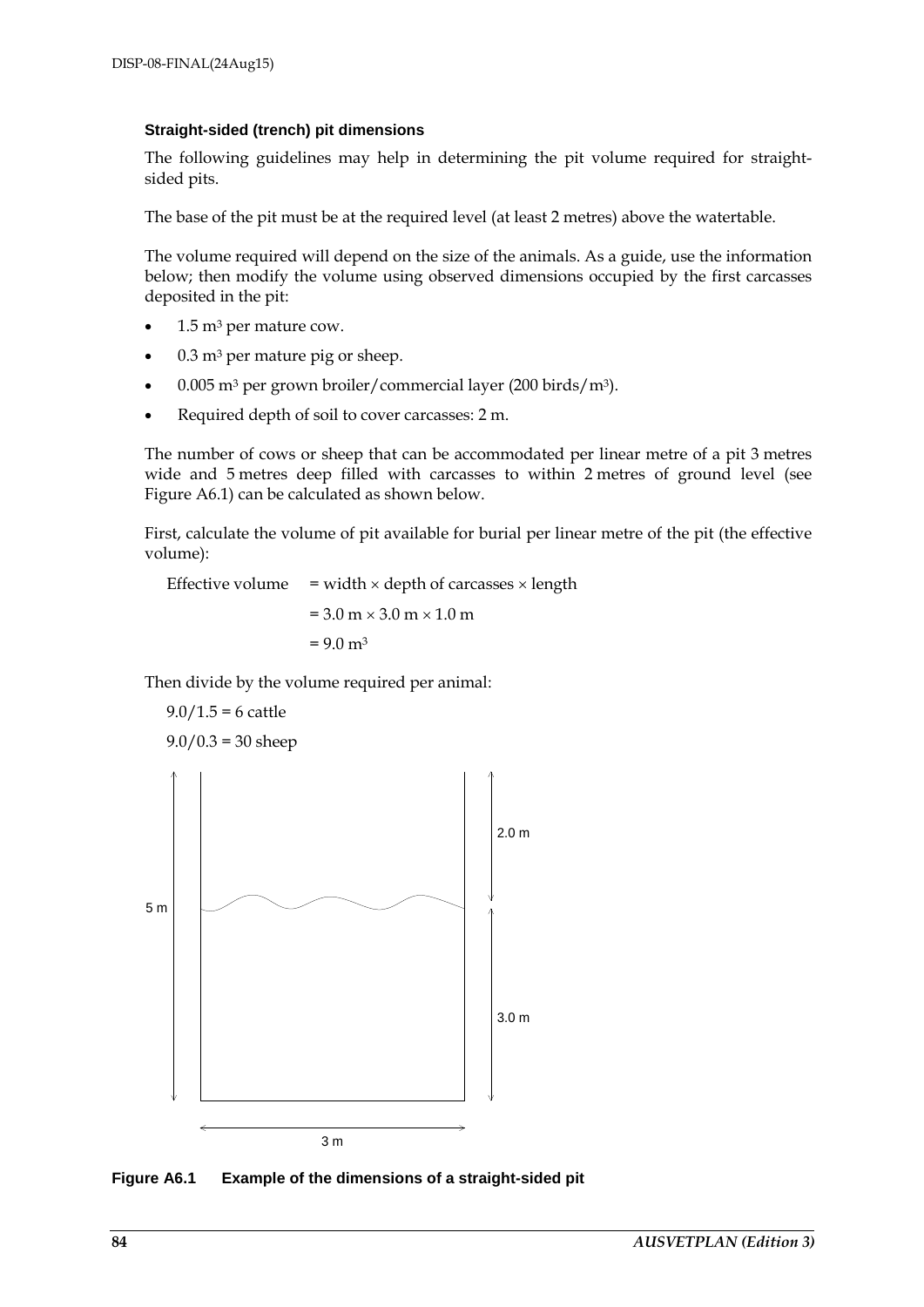### **Straight-sided (trench) pit dimensions**

The following guidelines may help in determining the pit volume required for straightsided pits.

The base of the pit must be at the required level (at least 2 metres) above the watertable.

The volume required will depend on the size of the animals. As a guide, use the information below; then modify the volume using observed dimensions occupied by the first carcasses deposited in the pit:

- $1.5$  m<sup>3</sup> per mature cow.
- $0.3$  m<sup>3</sup> per mature pig or sheep.
- 0.005 m3 per grown broiler/commercial layer (200 birds/m3).
- Required depth of soil to cover carcasses: 2 m.

The number of cows or sheep that can be accommodated per linear metre of a pit 3 metres wide and 5 metres deep filled with carcasses to within 2 metres of ground level (see Figure A6.1) can be calculated as shown below.

First, calculate the volume of pit available for burial per linear metre of the pit (the effective volume):

Effective volume = width  $\times$  depth of carcasses  $\times$  length  $= 3.0 \text{ m} \times 3.0 \text{ m} \times 1.0 \text{ m}$  $= 9.0 \text{ m}^3$ 

Then divide by the volume required per animal:



**Figure A6.1 Example of the dimensions of a straight-sided pit**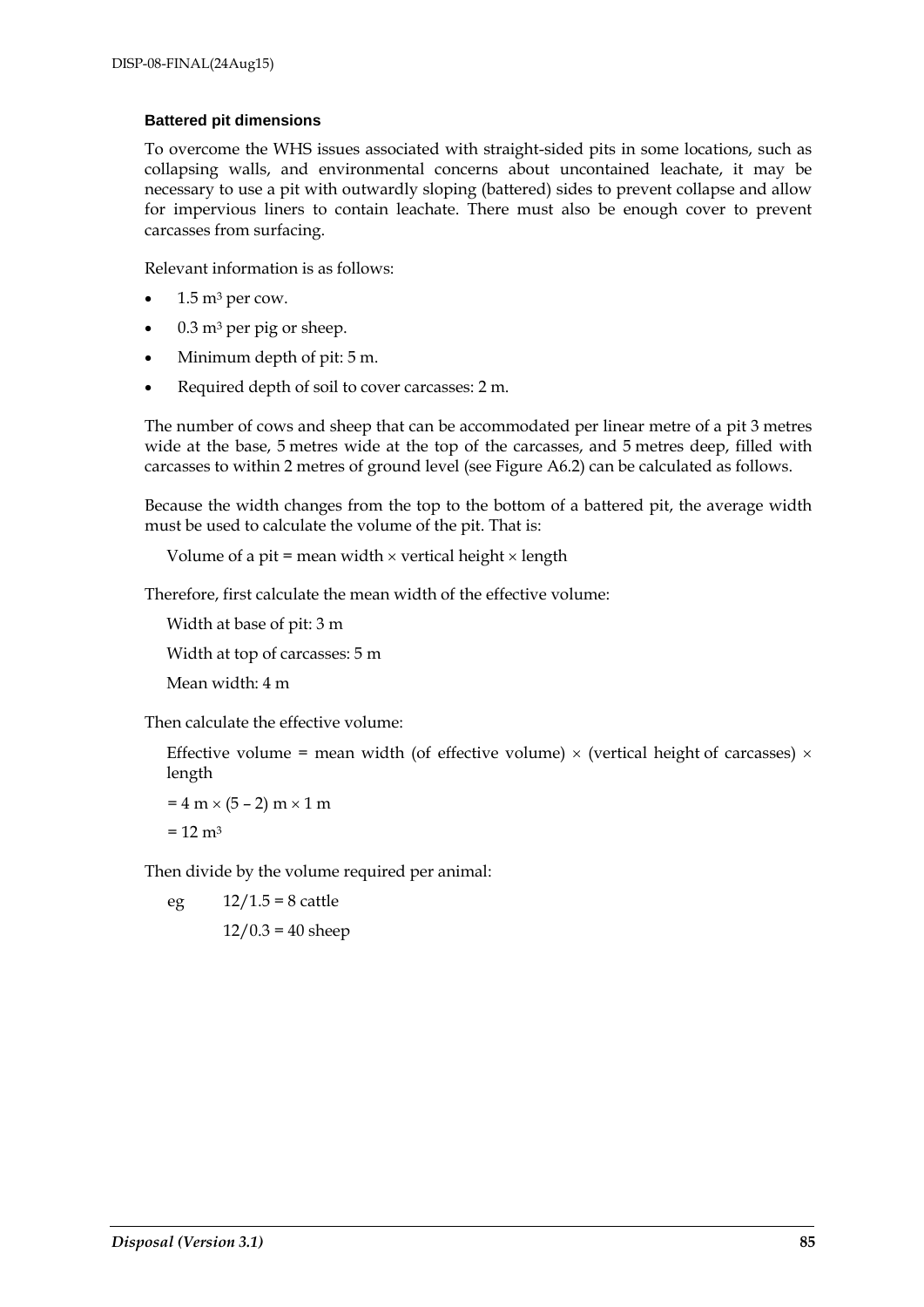#### **Battered pit dimensions**

To overcome the WHS issues associated with straight-sided pits in some locations, such as collapsing walls, and environmental concerns about uncontained leachate, it may be necessary to use a pit with outwardly sloping (battered) sides to prevent collapse and allow for impervious liners to contain leachate. There must also be enough cover to prevent carcasses from surfacing.

Relevant information is as follows:

- $1.5 \text{ m}^3$  per cow.
- $0.3$  m<sup>3</sup> per pig or sheep.
- Minimum depth of pit: 5 m.
- Required depth of soil to cover carcasses: 2 m.

The number of cows and sheep that can be accommodated per linear metre of a pit 3 metres wide at the base, 5 metres wide at the top of the carcasses, and 5 metres deep, filled with carcasses to within 2 metres of ground level (see Figure A6.2) can be calculated as follows.

Because the width changes from the top to the bottom of a battered pit, the average width must be used to calculate the volume of the pit. That is:

Volume of a pit = mean width  $\times$  vertical height  $\times$  length

Therefore, first calculate the mean width of the effective volume:

Width at base of pit: 3 m

Width at top of carcasses: 5 m

Mean width: 4 m

Then calculate the effective volume:

Effective volume = mean width (of effective volume)  $\times$  (vertical height of carcasses)  $\times$ length

```
= 4 m \times (5 - 2) m \times 1 m
```
 $= 12 \text{ m}^3$ 

Then divide by the volume required per animal:

eg  $12/1.5 = 8$  cattle

 $12/0.3 = 40$  sheep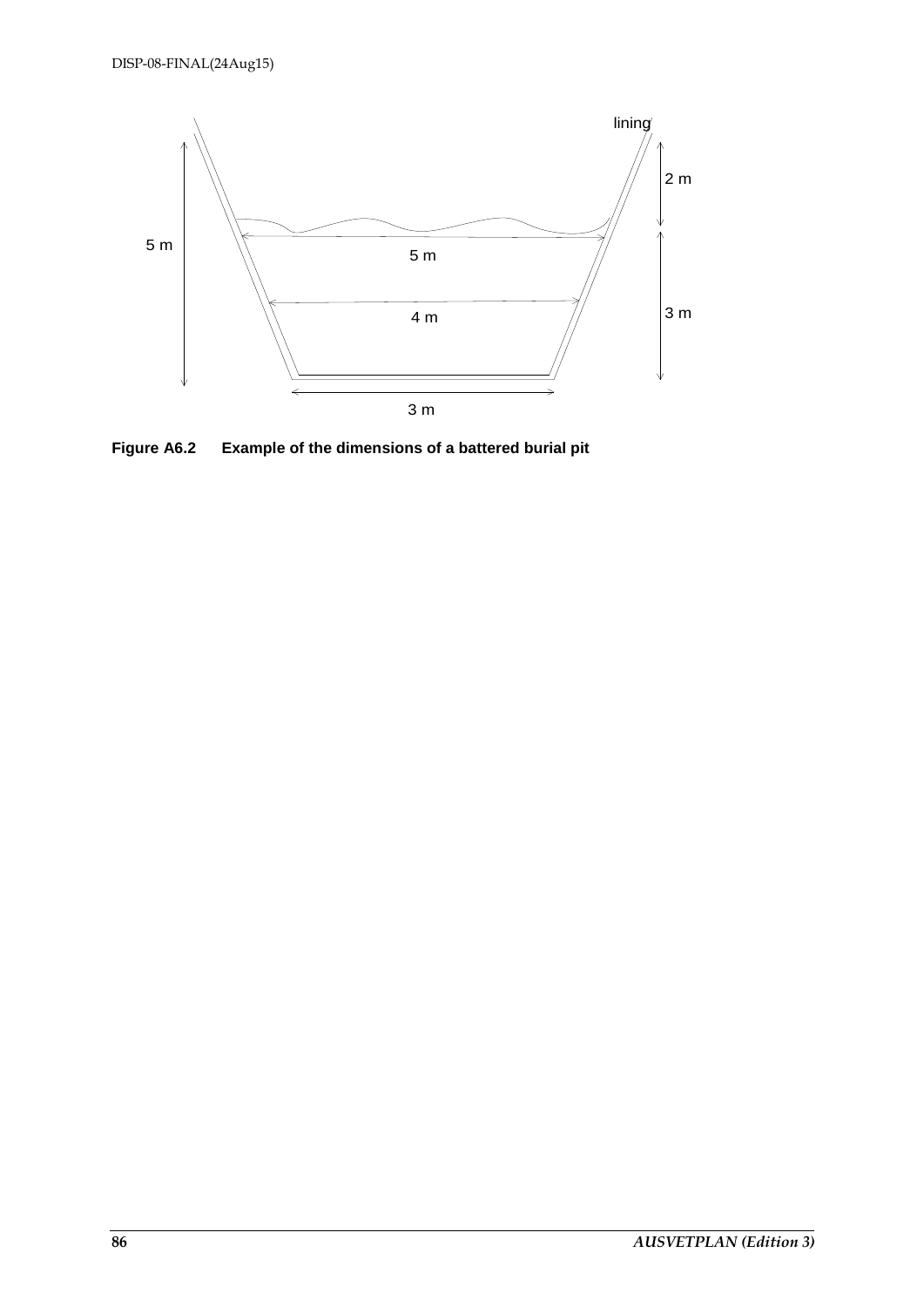

**Figure A6.2 Example of the dimensions of a battered burial pit**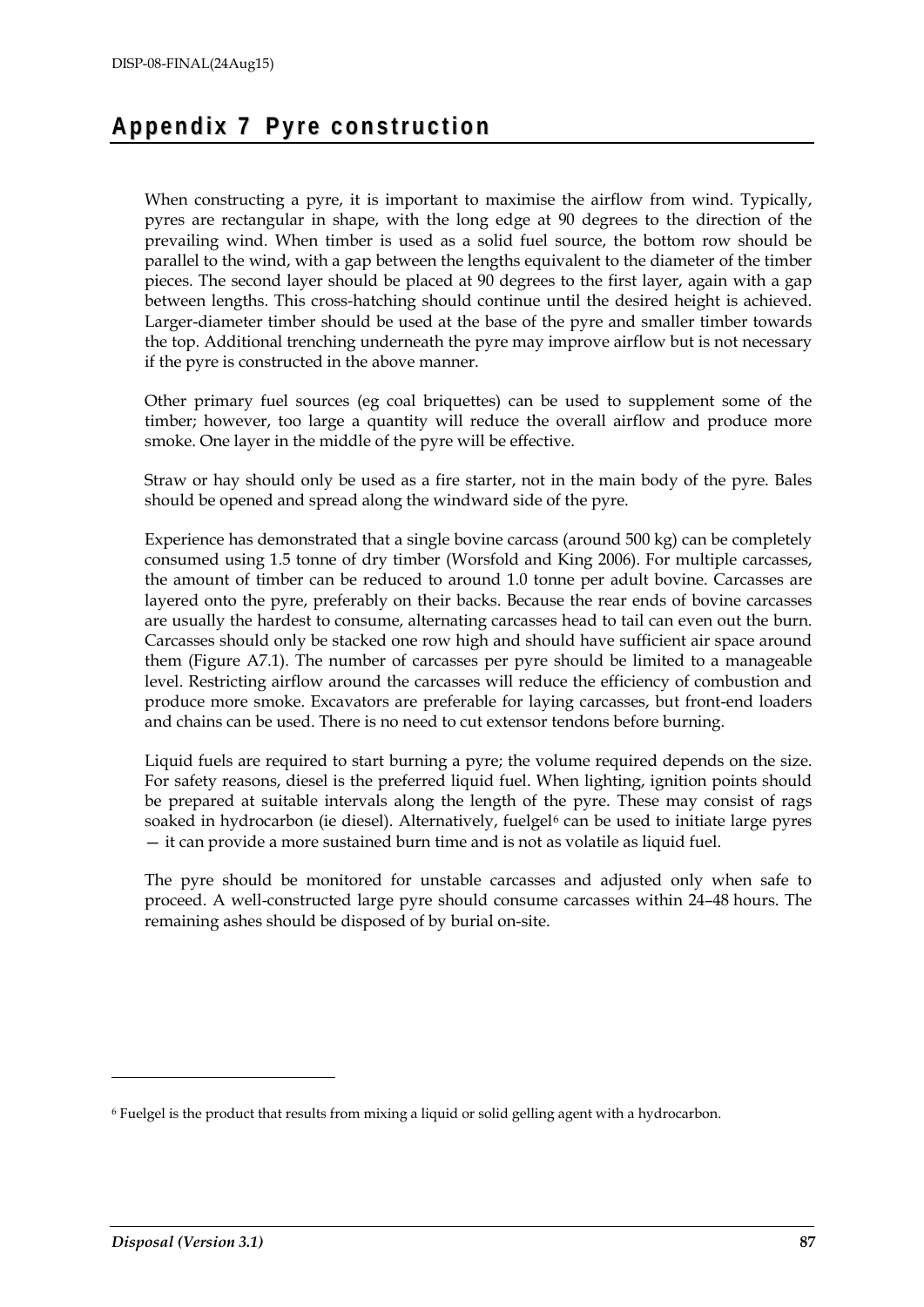## **Ap pen d i x 7 Py r e c on s tru c tio n**

When constructing a pyre, it is important to maximise the airflow from wind. Typically, pyres are rectangular in shape, with the long edge at 90 degrees to the direction of the prevailing wind. When timber is used as a solid fuel source, the bottom row should be parallel to the wind, with a gap between the lengths equivalent to the diameter of the timber pieces. The second layer should be placed at 90 degrees to the first layer, again with a gap between lengths. This cross-hatching should continue until the desired height is achieved. Larger-diameter timber should be used at the base of the pyre and smaller timber towards the top. Additional trenching underneath the pyre may improve airflow but is not necessary if the pyre is constructed in the above manner.

Other primary fuel sources (eg coal briquettes) can be used to supplement some of the timber; however, too large a quantity will reduce the overall airflow and produce more smoke. One layer in the middle of the pyre will be effective.

Straw or hay should only be used as a fire starter, not in the main body of the pyre. Bales should be opened and spread along the windward side of the pyre.

Experience has demonstrated that a single bovine carcass (around 500 kg) can be completely consumed using 1.5 tonne of dry timber (Worsfold and King 2006). For multiple carcasses, the amount of timber can be reduced to around 1.0 tonne per adult bovine. Carcasses are layered onto the pyre, preferably on their backs. Because the rear ends of bovine carcasses are usually the hardest to consume, alternating carcasses head to tail can even out the burn. Carcasses should only be stacked one row high and should have sufficient air space around them (Figure A7.1). The number of carcasses per pyre should be limited to a manageable level. Restricting airflow around the carcasses will reduce the efficiency of combustion and produce more smoke. Excavators are preferable for laying carcasses, but front-end loaders and chains can be used. There is no need to cut extensor tendons before burning.

Liquid fuels are required to start burning a pyre; the volume required depends on the size. For safety reasons, diesel is the preferred liquid fuel. When lighting, ignition points should be prepared at suitable intervals along the length of the pyre. These may consist of rags soaked in hydrocarbon (ie diesel). Alternatively, fuelgel<sup>[6](#page-86-0)</sup> can be used to initiate large pyres — it can provide a more sustained burn time and is not as volatile as liquid fuel.

The pyre should be monitored for unstable carcasses and adjusted only when safe to proceed. A well-constructed large pyre should consume carcasses within 24–48 hours. The remaining ashes should be disposed of by burial on-site.

-

<span id="page-86-0"></span><sup>6</sup> Fuelgel is the product that results from mixing a liquid or solid gelling agent with a hydrocarbon.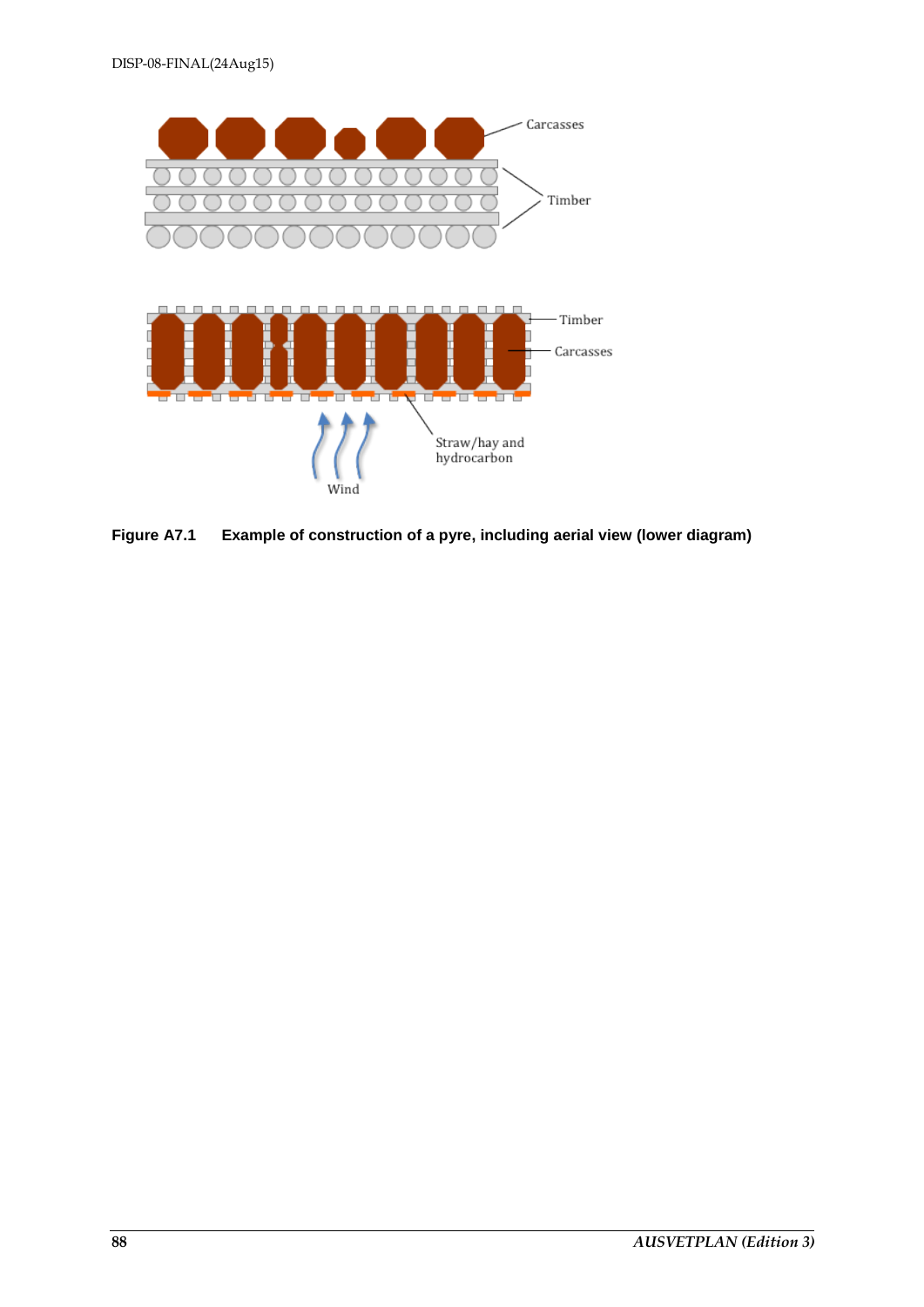

**Figure A7.1 Example of construction of a pyre, including aerial view (lower diagram)**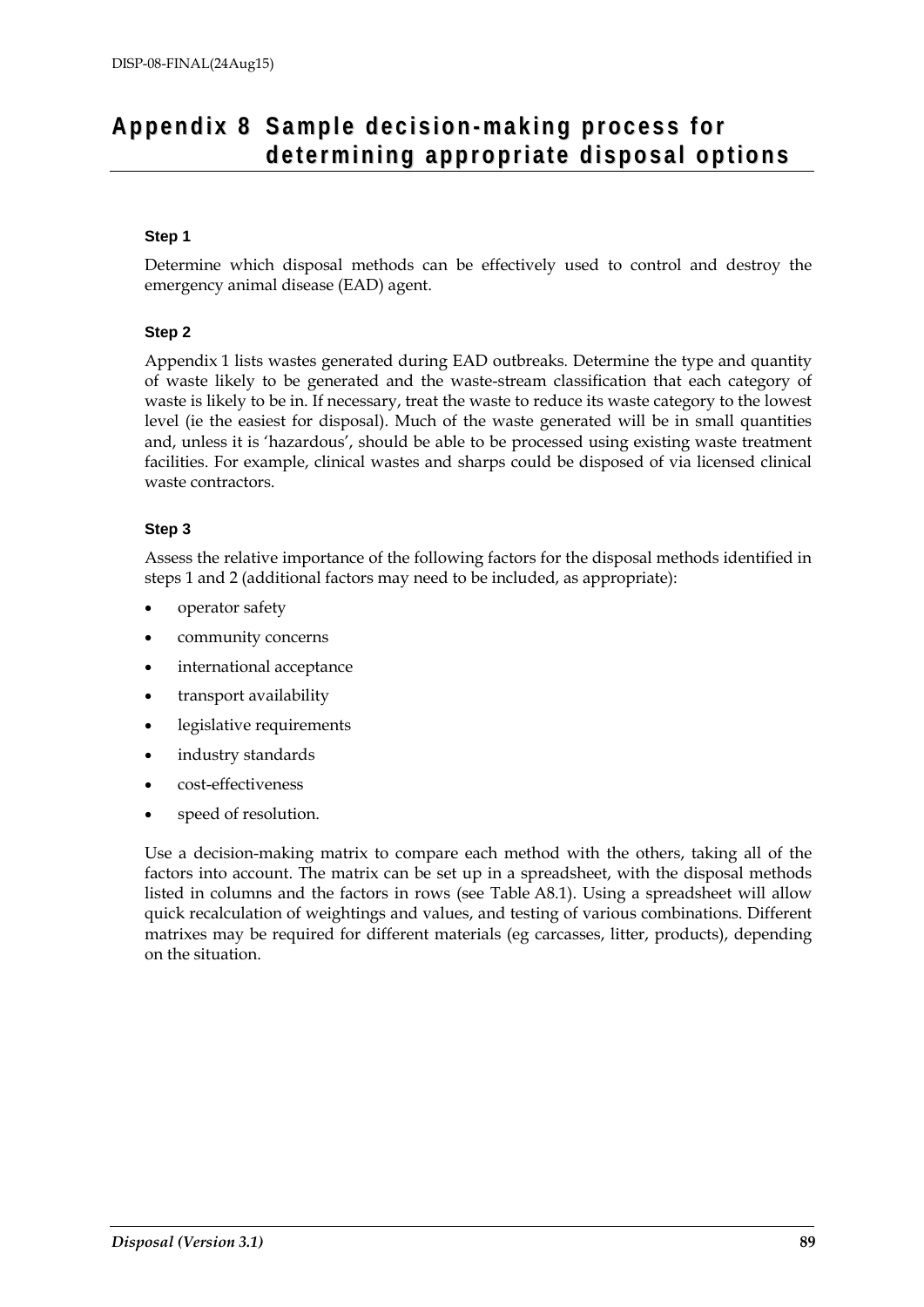## Appendix 8 Sample decision-making process for **d e t e rmi n ing app ro p ri at e d i spo s a l o p tio ns**

## **Step 1**

Determine which disposal methods can be effectively used to control and destroy the emergency animal disease (EAD) agent.

## **Step 2**

Appendix 1 lists wastes generated during EAD outbreaks. Determine the type and quantity of waste likely to be generated and the waste-stream classification that each category of waste is likely to be in. If necessary, treat the waste to reduce its waste category to the lowest level (ie the easiest for disposal). Much of the waste generated will be in small quantities and, unless it is 'hazardous', should be able to be processed using existing waste treatment facilities. For example, clinical wastes and sharps could be disposed of via licensed clinical waste contractors.

## **Step 3**

Assess the relative importance of the following factors for the disposal methods identified in steps 1 and 2 (additional factors may need to be included, as appropriate):

- operator safety
- community concerns
- international acceptance
- transport availability
- legislative requirements
- industry standards
- cost-effectiveness
- speed of resolution.

Use a decision-making matrix to compare each method with the others, taking all of the factors into account. The matrix can be set up in a spreadsheet, with the disposal methods listed in columns and the factors in rows (see Table A8.1). Using a spreadsheet will allow quick recalculation of weightings and values, and testing of various combinations. Different matrixes may be required for different materials (eg carcasses, litter, products), depending on the situation.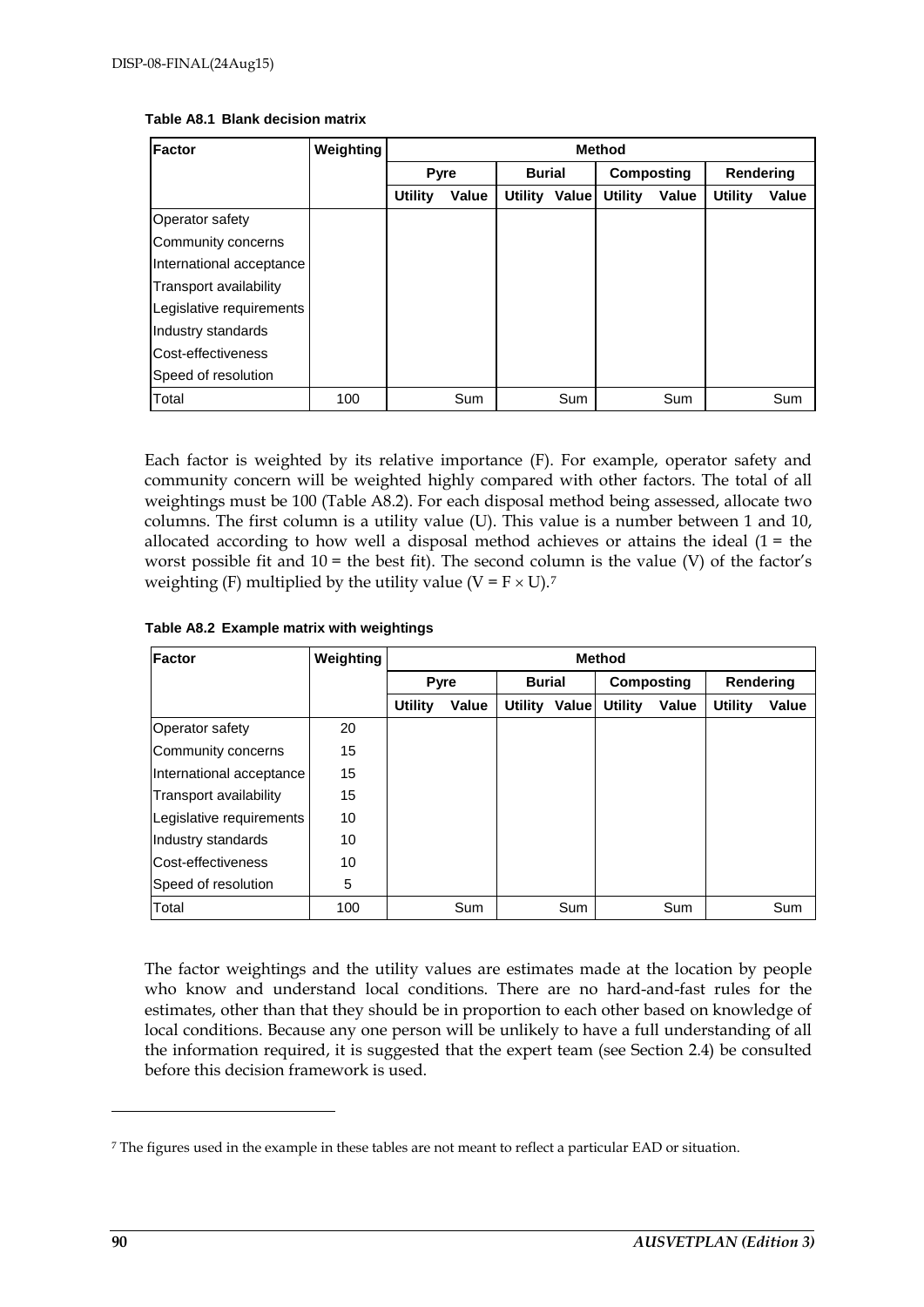| Factor                   | <b>Weighting</b> | <b>Method</b>  |       |               |               |                   |       |                |       |
|--------------------------|------------------|----------------|-------|---------------|---------------|-------------------|-------|----------------|-------|
|                          |                  | <b>Pyre</b>    |       | <b>Burial</b> |               | <b>Composting</b> |       | Rendering      |       |
|                          |                  | <b>Utility</b> | Value |               | Utility Value | <b>Utility</b>    | Value | <b>Utility</b> | Value |
| Operator safety          |                  |                |       |               |               |                   |       |                |       |
| Community concerns       |                  |                |       |               |               |                   |       |                |       |
| International acceptance |                  |                |       |               |               |                   |       |                |       |
| Transport availability   |                  |                |       |               |               |                   |       |                |       |
| Legislative requirements |                  |                |       |               |               |                   |       |                |       |
| Industry standards       |                  |                |       |               |               |                   |       |                |       |
| Cost-effectiveness       |                  |                |       |               |               |                   |       |                |       |
| Speed of resolution      |                  |                |       |               |               |                   |       |                |       |
| Total                    | 100              |                | Sum   |               | Sum           |                   | Sum   |                | Sum   |

#### **Table A8.1 Blank decision matrix**

Each factor is weighted by its relative importance (F). For example, operator safety and community concern will be weighted highly compared with other factors. The total of all weightings must be 100 (Table A8.2). For each disposal method being assessed, allocate two columns. The first column is a utility value (U). This value is a number between 1 and 10, allocated according to how well a disposal method achieves or attains the ideal  $(1 =$  the worst possible fit and  $10 =$  the best fit). The second column is the value (V) of the factor's weighting (F) multiplied by the utility value ( $V = F \times U$ ).<sup>[7](#page-89-0)</sup>

|  |  |  |  | Table A8.2 Example matrix with weightings |
|--|--|--|--|-------------------------------------------|
|--|--|--|--|-------------------------------------------|

| Factor                   | Weighting | <b>Method</b>  |             |               |                      |                |       |           |       |
|--------------------------|-----------|----------------|-------------|---------------|----------------------|----------------|-------|-----------|-------|
|                          |           |                | <b>Pyre</b> | <b>Burial</b> |                      | Composting     |       | Rendering |       |
|                          |           | <b>Utility</b> | Value       |               | <b>Utility Value</b> | <b>Utility</b> | Value | Utility   | Value |
| Operator safety          | 20        |                |             |               |                      |                |       |           |       |
| Community concerns       | 15        |                |             |               |                      |                |       |           |       |
| International acceptance | 15        |                |             |               |                      |                |       |           |       |
| Transport availability   | 15        |                |             |               |                      |                |       |           |       |
| Legislative requirements | 10        |                |             |               |                      |                |       |           |       |
| Industry standards       | 10        |                |             |               |                      |                |       |           |       |
| lCost-effectiveness      | 10        |                |             |               |                      |                |       |           |       |
| Speed of resolution      | 5         |                |             |               |                      |                |       |           |       |
| Total                    | 100       |                | Sum         |               | Sum                  |                | Sum   |           | Sum   |

The factor weightings and the utility values are estimates made at the location by people who know and understand local conditions. There are no hard-and-fast rules for the estimates, other than that they should be in proportion to each other based on knowledge of local conditions. Because any one person will be unlikely to have a full understanding of all the information required, it is suggested that the expert team (see Section 2.4) be consulted before this decision framework is used.

-

<span id="page-89-0"></span><sup>7</sup> The figures used in the example in these tables are not meant to reflect a particular EAD or situation.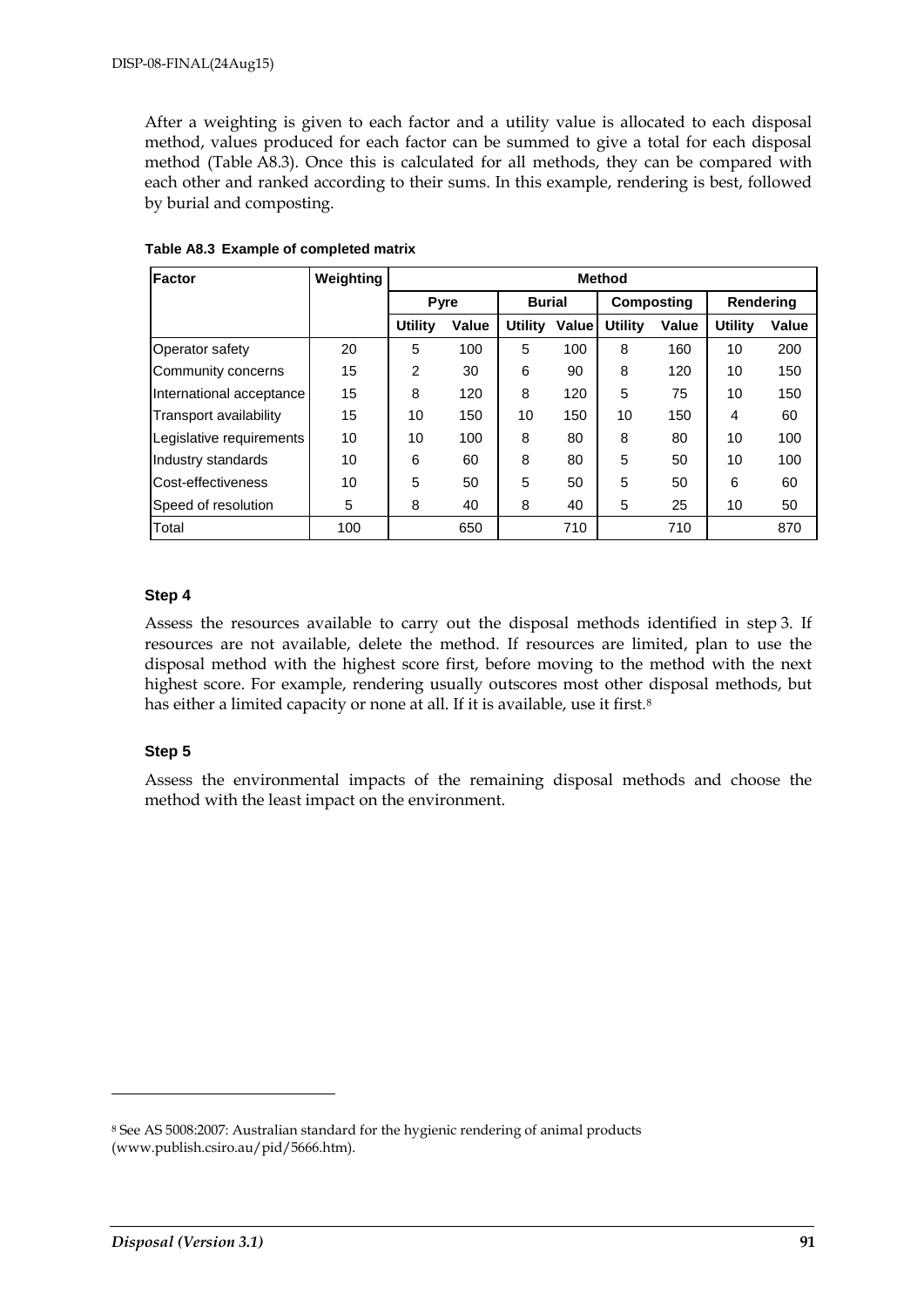After a weighting is given to each factor and a utility value is allocated to each disposal method, values produced for each factor can be summed to give a total for each disposal method (Table A8.3). Once this is calculated for all methods, they can be compared with each other and ranked according to their sums. In this example, rendering is best, followed by burial and composting.

| <b>Factor</b>            | Weighting | <b>Method</b>  |       |                |       |                |                   |                |       |
|--------------------------|-----------|----------------|-------|----------------|-------|----------------|-------------------|----------------|-------|
|                          |           | <b>Pyre</b>    |       | <b>Burial</b>  |       |                | <b>Composting</b> | Rendering      |       |
|                          |           | <b>Utility</b> | Value | <b>Utility</b> | Value | <b>Utility</b> | Value             | <b>Utility</b> | Value |
| Operator safety          | 20        | 5              | 100   | 5              | 100   | 8              | 160               | 10             | 200   |
| Community concerns       | 15        | $\overline{2}$ | 30    | 6              | 90    | 8              | 120               | 10             | 150   |
| International acceptance | 15        | 8              | 120   | 8              | 120   | 5              | 75                | 10             | 150   |
| Transport availability   | 15        | 10             | 150   | 10             | 150   | 10             | 150               | 4              | 60    |
| Legislative requirements | 10        | 10             | 100   | 8              | 80    | 8              | 80                | 10             | 100   |
| Industry standards       | 10        | 6              | 60    | 8              | 80    | 5              | 50                | 10             | 100   |
| Cost-effectiveness       | 10        | 5              | 50    | 5              | 50    | 5              | 50                | 6              | 60    |
| Speed of resolution      | 5         | 8              | 40    | 8              | 40    | 5              | 25                | 10             | 50    |
| Total                    | 100       |                | 650   |                | 710   |                | 710               |                | 870   |

**Table A8.3 Example of completed matrix**

### **Step 4**

Assess the resources available to carry out the disposal methods identified in step 3. If resources are not available, delete the method. If resources are limited, plan to use the disposal method with the highest score first, before moving to the method with the next highest score. For example, rendering usually outscores most other disposal methods, but has either a limited capacity or none at all. If it is available, use it first.<sup>[8](#page-90-0)</sup>

## **Step 5**

Assess the environmental impacts of the remaining disposal methods and choose the method with the least impact on the environment.

-

<span id="page-90-0"></span><sup>8</sup> See AS 5008:2007: Australian standard for the hygienic rendering of animal products (www.publish.csiro.au/pid/5666.htm).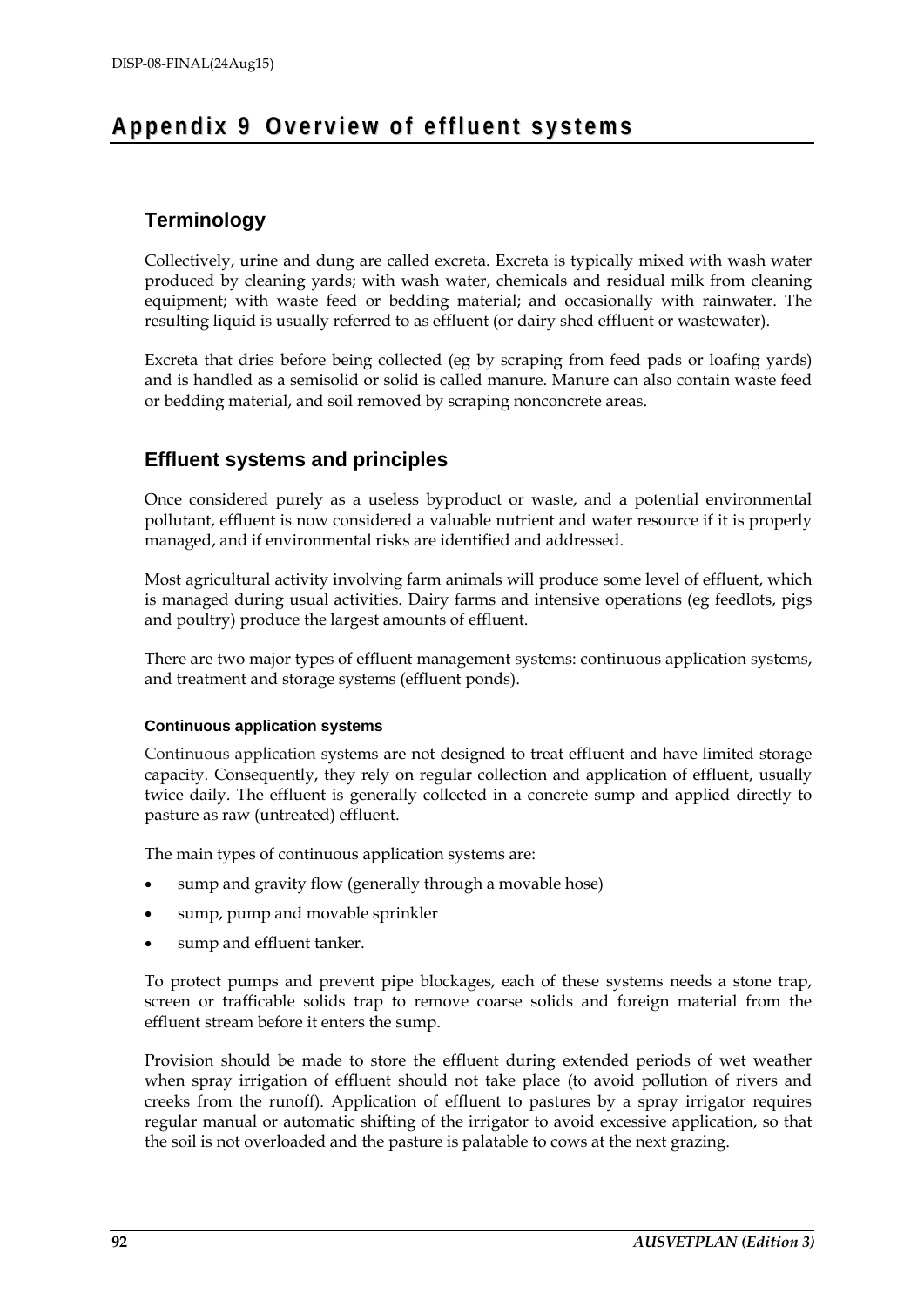## Appendix 9 Overview of effluent systems

## **Terminology**

Collectively, urine and dung are called excreta. Excreta is typically mixed with wash water produced by cleaning yards; with wash water, chemicals and residual milk from cleaning equipment; with waste feed or bedding material; and occasionally with rainwater. The resulting liquid is usually referred to as effluent (or dairy shed effluent or wastewater).

Excreta that dries before being collected (eg by scraping from feed pads or loafing yards) and is handled as a semisolid or solid is called manure. Manure can also contain waste feed or bedding material, and soil removed by scraping nonconcrete areas.

## **Effluent systems and principles**

Once considered purely as a useless byproduct or waste, and a potential environmental pollutant, effluent is now considered a valuable nutrient and water resource if it is properly managed, and if environmental risks are identified and addressed.

Most agricultural activity involving farm animals will produce some level of effluent, which is managed during usual activities. Dairy farms and intensive operations (eg feedlots, pigs and poultry) produce the largest amounts of effluent.

There are two major types of effluent management systems: continuous application systems, and treatment and storage systems (effluent ponds).

## **Continuous application systems**

Continuous application systems are not designed to treat effluent and have limited storage capacity. Consequently, they rely on regular collection and application of effluent, usually twice daily. The effluent is generally collected in a concrete sump and applied directly to pasture as raw (untreated) effluent.

The main types of continuous application systems are:

- sump and gravity flow (generally through a movable hose)
- sump, pump and movable sprinkler
- sump and effluent tanker.

To protect pumps and prevent pipe blockages, each of these systems needs a stone trap, screen or trafficable solids trap to remove coarse solids and foreign material from the effluent stream before it enters the sump.

Provision should be made to store the effluent during extended periods of wet weather when spray irrigation of effluent should not take place (to avoid pollution of rivers and creeks from the runoff). Application of effluent to pastures by a spray irrigator requires regular manual or automatic shifting of the irrigator to avoid excessive application, so that the soil is not overloaded and the pasture is palatable to cows at the next grazing.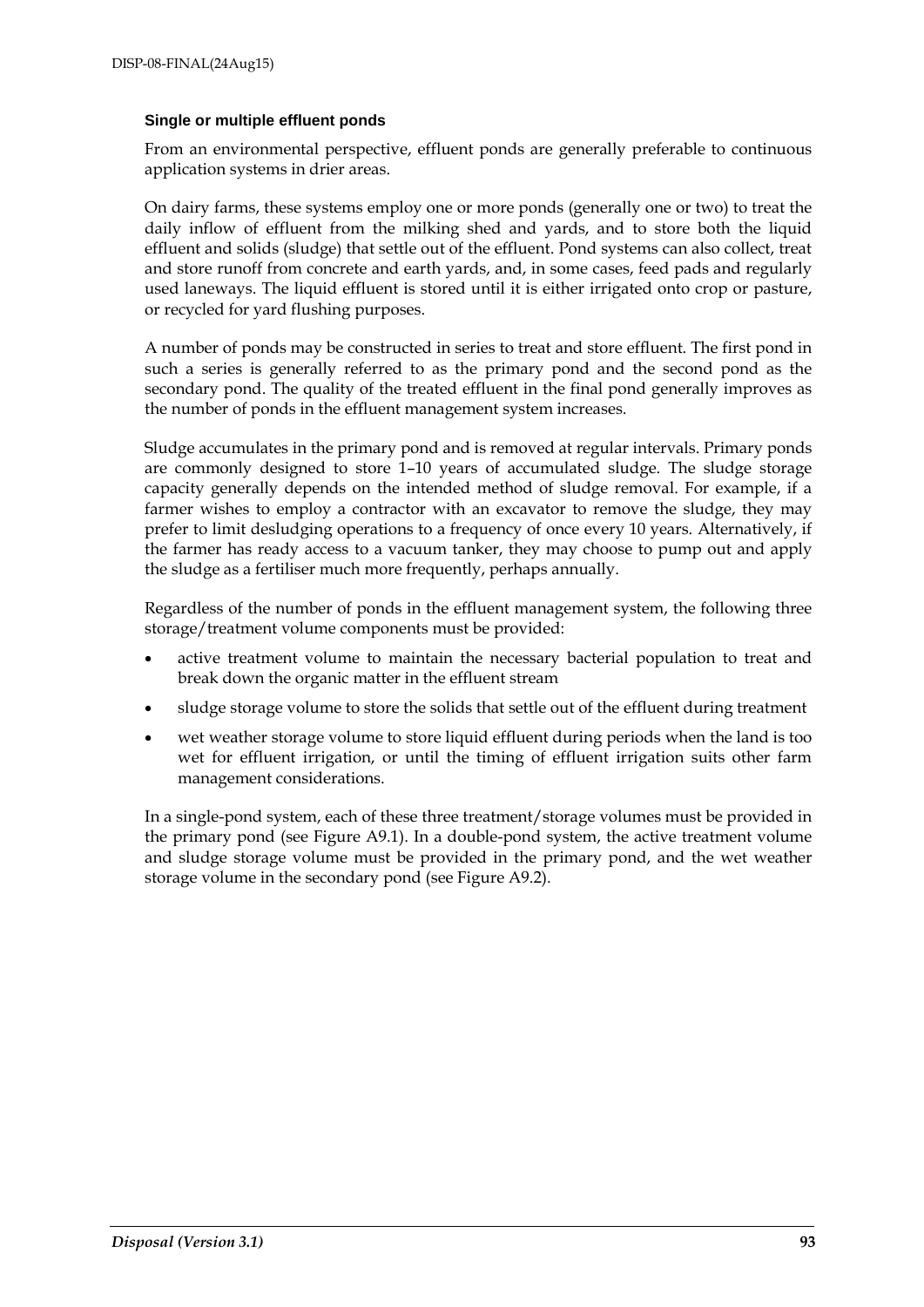#### **Single or multiple effluent ponds**

From an environmental perspective, effluent ponds are generally preferable to continuous application systems in drier areas.

On dairy farms, these systems employ one or more ponds (generally one or two) to treat the daily inflow of effluent from the milking shed and yards, and to store both the liquid effluent and solids (sludge) that settle out of the effluent. Pond systems can also collect, treat and store runoff from concrete and earth yards, and, in some cases, feed pads and regularly used laneways. The liquid effluent is stored until it is either irrigated onto crop or pasture, or recycled for yard flushing purposes.

A number of ponds may be constructed in series to treat and store effluent. The first pond in such a series is generally referred to as the primary pond and the second pond as the secondary pond. The quality of the treated effluent in the final pond generally improves as the number of ponds in the effluent management system increases.

Sludge accumulates in the primary pond and is removed at regular intervals. Primary ponds are commonly designed to store 1–10 years of accumulated sludge. The sludge storage capacity generally depends on the intended method of sludge removal. For example, if a farmer wishes to employ a contractor with an excavator to remove the sludge, they may prefer to limit desludging operations to a frequency of once every 10 years. Alternatively, if the farmer has ready access to a vacuum tanker, they may choose to pump out and apply the sludge as a fertiliser much more frequently, perhaps annually.

Regardless of the number of ponds in the effluent management system, the following three storage/treatment volume components must be provided:

- active treatment volume to maintain the necessary bacterial population to treat and break down the organic matter in the effluent stream
- sludge storage volume to store the solids that settle out of the effluent during treatment
- wet weather storage volume to store liquid effluent during periods when the land is too wet for effluent irrigation, or until the timing of effluent irrigation suits other farm management considerations.

In a single-pond system, each of these three treatment/storage volumes must be provided in the primary pond (see Figure A9.1). In a double-pond system, the active treatment volume and sludge storage volume must be provided in the primary pond, and the wet weather storage volume in the secondary pond (see Figure A9.2).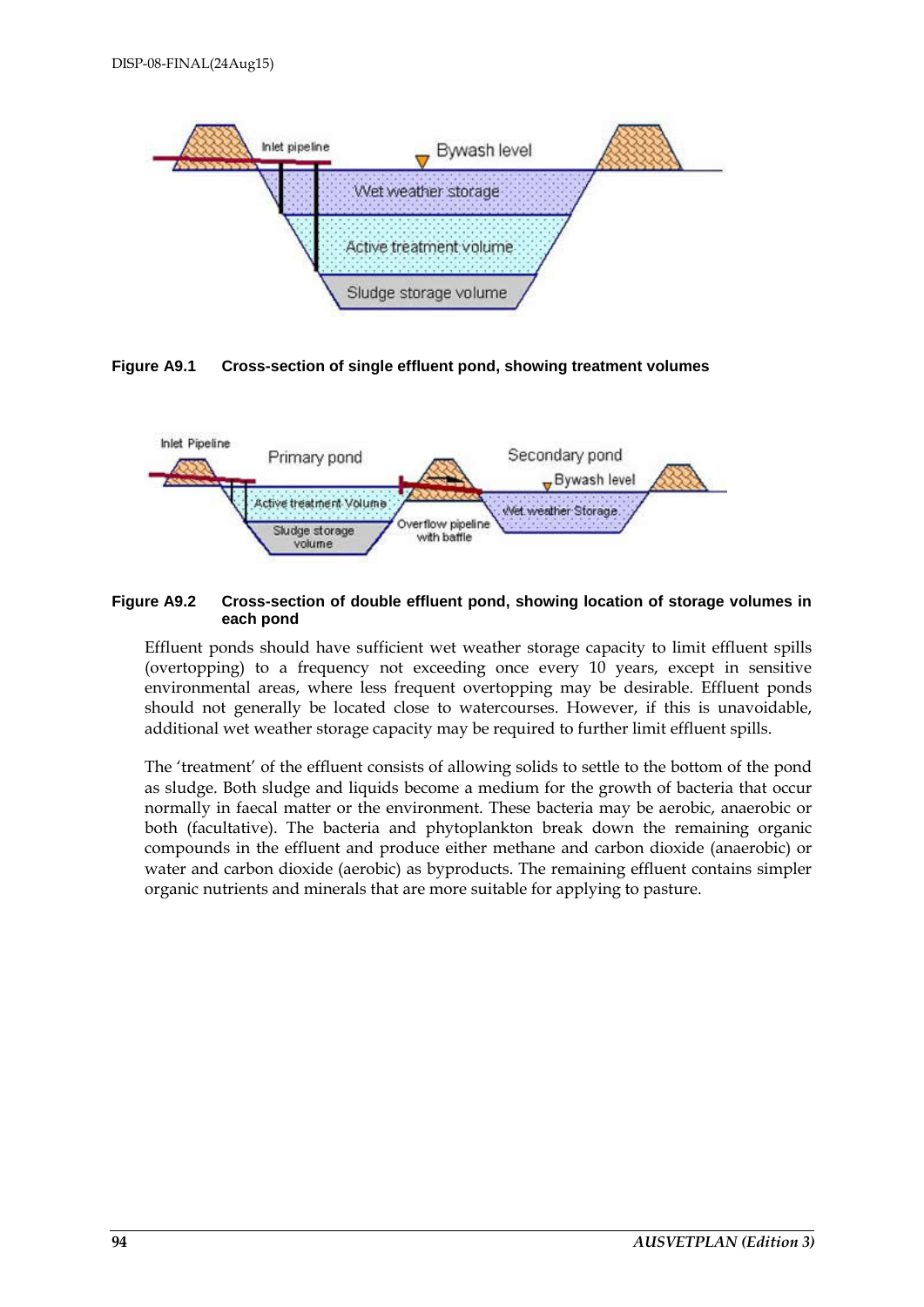

**Figure A9.1 Cross-section of single effluent pond, showing treatment volumes**



#### **Figure A9.2 Cross-section of double effluent pond, showing location of storage volumes in each pond**

Effluent ponds should have sufficient wet weather storage capacity to limit effluent spills (overtopping) to a frequency not exceeding once every 10 years, except in sensitive environmental areas, where less frequent overtopping may be desirable. Effluent ponds should not generally be located close to watercourses. However, if this is unavoidable, additional wet weather storage capacity may be required to further limit effluent spills.

The 'treatment' of the effluent consists of allowing solids to settle to the bottom of the pond as sludge. Both sludge and liquids become a medium for the growth of bacteria that occur normally in faecal matter or the environment. These bacteria may be aerobic, anaerobic or both (facultative). The bacteria and phytoplankton break down the remaining organic compounds in the effluent and produce either methane and carbon dioxide (anaerobic) or water and carbon dioxide (aerobic) as byproducts. The remaining effluent contains simpler organic nutrients and minerals that are more suitable for applying to pasture.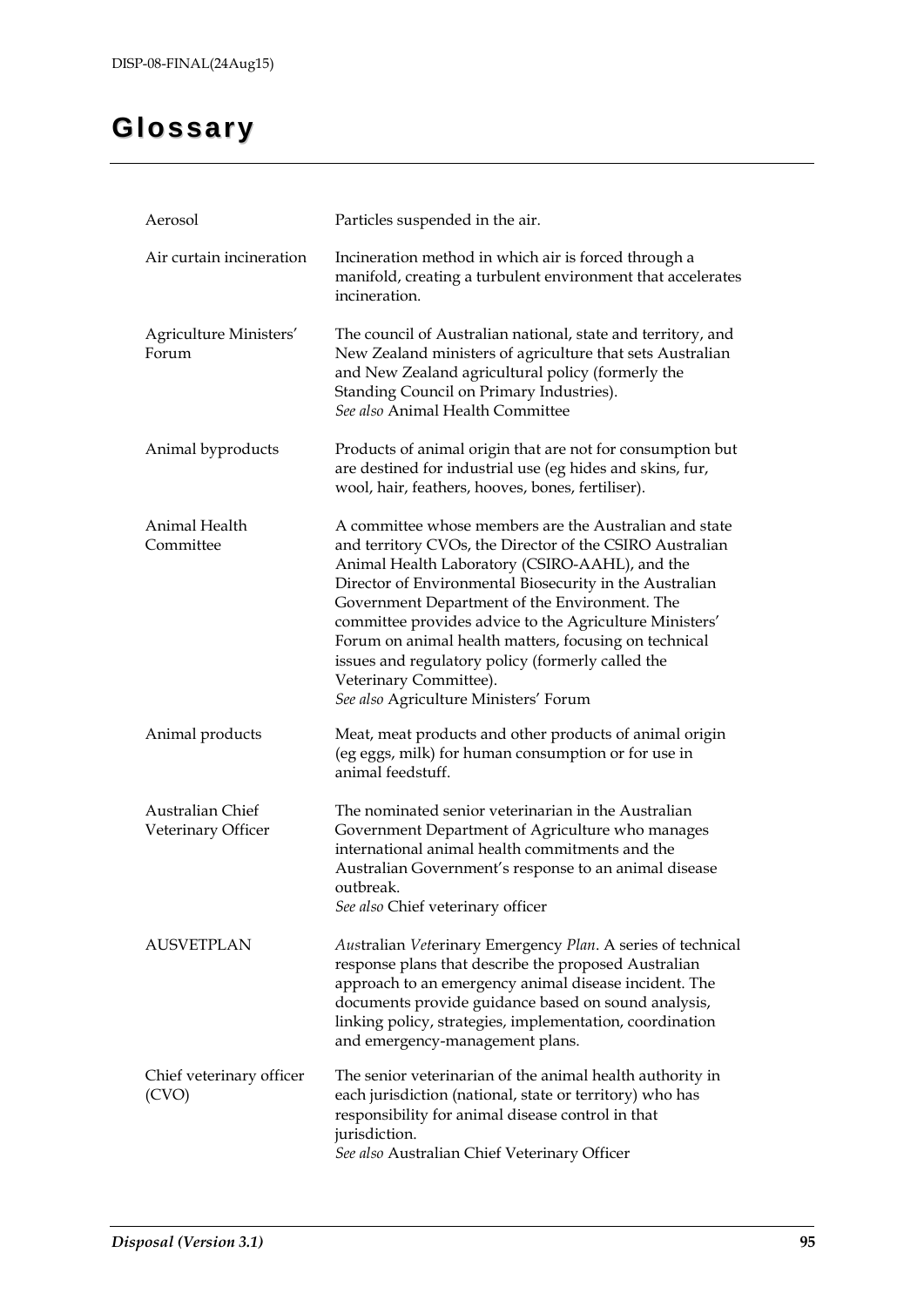# **Glossary**

| Aerosol                                | Particles suspended in the air.                                                                                                                                                                                                                                                                                                                                                                                                                                                                                              |
|----------------------------------------|------------------------------------------------------------------------------------------------------------------------------------------------------------------------------------------------------------------------------------------------------------------------------------------------------------------------------------------------------------------------------------------------------------------------------------------------------------------------------------------------------------------------------|
| Air curtain incineration               | Incineration method in which air is forced through a<br>manifold, creating a turbulent environment that accelerates<br>incineration.                                                                                                                                                                                                                                                                                                                                                                                         |
| Agriculture Ministers'<br>Forum        | The council of Australian national, state and territory, and<br>New Zealand ministers of agriculture that sets Australian<br>and New Zealand agricultural policy (formerly the<br>Standing Council on Primary Industries).<br>See also Animal Health Committee                                                                                                                                                                                                                                                               |
| Animal byproducts                      | Products of animal origin that are not for consumption but<br>are destined for industrial use (eg hides and skins, fur,<br>wool, hair, feathers, hooves, bones, fertiliser).                                                                                                                                                                                                                                                                                                                                                 |
| Animal Health<br>Committee             | A committee whose members are the Australian and state<br>and territory CVOs, the Director of the CSIRO Australian<br>Animal Health Laboratory (CSIRO-AAHL), and the<br>Director of Environmental Biosecurity in the Australian<br>Government Department of the Environment. The<br>committee provides advice to the Agriculture Ministers'<br>Forum on animal health matters, focusing on technical<br>issues and regulatory policy (formerly called the<br>Veterinary Committee).<br>See also Agriculture Ministers' Forum |
| Animal products                        | Meat, meat products and other products of animal origin<br>(eg eggs, milk) for human consumption or for use in<br>animal feedstuff.                                                                                                                                                                                                                                                                                                                                                                                          |
| Australian Chief<br>Veterinary Officer | The nominated senior veterinarian in the Australian<br>Government Department of Agriculture who manages<br>international animal health commitments and the<br>Australian Government's response to an animal disease<br>outbreak.<br>See also Chief veterinary officer                                                                                                                                                                                                                                                        |
| <b>AUSVETPLAN</b>                      | Australian Veterinary Emergency Plan. A series of technical<br>response plans that describe the proposed Australian<br>approach to an emergency animal disease incident. The<br>documents provide guidance based on sound analysis,<br>linking policy, strategies, implementation, coordination<br>and emergency-management plans.                                                                                                                                                                                           |
| Chief veterinary officer<br>(CVO)      | The senior veterinarian of the animal health authority in<br>each jurisdiction (national, state or territory) who has<br>responsibility for animal disease control in that<br>jurisdiction.<br>See also Australian Chief Veterinary Officer                                                                                                                                                                                                                                                                                  |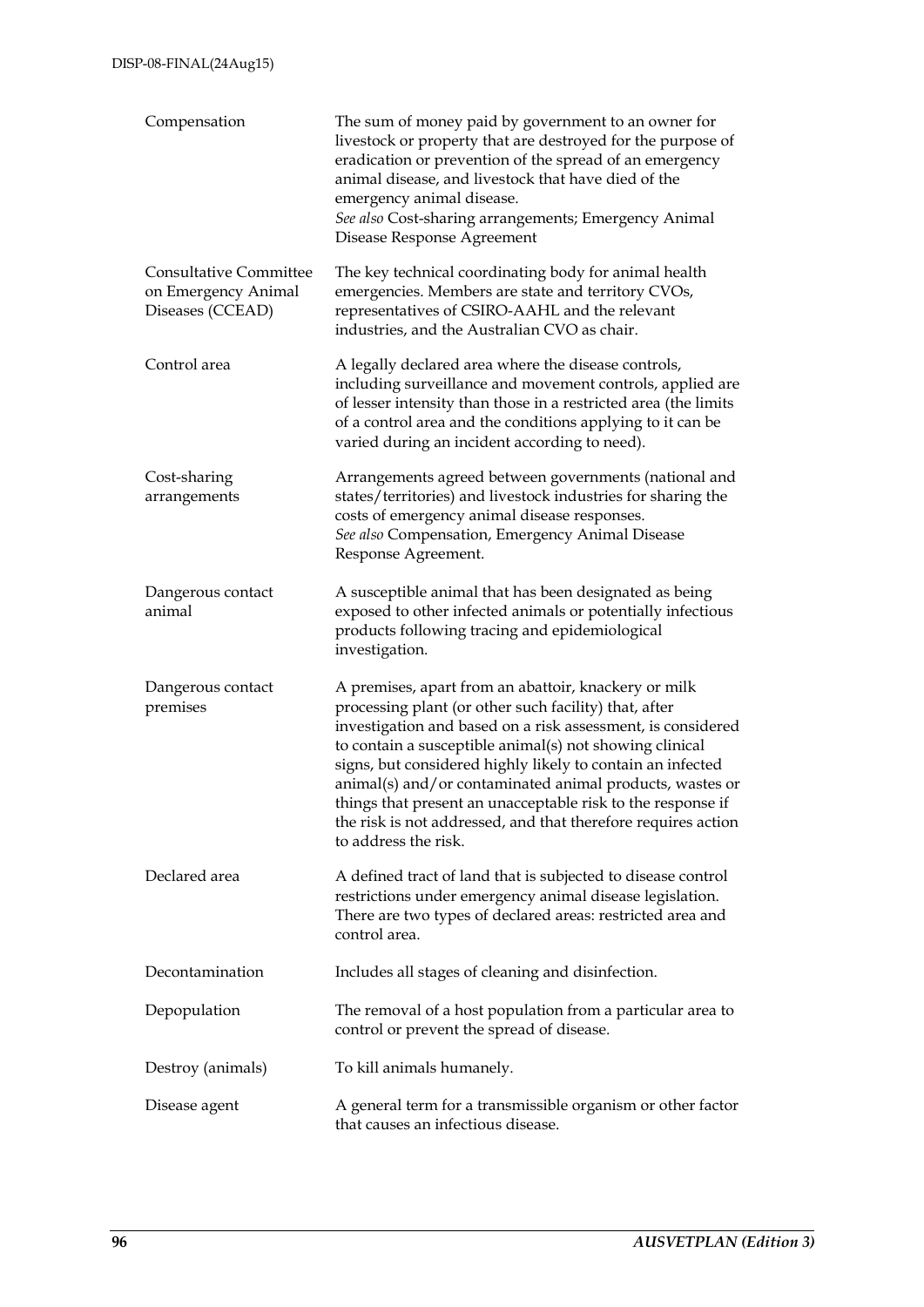| Compensation                                                             | The sum of money paid by government to an owner for<br>livestock or property that are destroyed for the purpose of<br>eradication or prevention of the spread of an emergency<br>animal disease, and livestock that have died of the<br>emergency animal disease.<br>See also Cost-sharing arrangements; Emergency Animal<br>Disease Response Agreement                                                                                                                                                                   |
|--------------------------------------------------------------------------|---------------------------------------------------------------------------------------------------------------------------------------------------------------------------------------------------------------------------------------------------------------------------------------------------------------------------------------------------------------------------------------------------------------------------------------------------------------------------------------------------------------------------|
| <b>Consultative Committee</b><br>on Emergency Animal<br>Diseases (CCEAD) | The key technical coordinating body for animal health<br>emergencies. Members are state and territory CVOs,<br>representatives of CSIRO-AAHL and the relevant<br>industries, and the Australian CVO as chair.                                                                                                                                                                                                                                                                                                             |
| Control area                                                             | A legally declared area where the disease controls,<br>including surveillance and movement controls, applied are<br>of lesser intensity than those in a restricted area (the limits<br>of a control area and the conditions applying to it can be<br>varied during an incident according to need).                                                                                                                                                                                                                        |
| Cost-sharing<br>arrangements                                             | Arrangements agreed between governments (national and<br>states/territories) and livestock industries for sharing the<br>costs of emergency animal disease responses.<br>See also Compensation, Emergency Animal Disease<br>Response Agreement.                                                                                                                                                                                                                                                                           |
| Dangerous contact<br>animal                                              | A susceptible animal that has been designated as being<br>exposed to other infected animals or potentially infectious<br>products following tracing and epidemiological<br>investigation.                                                                                                                                                                                                                                                                                                                                 |
| Dangerous contact<br>premises                                            | A premises, apart from an abattoir, knackery or milk<br>processing plant (or other such facility) that, after<br>investigation and based on a risk assessment, is considered<br>to contain a susceptible animal(s) not showing clinical<br>signs, but considered highly likely to contain an infected<br>animal(s) and/or contaminated animal products, wastes or<br>things that present an unacceptable risk to the response if<br>the risk is not addressed, and that therefore requires action<br>to address the risk. |
| Declared area                                                            | A defined tract of land that is subjected to disease control<br>restrictions under emergency animal disease legislation.<br>There are two types of declared areas: restricted area and<br>control area.                                                                                                                                                                                                                                                                                                                   |
| Decontamination                                                          | Includes all stages of cleaning and disinfection.                                                                                                                                                                                                                                                                                                                                                                                                                                                                         |
| Depopulation                                                             | The removal of a host population from a particular area to<br>control or prevent the spread of disease.                                                                                                                                                                                                                                                                                                                                                                                                                   |
| Destroy (animals)                                                        | To kill animals humanely.                                                                                                                                                                                                                                                                                                                                                                                                                                                                                                 |
| Disease agent                                                            | A general term for a transmissible organism or other factor<br>that causes an infectious disease.                                                                                                                                                                                                                                                                                                                                                                                                                         |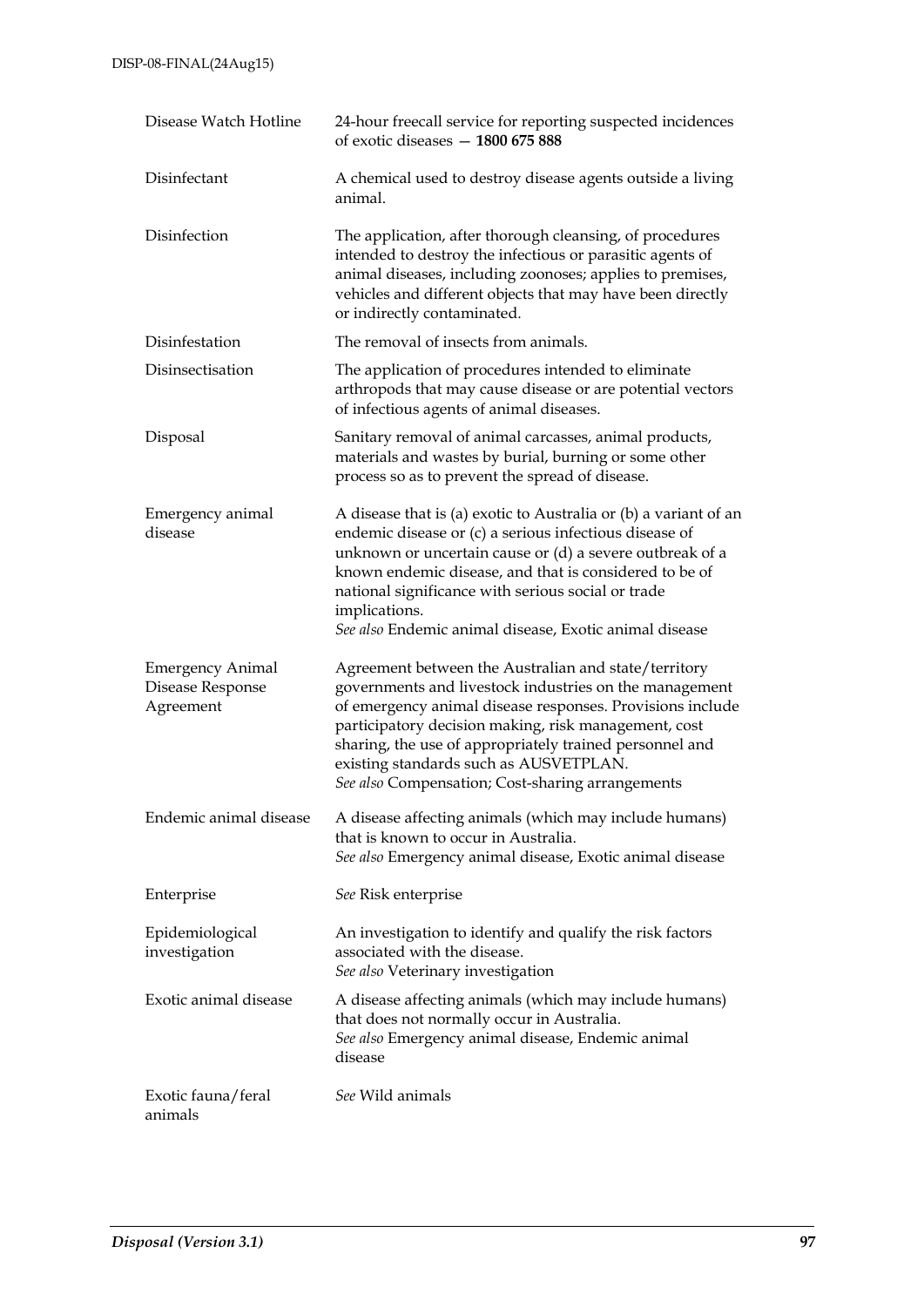| Disease Watch Hotline                                    | 24-hour freecall service for reporting suspected incidences<br>of exotic diseases $-1800675888$                                                                                                                                                                                                                                                                                              |
|----------------------------------------------------------|----------------------------------------------------------------------------------------------------------------------------------------------------------------------------------------------------------------------------------------------------------------------------------------------------------------------------------------------------------------------------------------------|
| Disinfectant                                             | A chemical used to destroy disease agents outside a living<br>animal.                                                                                                                                                                                                                                                                                                                        |
| Disinfection                                             | The application, after thorough cleansing, of procedures<br>intended to destroy the infectious or parasitic agents of<br>animal diseases, including zoonoses; applies to premises,<br>vehicles and different objects that may have been directly<br>or indirectly contaminated.                                                                                                              |
| Disinfestation                                           | The removal of insects from animals.                                                                                                                                                                                                                                                                                                                                                         |
| Disinsectisation                                         | The application of procedures intended to eliminate<br>arthropods that may cause disease or are potential vectors<br>of infectious agents of animal diseases.                                                                                                                                                                                                                                |
| Disposal                                                 | Sanitary removal of animal carcasses, animal products,<br>materials and wastes by burial, burning or some other<br>process so as to prevent the spread of disease.                                                                                                                                                                                                                           |
| Emergency animal<br>disease                              | A disease that is (a) exotic to Australia or (b) a variant of an<br>endemic disease or (c) a serious infectious disease of<br>unknown or uncertain cause or (d) a severe outbreak of a<br>known endemic disease, and that is considered to be of<br>national significance with serious social or trade<br>implications.<br>See also Endemic animal disease, Exotic animal disease            |
| <b>Emergency Animal</b><br>Disease Response<br>Agreement | Agreement between the Australian and state/territory<br>governments and livestock industries on the management<br>of emergency animal disease responses. Provisions include<br>participatory decision making, risk management, cost<br>sharing, the use of appropriately trained personnel and<br>existing standards such as AUSVETPLAN.<br>See also Compensation; Cost-sharing arrangements |
| Endemic animal disease                                   | A disease affecting animals (which may include humans)<br>that is known to occur in Australia.<br>See also Emergency animal disease, Exotic animal disease                                                                                                                                                                                                                                   |
| Enterprise                                               | See Risk enterprise                                                                                                                                                                                                                                                                                                                                                                          |
| Epidemiological<br>investigation                         | An investigation to identify and qualify the risk factors<br>associated with the disease.<br>See also Veterinary investigation                                                                                                                                                                                                                                                               |
| Exotic animal disease                                    | A disease affecting animals (which may include humans)<br>that does not normally occur in Australia.<br>See also Emergency animal disease, Endemic animal<br>disease                                                                                                                                                                                                                         |
| Exotic fauna/feral<br>animals                            | See Wild animals                                                                                                                                                                                                                                                                                                                                                                             |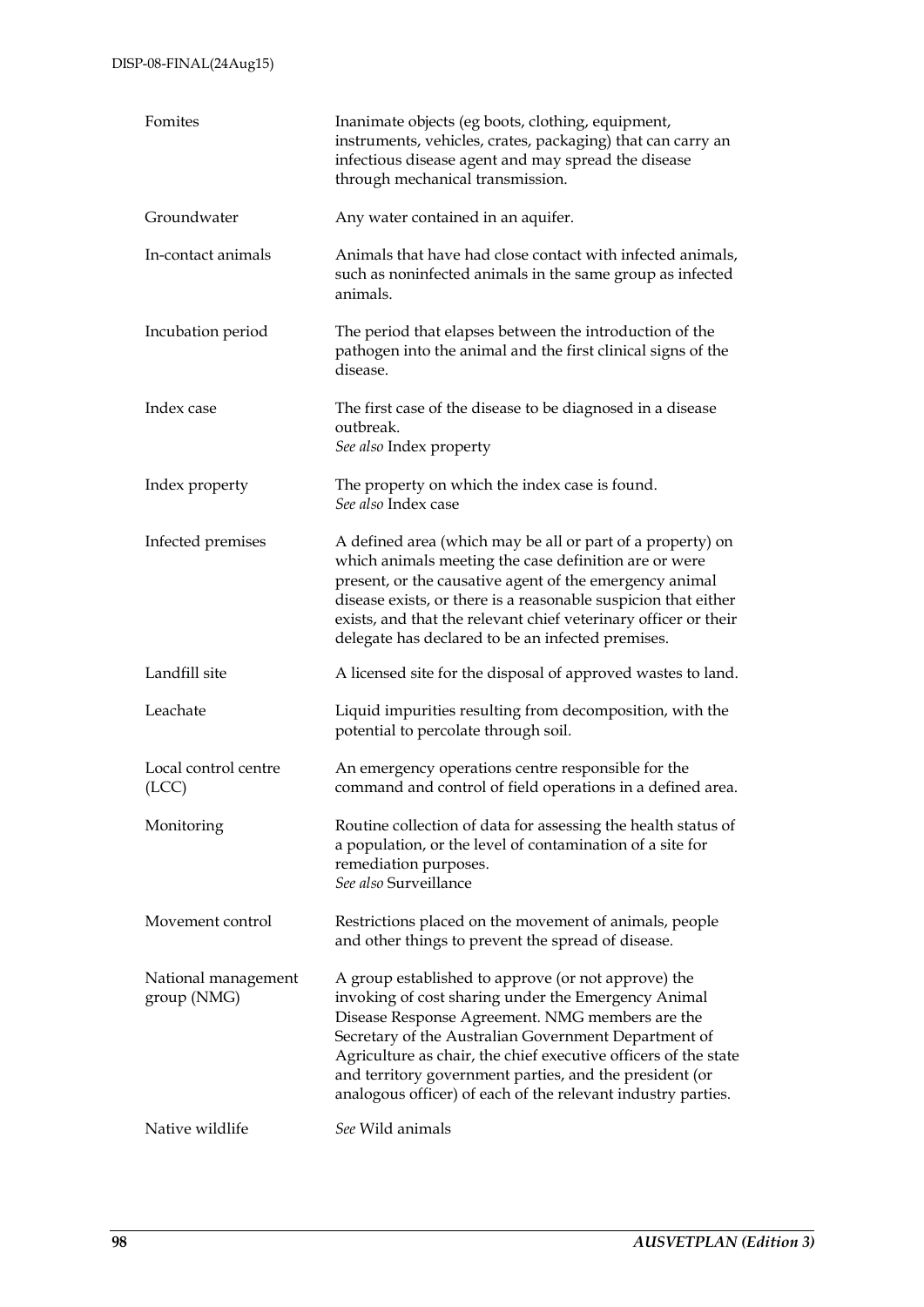| Fomites                            | Inanimate objects (eg boots, clothing, equipment,<br>instruments, vehicles, crates, packaging) that can carry an<br>infectious disease agent and may spread the disease<br>through mechanical transmission.                                                                                                                                                                                                         |  |  |  |
|------------------------------------|---------------------------------------------------------------------------------------------------------------------------------------------------------------------------------------------------------------------------------------------------------------------------------------------------------------------------------------------------------------------------------------------------------------------|--|--|--|
| Groundwater                        | Any water contained in an aquifer.                                                                                                                                                                                                                                                                                                                                                                                  |  |  |  |
| In-contact animals                 | Animals that have had close contact with infected animals,<br>such as noninfected animals in the same group as infected<br>animals.                                                                                                                                                                                                                                                                                 |  |  |  |
| Incubation period                  | The period that elapses between the introduction of the<br>pathogen into the animal and the first clinical signs of the<br>disease.                                                                                                                                                                                                                                                                                 |  |  |  |
| Index case                         | The first case of the disease to be diagnosed in a disease<br>outbreak.<br>See also Index property                                                                                                                                                                                                                                                                                                                  |  |  |  |
| Index property                     | The property on which the index case is found.<br>See also Index case                                                                                                                                                                                                                                                                                                                                               |  |  |  |
| Infected premises                  | A defined area (which may be all or part of a property) on<br>which animals meeting the case definition are or were<br>present, or the causative agent of the emergency animal<br>disease exists, or there is a reasonable suspicion that either<br>exists, and that the relevant chief veterinary officer or their<br>delegate has declared to be an infected premises.                                            |  |  |  |
| Landfill site                      | A licensed site for the disposal of approved wastes to land.                                                                                                                                                                                                                                                                                                                                                        |  |  |  |
| Leachate                           | Liquid impurities resulting from decomposition, with the<br>potential to percolate through soil.                                                                                                                                                                                                                                                                                                                    |  |  |  |
| Local control centre<br>(ICC)      | An emergency operations centre responsible for the<br>command and control of field operations in a defined area.                                                                                                                                                                                                                                                                                                    |  |  |  |
| Monitoring                         | Routine collection of data for assessing the health status of<br>a population, or the level of contamination of a site for<br>remediation purposes.<br>See also Surveillance                                                                                                                                                                                                                                        |  |  |  |
| Movement control                   | Restrictions placed on the movement of animals, people<br>and other things to prevent the spread of disease.                                                                                                                                                                                                                                                                                                        |  |  |  |
| National management<br>group (NMG) | A group established to approve (or not approve) the<br>invoking of cost sharing under the Emergency Animal<br>Disease Response Agreement. NMG members are the<br>Secretary of the Australian Government Department of<br>Agriculture as chair, the chief executive officers of the state<br>and territory government parties, and the president (or<br>analogous officer) of each of the relevant industry parties. |  |  |  |
| Native wildlife                    | See Wild animals                                                                                                                                                                                                                                                                                                                                                                                                    |  |  |  |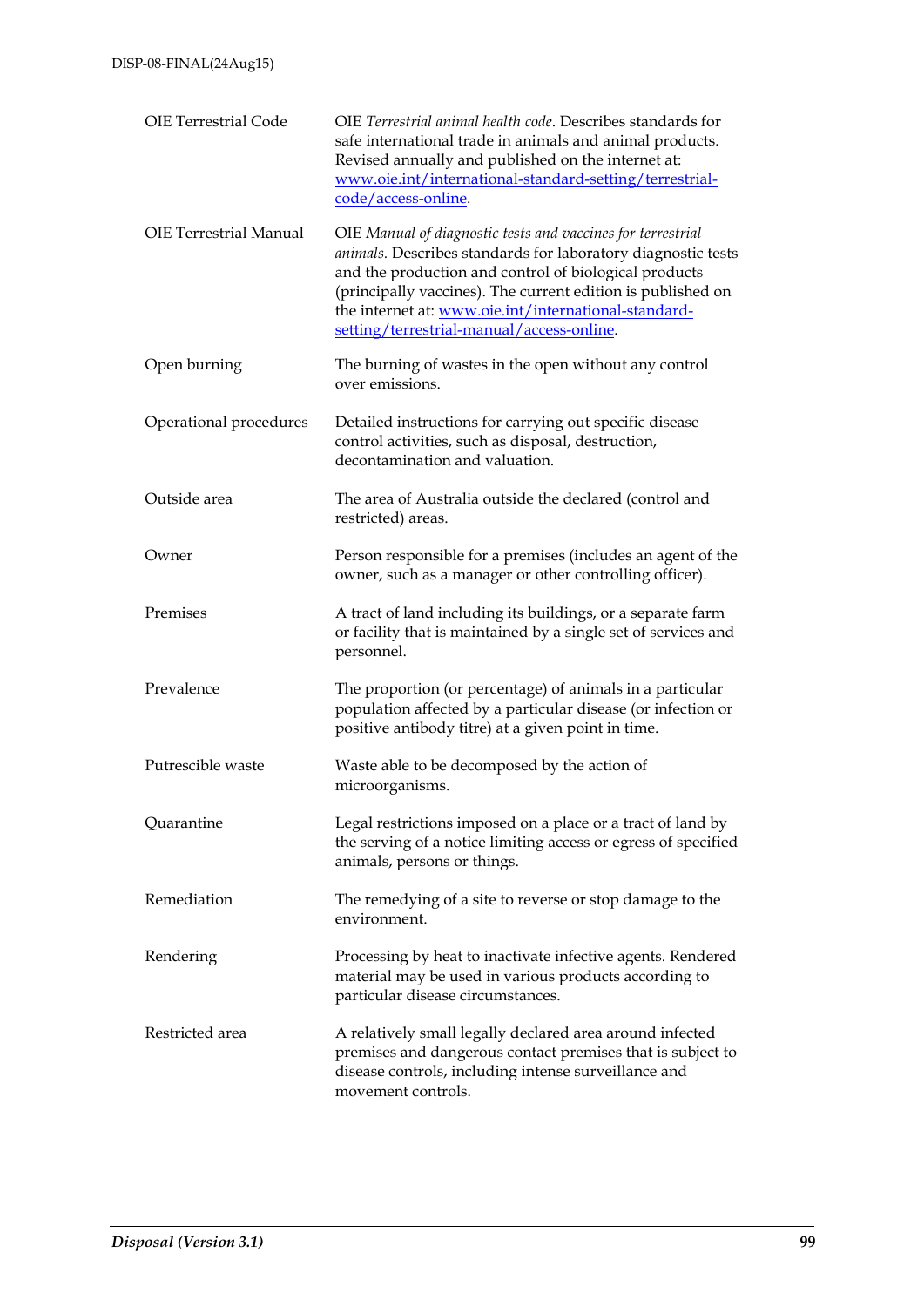| <b>OIE Terrestrial Code</b>   | OIE Terrestrial animal health code. Describes standards for<br>safe international trade in animals and animal products.<br>Revised annually and published on the internet at:<br>www.oie.int/international-standard-setting/terrestrial-<br>code/access-online.                                                                                          |
|-------------------------------|----------------------------------------------------------------------------------------------------------------------------------------------------------------------------------------------------------------------------------------------------------------------------------------------------------------------------------------------------------|
| <b>OIE Terrestrial Manual</b> | OIE Manual of diagnostic tests and vaccines for terrestrial<br>animals. Describes standards for laboratory diagnostic tests<br>and the production and control of biological products<br>(principally vaccines). The current edition is published on<br>the internet at: www.oie.int/international-standard-<br>setting/terrestrial-manual/access-online. |
| Open burning                  | The burning of wastes in the open without any control<br>over emissions.                                                                                                                                                                                                                                                                                 |
| Operational procedures        | Detailed instructions for carrying out specific disease<br>control activities, such as disposal, destruction,<br>decontamination and valuation.                                                                                                                                                                                                          |
| Outside area                  | The area of Australia outside the declared (control and<br>restricted) areas.                                                                                                                                                                                                                                                                            |
| Owner                         | Person responsible for a premises (includes an agent of the<br>owner, such as a manager or other controlling officer).                                                                                                                                                                                                                                   |
| Premises                      | A tract of land including its buildings, or a separate farm<br>or facility that is maintained by a single set of services and<br>personnel.                                                                                                                                                                                                              |
| Prevalence                    | The proportion (or percentage) of animals in a particular<br>population affected by a particular disease (or infection or<br>positive antibody titre) at a given point in time.                                                                                                                                                                          |
| Putrescible waste             | Waste able to be decomposed by the action of<br>microorganisms.                                                                                                                                                                                                                                                                                          |
| Quarantine                    | Legal restrictions imposed on a place or a tract of land by<br>the serving of a notice limiting access or egress of specified<br>animals, persons or things.                                                                                                                                                                                             |
| Remediation                   | The remedying of a site to reverse or stop damage to the<br>environment.                                                                                                                                                                                                                                                                                 |
| Rendering                     | Processing by heat to inactivate infective agents. Rendered<br>material may be used in various products according to<br>particular disease circumstances.                                                                                                                                                                                                |
| Restricted area               | A relatively small legally declared area around infected<br>premises and dangerous contact premises that is subject to<br>disease controls, including intense surveillance and<br>movement controls.                                                                                                                                                     |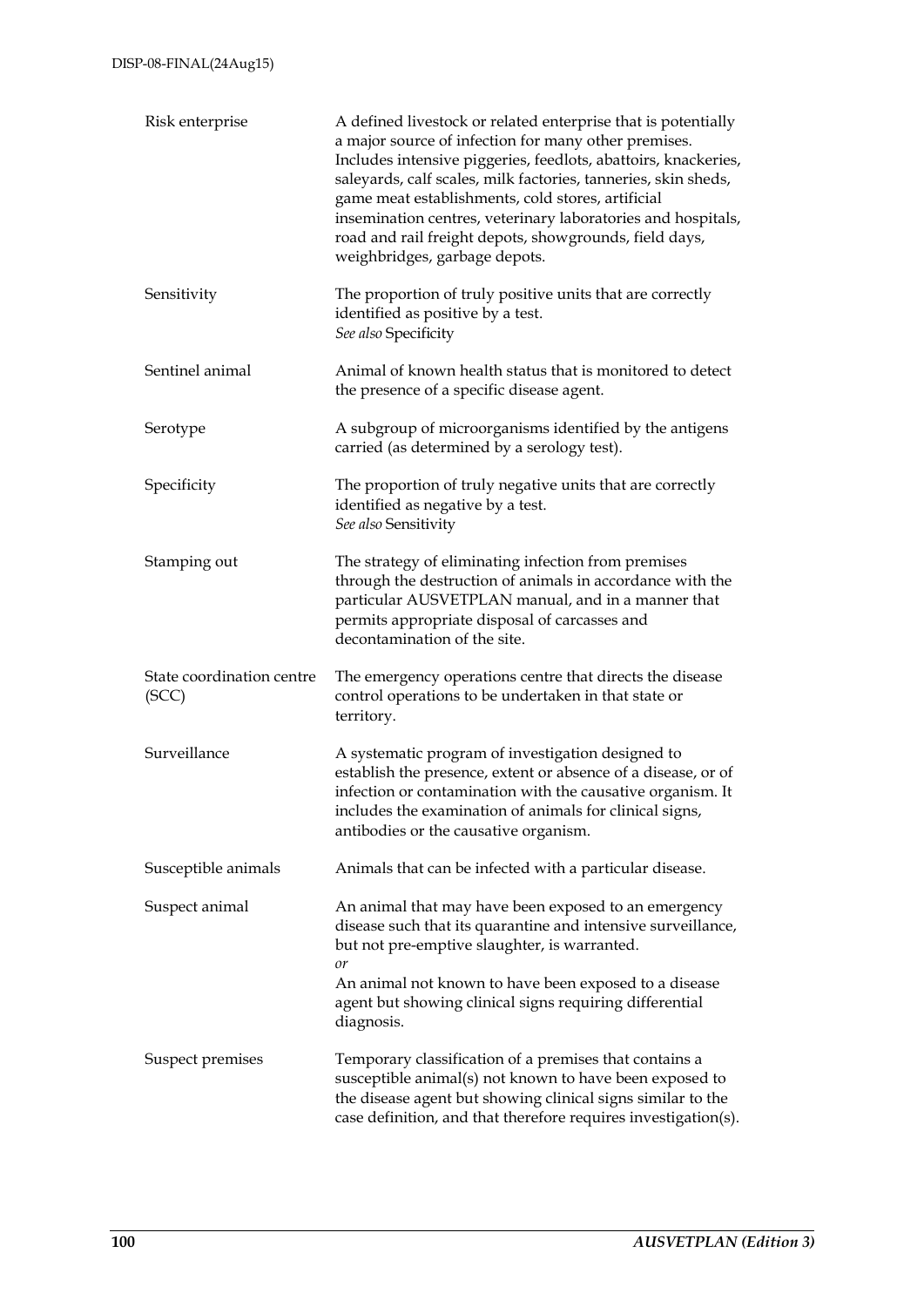| Risk enterprise                    | A defined livestock or related enterprise that is potentially<br>a major source of infection for many other premises.<br>Includes intensive piggeries, feedlots, abattoirs, knackeries,<br>saleyards, calf scales, milk factories, tanneries, skin sheds,<br>game meat establishments, cold stores, artificial<br>insemination centres, veterinary laboratories and hospitals,<br>road and rail freight depots, showgrounds, field days,<br>weighbridges, garbage depots. |
|------------------------------------|---------------------------------------------------------------------------------------------------------------------------------------------------------------------------------------------------------------------------------------------------------------------------------------------------------------------------------------------------------------------------------------------------------------------------------------------------------------------------|
| Sensitivity                        | The proportion of truly positive units that are correctly<br>identified as positive by a test.<br>See also Specificity                                                                                                                                                                                                                                                                                                                                                    |
| Sentinel animal                    | Animal of known health status that is monitored to detect<br>the presence of a specific disease agent.                                                                                                                                                                                                                                                                                                                                                                    |
| Serotype                           | A subgroup of microorganisms identified by the antigens<br>carried (as determined by a serology test).                                                                                                                                                                                                                                                                                                                                                                    |
| Specificity                        | The proportion of truly negative units that are correctly<br>identified as negative by a test.<br>See also Sensitivity                                                                                                                                                                                                                                                                                                                                                    |
| Stamping out                       | The strategy of eliminating infection from premises<br>through the destruction of animals in accordance with the<br>particular AUSVETPLAN manual, and in a manner that<br>permits appropriate disposal of carcasses and<br>decontamination of the site.                                                                                                                                                                                                                   |
| State coordination centre<br>(SCC) | The emergency operations centre that directs the disease<br>control operations to be undertaken in that state or<br>territory.                                                                                                                                                                                                                                                                                                                                            |
| Surveillance                       | A systematic program of investigation designed to<br>establish the presence, extent or absence of a disease, or of<br>infection or contamination with the causative organism. It<br>includes the examination of animals for clinical signs,<br>antibodies or the causative organism.                                                                                                                                                                                      |
| Susceptible animals                | Animals that can be infected with a particular disease.                                                                                                                                                                                                                                                                                                                                                                                                                   |
| Suspect animal                     | An animal that may have been exposed to an emergency<br>disease such that its quarantine and intensive surveillance,<br>but not pre-emptive slaughter, is warranted.<br>or<br>An animal not known to have been exposed to a disease<br>agent but showing clinical signs requiring differential<br>diagnosis.                                                                                                                                                              |
| Suspect premises                   | Temporary classification of a premises that contains a<br>susceptible animal(s) not known to have been exposed to<br>the disease agent but showing clinical signs similar to the<br>case definition, and that therefore requires investigation(s).                                                                                                                                                                                                                        |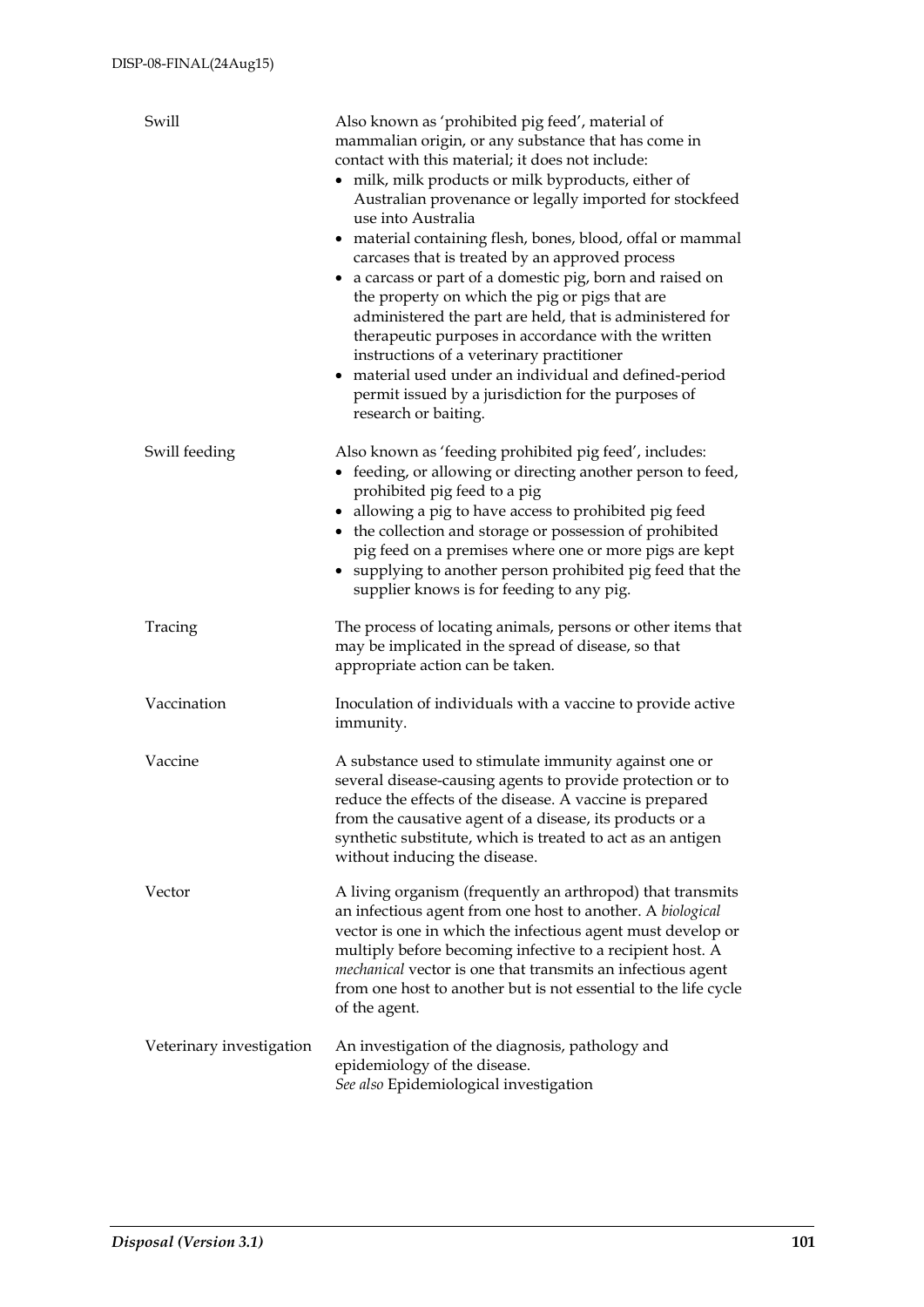| Swill                    | Also known as 'prohibited pig feed', material of<br>mammalian origin, or any substance that has come in<br>contact with this material; it does not include:<br>• milk, milk products or milk byproducts, either of<br>Australian provenance or legally imported for stockfeed<br>use into Australia<br>• material containing flesh, bones, blood, offal or mammal<br>carcases that is treated by an approved process<br>• a carcass or part of a domestic pig, born and raised on<br>the property on which the pig or pigs that are<br>administered the part are held, that is administered for<br>therapeutic purposes in accordance with the written<br>instructions of a veterinary practitioner<br>• material used under an individual and defined-period<br>permit issued by a jurisdiction for the purposes of<br>research or baiting. |
|--------------------------|----------------------------------------------------------------------------------------------------------------------------------------------------------------------------------------------------------------------------------------------------------------------------------------------------------------------------------------------------------------------------------------------------------------------------------------------------------------------------------------------------------------------------------------------------------------------------------------------------------------------------------------------------------------------------------------------------------------------------------------------------------------------------------------------------------------------------------------------|
| Swill feeding            | Also known as 'feeding prohibited pig feed', includes:<br>• feeding, or allowing or directing another person to feed,<br>prohibited pig feed to a pig<br>• allowing a pig to have access to prohibited pig feed<br>• the collection and storage or possession of prohibited<br>pig feed on a premises where one or more pigs are kept<br>• supplying to another person prohibited pig feed that the<br>supplier knows is for feeding to any pig.                                                                                                                                                                                                                                                                                                                                                                                             |
| Tracing                  | The process of locating animals, persons or other items that<br>may be implicated in the spread of disease, so that<br>appropriate action can be taken.                                                                                                                                                                                                                                                                                                                                                                                                                                                                                                                                                                                                                                                                                      |
| Vaccination              | Inoculation of individuals with a vaccine to provide active<br>immunity.                                                                                                                                                                                                                                                                                                                                                                                                                                                                                                                                                                                                                                                                                                                                                                     |
| Vaccine                  | A substance used to stimulate immunity against one or<br>several disease-causing agents to provide protection or to<br>reduce the effects of the disease. A vaccine is prepared<br>from the causative agent of a disease, its products or a<br>synthetic substitute, which is treated to act as an antigen<br>without inducing the disease.                                                                                                                                                                                                                                                                                                                                                                                                                                                                                                  |
| Vector                   | A living organism (frequently an arthropod) that transmits<br>an infectious agent from one host to another. A biological<br>vector is one in which the infectious agent must develop or<br>multiply before becoming infective to a recipient host. A<br>mechanical vector is one that transmits an infectious agent<br>from one host to another but is not essential to the life cycle<br>of the agent.                                                                                                                                                                                                                                                                                                                                                                                                                                      |
| Veterinary investigation | An investigation of the diagnosis, pathology and<br>epidemiology of the disease.<br>See also Epidemiological investigation                                                                                                                                                                                                                                                                                                                                                                                                                                                                                                                                                                                                                                                                                                                   |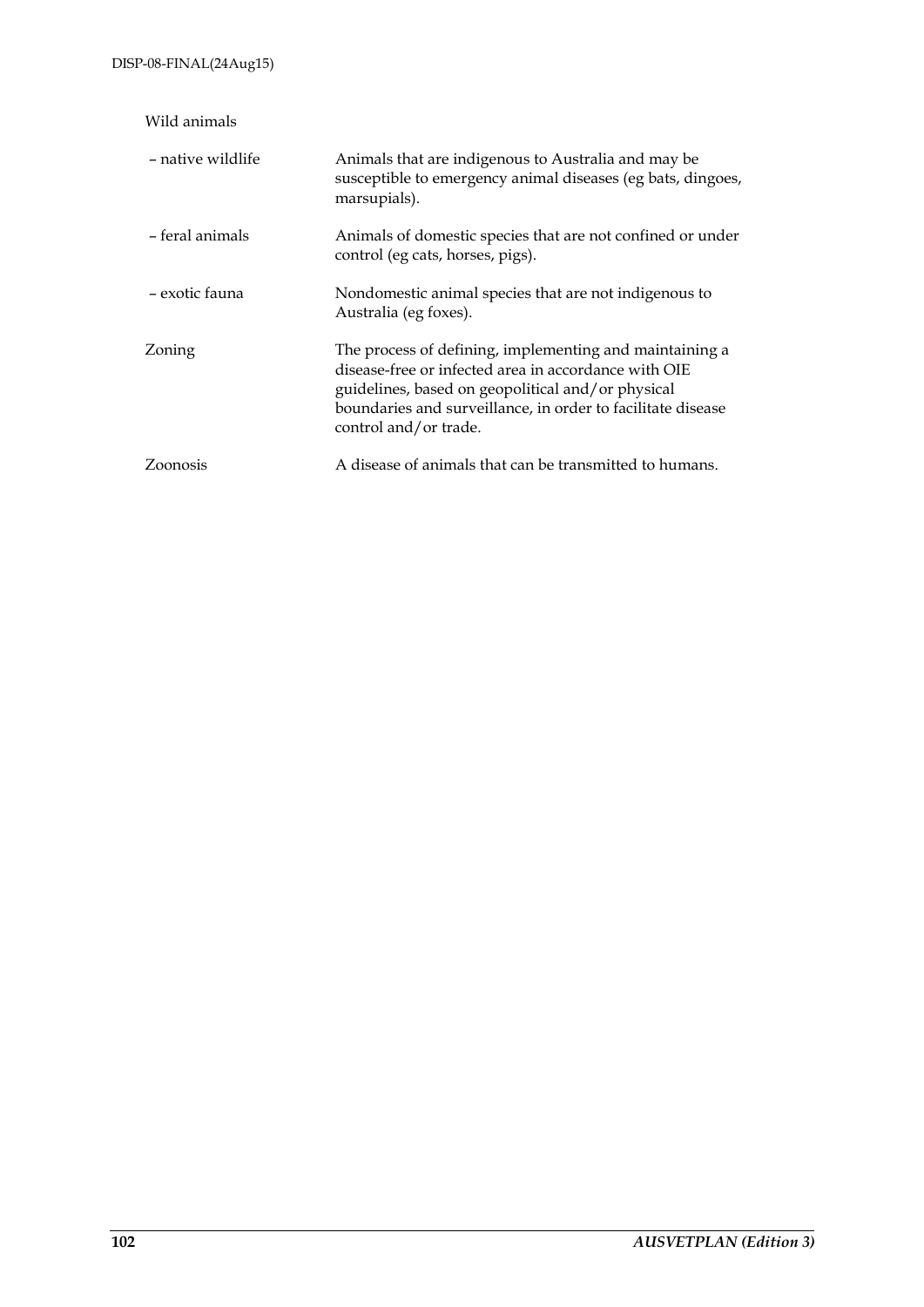| Wild animals      |                                                                                                                                                                                                                                                              |
|-------------------|--------------------------------------------------------------------------------------------------------------------------------------------------------------------------------------------------------------------------------------------------------------|
| – native wildlife | Animals that are indigenous to Australia and may be<br>susceptible to emergency animal diseases (eg bats, dingoes,<br>marsupials).                                                                                                                           |
| - feral animals   | Animals of domestic species that are not confined or under<br>control (eg cats, horses, pigs).                                                                                                                                                               |
| – exotic fauna    | Nondomestic animal species that are not indigenous to<br>Australia (eg foxes).                                                                                                                                                                               |
| Zoning            | The process of defining, implementing and maintaining a<br>disease-free or infected area in accordance with OIE<br>guidelines, based on geopolitical and/or physical<br>boundaries and surveillance, in order to facilitate disease<br>control and/or trade. |
| Zoonosis          | A disease of animals that can be transmitted to humans.                                                                                                                                                                                                      |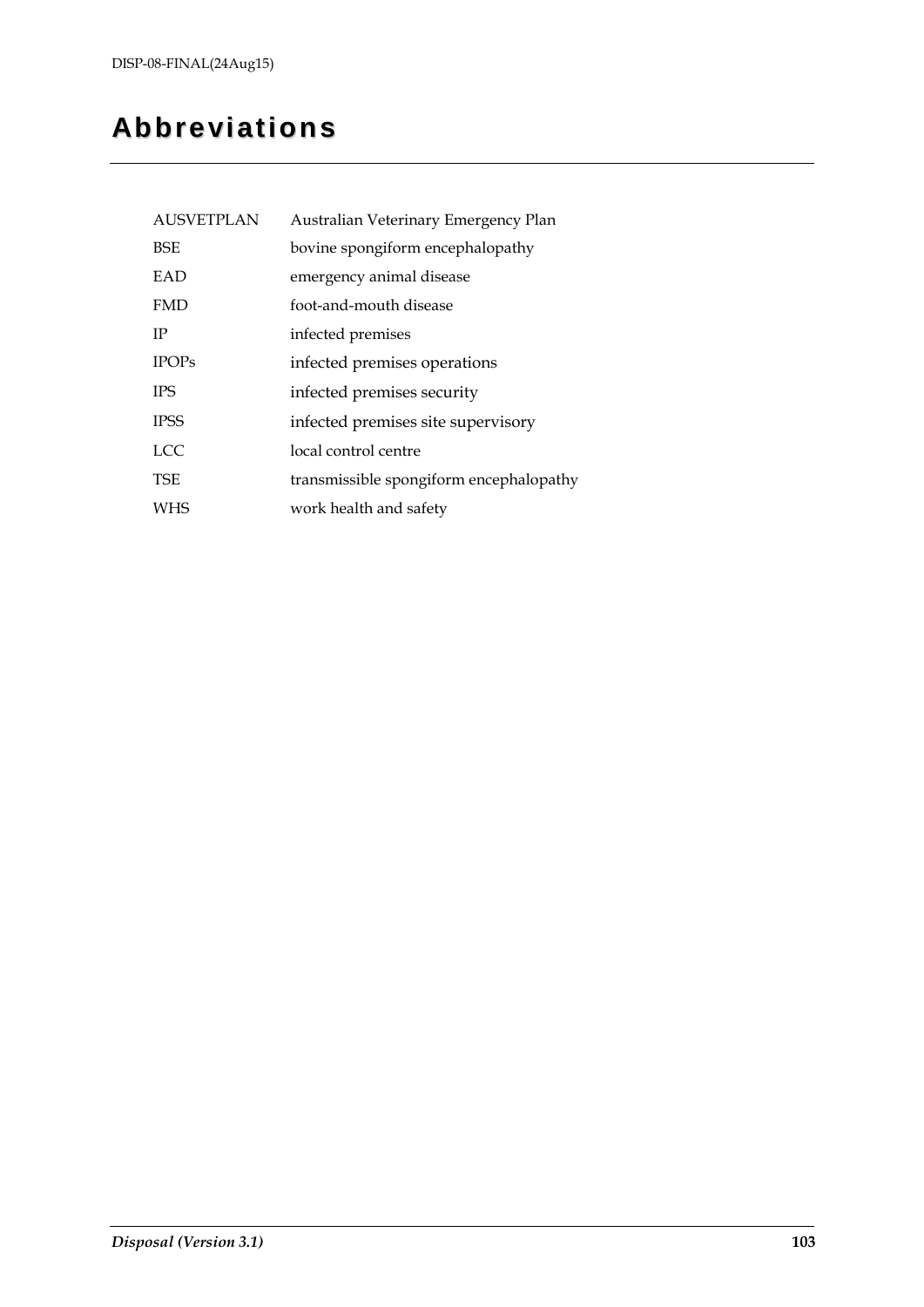# **Abbreviations**

| <b>AUSVETPLAN</b> | Australian Veterinary Emergency Plan    |
|-------------------|-----------------------------------------|
| <b>BSE</b>        | bovine spongiform encephalopathy        |
| EAD               | emergency animal disease                |
| <b>FMD</b>        | foot-and-mouth disease                  |
| IP                | infected premises                       |
| <b>IPOPs</b>      | infected premises operations            |
| <b>IPS</b>        | infected premises security              |
| <b>IPSS</b>       | infected premises site supervisory      |
| <b>LCC</b>        | local control centre                    |
| <b>TSE</b>        | transmissible spongiform encephalopathy |
| <b>WHS</b>        | work health and safety                  |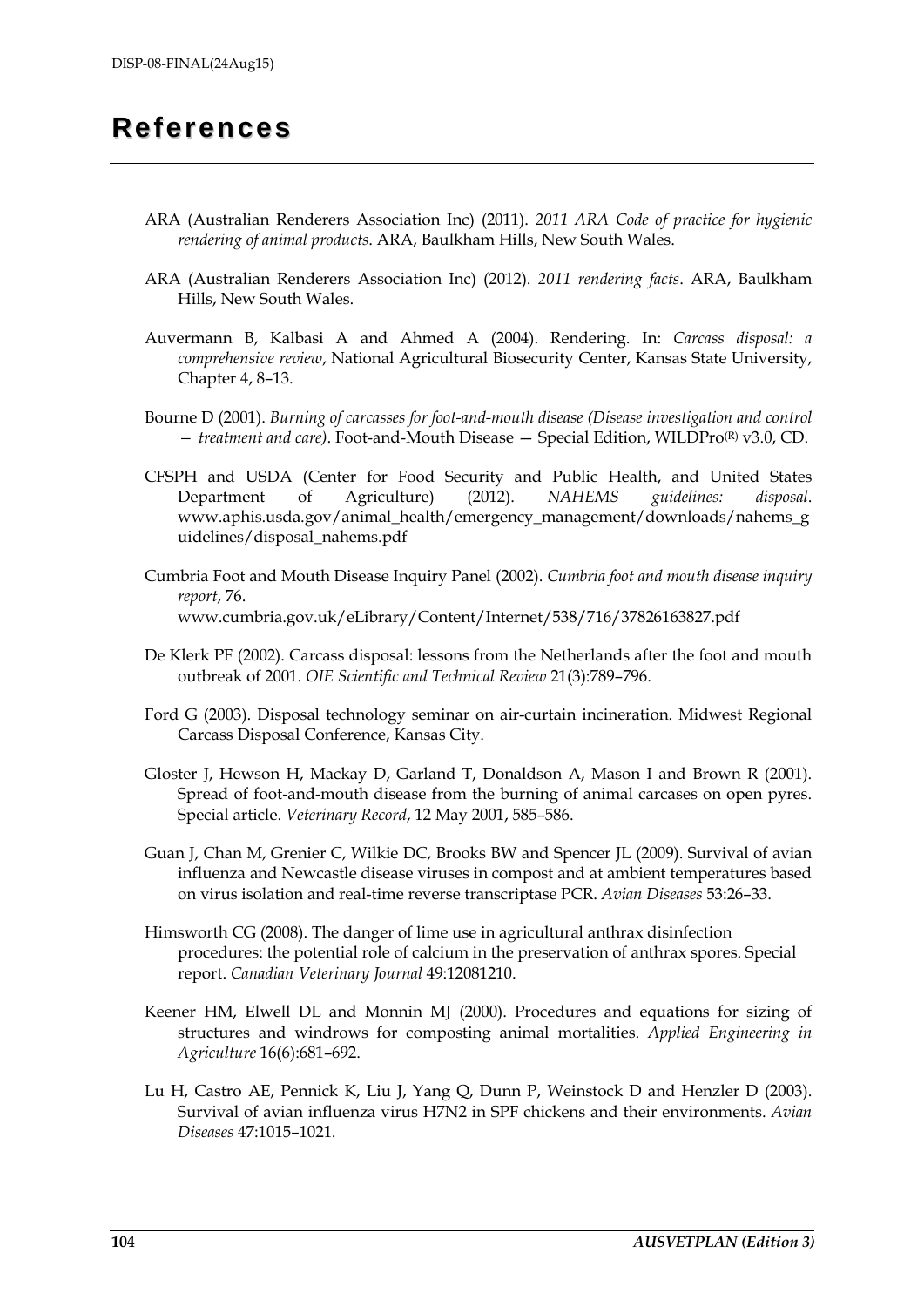## **References**

- ARA (Australian Renderers Association Inc) (2011). *2011 ARA Code of practice for hygienic rendering of animal products*. ARA, Baulkham Hills, New South Wales.
- ARA (Australian Renderers Association Inc) (2012). *2011 rendering facts*. ARA, Baulkham Hills, New South Wales.
- Auvermann B, Kalbasi A and Ahmed A (2004). Rendering. In: *Carcass disposal: a comprehensive review*, National Agricultural Biosecurity Center, Kansas State University, Chapter 4, 8–13.
- Bourne D (2001). *Burning of carcasses for foot-and-mouth disease (Disease investigation and control — treatment and care)*. Foot-and-Mouth Disease — Special Edition, WILDPro(R) v3.0, CD.
- CFSPH and USDA (Center for Food Security and Public Health, and United States Department of Agriculture) (2012). *NAHEMS guidelines: disposal*. www.aphis.usda.gov/animal\_health/emergency\_management/downloads/nahems\_g uidelines/disposal\_nahems.pdf
- Cumbria Foot and Mouth Disease Inquiry Panel (2002). *Cumbria foot and mouth disease inquiry report*, 76. www.cumbria.gov.uk/eLibrary/Content/Internet/538/716/37826163827.pdf
- De Klerk PF (2002). Carcass disposal: lessons from the Netherlands after the foot and mouth outbreak of 2001. *OIE Scientific and Technical Review* 21(3):789–796.
- Ford G (2003). Disposal technology seminar on air-curtain incineration. Midwest Regional Carcass Disposal Conference, Kansas City.
- Gloster J, Hewson H, Mackay D, Garland T, Donaldson A, Mason I and Brown R (2001). Spread of foot-and-mouth disease from the burning of animal carcases on open pyres. Special article. *Veterinary Record*, 12 May 2001, 585–586.
- Guan J, Chan M, Grenier C, Wilkie DC, Brooks BW and Spencer JL (2009). Survival of avian influenza and Newcastle disease viruses in compost and at ambient temperatures based on virus isolation and real-time reverse transcriptase PCR. *Avian Diseases* 53:26–33.
- Himsworth CG (2008). The danger of lime use in agricultural anthrax disinfection procedures: the potential role of calcium in the preservation of anthrax spores. Special report. *Canadian Veterinary Journal* 49:12081210.
- Keener HM, Elwell DL and Monnin MJ (2000). Procedures and equations for sizing of structures and windrows for composting animal mortalities. *Applied Engineering in Agriculture* 16(6):681–692.
- Lu H, Castro AE, Pennick K, Liu J, Yang Q, Dunn P, Weinstock D and Henzler D (2003). Survival of avian influenza virus H7N2 in SPF chickens and their environments. *Avian Diseases* 47:1015–1021.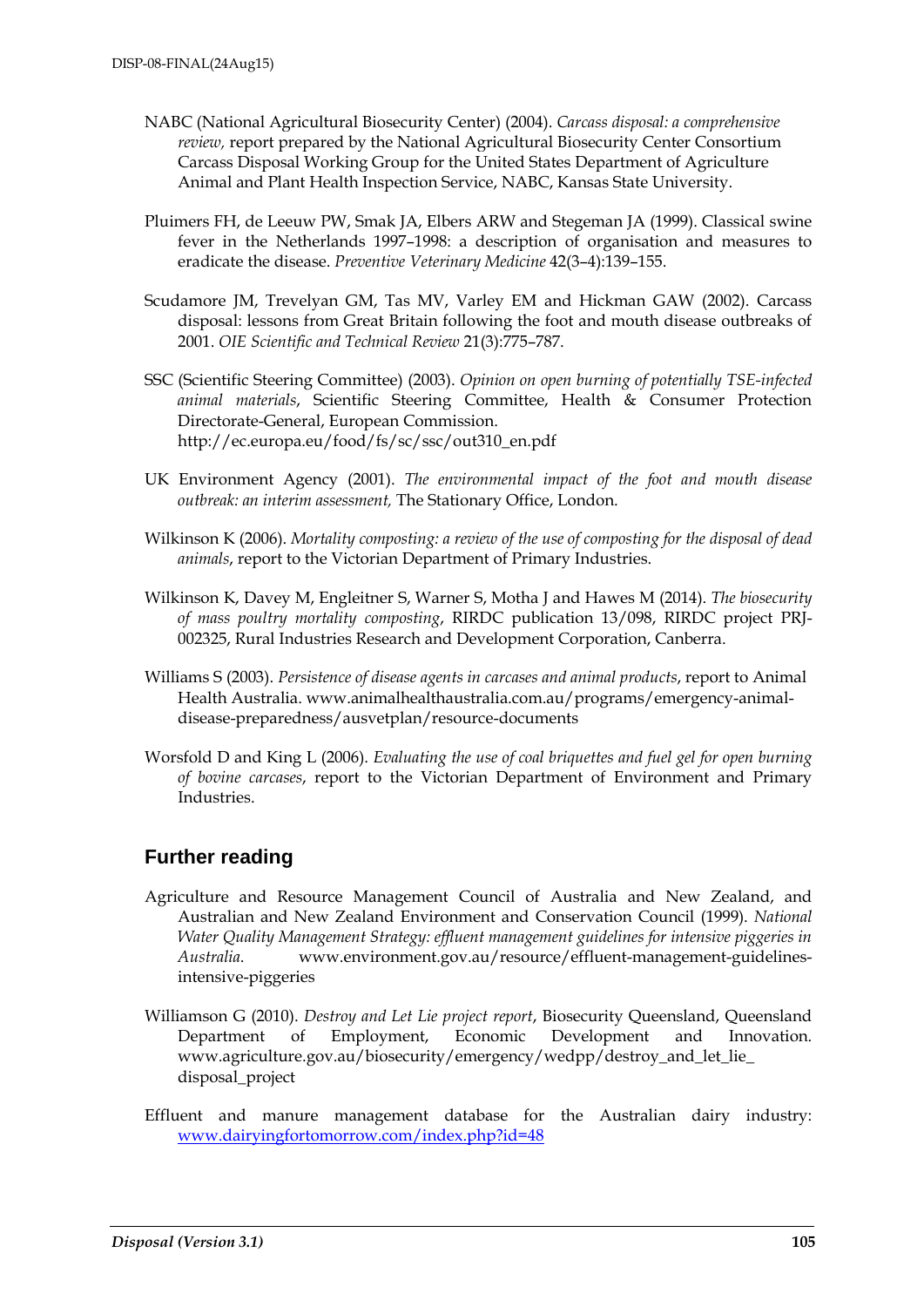- NABC (National Agricultural Biosecurity Center) (2004). *Carcass disposal: a comprehensive review,* report prepared by the National Agricultural Biosecurity Center Consortium Carcass Disposal Working Group for the United States Department of Agriculture Animal and Plant Health Inspection Service, NABC, Kansas State University.
- Pluimers FH, de Leeuw PW, Smak JA, Elbers ARW and Stegeman JA (1999). Classical swine fever in the Netherlands 1997–1998: a description of organisation and measures to eradicate the disease. *Preventive Veterinary Medicine* 42(3–4):139–155.
- Scudamore JM, Trevelyan GM, Tas MV, Varley EM and Hickman GAW (2002). Carcass disposal: lessons from Great Britain following the foot and mouth disease outbreaks of 2001. *OIE Scientific and Technical Review* 21(3):775–787.
- SSC (Scientific Steering Committee) (2003). *Opinion on open burning of potentially TSE-infected animal materials*, Scientific Steering Committee, Health & Consumer Protection Directorate-General, European Commission. http://ec.europa.eu/food/fs/sc/ssc/out310\_en.pdf
- UK Environment Agency (2001). *The environmental impact of the foot and mouth disease outbreak: an interim assessment,* The Stationary Office, London.
- Wilkinson K (2006). *Mortality composting: a review of the use of composting for the disposal of dead animals*, report to the Victorian Department of Primary Industries.
- Wilkinson K, Davey M, Engleitner S, Warner S, Motha J and Hawes M (2014). *The biosecurity of mass poultry mortality composting*, RIRDC publication 13/098, RIRDC project PRJ-002325, Rural Industries Research and Development Corporation, Canberra.
- Williams S (2003). *Persistence of disease agents in carcases and animal products*, report to Animal Health Australia. www.animalhealthaustralia.com.au/programs/emergency-animaldisease-preparedness/ausvetplan/resource-documents
- Worsfold D and King L (2006). *Evaluating the use of coal briquettes and fuel gel for open burning of bovine carcases*, report to the Victorian Department of Environment and Primary Industries.

## **Further reading**

- Agriculture and Resource Management Council of Australia and New Zealand, and Australian and New Zealand Environment and Conservation Council (1999). *National Water Quality Management Strategy: effluent management guidelines for intensive piggeries in Australia*. www.environment.gov.au/resource/effluent-management-guidelinesintensive-piggeries
- Williamson G (2010). *Destroy and Let Lie project report*, Biosecurity Queensland, Queensland Department of Employment, Economic Development and Innovation. www.agriculture.gov.au/biosecurity/emergency/wedpp/destroy\_and\_let\_lie\_ disposal\_project
- Effluent and manure management database for the Australian dairy industry: [www.dairyingfortomorrow.com/index.php?id=48](http://www.dairyingfortomorrow.com/index.php?id=48)